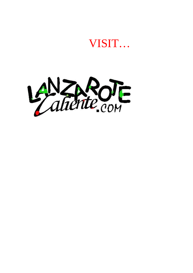

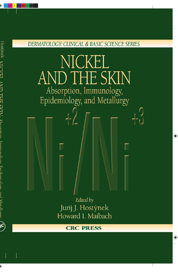DERMATOLOGY: CLINICAL & BASIC SCIENCE SERIES

# NICKEL AND THE SKIN Absorption, Immunology, Epidemiology, and Metallurgy

Edited by Jurij J. Hostýnek Howard I. Maibach

**CRC PRESS**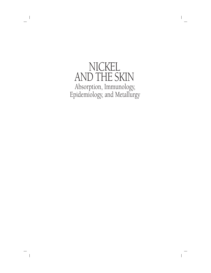# **NICKEL** AND THE SKIN Absorption, Immunology, Epidemiology, and Metallurgy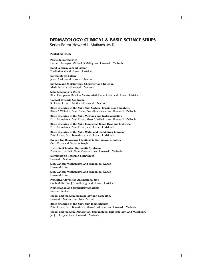### **DERMATOLOGY: CLINICAL & BASIC SCIENCE SERIES**

Series Editor Howard I. Maibach, M.D.

### **Published Titles:**

**Pesticide Dermatoses** Homero Penagos, Michael O'Malley, and Howard I. Maibach

**Hand Eczema, Second Edition** Torkil Menné and Howard I. Maibach

**Dermatologic Botany** Javier Avalos and Howard I. Maibach

**Dry Skin and Moisturizers: Chemistry and Function** Marie Loden and Howard I. Maibach

**Skin Reactions to Drugs** Kirsti Kauppinen, Kristiina Alanko, Matti Hannuksela, and Howard I. Maibach

**Contact Urticaria Syndrome** Smita Amin, Arto Lahti, and Howard I. Maibach

**Bioengineering of the Skin: Skin Surface, Imaging, and Analysis** Klaus P. Wilhelm, Peter Elsner, Enzo Berardesca, and Howard I. Maibach

**Bioengineering of the Skin: Methods and Instrumentation** Enzo Berardesca, Peter Elsner, Klaus P. Wilhelm, and Howard I. Maibach

**Bioengineering of the Skin: Cutaneous Blood Flow and Erythema** Enzo Berardesca, Peter Elsner, and Howard I. Maibach

**Bioengineering of the Skin: Water and the Stratum Corneum** Peter Elsner, Enzo Berardesca, and Howard I. Maibach

**Human Papillomavirus Infections in Dermatovenereology** Gerd Gross and Geo von Krogh

**The Irritant Contact Dermatitis Syndrome** Pieter van der Valk, Pieter Coenrads, and Howard I. Maibach

### **Dermatologic Research Techniques** Howard I. Maibach

**Skin Cancer: Mechanisms and Human Relevance** Hasan Mukhtar

**Skin Cancer: Mechanisms and Human Relevance** Hasan Mukhtar

**Protective Gloves for Occupational Use** Gunh Mellström, J.E. Walhberg, and Howard I. Maibach

**Pigmentation and Pigmentary Disorders** Norman Levine

**Nickel and the Skin: Immunology and Toxicology** Howard I. Maibach and Torkil Menné

**Bioengineering of the Skin: Skin Biomechanics** Peter Elsner, Enzo Berardesca, Klaus-P. Wilhelm, and Howard I. Maibach

**Nickel and the Skin: Absorption, Immunology, Epidemiology, and Metallurgy** Jurij J. Hostýneck and Howard I. Maibach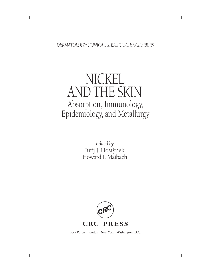*DERMATOLOGY: CLINICAL & BASIC SCIENCE SERIES*

# NICKEL AND THE SKIN Absorption, Immunology, Epidemiology, and Metallurgy

*Edited by* Jurij J. Hostýnek Howard I. Maibach



Boca Raton London New York Washington, D.C.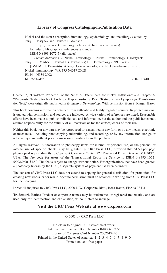### **Library of Congress Cataloging-in-Publication Data**

Nickel and the skin : absorption, immunology, epidemiology, and metallurgy / edited by Jurij J. Hostynek and Howard I. Maibach. p. ; cm. -- (Dermatology : clinical & basic science series) Includes bibliographical references and index. ISBN 0-8493-1072-5 (alk. paper) 1. Contact dermatitis. 2. Nickel--Toxicology. 3. Nickel--Immunology. I. Hostynek, Jurij J. II. Maibach, Howard I. (Howard Ira) III. Dermatology (CRC Press) [DNLM: 1. Dermatitis, Allergic Contact--etiology. 2. Nickel--adverse effects. 3. Nickel--immunology. WR 175 N6317 2002] RL244 .N534 2002 616.97′3--dc21 2002017440

Chapter 3, "Oxidative Properties of the Skin: A Determinant for Nickel Diffusion," and Chapter 6, "Diagnostic Testing for Nickel Allergic Hypersensitivity: Patch Testing versus Lymphocyte Transformation Test," were originally published in *Exogenous Dermatology*. With permission from S. Karger, Basel.

This book contains information obtained from authentic and highly regarded sources. Reprinted material is quoted with permission, and sources are indicated. A wide variety of references are listed. Reasonable efforts have been made to publish reliable data and information, but the author and the publisher cannot assume responsibility for the validity of all materials or for the consequences of their use.

Neither this book nor any part may be reproduced or transmitted in any form or by any means, electronic or mechanical, including photocopying, microfilming, and recording, or by any information storage or retrieval system, without prior permission in writing from the publisher.

All rights reserved. Authorization to photocopy items for internal or personal use, or the personal or internal use of specific clients, may be granted by CRC Press LLC, provided that \$1.50 per page photocopied is paid directly to Copyright Clearance Center, 222 Rosewood Drive, Danvers, MA 01923 USA. The fee code for users of the Transactional Reporting Service is ISBN 0-8493-1072- 5/02/\$0.00+\$1.50. The fee is subject to change without notice. For organizations that have been granted a photocopy license by the CCC, a separate system of payment has been arranged.

The consent of CRC Press LLC does not extend to copying for general distribution, for promotion, for creating new works, or for resale. Specific permission must be obtained in writing from CRC Press LLC for such copying.

Direct all inquiries to CRC Press LLC, 2000 N.W. Corporate Blvd., Boca Raton, Florida 33431.

**Trademark Notice:** Product or corporate names may be trademarks or registered trademarks, and are used only for identification and explanation, without intent to infringe.

### **Visit the CRC Press Web site at www.crcpress.com**

© 2002 by CRC Press LLC

No claim to original U.S. Government works International Standard Book Number 0-8493-1072-5 Library of Congress Card Number 2002017440 Printed in the United States of America 1 2 3 4 5 6 7 8 9 0 Printed on acid-free paper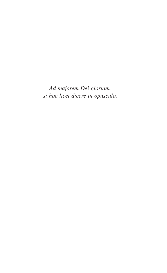*Ad majorem Dei gloriam, si hoc licet dicere in opusculo.*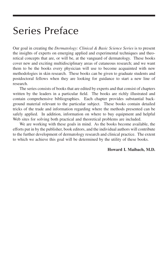# Series Preface

Our goal in creating the *Dermatology: Clinical & Basic Science Series* is to present the insights of experts on emerging applied and experimental techniques and theoretical concepts that are, or will be, at the vanguard of dermatology. These books cover new and exciting multidisciplinary areas of cutaneous research; and we want them to be the books every physician will use to become acquainted with new methodologies in skin research. These books can be given to graduate students and postdoctoral fellows when they are looking for guidance to start a new line of research.

The series consists of books that are edited by experts and that consist of chapters written by the leaders in a particular field. The books are richly illustrated and contain comprehensive bibliographies. Each chapter provides substantial background material relevant to the particular subject. These books contain detailed tricks of the trade and information regarding where the methods presented can be safely applied. In addition, information on where to buy equipment and helpful Web sites for solving both practical and theoretical problems are included.

We are working with these goals in mind. As the books become available, the efforts put in by the publisher, book editors, and the individual authors will contribute to the further development of dermatology research and clinical practice. The extent to which we achieve this goal will be determined by the utility of these books.

### **Howard I. Maibach, M.D.**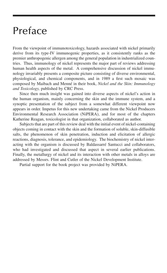## Preface

From the viewpoint of immunotoxicology, hazards associated with nickel primarily derive from its type-IV immunogenic properties, as it consistently ranks as the premier anthropogenic allergen among the general population in industrialized countries. Thus, immunology of nickel represents the major part of reviews addressing human health aspects of the metal. A comprehensive discussion of nickel immunology invariably presents a composite picture consisting of diverse environmental, physiological, and chemical components, and in 1989 a first such mosaic was composed by Maibach and Menné in their book, *Nickel and the Skin: Immunology and Toxicology*, published by CRC Press.

Since then much insight was gained into diverse aspects of nickel's action in the human organism, mainly concerning the skin and the immune system, and a synoptic presentation of the subject from a somewhat different viewpoint now appears in order. Impetus for this new undertaking came from the Nickel Producers Environmental Research Association (NiPERA), and for most of the chapters Katherine Reagan, toxicologist in that organization, collaborated as author.

Subjects that are part of this review deal with the initial event of nickel-containing objects coming in contact with the skin and the formation of soluble, skin-diffusible salts, the phenomenon of skin penetration, induction and elicitation of allergic reactions, diagnosis, tolerance, and epidemiology. The biochemistry of nickel interacting with the organism is discussed by Baldassarré Santucci and collaborators, who had investigated and discussed that aspect in several earlier publications. Finally, the metallurgy of nickel and its interaction with other metals in alloys are addressed by Messrs. Flint and Cutler of the Nickel Development Institute.

Partial support for the book project was provided by NiPERA.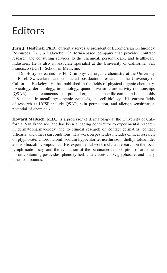# Editors

**Jurij J. Hostýnek, Ph.D.,** currently serves as president of Euromerican Technology Resources, Inc., a Lafayette, California-based company that provides contract research and consulting services to the chemical, personal-care, and health-care industries. He is also an associate specialist at the University of California, San Francisco (UCSF) School of Medicine.

Dr. Hostýnek earned his Ph.D. in physical organic chemistry at the University of Basel, Switzerland, and conducted postdoctoral research at the University of California, Berkeley. He has published in the fields of physical organic chemistry, toxicology, dermatology, immunology, quantitative structure activity relationships (QSAR), and percutaneous absorption of organic and metallic compounds, and holds U.S. patents in metallurgy, organic synthesis, and cell biology. His current fields of research at UCSF include QSAR, skin permeation, and allergic sensitization potential of chemicals.

**Howard Maibach, M.D.,** is a professor of dermatology at the University of California, San Francisco, and has been a leading contributor to experimental research in dermatopharmacology, and to clinical research on contact dermatitis, contact urticaria, and other skin conditions. His work on pesticides includes clinical research on glyphosate, chlorothalonil, sodium hypochlorite, norflurazon, diethyl toluamide, and isothiazolin compounds. His experimental work includes research on the local lymph node assay, and the evaluation of the percutaneous absorption of atrazine, boron-containing pesticides, phenoxy herbicides, acetochlor, glyphosate, and many other compounds.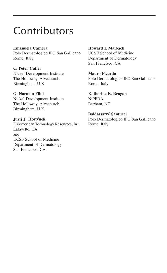# **Contributors**

### **Emanuela Camera**

Polo Dermatologico IFO San Gallicano Rome, Italy

### **C. Peter Cutler**

Nickel Development Institute The Holloway, Alvechurch Birmingham, U.K.

### **G. Norman Flint**

Nickel Development Institute The Holloway, Alvechurch Birmingham, U.K.

### **Jurij J. Hostynek ´**

Euromerican Technology Resources, Inc. Lafayette, CA and UCSF School of Medicine Department of Dermatology San Francisco, CA

### **Howard I. Maibach**

UCSF School of Medicine Department of Dermatology San Francisco, CA

### **Mauro Picardo**

Polo Dermatologico IFO San Gallicano Rome, Italy

### **Katherine E. Reagan** NiPERA Durham, NC

### **Baldassarré Santucci** Polo Dermatologico IFO San Gallicano Rome, Italy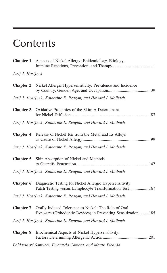# **Contents**

|                   | <b>Chapter 1</b> Aspects of Nickel Allergy: Epidemiology, Etiology,                                                                    |
|-------------------|----------------------------------------------------------------------------------------------------------------------------------------|
| Jurij J. Hostýnek |                                                                                                                                        |
|                   | <b>Chapter 2</b> Nickel Allergic Hypersensitivity: Prevalence and Incidence                                                            |
|                   | Jurij J. Hostýnek, Katherine E. Reagan, and Howard I. Maibach                                                                          |
|                   | <b>Chapter 3</b> Oxidative Properties of the Skin: A Determinant                                                                       |
|                   | Jurij J. Hostýnek, Katherine E. Reagan, and Howard I. Maibach                                                                          |
|                   | <b>Chapter 4</b> Release of Nickel Ion from the Metal and Its Alloys                                                                   |
|                   | Jurij J. Hostýnek, Katherine E. Reagan, and Howard I. Maibach                                                                          |
|                   | <b>Chapter 5</b> Skin Absorption of Nickel and Methods                                                                                 |
|                   | Jurij J. Hostýnek, Katherine E. Reagan, and Howard I. Maibach                                                                          |
| <b>Chapter 6</b>  | Diagnostic Testing for Nickel Allergic Hypersensitivity:<br>Patch Testing versus Lymphocyte Transformation Test 167                    |
|                   | Jurij J. Hostýnek, Katherine E. Reagan, and Howard I. Maibach                                                                          |
|                   | <b>Chapter 7</b> Orally Induced Tolerance to Nickel: The Role of Oral<br>Exposure (Orthodontic Devices) in Preventing Sensitization185 |
|                   | Jurij J. Hostýnek, Katherine E. Reagan, and Howard I. Maibach                                                                          |
| <b>Chapter 8</b>  | Biochemical Aspects of Nickel Hypersensitivity:                                                                                        |
|                   | Baldassarré Santucci, Emanuela Camera, and Mauro Picardo                                                                               |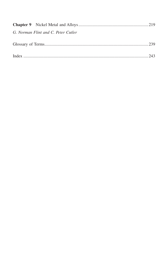| G. Norman Flint and C. Peter Cutler |  |
|-------------------------------------|--|
|                                     |  |
|                                     |  |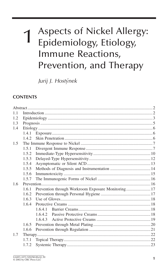# **Aspects of Nickel Allergy:** Epidemiology, Etiology, Immune Reactions, Prevention, and Therapy

Jurij J. Hostýnek

### **CONTENTS**

| 1.1 |       |                                                    |  |
|-----|-------|----------------------------------------------------|--|
| 1.2 |       |                                                    |  |
| 1.3 |       |                                                    |  |
| 1.4 |       |                                                    |  |
|     | 1.4.1 |                                                    |  |
|     | 1.4.2 |                                                    |  |
| 1.5 |       |                                                    |  |
|     | 1.5.1 |                                                    |  |
|     | 1.5.2 |                                                    |  |
|     | 1.5.3 |                                                    |  |
|     | 1.5.4 |                                                    |  |
|     | 1.5.5 |                                                    |  |
|     | 1.5.6 |                                                    |  |
|     | 1.5.7 |                                                    |  |
| 1.6 |       |                                                    |  |
|     | 1.6.1 | Prevention through Workroom Exposure Monitoring 17 |  |
|     | 1.6.2 |                                                    |  |
|     | 1.6.3 |                                                    |  |
|     | 1.6.4 |                                                    |  |
|     |       | 1.6.4.1                                            |  |
|     |       | 1.6.4.2                                            |  |
|     |       |                                                    |  |
|     | 1.6.5 |                                                    |  |
|     | 1.6.6 |                                                    |  |
| 1.7 |       |                                                    |  |
|     | 1.7.1 |                                                    |  |
|     | 1.7.2 |                                                    |  |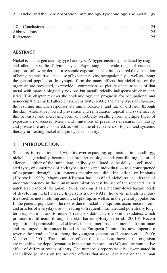### **ABSTRACT**

Nickel is an allergen causing type I and type IV hypersensitivity, mediated by reagins and allergen-specific T lymphocytes. Expressing in a wide range of cutaneous eruptions following dermal or systemic exposure, nickel has acquired the distinction of being the most frequent cause of hypersensitivity, occupationally as well as among the general population. In synoptic form the many effects that nickel has on the organism are presented, to provide a comprehensive picture of the aspects of that metal with many biologically noxious but metallurgically indispensable characteristics. This chapter reviews the epidemiology, the prognosis for occupational and nonoccupational nickel allergic hypersensitivity (NAH), the many types of exposure, the resulting immune responses, its immunotoxicity, and rate of diffusion through the skin. Alternatives toward prevention and remediation, topical and systemic, for this pervasive and increasing form of morbidity resulting from multiple types of exposure are discussed. Merits and limitations of preventive measures in industry and private life are considered, as well as the effectiveness of topical and systemic therapy in treating nickel allergic hypersensitivity.

### **1.1 INTRODUCTION**

Since its introduction and with its ever-expanding application in metallurgy, nickel has gradually become the premier etiologic and contributing factor of allergy — either of the immediate, antibody-mediated or the delayed, cell-mediated type, or sometimes of both types in the same individual — as a consequence of exposure through skin, mucous membranes, diet, inhalation, or implants (Hostýnek, 1999). Magnusson-Kligman has classified nickel as an allergen of moderate potency in the human maximization test by use of the repeated insult patch test protocol (Kligman, 1966), ranking it as a medium-level hazard. Risk of developing nickel allergic hypersensitivity (NAH), however, is high in industries such as metal refining and nickel plating, as well as in the general population. In the general population the risk is due to nickel's ubiquitous occurrence in tools and articles of everyday use — leading to frequent, intimate, and potentially longterm exposure — and to nickel's ready oxidation by the skin's exudates, which promote its diffusion through the skin barrier (Hostýnek et al., 2001b). Recent regulation of permissible nickel levels in consumer products intended for intimate and prolonged skin contact issued in the European Community now appears to reverse the trend, at least among the youngest generation (Johansen et al., 2000; Veien et al., 2001). The pernicious effects that nickel can have on the organism are magnified by depot formation in the stratum corneum (SC) and the cumulative effect of different routes of entry. The numerous reports widely disseminated in specialized journals on the adverse effects that nickel can have on the human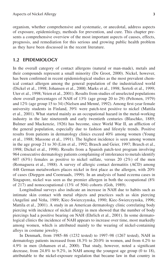organism, whether comprehensive and systematic, or anecdotal, address aspects of exposure, epidemiology, methods for prevention, and cure. This chapter presents a comprehensive overview of the most important aspects of causes, effects, prognosis, and remediation for this serious and growing public health problem as they have been discussed in the recent literature.

### **1.2 EPIDEMIOLOGY**

In the overall category of contact allergens (natural or man-made), metals and their compounds represent a small minority (De Groot, 2000). Nickel, however, has been confirmed in recent epidemiological studies as the most prevalent chemical contact allergen among the general population of the industrialized world (Dickel et al., 1998; Johansen et al., 2000; Marks et al., 1998; Sertoli et al., 1999; Uter et al., 1998; Veien et al., 2001). Results from studies of unselected populations show overall percentages of NAH of 13% (age group 20 to 29) (Peltonen, 1979) and 12% (age group 15 to 34) (Nielsen and Menné, 1992). Among first-year female university students in Finland, 39% were patch-test positive to nickel (Mattila et al., 2001). What started mainly as an occupational hazard in the metal-working industry in the late nineteenth and early twentieth centuries (Blaschko, 1889; Bulmer and Mackenzie, 1926) has become, since World War II, an affliction of the general population, especially due to fashion and lifestyle trends. Positive results from patients in dermatology clinics exceed 40% among women (Young et al., 1988; Massone et al., 1991). The highest incidence is seen among women in the age group 21 to 30 (Lim et al., 1992; Brasch and Geier, 1997; Brasch et al., 1998; Dickel et al., 1998). Results from a Spanish patch-test program involving 964 consecutive dermatology patients complaining of intolerance to metals identify 607 (63%) females as positive to nickel sulfate, versus 20 (2%) of the men (Romaguera et al., 1988). A survey of allergic contact dermatitis (ACD) among 448 German metalworkers places nickel in first place as the allergen, with 20% of cases (Diepgen and Coenraads, 1999). In an analysis of hand eczema cases in Singapore, nickel was seen as the premier allergen in both the occupational (8% of 217) and nonoccupational (13% of 504) cohorts (Goh, 1989).

Longitudinal surveys also indicate an increase in NAH due to habits such as intimate skin contact with metal objects and practices such as skin piercing (Angelini and Veña, 1989; Kiec-Swierczynska, 1990; Kiec-Swierczynska, 1996; Mattila et al., 2001). A study in an American dermatology clinic correlating body piercing with incidence of nickel allergy in men showed that the number of body piercings had a positive bearing on NAH (Ehrlich et al., 2001). In some dermatological clinics the incidence of NAH appears to increase over time, most markedly among women, which is attributed mainly to the wearing of nickel-containing alloys in costume jewelry.

In Denmark, from 1985–86 (1232 tested) to 1997–98 (1267 tested), NAH in dermatology patients increased from 18.3% to 20.0% in women, and from 4.2% to 4.9% in men (Johansen et al., 2000). That study, however, noted a significant decrease, from 24.8% to 9.2%, in NAH among the youngest age group (0 to 18), attributable to the nickel-exposure regulation that became law in that country in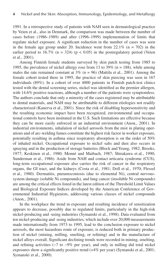1991. In a retrospective study of patients with NAH seen in dermatological practice by Veien et al., also in Denmark, the comparison was made between the number of cases before (1986–1989) and after (1996–1999) implementation of limits that regulate nickel exposure. A significant reduction in the number of cases was seen in the female age group under 20. Incidence went from  $22.1\%$  (n = 702) in the earlier period to  $16.7\%$  (n = 324) (p < 0.05) in the postregulatory period (Veien et al., 2001).

Among Finnish female students surveyed by skin patch testing from 1985 to 1995, the prevalence of nickel allergy rose from 13 to 39% ( $n = 188$ ), while among males the rate remained constant at  $3\%$  (n = 96) (Mattila et al., 2001). Among the female cohort tested there in 1995, the practice of skin piercing was seen in 167 individuals (89%). In a cohort of over 4000 patients in Finnish patch-test clinics tested with the dental screening series, nickel was identified as the premier allergen, with 14.6% positive reactions, although a number of the patients were symptomless. The authors conclude that only a minority of the cases registered may be attributable to dental materials, and NAH may be attributable to different etiologies not readily characterized (Kanerva et al., 2001). Since the risk of disabling hypersensitivity and the resulting economic impact have been recognized, environmental and occupational controls have been instituted in the U.S. Such limitations are effective because they can be more easily enforced in an industrial environment (Anon., 2001). In industrial environments, inhalation of nickel aerosols from the mist in plating operations and of arc-welding fumes constitute the highest risk factor in worker exposure, potentially resulting in asthma since respiratory absorption is on the order of 50% of inhaled nickel. Occupational exposure to nickel salts and dust also occurs in spraying and in the production of storage batteries (Block and Yeung, 1982; Brooks, 1977; Keskinen et al., 1980; Menné and Maibach, 1987; Shirakawa et al., 1990; Sunderman et al., 1986). Aside from NAH and contact urticaria syndrome (CUS), long-term occupational exposure also carries the risk of cancer in the respiratory organs, the GI tract, and the kidneys (Costa et al., 1981; Doll et al., 1970; Flessel et al., 1980). Dermatitis, pneumoconiosis (due to elemental Ni), central nervoussystem damage (soluble Ni compounds), and lung cancer (insoluble Ni compounds) are among the critical effects listed in the latest edition of the Threshold Limit Values and Biological Exposure Indices developed by the American Conference of Governmental Industrial Hygienists, addressing various classes of nickel compounds (Anon., 2001).

In the workplace the trend in exposure and resulting incidence of sensitization appears to decrease, possibly due to regulated limits, particularly in the high-risk nickel-producing and -using industries (Symanski et al., 1998). Data evaluated from ten nickel-producing and -using industries, which include over 20,000 measurements made internationally from 1973 to 1995, lead to the conclusion exposure to nickel aerosols, the most hazardous route of exposure, is reduced both in primary production of nickel (mining, milling, smelting, or refining) and in the manufacture of nickel alloys overall. Significant declining trends were recorded in mining, smelting, and refining activities (−7 to −9% per year), and only in milling did total nickel exposures show a significantly positive trend (+4% per year) (Symanski et al., 2001; Symanski et al., 2000).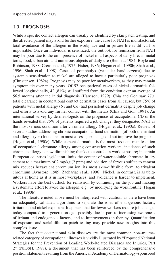### **1.3 PROGNOSIS**

While a specific contact allergen can usually be identified by skin patch testing, and the affected patient may avoid further exposure, the cause for NAH is multifactorial; total avoidance of the allergen in the workplace and in private life is difficult or impossible. Once an individual is sensitized, the outlook for remission from NAH may be poor due to the omnipresence of nickel in all aspects of daily life: in metal tools, food, urban air, and numerous objects of daily use (Bennett, 1984; Boyle and Robinson, 1988; Creason et al., 1975; Fisher, 1986; Hogan et al., 1990b; Shah et al., 1996; Shah et al., 1998). Cases of pompholyx (vesicular hand eczema) due to systemic sensitization to nickel are alleged to have a particularly poor prognosis (Christensen, 1982a). Prognosis may be poor for metalworkers, as they may remain symptomatic over many years. Of 52 occupational cases of nickel dermatitis followed longitudinally, 42 (81%) still suffered from the condition over an average of 56.5 months after the initial diagnosis (Harrison, 1979). Chia and Goh saw 77% total clearance in occupational contact dermatitis cases from all causes, but 75% of patients with metal allergy (Ni and Co) had persistent dermatitis despite job change and efforts to avoid any further contact with the metals (Chia and Goh, 1991). An international survey by dermatologists on the prognosis of occupational CD of the hands revealed that 75% of patients required a job change; they designated NAH as the most serious condition after chromate allergy (Hogan et al., 1990a). Review of several studies addressing chronic occupational hand dermatitis (of both the irritant and allergic type) found that in most cases a job change did not improve the prognosis (Hogan et al., 1990c). While cement dermatitis is the most frequent manifestation of occupational chromate allergy among construction workers, incidence of such chromate allergy is now diminishing thanks to controls in work exposure; in certain European countries legislation limits the content of water-soluble chromate in dry cement to a maximum of 2 mg/kg (2 ppm) and addition of ferrous sulfate to cement mix reduces hexavalent chromium ion, its most skin-diffusible form, to trivalent chromium (Avnstorp, 1989; Zachariae et al., 1996). Nickel, in contrast, is as ubiquitous at home as it is in most workplaces, and avoidance is harder to implement. Workers have the best outlook for remission by continuing on the job and making a systematic effort to avoid the allergen, e.g., by modifying the work routine (Hogan et al., 1990b).

The literature noted above must be interpreted with caution, as there have been no adequately validated algorithms to separate the roles of endogenous factors, irritation, and nickel exposure. It appears that far fewer workers require job changes today compared to a generation ago, possibly due in part to increasing awareness of irritant and endogenous factors, and to improvements in therapy. Quantification of exposure and serial-dilution patch testing may provide new insights into this complex issue.

The fact that occupational skin diseases are the most common non–traumarelated category of occupational illnesses is vividly illustrated by "Proposed National Strategies for the Prevention of Leading Work-Related Diseases and Injuries, Part 2" (NIOSH, 1988), a document that has been reinforced by the comprehensive position statement resulting from the American Academy of Dermatology–sponsored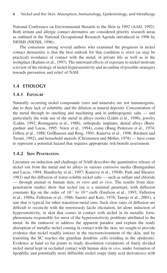National Conference on Environmental Hazards to the Skin in 1992 (AAD, 1992). Both irritant and allergic contact dermatitis are considered priority research areas as outlined in the National Occupational Research Agenda introduced in 1996 by NIOSH (NIOSH, 1996).

The consensus among several authors who examined the prognosis in nickel contact dermastitis is that the best outlook for that condition is strict (as may be practical) avoidance of contact with the metal, in private life as well as in the workplace (Kalimo et al., 1997). The untoward effects of exposure to nickel motivate a review of the etiology of nickel hypersensitivity and an outline of possible strategies towards prevention and relief of NAH.

### **1.4 ETIOLOGY**

### **1.4.1 EXPOSURE**

Naturally occurring nickel compounds (ores and minerals) are not immunogenic, due to their lack of solubility and the dilution in natural deposits. Concentration of the metal through its smelting and machining and in anthropogenic salts — and particularly the wide use of the metal in alloys (tools) (Lidén et al., 1998), jewelry (Lidén, 1992; Romaguera et al., 1988), orthopedic implants, dental alloys (Bumgardner and Lucas, 1995; Veien et al., 1994), coins (Bang Pedersen et al., 1974; Gilboa et al., 1988; Gollhausen and Ring, 1991; Kanerva et al., 1998; Räsänen and Tuomi, 1992), and household utensils (Christensen and Möller, 1978) — have come to represent a potential hazard that requires appropriate risk-benefit assessment.

### **1.4.2 SKIN PENETRATION**

Literature on induction and challenge of NAH describes the quantitative release of nickel ion from the metal and its alloys in various corrosive media (Bumgardner and Lucas, 1994; Haudrechy et al., 1997; Kanerva et al., 1994b; Park and Shearer, 1983) and the diffusion of water-soluble nickel salts — such as sulfate and chloride — through animal or human skin, *in vitro* and *in vivo*. The results from skinpenetration studies show that nickel ion is a minimal penetrant, with diffusion constants Kp on the order of 10<sup>−</sup>7 to 10<sup>−</sup>4 cm/h (Emilson et al., 1993; Fullerton et al., 1988a; Fullerton et al., 1986; Samitz and Katz, 1976; Tanojo et al., 2001), a rate that is typical for other transition-metal ions. Such slow rates of diffusion are difficult to reconcile with the notoriously facile elicitation, let alone induction of hypersensitivity, in skin that comes in contact with nickel in its metallic form, phenomena responsible for most of the hypersensitivity problems attributed to the metal. In the endeavor to address the apparent paradox and explain the ready absorption of metallic nickel coming in contact with the skin, we sought to provide evidence that nickel readily ionizes in the microenvironment of the skin, and by transiting the SC reaches the guardian dendritic cells residing in the epidermis. Evidence at hand so far points to ready dissolution (oxidation) of finely divided nickel metal kept in occluded contact with human skin *in vivo*, under formation of lipophilic and potentially more diffusible nickel soaps (fatty acid derivatives) with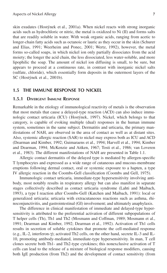skin exudates (Hostýnek et al., 2001a). When nickel reacts with strong inorganic acids such as hydrochloric or nitric, the metal is oxidized to Ni (II) and forms salts that are readily soluble in water. With weak organic acids, ranging from acetic to longer-chain fatty acids such as octanoic or lauric as they occur in the skin (Schurer and Elias, 1991; Weerheim and Ponec, 2001; Wertz, 1992), however, the metal forms so-called soaps, in which nickel ion only partially dissociates from the acid moiety; the longer the acid chain, the less dissociated, less water-soluble, and more lipophilic the soap. The amount of nickel ion diffusing is small, to be sure, but appears to proceed at a continuous rate, in contrast with inorganic nickel salts (sulfate, chloride), which essentially form deposits in the outermost layers of the SC (Hostýnek et al., 2001b).

### **1.5 THE IMMUNE RESPONSE TO NICKEL**

### **1.5.1 DIVERGENT IMMUNE RESPONSE**

Remarkable in the etiology of immunological reactivity of metals is the observation that most metals that cause a delayed-type reaction (ACD) can also induce immunologic contact urticaria (ICU) (Hostýnek, 1997). Nickel, which belongs to that category, is capable of evoking multiple (dual) responses in the human immune system, sometimes in the same subject. Dermatitis and urticaria, the primary manifestations of NAH, are observed in the area of contact as well as at distant sites. Also, systemic allergic reaction (SAR) to nickel may express both as ICU and ACD (Dearman and Kimber, 1992; Guimaraens et al., 1994; Harvell et al., 1994; Kimber and Dearman, 1994; McKenzie and Aitken, 1967; Tosti et al., 1986; van Loveren et al., 1983). The different manifestations of NAH are presented in Table 1.1.

Allergic contact dermatitis of the delayed type is mediated by allergen-specific T lymphocytes and expressed as a wide range of cutaneous and mucous-membrane eruptions following dermal contact, oral or systemic exposure to a hapten, a type IV allergic reaction in the Coombs-Gell classification (Coombs and Gell, 1975).

Immunologic contact urticaria, immediate-type hypersensitivity involving antibody, most notably results in respiratory allergy but can also manifest in separate stages collectively described as contact urticaria syndrome (Lahti and Maibach, 1993), a type I reaction after Coombs-Gell (Katchen and Maibach, 1991): local or generalized urticaria; urticaria with extracutaneous reactions such as asthma, rhinoconjunctivitis, and gastrointestinal (GI) involvement; and ultimately anaphylaxis.

The difference in clinical manifestation of immediate and delayed-type hypersensitivity is attributed to the preferential activation of different subpopulations of T helper cells (Th), Th1 and Th2 (Mosmann and Coffman, 1989; Mosmann et al., 1991; Dearman and Kimber, 1992; Dearman et al., 1992). Activation of Th1 cells results in secretion of soluble cytokines that promote the cell-mediated response (e.g., IL-2, interferon-γ); activated Th2 cells, on the other hand, secrete IL-3 and IL-10, promoting antibody-mediated, immediate-type hypersensitivity. In man, T cell clones secrete both Th1- and Th2-type cytokines; this nonexclusive activation of T cells can lead to the release of a mixture of biological response modifiers, causing both IgE production (from Th2) and the development of contact sensitivity (from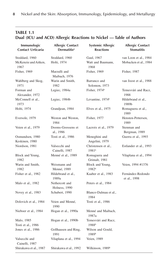### **TABLE 1.1 Dual (ICU and ACD) Allergic Reactions to Nickel — Table of Authors**

| Immunologic<br>Contact Urticaria  | <b>Allergic Contact</b><br><b>Dermatitis<sup>a</sup></b> | <b>Systemic Allergic</b><br><b>Reactions</b> | <b>Allergic Contact</b><br><b>Stomatitis</b> |
|-----------------------------------|----------------------------------------------------------|----------------------------------------------|----------------------------------------------|
| Stoddard, 1960                    | Stoddard, 1960                                           | Gaul, 1967                                   | van Loon et al., 1984                        |
| McKenzie and Aitken,<br>1967      | Holti, 1974                                              | Watt and Baumann,<br>1968                    | Mobacken et al., 1984                        |
| Fisher, 1969                      | Marzulli and<br>Maibach, 1976                            | Fisher, 1969                                 | Fisher, 1987                                 |
| Wahlberg and Skog,<br>1971        | Warin and Smith,<br>1982                                 | Barranco and<br>Solomon, 1973                | van Joost et al., 1988                       |
| Forman and<br>Alexander, 1972     | Legiec, 1984a                                            | Fisher, 1974 <sup>b</sup>                    | Temesvári and Racz,<br>1988                  |
| McConnell et al.,<br>1973         | Legiec, 1984b                                            | Levantine, 1974 <sup>b</sup>                 | Hildebrand et al.,<br>1989b                  |
| Holti, 1974                       | Grandjean, 1984                                          | Elves et al., $1975$                         | Romaguera et al.,<br>1989                    |
| Eversole, 1979                    | Weston and Weston,<br>1984                               | Fisher, 1977                                 | Hensten-Pettersen,<br>1989                   |
| Veien et al., 1979                | Dooms-Goossens et<br>al., 1986                           | Lacroix et al., 1979                         | Stenman and<br>Bergman, 1989                 |
| Osmundsen, 1980<br>Keskinen, 1980 | Tosti et al., 1986                                       | Meneghini and<br>Angelini, 1979              | Guerra et al., 1993                          |
| Niordson, 1981                    | Valsecchi and<br>Cainelli, 1987                          | Christensen et al.,<br>1981 <sup>b</sup>     | Estlander et al., 1993                       |
| Block and Yeung,<br>1982          | Menné et al., 1989                                       | Romaguera and<br>Grimalt, 1981               | Vilaplana et al., 1994                       |
| Warin and Smith,<br>1982          | Weismann and<br>Menné, 1989                              | Block and Yeung,<br>1982 <sup>b</sup>        | Veien, 1994 #1376                            |
| Fisher et al., 1982               | Hildebrand et al.,<br>1989a                              | Kaaber et al., 1983                          | Fernández-Redondo<br>et al., 1998            |
| Malo et al., 1982                 | Nethercott and<br>Holness, 1990                          | Peters et al., 1984                          |                                              |
| Novey et al., 1983                | Schubert, 1990                                           | Blanco-Dalmau et al.,<br>1984                |                                              |
| Dolovich et al., 1984             | Veien and Menné,<br>1990                                 | Tosti et al., 1986                           |                                              |
| Nieboer et al., 1984              | Hogan et al., 1990a                                      | Menné and Maibach,<br>1987a                  |                                              |
| Malo, 1985                        | Hogan et al., 1990b                                      | Temesvári and Racz,                          |                                              |
| Tosti et al., 1986                |                                                          | 1988 <sup>b</sup>                            |                                              |
| Jones et al., 1986                | Gollhausen and Ring,<br>1991                             | Wilson and Gould,<br>1989b                   |                                              |
| Valsecchi and<br>Cainelli, 1987   | Vilaplana et al., 1994                                   | Veien, 1989                                  |                                              |
| Shirakawa et al., 1987            | Shirakawa et al., 1992                                   | Wilkinson, 1989b                             |                                              |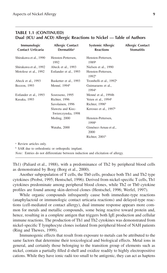### **TABLE 1.1 (CONTINUED) Dual (ICU and ACD) Allergic Reactions to Nickel — Table of Authors**

| <b>Immunologic</b><br>Contact Urticaria | <b>Allergic Contact</b><br>Dermatitis <sup>a</sup> | <b>Systemic Allergic</b><br><b>Reactions</b> | <b>Allergic Contact</b><br><b>Stomatitis</b> |
|-----------------------------------------|----------------------------------------------------|----------------------------------------------|----------------------------------------------|
| Shirakawa et al., 1990                  | Hensten-Pettersen,<br>1992                         | Hensten-Pettersen,<br>1989 <sup>b</sup>      |                                              |
| Shirakawa et al., 1992                  | Abeck et al., 1993                                 | Nielsen et al., 1990                         |                                              |
| Motolese et al., 1992                   | Estlander et al., 1993                             | Hensten-Pettersen,<br>1992 <sup>b</sup>      |                                              |
| Abeck et al., 1993                      | Basketter et al., 1993                             | Trombelli et al., 1992 <sup>b</sup>          |                                              |
| Bezzon, 1993                            | Menné, 1994 <sup>b</sup>                           | Guimaraens et al.,<br>1994 <sup>b</sup>      |                                              |
| Estlander et al., 1993                  | Sosroseno, 1995                                    | Menné et al., 1994b                          |                                              |
| Kusaka, 1993                            | Richter, 1996                                      | Veien et al., 1994 <sup>b</sup>              |                                              |
|                                         | Savolainen, 1996                                   | Richter, 1996 <sup>b</sup>                   |                                              |
|                                         | Slaweta and Kiec-<br>Swierczynska, 1998            | Kerosuo et al., 1997 <sup>b</sup>            |                                              |
|                                         | Meding, 2000                                       | Hensten-Pettersen,<br>1998b                  |                                              |
|                                         | Wataha, 2000                                       | Giménez-Arnau et al.,<br>2000                |                                              |
|                                         |                                                    | Richter, 2001 <sup>b</sup>                   |                                              |

<sup>a</sup> Review articles only.

**b** SAR due to orthodontic or orthopedic implant.

*Note:* Entries do not differentiate between induction and elicitation of allergy.

Th1) (Paliard et al., 1988), with a predominance of Th2 by peripheral blood cells as demonstrated by Borg (Borg et al., 2000).

Another subpopulation of T cells, the Th0 cells, produce both Th1 and Th2 type cytokines (Probst, 1995; Hentschel, 1996). Derived from nickel-specific T cells, Th1 cytokines predominate among peripheral blood clones, while Th2 or Th0 cytokine profiles are found among skin-derived clones (Hentschel, 1996; Werfel, 1997).

While organic compounds infrequently cause both immediate-type reactions (anaphylactoid or immunologic contact urticaria reactions) and delayed-type reactions (cell-mediated or contact allergy), dual immune response appears more common for metals and metallic compounds, some being reactive toward protein and, hence, resulting in a complete antigen that triggers both IgE production and cellular immune reactions. The production of Th1 and Th2 cytokines was demonstrated from nickel-specific T lymphocyte clones isolated from peripheral blood of NAH patients (Ring and Thewes, 1999).

Immunogenic effects that result from exposure to metals can be attributed to the same factors that determine their toxicological and biological effects. Metal ions in general, and certainly those belonging to the transition group of elements such as nickel, contain a partially filled d-shell and oxidize readily to highly electropositive cations. While they have ionic radii too small to be antigenic, they can act as haptens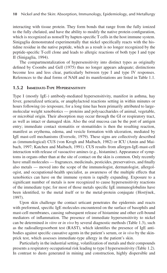interacting with tissue protein. They form bonds that range from the fully ionized to the fully chelated, and have the ability to modify the native protein configuration, which is recognized as nonself by hapten-specific T cells in the host immune system. Sinigaglia demonstrated experimentally that nickel specifically reacts with the histidine residue in the native peptide, which as a result is no longer recognized by the peptide-specific T-cell clone and leads to allergic reactions of both type I and type II (Sinigaglia, 1994).

The compartmentalization of hypersensitivity into distinct types as originally defined by Coombs and Gell (1975) thus no longer appears adequate; distinctions become less and less clear, particularly between type I and type IV responses. References to the dual forms of NAH and its manifestations are listed in Table 1.1.

### **1.5.2 IMMEDIATE-TYPE HYPERSENSITIVITY**

Type I (mostly IgE-) antibody-mediated hypersensitivity, manifest in asthma, hay fever, generalized urticaria, or anaphylactoid reactions setting in within minutes or hours following (re-)exposure, for a long time has been primarily attributed to largemolecular weight xenobiotics — proteins and polysaccharides of animal, vegetable, or microbial origin. Their absorption may occur through the GI or respiratory tract, as well as intact or damaged skin. Also the oral mucosa can be the port of antigen entry; immediate contact stomatitis or stomatitides is then the resulting reaction, manifest as erythema, edema, and vesicle formation with ulceration, mediated by IgE mast-cell mechanisms (Eversole, 1979). These signs are collectively described as (immunological) CUS (von Krogh and Maibach, 1982) or ICU (Amin and Maibach, 1997; Katchen and Maibach, 1991). CUS results from allergen-IgE-mast-cell interaction with release of vasoactive amines (e.g., histamine). Appearance of symptoms in organs other than at the site of contact on the skin is common. Only recently have small molecules — fragrances, medicinals, pesticides, preservatives, and finally also metals — moved into the scope of the immunologist, dermatologist, allergologist, and occupational-health specialist, as awareness of the multiple effects that xenobiotics can have on the immune system is rapidly expanding. Exposure to a significant number of metals is now recognized to cause hypersensitivity reactions of the immediate type; for most of those metals specific IgE immunoglobulins have been identified, to the metal itself or to the metal-protein conjugate (Hostýnek, 1997).

Upon skin challenge the contact urticant penetrates the epidermis and reacts with preformed, specific IgE molecules encountered on the surface of basophils and mast-cell membranes, causing subsequent release of histamine and other cell-bound mediators of inflammation. The presence of immediate hypersensitivity to nickel can be determined *in vitro* or *in vivo* by several diagnostic methods (Table 1.3), such as the radioallergosorbent test (RAST), which identifies the presence of IgE antibodies against specific causative agents in the patient's serum, or *in vivo* by the skinprick test, which assesses immediate-type allergy in the patient's skin.

Particularly in the industrial setting, volatilization of metals and their compounds presents a respiratory occupational risk leading to type I hypersensitivity (Table 1.2). In contrast to dusts generated in mining and construction, highly dispersible and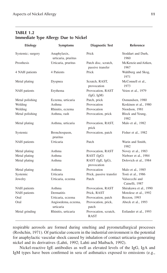### **TABLE 1.2 Immediate Type Allergy Due to Nickel**

| Etiology          | Symptoms                            | <b>Diagnostic Test</b>                   | <b>Reference</b>                 |
|-------------------|-------------------------------------|------------------------------------------|----------------------------------|
| Systemic; surgery | Anaphylaxix,<br>urticaria, pruritus | Prick                                    | Stoddart and Durh,<br>1960       |
| Prosthesis        | Urticaria, pruritus                 | Patch disc, scratch,<br>passive transfer | McKenzie and Aitken.<br>1967     |
| 4 NAH patients    | 4 Patients                          | Prick                                    | Wahlberg and Skog,<br>1971       |
| Metal plating     | Dyspnea                             | Scratch, RAST,<br>provocation            | McConnell et al.,<br>1973        |
| NAH patients      | Erythema                            | Provocation, RAST<br>(IgG, IgM)          | Veien et al., 1979               |
| Metal polishing   | Eczema, urticaria                   | Patch, prick                             | Osmundsen, 1980                  |
| Welding           | Asthma                              | Provocation                              | Keskinen et al., 1980            |
| Welding           | Rhinitis, eczema                    | Provocation                              | Niordson, 1981                   |
| Metal polishing   | Asthma, rash                        | Provocation, prick                       | Block and Yeung,<br>1982         |
| Metal plating     | Asthma, urticaria                   | Provocation, RAST,<br>prick              | Malo et al., 1982                |
| Systemic          | Bronchospasm,<br>pruritus           | Provocation, patch                       | Fisher et al., 1982              |
| NAH patients      | Urticaria                           | Patch                                    | Warin and Smith,<br>1982         |
| Metal plating     | Asthma                              | Provocation, RAST                        | Novey et al., 1983               |
| Metal plating     | Asthma                              | RAST (IgG)                               | Nieboer et al., 1984             |
| Metal plating     | Asthma                              | RAST (IgE, IgG),<br>provocation          | Dolovich et al., 1984            |
| Metal plating     | Asthma                              | Provocation                              | Malo et al., 1985                |
| Systemic          | Urticaria                           | Prick, passive transfer                  | Tosti et al., 1986               |
| Jewelry           | Urticaria, eczema                   | Patch                                    | Valseccchi and<br>Cainelli, 1987 |
| NAH patients      | Asthma                              | Provocation, RAST                        | Shirakawa et al., 1990           |
| NAH patients      | Dermatitis                          | Prick. RAST                              | Motolese et al., 1992            |
| Oral              | Urticaria, eczema                   | Provocation, patch                       | Bezzon, 1993                     |
| Oral              | Angioedema, eczema,<br>urticaria    | Provocation, prick,<br>patch             | Abeck et al., 1993               |
| Metal grinding    | Rhinitis, urticaria                 | Provocation, scratch,<br><b>RAST</b>     | Estlander et al., 1993           |

respirable aerosols are formed during smelting and pyrometallurgical processes (Roshchin, 1971). Of particular concern in the industrial environment is the potential for anaphylactic vascular shock caused by inhalation of contact urticaria-generating nickel and its derivatives (Lahti, 1992; Lahti and Maibach, 1992).

Nickel-reactive IgE antibodies as well as elevated levels of the IgG, IgA and IgM types have been confirmed in sera of asthmatics exposed to emissions (e.g.,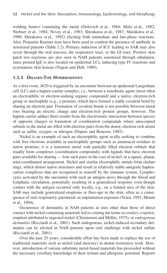welding fumes) containing the metal (Dolovich et al., 1984; Malo et al., 1982; Nieboer et al., 1984; Novey et al., 1983; Shirakawa et al., 1987; Shirakawa et al., 1990; Shirakawa et al., 1992) eliciting both immediate and late-phase reactions. Also, Prausnitz Kustner tests have been used to confirm the presence of antibody in sensitized patients (Table 1.2). Primary induction of ICU leading to SAR may also occur through the oral mucosa, the respiratory tract, or the GI tract. Positive skin patch test reactions are also seen in NAH patients sensitized through inhalation, since primed IgE is also located on epidermal LCs, inducing type IV reactions and eczematous skin lesions (Najem and Hull, 1989).

### **1.5.3 DELAYED-TYPE HYPERSENSITIVITY**

As a first event, ACD is triggered by an encounter between an epidermal Langerhans cell (LC) and a hapten-carrier complex, i.e., between a xenobiotic agent (most often an electrophilic or electron-seeking organic compound) and a native, electron-rich group or nucleophile (e.g., a protein), which have formed a stable covalent bond by sharing an electron pair. Formation of covalent bonds is not possible between metal ions bearing an electric charge and electron-rich protein groups, however. The hapten-carrier adduct there results from the electrostatic interaction between species of opposite charges or formation of coordination compounds where unoccupied orbitals in the metal are filled with electron pairs from the donor, electron-rich atoms such as sulfur, oxygen, or nitrogen (Dupuis and Benezra, 1982).

Nickel is an example of such an electrophilic agent avidly seeking to combine with free electrons available in nucleophilic groups such as aminoacid residues in native proteins; it is a transition metal with partially filled electron orbitals that readily form complexes (coordination compounds) with ligands that have electron pairs available for sharing — four such pairs in the case of nickel, in a square, planar, tetra-coordinated arrangement. Nickel and similar electrophilic metals form chelate rings, which distort native structures and result in relatively stable antigenic haptencarrier complexes that are recognized as nonself by the immune system. Lymphocytes activated by the encounter with such an antigen move through the blood and lymphatic circulation, potentially resulting in a generalized response even though contact with the antigen occurred only locally, e.g., on a limited area of the skin. SAR may include generalized eruptions or flare-ups in the skin, often as a consequence of oral, respiratory, parenteral, or implantation exposure (Veien, 1991; Menné et al., 1994).

Occurrence of dermatitis in NAH patients at sites other than those of direct contact with nickel-containing materials led to coining the terms *secondary eruption*, eruption attributed to ingested nickel (Christensen and Möller, 1975), or *endogenous dermatitis* (Ricciardi et al., 2001). Such endogenous, nickel-induced secondary dermatitis can be elicited in NAH patients upon oral challenge with nickel sulfate (Ricciardi et al., 2001).

Over the past 25 years, considerable effort has been made to replace the use of traditional materials such as nickel (and mercury) in dental restorative work. However, introduction of various substitute metal-based materials has proceeded without the necessary corollary knowledge of their irritant and allergenic potential. Reports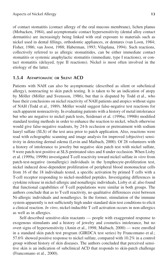of contact stomatitis (contact allergy of the oral mucous membrane), lichen planus (Mobacken, 1984), and asymptomatic contact hypersensitivity (dental alloy contact dermatitis) are increasingly being linked with oral exposure to materials such as nickel used in dental fillings, orthodontic appliances, or dentures (van Loon, 1984; Fisher, 1986; van Joost, 1988; Haberman, 1993; Vilaplana, 1994). Such reactions, collectively referred to as allergic stomatitides, can be either immediate contact stomatitis or systemic anaphylactic stomatitis (immediate, type I reactions), or contact stomatitis (delayed, type II reactions). Nickel is most often involved in the etiology of the latter.

### **1.5.4 ASYMPTOMATIC OR SILENT ACD**

Patients with NAH can also be asymptomatic (described as silent or subclinical allergy), nonreacting to skin patch testing. It is taken to be an indication of atopy by Möller (Möller and Svensson, 1986), but that is disputed by Todd et al., who base their conclusions on nickel reactivity of NAH patients and atopics without signs of NAH (Todd et al., 1989). Möller would suggest false-negative test reactions for such apparent nonreactivity. In evaluating patients with a history of metal intolerance but who are negative to nickel patch tests, Seidenari et al. (1996a; 1996b) modified standard testing methods in order to enhance the reaction to nickel, which otherwise would give false-negative readouts, by 24-h occlusion or pretreatment with sodium lauryl sulfate (SLS) of the test area prior to patch application. Also, reactions were read with echographic scanning and image analysis for improved (objective) sensitivity in detecting dermal edema (Levin and Maibach, 2000). Of 28 volunteers with a history of intolerance to jewelry but negative skin patch test with nickel sulfate, 9 were patch-test positive at SLS-pretreated sites and 8 under occlusion. When Lisby et al. (1999a; 1999b) investigated T-cell reactivity toward nickel sulfate *in vitro* from patch-test-negative (nonallergic) individuals in the lymphocyte-proliferation test, nickel induced dose-dependent proliferation of peripheral blood mononuclear cells from 16 of the 18 individuals tested, a specific activation by primed T cells with a T-cell receptor responding to nickel-modified peptides. Investigating differences in cytokine release in nickel-allergic and nonallergic individuals, Lisby et al. also found that functional capabilities of T-cell populations were similar in both groups. The authors conclude that as to T-cell reactivity, no qualitative differences exist between Ni-allergic individuals and nonallergics. In the former, stimulation of the immune system apparently is not sufficiently high under standard skin-test conditions to elicit a clinical reaction. *In vitro*, nickel-inducible T cell activation occurs in non-allergics as well as in allergics.

Self-described sensitive-skin reactants — people with exaggerated response to exogenous stimulants and a history of jewelry and cosmetics intolerance, but no overt signs of hypersensitivity (Amin et al., 1998; Maibach, 2000) — were enrolled in a standard skin patch test program (GIRDCA test series) by Francomano et al.; 57.6% showed positive response to nickel sulfate, compared with 10.2% in a control group without history of skin diseases. The authors concluded that perceived sensitive skin is an indication of subclinical ACD that responds to skin-patch challenge (Francomano et al., 2000).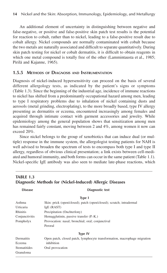An additional element of uncertainty in distinguishing between negative and false-negative, or positive and false-positive skin patch test results is the potential for reaction to cobalt, rather than to nickel, leading to a false-positive result due to cobalt allergy. Nickel compounds are normally contaminated with cobalt because the two metals are naturally associated and difficult to separate quantitatively. During skin patch testing for nickel or cobalt dermatitis, it is difficult to obtain reagents in which one metal compound is totally free of the other (Lammintausta et al., 1985; Pirilä and Kajanne, 1965).

### **1.5.5 METHODS OF DIAGNOSIS AND INSTRUMENTATION**

Diagnosis of nickel-induced hypersensitivity can proceed on the basis of several different allergology tests, as indicated by the patient's signs or symptoms (Table 1.3). Since the beginning of the industrial age, incidence of immune reactions to nickel has shifted from a predominantly occupational hazard among men, leading to type I respiratory problems due to inhalation of nickel containing dusts and aerosols (metal grinding, electroplating), to the more broadly based, type IV allergy presenting as dermatitis or eczema, encountered increasingly among females and acquired through intimate contact with garment accessories and jewelry. While epidemiology among the general population shows that sensitization among men has remained fairly constant, moving between 2 and 4%, among women it now can exceed 20%.

Since nickel belongs to the group of xenobiotics that can induce dual (or multiple) response in the immune system, the allergologist testing patients for NAH is well advised to broaden the spectrum of tests to encompass both type I and type II allergy, regardless of obvious clinical presentation; a link exists between cell-mediated and humoral immunity, and both forms can occur in the same patient (Table 1.1). Nickel-specific IgE antibody was also seen to mediate late-phase reactions, which

### **TABLE 1.3 Diagnostic Methods for (Nickel-Induced) Allergic Diseases**

| <b>Disease</b>  | Diagnostic test                                                           |  |  |
|-----------------|---------------------------------------------------------------------------|--|--|
|                 | Type I                                                                    |  |  |
| Asthma          | Skin: prick (open/closed); patch (open/closed); scratch; intradermal      |  |  |
| Urticaria       | $IgE$ (RAST)                                                              |  |  |
| <b>Rhinitis</b> | Precipitation (Ouchterlony)                                               |  |  |
| Conjunctivitis  | Hemagglutinin, passive transfer (P.-K.)                                   |  |  |
| Pompholyx       | Provocation: nasal; bronchial; oral; conjunctival                         |  |  |
|                 | Peroral                                                                   |  |  |
|                 | <b>Type IV</b>                                                            |  |  |
| Dermatitis      | Open patch, closed patch, lymphocyte transformation, macrophage migration |  |  |
| Eczema          | inhibition                                                                |  |  |
| Stomatitides    | Oral provocation                                                          |  |  |
| Granuloma       |                                                                           |  |  |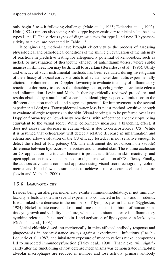only begin 3 to 4 h following challenge (Malo et al., 1985; Estlander et al., 1993). Holti (1974) reports also seeing Arthus-type hypersensitivity to nickel salts, besides types I and II. The various types of diagnostic tests for type I and type II hypersensitivity to nickel are presented in Table 1.3.

Bioengineering methods have brought objectivity to the process of assessing physiological and pathological conditions of the skin, e.g., evaluation of the intensity of reactions in predictive testing for allergenicity potential of xenobiotics, such as nickel, or investigation of therapeutic efficacy of antiinflammatories, where subtle nuances in skin reaction may be difficult to ascertain (Berardesca et al., 1995). Utility and efficacy of such instrumental methods has been evaluated during investigation of the efficacy of topical corticosteroids to alleviate nickel dermatitis experimentally elicited in volunteers: laser Doppler flowmetry to evaluate intensity of inflammatory reaction, colorimetry to assess the blanching action, echography to evaluate edema and inflammation. Levin and Maibach thereby critically reviewed procedures and results obtained by a number of researchers, identifying respective limitations in the different detection methods, and suggested potential for improvement in the several experimental designs. Transepidermal water loss is not a method sensitive enough to evaluate allergic responses in the skin. Visual scoring is to be preferred over laser Doppler flowmetry on low-density reactions, with reflectance spectroscopy being equivalent to the visual score. While colorimetry measures a blanching effect, it does not assess the decrease in edema which is due to corticosteroids (CS). While it is assumed that echography will detect a relative decrease in inflammation and edema and allow evaluation of the CS efficacy tested, it is not sensitive enough to detect the effect of low-potency CS. The instrument did not discern the (subtle) difference between hydrocortisone acetate and untreated skin. The routine occlusion on CS application is criticized because it produces artifacts in skin reactivity, and open application is advocated instead for objective evaluation of CS efficacy. Finally, the authors advocate a combined approach using visual score, echography, colorimetric, and blood-flow measurements to achieve a more accurate clinical picture (Levin and Maibach, 2000).

### **1.5.6 IMMUNOTOXICITY**

Besides being an allergen, nickel also exhibits immunomodulatory, if not immunotoxicity, effects as noted in several experiments conducted in humans and in rodents. It was linked to a decrease in the number of T lymphocytes in humans (Eggleston, 1984). Nickel sulfate causes a dose- and time-dependent inhibition of human keratinocyte growth and viability in culture, with a concomitant increase in inflammatory cytokine release such as interleukin-1 and activation of lipoxygenase in leukocytes (Guéniche et al., 1993).

Nickel chloride dosed intraperitoneally in mice affected antibody response and phagocytosis in host-resistance assays against experimental infections (Laschi-Loquerie et al., 1987) and inhalatory exposure of mice to various nickel compounds led to suspected immunodysfunction (Haley et al., 1990). That nickel will significantly alter the functioning of host defense mechanisms was demonstrated in rabbits: alveolar macrophages are reduced in number and lose activity, primary antibody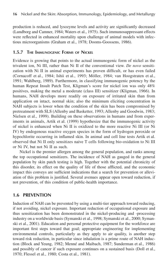production is reduced, and lysozyme levels and activity are significantly decreased (Lundborg and Camner, 1984; Waters et al., 1975). Such immunosuppressant effects were reflected in enhanced mortality upon challenge of animal models with infectious microorganisms (Graham et al., 1978; Dooms-Goossens, 1986).

### **1.5.7 THE IMMUNOGENIC FORMS OF NICKEL**

Evidence is growing that points to the actual immunogenic form of nickel as the trivalent ion, Ni III, rather than Ni II of the conventional view. *De novo* sensitization with Ni II in animal experiments has proven difficult, or has even failed (Cornacoff et al., 1984; Ishii et al., 1993; Möller, 1984; van Hoogstraten et al., 1991; Wahlberg, 1989). Furthermore, in classifying immunogenic potency by the human Repeat Insult Patch Test, Kligman's score for nickel ion was only 48% positives, making the metal a moderate (class III) sensitizer (Kligman, 1966). In humans, NAH develops more readily on exposure of irritated skin than from application on intact, normal skin; also the minimum eliciting concentration in NAH subjects is lower when the condition of the skin has been compromised by pretreatment with SLS (Allenby and Basketter, 1993; Allenby and Goodwin, 1983; Nielsen et al., 1999). Building on these observations in humans and from experiments in animals, Artik et al. (1999) hypothesize that the immunogenic activity of nickel is enhanced when Ni II is oxidized to the more reactive Ni III (or Ni IV) by endogenous reactive oxygen species in the form of hydrogen peroxide or hypochlorite occurring in inflamed skin. In animal and cell line tests Artik et al. observed that Ni II only sensitizes naive T cells following bio-oxidation to Ni III or Ni IV, but not Ni II as such.

Nickel is the premier allergen among the general population, and ranks among the top occupational sensitizers. The incidence of NAH as gauged in the general population by skin patch testing is high. Together with the potential chronicity of this disorder, its effect on the quality of life of those afflicted, and the economic impact this conveys are sufficient indications that a search for prevention or alleviation of this problem is justified. Several avenues appear open toward reduction, if not prevention, of this condition of public-health importance.

### **1.6 PREVENTION**

Induction of NAH can be prevented by using a multi-tier approach toward reducing, if not avoiding, nickel exposure. Important reduction of occupational exposure and thus sensitization has been demonstrated in the nickel-producing and -processing industry on a worldwide basis (Symanski et al., 1998; Symanski et al., 2000; Symanski et al., 2001). Education and personal protective equipment for the workforce are important first steps toward that goal; appropriate engineering for implementing environmental controls, particularly as they apply to air quality, is another step toward risk reduction, in particular since inhalation is a prime route of NAH induction (Block and Yeung, 1982; Menné and Maibach, 1987; Sunderman et al., 1986) and possibly of cancer if such exposure continues on a sustained basis (Doll et al., 1970; Flessel et al., 1980; Costa et al., 1981).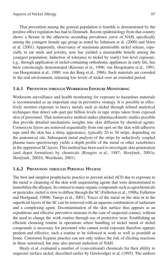That prevention among the general population is feasible is demonstrated by the positive effect regulation has had in Denmark. Recent epidemiology from that country shows a flexure in the otherwise ascending prevalence curve of NAH, specifically among the youngest female age group as noted by Johansen et al. (2000) and Veien et al. (2001). Apparently, observance of maximum permissible nickel release, especially in ear studs and jewelry, now has yielded a measurable benefit among the youngest population. Induction of tolerance to nickel by (early) low-level exposure, e.g., through application of nickel-containing orthodontic appliances in early life, has been convincingly demonstrated (Kerosuo et al., 1996; van Hoogstraten et al., 1991; van Hoogstraten et al., 1989; von der Burg et al., 1986). Such materials are corroded in the oral environment, releasing low levels of nickel over an extended period.

### **1.6.1 PREVENTION THROUGH WORKROOM EXPOSURE MONITORING**

Workroom surveillance and health monitoring for exposure to hazardous materials is recommended as an important step in preventive strategy. It is possible to effectively monitor exposure to heavy metals such as nickel through refined analytical techniques that detect sub–part per billion levels in tape strips taken from exposed skin of personnel. That noninvasive method makes pharmacokinetic studies possible that provide detailed mechanistic insights into skin diffusion by chemical agents. Corneocyte layers are removed sequentially from one spot on the skin with adhesive tape until the skin has a shiny appearance, typically 20 to 30 strips, depending on the anatomical site. Subsequent metal analysis of the strips by inductively coupled plasma mass spectroscopy yields a depth profile of the metal or other xenobiotics in the uppermost SC layers. This method has been used to investigate skin penetration (and depot formation) by chemicals (Rougier et al., 1987; Hostýnek, 2001a; Hostýnek, 2001b; Weerheim, 2001).

### **1.6.2 PREVENTION THROUGH PERSONAL HYGIENE**

The best and simplest prophylactic practice to prevent nickel ACD due to exposure to the metal is cleansing of the skin with sequestering agents that were demonstrated to immobilize the allergen. In contrast to many organic compounds such as agrochemicals or pesticides, nickel is slow to diffuse through the SC (Fullerton et al., 1988a; Fullerton and Hoelgaard, 1988b; Tanojo et al., 2001). Traces of the metal on the skin or in the superficial layers of the SC can be removed with an aqueous combination of surfactant and a complexing agent. Decontamination of the skin surface thus appears as an expeditious and effective preventive measure in the case of suspected contact, without the need to change the work routine through use of protective wear. Establishing an efficient cleansing routine in operations where handling of nickel metal or nickel compounds is necessary for personnel who cannot avoid exposure therefore appears prudent and effective, such a routine to be followed at work as well as postshift at home. Consistent hygiene practice can not only reduce the risk of eliciting reactions in those sensitized, but may also prevent induction of NAH.

Healy et al. evaluated a number of (conventional) chemicals for their ability to sequester surface nickel, described earlier by Gawkrodger et al. (1995). The authors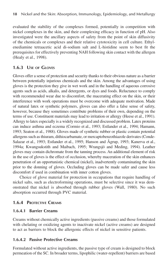evaluated the stability of the complexes formed, potentially in competition with nickel complexes in the skin, and their complexing efficacy in function of pH. Also investigated were the ancillary aspects of safety from the point of skin diffusivity of the chemicals or complexes and their relative cytotoxicity in cell culture. Ethylenediamine tetraacetic acid di-sodium salt and L-histidine seem to best fit the prerequisites for effectively preventing NAH following skin contact with the allergen (Healy et al., 1998).

### **1.6.3 USE OF GLOVES**

Gloves offer a sense of protection and security thanks to their obvious nature as a barrier between potentially injurious chemicals and the skin. Among the advantages of using gloves is the protection they give in wet work and in the handling of aqueous corrosive agents such as acids, alkalis, and detergents, or dyes and foods. Reluctance to comply with recommended wear due to discomfort, the macerating effect on the skin, or their interference with work operations must be overcome with adequate motivation. Made of natural latex or synthetic polymers, gloves can also offer a false sense of safety, however, because they sometimes contribute problems of their own, depending on the terms of use. Constituent materials may lead to irritation or allergy (Heese et al., 1991). Allergy to latex especially is a widely recognized and discussed problem. Latex proteins can induce asthma and eczema (Cormio et al., 1993; Estlander et al., 1994; Hamann, 1993; Seaton et al., 1988). Gloves made of synthetic rubber or plastic contain potential allergens such as thiuram, dithiocarbamate, or mercaptobenzothiazole derivates (Conde-Salazar et al., 1993; Estlander et al., 1995; Hanson and Ågrup, 1993; Kanerva et al., 1994a; Kwangsukstith and Maibach, 1995; Wrangsjö and Meding, 1994). Leather gloves may contain dichromate from the tanning process. An additional element of risk in the use of gloves is the effect of occlusion, whereby maceration of the skin enhances penetration of an opportunistic chemical (nickel), inadvertently contaminating the skin prior to the donning of gloves. Occluding gloves can be made safer and cause less discomfort if used in combination with inner cotton gloves.

Choice of glove material for protection in occupations that require handling of nickel salts, such as electroforming operations, must be selective since it was demonstrated that nickel is absorbed through rubber gloves (Wall, 1980). No such absorption occurred through PVC material.

### **1.6.4 PROTECTIVE CREAMS**

### **1.6.4.1 Barrier Creams**

Creams without chemically active ingredients (passive creams) and those formulated with chelating or oxidizing agents to inactivate nickel (active creams) are designed to act as barriers to block the allergenic effects of nickel in sensitive patients.

### **1.6.4.2 Passive Protective Creams**

Formulated without active ingredients, the passive type of cream is designed to block permeation of the SC. In broader terms, lipophilic (water-repellent) barriers are based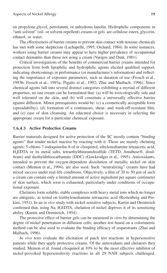on propylene glycol, petrolatum, or anhydrous lanolin. Hydrophilic components in "anti-solvent" (oil- or solvent-repellent) creams or gels are cellulose esters, glycerin, ethanol, or water.

The effectiveness of barrier creams to prevent skin contact with noxious chemicals has met with some skepticism (Lachapelle, 1995; Orchard, 1984). In some instances, workers using barrier creams may appear to have higher prevalence of occupational contact dermatitis than those not using a cream (Varigos and Dunt, 1981).

Critical investigations of the benefits of commercial barrier creams intended for protection from both lipophilic and hydrophilic agents elicited qualified support, indicating shortcomings in performance (or manufacturer's information) and reflecting the importance of exposure parameters, such as duration of use (Frosch et al., 1993b; Frosch et al., 1993a; Pigatto et al., 1992; Zhai and Maibach, 1996). Since chemical agents fall into several distinct categories exhibiting a myriad of different properties, no one cream can be formulated that: (a) will be toxicologically safe and well tolerated on the skin, and (b) will constitute a universally effective barrier against diffusion. Minor prerequisites would be: (c) a cosmetically acceptable form (spreadability), (d) formation of a continuous, shear- and wash-off-resistant film, and (e) ease of skin cleansing. An educated choice is necessary in selecting the appropriate cream for a particular chemical exposure.

#### **1.6.4.3 Active Protective Creams**

Barrier materials designed for active protection of the SC mostly contain "binding agents" that render nickel inactive by reacting with it. Those are mainly chelating agents: 5-chloro-7-iodoquinolin-8-ol or clioquinol, ethylenediamine tetraacetic acid, H4EDTA or its metal salts, tetraethylthiuramdisulfide (TETD, Antabuse®, disulfiram) and diethyldithiocarbamate (DDC) (Gawkrodger et al., 1995). Antioxidants, intended to prevent the oxygen-dependent dissolution of metallic nickel on skin contact (Memon et al., 1994), are also used. Such "neutralizing" creams have had mixed success under real-life conditions. Objectively, a film of 20 to 50 µm of such a cream can contain only a limited amount of active ingredient per square centimeter of skin surface, which soon is exhausted, particularly under conditions of occupational exposure.

Chelators form soluble, stable complexes with heavy metal ions which no longer are antigenic, as tested on triethylenediamine tetraacetic acid (Rostenberg and Perkins, 1951). In an *in vivo* study with nickel-sensitive subjects, Kurtin and Orentreich confirmed that, using Na<sub>2</sub> H<sub>2</sub>EDTA, chelation of nickel deprives it of its sensitizing ability (Kurtin and Orentreich, 1954).

The protective effect of barrier gels can be measured *in vitro* by determining the degree of nickel penetration in diffusion cells; another test based on a colorimetric method can be also used to evaluate the binding efficacy of sequestrants (Zhai and Maibach, 1996).

*In vivo* tests evaluate the elicitation of patch test reactions in hypersensitive patients while they apply protective creams. Of the antioxidants and chelators they studied, Memon et al. found clioquinol at 10% to be the most effective inhibitor of nickel-provoked hypersensitivity reactions in all 29 NAH subjects challenged.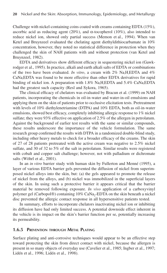Challenge with nickel-containing coins coated with creams containing EDTA (15%), ascorbic acid as reducing agent (20%), and α-tocopherol (10%), also intended to reduce nickel ion, showed only partial success (Memon et al., 1994). When van Ketel and Bruynzeel evaluated the chelating agent diethyldithiocarbamate in 10% concentration, however, they noted no statistical difference in protection when they challenged the skin of NAH patients with and without protection (van Ketel and Bruynzeel, 1982).

EDTA and derivatives show different efficacy in sequestering nickel ion (Gawkrodger et al., 1995). In practice, alkali and earth alkali salts of EDTA or combinations of the two have been evaluated. *In vitro*, a cream with  $2\%$  Na<sub>t</sub>H<sub>EDTA</sub> and  $4\%$ CaNa2EDTA was found to be more effective than other EDTA derivatives for rapid binding of nickel ion. A preparation with 1.8% Na<sub>2</sub>H<sub>2</sub>EDTA and 5.4% CaNa<sub>2</sub>EDTA had the greatest such capacity (Resl and Sykora, 1965).

The clinical efficacy of chelators was evaluated by Bracun et al. (1999) on NAH patients, incorporating the chemicals in oil-in-water and water-in-oil emulsions and applying them on the skin of patients prior to occlusive elicitation tests. Pretreatment with levels of 10% diethylenetriamine (DTPA) and 10% EDTA, both as oil-in-water emulsions, showed best efficacy, completely inhibiting allergic response to 1% nickel sulfate; they were 93% effective on application of 2.5% of the allergen in petrolatum. Against the background of earlier test results with the same or similar compounds, these results underscore the importance of the vehicle formulation. The same research group confirmed the results with DTPA in a randomized double-blind study, including other heavy metals to check for a broader efficacy of the creams. The skin of 27 of 28 patients pretreated with the active cream was negative to 2.5% nickel sulfate, and 30 of 32 to 5% of the salt in petrolatum. Similar results were registered with cobalt and copper salt challenge; however, not with palladium or dichromate salts (Wöhrl et al., 2001).

In an *in vitro* barrier study with human skin by Fullerton and Menné (1995), a layer of various EDTA barrier gels prevented the diffusion of nickel from superimposed nickel alloys into the skin, but: (a) the gels appeared to promote the release of nickel from the alloys, and (b) nickel was immobilized in the superficial layers of the skin. In using such a protective barrier it appears critical that the barrier material be removed following exposure. *In vivo* application of a carboxyvinyl polymer gel (Carbopol®) containing 10% CaNa<sub>2</sub>-EDTA on the skin beneath a nickel disc prevented the allergic contact response in all hypersensitive patients tested.

In summary, efforts to incorporate chelators inactivating nickel ion or inhibiting its diffusion have had only limited success. A potential downside effect inherent in the vehicle is its impact on the skin's barrier function per se, potentially increasing its permeability.

#### **1.6.5 PREVENTION THROUGH METAL PLATING**

Surface plating and anti-corrosive techniques would appear to be an effective step toward protecting the skin from direct contact with nickel, because the allergen is present in so many objects of everyday use (Cavelier et al., 1985; Ingber et al., 1997; Lidén et al., 1996; Lidén et al., 1998).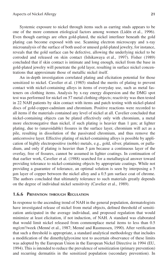Systemic exposure to nickel through items such as earring studs appears to be one of the more common etiological factors among women (Lidén et al., 1996). Even though earrings are often gold-plated, the nickel interliner beneath the gold plating can become exposed with use. Scanning electron microscopy and x-ray microanalysis of the surface of both used or unused gold-plated jewelry, for instance, reveals that the gold surface can be defective, allowing the underlying nickel to be corroded and released on skin contact (Ishikawaya et al., 1997). Fisher (1989) concluded that if skin contact is intimate and long enough, nickel from the base in gold-plated jewelry will penetrate the gold layer, resulting in surface nickel concentrations that approximate those of metallic nickel itself.

An in-depth investigation correlated plating and elicitation potential for those sensitized to nickel. Cavelier et al. (1985) studied the merits of plating to prevent contact with nickel-containing alloys in items of everyday use, such as metal fasteners on clothing items. Analysis by x-ray energy dispersion and the DMG spot test was performed for nickel on 57 metal clothing objects; reactivity was then tested in 22 NAH patients by skin contact with items and patch testing with nickel-plated discs of gold-copper-cadmium and chromium. Positive reactions were recorded to all items if the materials contained any level of nickel at all. Cavelier concluded that nickel-containing objects can be plated effectively only with chromium, a metal more electronegative than nickel, if such plating is heavier than 1 µm; at lighter plating, due to (unavoidable) fissures in the surface layer, chromium will act as a pile, resulting in dissolution of the passivated chromium, and thus remove the anticorrosive layer. Effective plating of nickel-containing alloys is possible by application of highly electropositive (noble) metals, e.g., gold, silver, platinum, or palladium, and only if plating is heavier than 5 µm because a continuous layer of the overlay, free of fissures, cannot be assumed in lighter coatings. In continuation of that earlier work, Cavelier et al. (1988) searched for a metallurgical answer toward providing tolerance to nickel-containing objects by appropriate coatings. While not providing a guarantee of tolerance, an optimal solution is seen by interposing a 5 µm layer of copper between the nickel alloy and a 0.5 µm surface coat of chrome. The authors concluded that ultimately tolerance to such materials greatly depends on the degree of individual nickel sensitivity (Cavelier et al., 1989).

#### **1.6.6 PREVENTION THROUGH REGULATION**

In response to the ascending trend of NAH in the general population, dermatologists have investigated release of nickel from metal objects, defined threshold of sensitization anticipated in the average individual, and proposed regulation that would minimize at least elicitation, if not induction, of NAH. A standard was elaborated that would limit nickel released from commonplace metal items to less than 0.5 mg/cm2/week (Menné et al., 1987; Menné and Rasmussen, 1990). After verification that such a threshold is appropriate, a standard analytical methodology that includes a modification of the dimethylglyoxime test to ascertain observance of these limits was adopted by the European Union in the European Nickel Directive in 1994 (EU, 1994). This is intended to reduce the prevalence of sensitization (primary prevention) and recurring dermatitis in the sensitized population (secondary prevention). In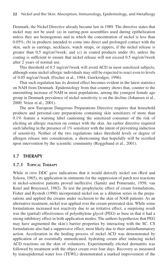Denmark, the Nickel Directive already became law in 1989. The directive states that nickel may not be used: (a) in earring-post assemblies used during epithelization unless they are homogenous and in which the concentration of nickel is less than 0.05%; (b) in products intended to come into direct and prolonged contact with the skin, such as earrings, necklaces, watch straps, or zippers, if the nickel release is greater than 0.5 mg/cm2/week; and (c) in coated products under (b), unless the coating is sufficient to ensure that nickel release will not exceed 0.5 mg/cm2/week after 2 years of normal use.

This threshold of 0.5 mg/cm2/week will avoid ACD in most sensitized subjects, although some nickel-allergic individuals may still be expected to react even to levels of 0.05 mg/cm2/week (Fischer et al., 1984; Gawkrodger, 1996).

That such regulation has its desired effect becomes evident in the latest statistics on NAH from Denmark. Epidemiology from that country shows that, counter to the unremitting increase of NAH in most populations, among the youngest female age group in Denmark prevalence of nickel sensitivity is on the decline (Johansen et al., 2000; Veien et al., 2001).

The new European Dangerous Preparations Directive requires that household products and personal-care preparations containing skin sensitizers of more than 0.1% feature a warning label cautioning the sensitized consumer of the risk of eliciting an allergic reaction on contact with the skin. An earlier directive required such labeling in the presence of 1% sensitizer with the intent of preventing induction of sensitivity. Neither of the two regulations takes threshold levels or degree of allergen release into consideration, a shortcoming that hopefully will be rectified upon intervention by the scientific community (Roggeband et al., 2001).

#### **1.7 THERAPY**

#### **1.7.1 TOPICAL THERAPY**

While *in vitro* DDC gave indications that it would detoxify nickel ion (Resl and Sykora, 1965), its application in ointments for the suppression of patch test reactions in nickel-sensitive patients proved ineffective (Samitz and Pomerantz, 1958; van Ketel and Bruynzeel, 1982). To test the prophylactic effect of cream formulations, Fisher and Rystedt (1990) incorporated nickel ion as a dilution series in the preparations and applied the creams under occlusion to the skin of NAH patients. As an alternative treatment, nickel was applied over the cream-pretreated skin. While some formulations increased test reactivity due to an irritative effect, a surprising result was the (partial) effectiveness of polyethylene glycol (PEG) as base in that it had a strong inhibitory effect in both application modes. The authors hypothesize that PEG may have augmented the skin's barrier properties by interacting with the SC. CS formulations also had a suppressive effect, most likely due to their antiinflammatory action. Acceleration in the healing process of nickel ACD was demonstrated by application of an essentially unmedicated, hydrating cream after inducing nickel ACD reactions on the skin of volunteers. Experimentally elicited dermatitis was followed by treatment with the object cream over four days. Recovery as measured by transepidermal water loss (TEWL) demonstrated a marked improvement of the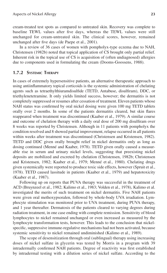cream-treated test spots as compared to untreated skin. Recovery was complete to baseline TEWL values after five days, whereas the TEWL values were still unchanged for cream-untreated skin. The clinical scores, however, remained unchanged after five days (de Paepe et al., 2001).

In a review of 36 cases of women with pompholyx-type eczema due to NAH, Christensen (1982b) noted that topical application of CS brought only partial relief. Inherent risk in the topical use of CS is acquisition of (often undiagnosed) allergies due to components used in formulating the cream (Dooms-Goossens, 1988).

#### **1.7.2 SYSTEMIC THERAPY**

In cases of extremely hypersensitive patients, an alternative therapeutic approach to using antiinflammatory topical corticoids is the systemic administration of chelating agents such as tetraethylthiuramdisulfide (TETD, Antabuse, disulfiram), DDC, or triethylenetetramine. It only yields limited success, however; the dermatitis is not completely suppressed or resumes after cessation of treatment. Eleven patients whose NAH status was confirmed by oral nickel dosing were given 100 mg TETD tablets orally over 2 months. In some of the patients dermatitis cleared, but skin flares reappeared when treatment was discontinued (Kaaber et al., 1979). A similar course and outcome of chelation therapy with a daily oral dose of 200 mg disulfiram over 8 weeks was reported by Christensen. Although in 11 patients with pompholyx the condition resolved and 8 showed partial improvement, relapse occurred in all patients within weeks after treatment was discontinued (Christensen and Kristensen, 1982). TETD and DDC given orally brought relief in nickel dermatitis only as long as dosing continued (Menné and Kaaber, 1978). TETD given orally caused a measurable rise in serum and urinary nickel levels, suggesting that preexisting nickel deposits are mobilized and excreted by chelation (Christensen, 1982b; Christensen and Kristensen, 1982; Kaaber et al., 1979; Menné et al., 1980). Chelating drugs given systemically were reported to produce toxic side effects, however (Spruit et al., 1978). TETD caused lassitude in patients (Kaaber et al., 1979) and hepatotoxicity (Kaaber et al., 1987).

Following up on reports that PUVA therapy was successful in the treatment of ACD (Bruynzeel et al., 1982; Kalimo et al., 1983; Volden et al., 1978), Kalimo et al. investigated the merits of such treatment on nickel dermatitis. Five NAH patients were given oral methoxypsoralen, followed by whole-body UVA irradiation. Lymphocyte stimulation was monitored prior to UVA treatment, during PUVA therapy, and 1 year thereafter. Dermatosis of the patients cleared to varying degrees during radiation treatment, in one case ending with complete remission. Sensitivity of blood lymphocytes to nickel remained unchanged or even increased as measured by the lymphocyte transformation tests, however. This leads to the conclusion that nickelspecific, suppressive immune-regulative mechanisms had not been activated, because systemic sensitivity to nickel remained undiminished (Kalimo et al., 1989).

The scope of desensitization through oral (sublingual) therapy using increasing doses of nickel sulfate in glycerin was tested by Morris in a program with 39 intradermally confirmed NAH patients. Degree of reactivity was first established by intradermal testing with a dilution series of nickel sulfate. According to the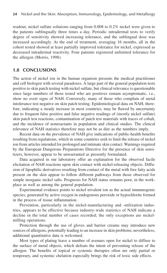readout, nickel sulfate solutions ranging from 0.008 to 0.2% nickel were given to the patients sublingually three times a day. Periodic intradermal tests to verify degree of sensitivity showed increasing tolerance, and the sublingual dose was increased accordingly. At the end of treatment, averaging 16 months, all in the cohort tested showed at least partially improved tolerance for nickel, expressed as decreased intradermal reactivity. Four patients registered unlimited tolerance for the allergen (Morris, 1998).

#### **1.8 CONCLUSIONS**

The action of nickel ion in the human organism presents the medical practitioner and cell biologist with several paradoxes. A large part of the general population tests positive to skin patch testing with nickel sulfate, but clinical relevance is questionable since large numbers of those tested who are positives remain asymptomatic, i.e., show no overt signs of NAH. Conversely, many of those who complain of metal intolerance test negative on skin patch testing. Epidemiological data on NAH, therefore, indicating a steady increase in most countries, may be flawed by uncertainty due to frequent false positive and false negative readings of (mostly nickel sulfate) skin patch test reactions, contamination of patch test materials with traces of cobalt, and the incidence of nonreactants in population and clinical studies. The clinical relevance of NAH statistics therefore may not be as dire as the numbers imply.

Recent data on the prevalence of NAH give indications of public-health benefits resulting from regulations, which in some countries seek to limit the release of nickel ion from articles intended for prolonged and intimate skin contact. Warnings required by the European Dangerous Preparations Directive for the presence of skin sensitizers, however, appear to be unwarranted as presently formulated.

Data acquired in our laboratory offer an explanation for the observed facile elicitation of NAH reactions upon skin contact with nickel-releasing objects. Diffusion of lipophilic derivatives resulting from contact of the metal with free fatty acids present on the skin appear to follow different pathways from those observed for simple inorganic nickel salts. Prognosis for NAH status remains poor, in the workplace as well as among the general population.

Experimental evidence points to nickel trivalent ion as the actual immunogenic species, generated by active oxygen in endogenous peroxide or hypochlorite formed in the process of tissue inflammation.

Prevention, particularly in the nickel-manufacturing and -utilization industries, appears to be effective because industry-wide statistics of NAH indicate a decline in the total number of cases recorded; the only exceptions are nickelmilling operations.

Protection through the use of gloves and barrier creams may introduce new sources of allergens, potentially leading to an increase in skin problems; nevertheless, additional quantitative data is welcomed.

Most types of plating leave a number of avenues open for nickel to diffuse to the surface of metal objects, which defeats the intent of preventing release of the allergen. The benefits of topical or systemic therapies often are only partial or temporary, and systemic chelation especially brings the risk of toxic side effects.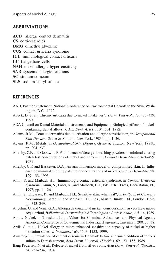#### **ABBREVIATIONS**

**ACD** allergic contact dermatitis **CS** corticosteroids **DMG** dimethyl glyoxime **CUS** contact urticaria syndrome **ICU** immunological contact urticaria **LC** Langerhans cells **NAH** nickel allergic hypersensitivity **SAR** systemic allergic reactions **SC** stratum corneum **SLS** sodium lauryl sulfate

#### **REFERENCES**

- AAD, Position Statement, National Conference on Environmental Hazards to the Skin, Washington, D.C., 1992.
- Abeck, D. et al., Chronic urticaria due to nickel intake, *Acta Derm. Venereol*., 73, 438–439, 1993.
- ADA Council on Dental Materials, Instruments, and Equipment, Biological effects of nickelcontaining dental alloys, *J. Am. Dent. Assoc.*, 104, 501, 1982.
- Adams, R.M., Contact dermatitis due to irritation and allergic sensitization, in *Occupational Skin Disease*, Grune & Stratton, New York, 1983a, pp. 1–26.
- Adams, R.M., Metals, in *Occupational Skin Disease*, Grune & Stratton, New York, 1983b, pp. 204–237.
- Allenby, C.F. and Goodwin, B.F., Influence of detergent washing powders on minimal elicting patch test concentrations of nickel and chromium, *Contact Dermatitis*, 9, 491–499, 1983.
- Allenby, C.F. and Basketter, D.A., An arm immersion model of compromised skin. II. Influence on minimal eliciting patch test concentrations of nickel, *Contact Dermatitis*, 28, 129–133, 1993.
- Amin, S. and Maibach H.I., Immunologic contact urticaria syndrome, in *Contact Urticaria Syndrome*, Amin, S., Lahti, A., and Maibach, H.I., Eds., CRC Press, Boca Raton, FL, 1997, pp. 11–26.
- Amin, S., Engasser, P., and Maibach, H.I., Sensitive skin: what is it?, in *Textbook of Cosmetic Dermatology*, Baran, R. and Maibach, H.I., Eds., Martin Dunitz, Ltd., London, 1998, pp. 343–349.
- Angelini, G. and Veña, G.A., Allergia da contatto al nickel: considerazioni su vecchie e nuove acquisizioni, *Bollettino di Dermatologia Allergologica e Professionale*, 4, 5–14, 1989.
- Anon., Nickel, in Threshold Limit Values for Chemical Substances and Physical Agents, American Conference of Governmental Industrial Hygienists, Cincinnati, 2001, p. 38.
- Artik, S. et al., Nickel allergy in mice: enhanced sensitization capacity of nickel at higher oxidation states, *J. Immunol.*, 163, 1143–1152, 1999.
- Avnstorp, C., Prevalence of cement eczema in Denmark before and since addition of ferrous sulfate to Danish cement, *Acta Derm. Venereol. (Stockh.)*, 69, 151–155, 1989.
- Bang Pedersen, N. et al., Release of nickel from silver coins, *Acta Derm. Venereol. (Stockh.)*, 54, 231–234, 1974.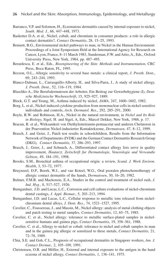- Barranco, V.P. and Solomon, H., Eczematous dermatitis caused by internal exposure to nickel, *South. Med. J.*, 66, 447–448, 1973.
- Basketter D.A. et al., Nickel, cobalt, and chromium in consumer products: a role in allergic contact dermatitis?, *Contact Dermatitis*, 28, 15–25, 1993.
- Bennett, B.G., Environmental nickel pathways to man, in Nickel in the Human Environment: Proceedings of a Joint Symposium Held at the International Agency for Research on Cancer, Lyon, France, 8–11 March 1983, Sunderman, F.W. and Aitio, A., Eds., Oxford University Press, New York, 1984, pp. 487–495.
- Berardesca, E. et al., Eds., *Bioengineering of the Skin: Methods and Instrumentation*, CRC Press, Boca Raton, FL, 1995.
- Bezzon, O.L., Allergic sensitivity to several base metals: a clinical report, *J. Prosth. Dent.*, 69, 243–244, 1993.
- Blanco-Dalmau, L., Carrasquillo-Alberty, H., and Silva-Parra, J., A study of nickel allergy, *J. Prosth. Dent.*, 52, 116–119, 1984.
- Blaschko A., Die Berufsdermatosen der Arbeiter, Ein Beitrag zur Gewerbehygiene (I), *Deutsche Medizinische Wochenschrift*, 15, 925–927, 1889.
- Block, G.T. and Yeung, M., Asthma induced by nickel, *JAMA*, 247, 1600–1602, 1982.
- Borg, L. et al., Nickel-induced cytokine production from mononuclear cells in nickel-sensitive individuals and controls, *Arch. Dermatol. Res.*, 292, 285–291, 2000.
- Boyle, R.W. and Robinson, H.A., Nickel in the natural environment, in *Nickel and Its Role in Biology*, Sigel, H. and Sigel, A, Eds., Marcel Dekker, New York, 1988, p. 17.
- Bracun, R. et al., Wirksamkeit von Diethylentetramin-pentaacetat und anderen Chelatoren in der Praevention Nickel-induzierter Kontaktekzeme, *Dermatosen*, 47, 8–12, 1999.
- Brasch, J. and Geier, J., Patch test results in schoolchildren, Results from the Information Network of Departments (IVDK) and the German Contact Dermatitis Research Group (DKG), *Contact Dermatitis*, 37, 286–293, 1997.
- Brasch, J., Geier, J., and Schnuch, A., Differentiated contact allergy lists serve in quality improvement, *Hautarzt, Zeitschrift fur Dermatologie, Venerologie und Verwandte Gebiete*, 49, 184–191, 1998.
- Brooks, S.M., Bronchial asthma of occupational origin: a review, *Scand. J. Work Environ. Health*, 3, 53–72, 1977.
- Bruynzeel, D.P., Boork, W.J., and van Koteel, W.G., Oral psoralen photochemotherapy of allergic contact dermatitis of the hands, *Dermatosen*, 30, 16–20, 1982.
- Bulmer, F.M.R. and Mackenzie, E.A., Studies in the control and treatment of nickel rash, *J. Ind. Hyg.*, 8, 517–527, 1926.
- Bumgardner, J.D. and Lucas, L.C., Corrosion and cell culture evaluations of nickel-chromium dental castings, *J. Appl. Biomat*., 5, 203–213, 1994.
- Bumgardner, J.D. and Lucas, L.C., Cellular response to metallic ions released from nickelchromium dental alloys, *J. Dent. Res.*, 74, 1521–1527, 1995.
- Cavelier, C., Foussereau, J., and Massin, M., Nickel allergy: analysis of metal clothing objects and patch testing to metal samples, *Contact Dermatitis*, 12, 65–75, 1985.
- Cavelier, C. et al., Nickel allergy: tolerance to metallic surface-plated samples in nickelsensitive humans and guinea pigs, *Contact Dermatitis*, 19, 358–361, 1988.
- Cavelier, C. et al., Allergy to nickel or cobalt: tolerance to nickel and cobalt samples in man and in the guinea pig allergic or sensitized to these metals, *Contact Dermatitis*, 21, 72–78, 1989.
- Chia, S.E. and Goh, C.L., Prognosis of occupational dermatitis in Singapore workers, *Am. J. Contact Dermat.,* 2, 105–109, 1991.
- Christensen, O.B. and Möller, H., External and internal exposure to the antigen in the hand eczema of nickel allergy, *Contact Dermatitis*, 1, 136–141, 1975.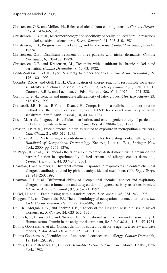- Christensen, O.B. and Möller, H., Release of nickel from cooking utensils, *Contact Dermatitis*, 4, 343–346, 1978.
- Christensen, O.B. et al., Micromorphology and specificity of orally induced flare-up reactions in nickel-sensitive patients, *Acta Derm. Venereol.*, 61, 505–510, 1981.
- Christensen, O.B., Prognosis in nickel allergy and hand eczema, *Contact Dermatitis*, 8, 7–15, 1982a.
- Christensen, O.B., Disulfiram treatment of three patients with nickel dermatitis, *Contact Dermatitis*, 6, 105–108, 1982b.
- Christensen, O.B. and Kristensen, M., Treatment with disulfiram in chronic nickel hand dermatitis, *Contact Dermatitis*, 8, 59–63, 1982.
- Conde-Salazar, L. et al., Type IV allergy to rubber additives, *J. Am. Acad. Dermatol.*, 29, 176–180, 1993.
- Coombs, R.R.A. and Gell, P.G.H., Classification of allergic reactions responsible for hypersensitivity and clinical disease, in *Clinical Apects of Immunology*, Gell, P.G.H., Coombs, R.R.P., and Lachman, J., Eds., Plenum, New York, 1975, pp. 261–280.
- Cormio, L. et al., Toxicity and immediate allergenicity of latex gloves, *Clin. Exp. Allergy*, 23, 618–623, 1993.
- Cornacoff, J.B., House, R.V., and Dean, J.H., Comparison of a radioisotopic incorporation method and the mouse ear swelling test, MEST, for contact sensitivity to weak sensitizers, *Fund. Appl. Toxicol.*, 10, 40–44, 1984.
- Costa, M. et al., Phagocytosis, cellular distribution, and carcinogenic activity of particulate nickel compounds in tissue culture, *Canc. Res.*, 41, 2868–2876, 1981.
- Creason, J.P. et al., Trace elements in hair, as related to exposure in metropolitan New York, *Clin. Chem.*, 21, 603–612, 1975.
- De Groot, A.C., Patch testing concentrations and vehicles for testing contact allergens, in *Handbook of Occupational Dermatology*, Kanerva, L. et al., Eds., Springer, New York, 2000, pp. 1257–1276.
- de Paepe, K. et al., Beneficial effects of a skin tolerance-tested moisturizing cream on the barrier function in experimentally-elicited irritant and allergic contact dermatitis, *Contact Dermatitis*, 44, 337–343, 2001.
- Dearman, J. and Kimber, I., Divergent immune responses to respiratory and contact chemical allergens: antibody elicited by phthalic anhydride and oxazolone, *Clin. Exp. Allergy*, 22, 241–250, 1992.
- Dearman, R.J. et al., Differential ability of occupational chemical contact and respiratory allergens to cause immediate and delayed dermal hypersensitivity reactions in mice, *Int. Arch. Allergy Immunol.*, 97, 315–321, 1992.
- Dickel, H. et al., Patch testing with a standard series, *Dermatosen*, 46, 234–243, 1998.
- Diepgen, T.L. and Coenraads, P.J., The epidemiology of occupational contact dermatitis, *Int. Arch. Occup. Environ. Health*, 72, 496–506, 1999.
- Doll, R., Morgan, L.G., and Speizer, F.E., Cancers of the lung and nasal sinuses in nickel workers, *Br. J. Cancer*, 24, 623–632, 1970.
- Dolovich, J., Evans, S.L., and Nieboer, E., Occupational asthma from nickel sensitivity: I. Human serum albumin in the antigenic determinant, *Br. J. Ind. Med.*, 41, 51–55, 1984.
- Dooms-Goossens, A. et al., Contact dermatitis caused by airborne agents: a review and case reports, *J. Am. Acad. Dermatol.*, 15: 1–10, 1986.
- Dooms-Goossens, A., Identification of undetected corticosteroid allergy, *Contact Dermatitis*, 18, 124–129, 1988.
- Dupuis, G. and Benezra, C., *Contact Dermatitis to Simple Chemicals*, Marcel Dekker, New York, 1982.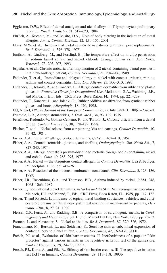- Eggleston, D.W., Effect of dental amalgam and nickel alloys on T-lymphocytes: preliminary report, *J. Prosth. Dentistry*, 51, 617–623, 1984.
- Ehrlich, A., Kucenic, M., and Belsito, D.V., Role of body piercing in the induction of metal allergies, *Am. J. Contact Dermat.*, 12, 151–155, 2001.
- Elves, M.W. et al., Incidence of metal sensitivity in patients with total joint replacements, *Br. J. Dermatol.*, 4, 376–378, 1975.
- Emilson, A., Lindberg, M., and Forslind, B., The temperature effect on in vitro penetration of sodium lauryl sulfate and nickel chloride through human skin, *Acta Derm. Venereol.*, 73, 203–207, 1993.
- España, A. et al., Chronic urticaria after implantation of 2 nickel-containing dental prosthesis in a nickel-allergic patient, *Contact Dermatitis*, 21, 204–206, 1989.
- Estlander, T. et al,, Immediate and delayed allergy to nickel with contact urticaria, rhinitis, asthma and contact dermatitis, *Clin. Exp. Allergy*, 23, 306–310, 1993.
- Estlander, T., Jolanki, R., and Kanerva, L., Allergic contact dermatitis from rubber and plastic gloves, in *Protective Gloves for Occupational Use*, Mellstrom, G.A., Wahlberg, J.E., and Maibach, H.I., Eds., CRC Press, Boca Raton, FL, 1994, pp. 221–239.
- Estlander, T., Kanerva, L., and Jolanki, R., Rubber additive sensitization from synthetic rubber gloves and boots, *Allergologie*, 18, 470, 1995.

EU, Nickel, *Official Journal of the European Communities*, 22 July 1994 (L 188)/1–2 nickel.

Eversole, L.R., Allergic stomatitides, *J. Oral. Med.*, 34, 93–102, 1979.

- Fernández-Redondo, V., Gomez-Centeno, P., and Toribio, J., Chronic urticaria from a dental bridge, *Contact Dermatitis*, 38, 178–179, 1998.
- Fischer, T. et al., Nickel release from ear piercing kits and earrings, *Contact Dermatitis*, 10, 39–42, 1984.
- Fisher, A.A., "Internal" allergic contact dermatitis, *Cutis*, 5, 407–410, 1969.
- Fisher, A.A., Contact stomatitis, glossitis, and cheilitis, *Otolaryngologic Clin. North Am.*, 7, 827–843, 1974.
- Fisher, A.A., Allergic dermatitis presumably due to metallic foreign bodies containing nickel and cobalt, *Cutis*, 19, 285–295, 1977.
- Fisher, A.A., Nickel the ubiquitous contact allergen, in *Contact Dermatitis*, Lea & Febiger, Philadelphia, 1986, pp. 745–761.
- Fisher, A.A., Reactions of the mucous membrane to contactants, *Clin. Dermatol.*, 5, 123–136, 1987.
- Fisher, J.R., Rosenblum, G.A., and Thomson, B.D., Asthma induced by nickel, *JAMA*, 248, 1065–1066, 1982.
- Fisher, T., Occupational nickel dermatitis, in *Nickel and the Skin: Immunology and Toxicology*, Maibach, H.I. and Menné, T., Eds., CRC Press, Boca Raton, FL, 1989, pp. 117–132.
- Fisher, T. and Rystedt, I., Influence of topical metal binding substances, vehicles, and corticosteroid creams on the allergic patch test reaction in metal-sensitive patients, *Dermatol. Clin.*, 8, 27–31, 1990.
- Flessel, C.P., Furst, A., and Radding, S.B., A comparison of carcinogenic metals, in *Carcinogenicity and Metal Ions*, Sigel, H., Ed., Marcel Dekker, New York, 1980, pp. 23–53.
- Forman, L. and Alexander, S., Nickel antibodies, *Br. J. Dermatol.*, 87, 320–326, 1972.
- Francomano, M., Bertoni, L., and Seidenari, S., Sensitive skin as subclinical expression of contact allergy to nickel sulfate, *Contact Dermatitis*, 42, 169–170, 2000.
- Frosch, P.J. et al., Evaluation of skin barrier creams. II. Ineffectiveness of a popular "skin protector" against various irritants in the repetitive irritation test of the guinea pig, *Contact Dermatitis*, 29, 74–77, 1993a.
- Frosch, P.J., Kurte, A., and Pilz, B., Efficacy of skin barrier creams. III. The repetitive irritation test (RIT) in humans, *Contact Dermatitis*, 29, 113–118, 1993b.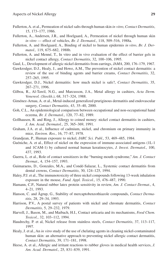- Fullerton, A. et al., Permeation of nickel salts through human skin *in vitro*, *Contact Dermatitis*, 15, 173–177, 1986.
- Fullerton, A., Andersen, J.R., and Hoelgaard, A., Permeation of nickel through human skin *in vitro* — effect of vehicles, *Br. J. Dermatol.*, 118, 509–516, 1988a.
- Fullerton, A. and Hoelgaard, A., Binding of nickel to human epidermis *in vitro*, *Br. J. Dermatol.,* 119, 675–682, 1988b.
- Fullerton, A. and Menné, T., In vitro and in vivo evaluation of the effect of barrier gels in nickel contact allergy, *Contact Dermatitis*, 32, 100–106, 1995.
- Gaul, L., Development of allergic nickel dermatitis from earrings, *JAMA*, 200, 176–179, 1967.
- Gawkrodger, D.J., Healy, J., and Howe, A.M., The prevention of nickel contact dermatitis: a review of the use of binding agents and barrier creams, *Contact Dermatitis*, 32, 257–265, 1995.
- Gawkrodger, D.J., Nickel dermatitis: how much nickel is safe?, *Contact Dermatitis*, 35, 267–271, 1996.
- Gilboa, R., Al-Tawil, N.G., and Marcusson, J.A., Metal allergy in cashiers, *Acta Derm. Venereol. (Stockh.)*, 68, 317–324, 1988.
- Giménez-Arnau, A. et al., Metal-induced generalized pruriginous dermatitis and endovascular surgery, *Contact Dermatitis*, 43, 35–40, 2000.
- Goh, C.L., An epidemiological comparison between occupational and non-occupational hand eczema, *Br. J. Dermatol.*, 120, 77–82, 1989.
- Gollhausen, R. and Ring, J., Allergy to coined money: nickel contact dermatitis in cashiers, *J. Am. Acad. Dermatol.*, 25, 365–369, 1991.
- Graham, J.A. et al., Influence of cadmium, nickel, and chromium on primary immunity in mice, *Environ. Res.*, 16, 77–87, 1978.
- Grandjean, P., Human exposure to nickel, *IARC Sci. Publ.*, 53, 469–485, 1984.
- Guéniche, A. et al., Effect of nickel on the expression of immune-associated antigens (1L-1 and 1CAM-1) by cultured normal human keratinocytes, *J. Invest. Dermatol.*, 100, 437, 1993.
- Guerra, L. et al., Role of contact sensitizers in the "burning mouth syndrome," *Am. J. Contact Dermat.*, 4, 154–157, 1993.
- Guimaraens, D., Gonzales, M.A., and Condé-Salazar, L., Systemic contact dermatitis from dental crowns, *Contact Dermatitis*, 30, 124–125, 1994.
- Haley, P.J. et al., The immunotoxicity of three nickel compounds following 13-week inhalation exposure in the mouse, *Fund. Appl. Toxicol.*, 15, 476–487, 1990.
- Hamann, C.P., Natural rubber latex protein sensitivity in review, *Am. J. Contact Dermat.*, 4, 4–21, 1993.
- Hanson, C. and Ågrup, G., Stability of mercaptobenzothiazole compounds, *Contact Dermatitis*, 28, 29–34, 1993.
- Harrison, P.V., A postal survey of patients with nickel and chromate dermatitis, *Contact Dermatitis*, 5, 29–232, 1979.
- Harvell, J., Bason, M., and Maibach, H.I., Contact urticaria and its mechanisms, *Food Chem. Toxicol.*, 32, 103–112, 1994.
- Haudrechy, P. et al, Nickel release from stainless steels, *Contact Dermatitis*, 37, 113–117, 1997.
- Healy, J. et al., An *in vitro* study of the use of chelating agents in cleaning nickel-contaminated human skin: an alternative approach to preventing nickel allergic contact dermatitis, *Contact Dermatitis*, 39, 171–181, 1998.
- Heese, A. et al., Allergic and irritant reactions to rubber gloves in medical health services, *J. Am. Acad. Dermatol.*, 25, 831–839, 1991.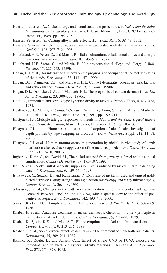- Hensten-Pettersen, A., Nickel allergy and dental treatment procedures, in *Nickel and the Skin: Immunology and Toxicology*, Maibach, H.I. and Menné, T., Eds., CRC Press, Boca Raton, FL, 1989, pp. 195–205.
- Hensten-Pettersen, A., Casting alloys: side-effects, *Adv. Dent. Res.*, 6, 38–43, 1992.
- Hensten-Pettersen, A., Skin and mucosal reactions associated with dental materials, *Eur. J. Oral Sci.*, 106, 707–712, 1998.
- Hildebrand, H.F., Veron, C., and Martin, P., Nickel, chromium, cobalt dental alloys and allergic reactions: an overview, *Biomater*, 10, 545–548, 1989a.
- Hildebrand, H.F., Veron, C., and Martin, P., Non-precious dental alloys and allergy, *J. Biol. Buccale*, 17, 227–243, 1989b.
- Hogan, D.J. et al., An international survey on the prognosis of occupational contact dermatitis of the hands, *Dermatosen*, 38, 143–147, 1990a.
- Hogan, D.J., Dannaker, C.J., and Maibach, H.I., Contact dermatitis: prognosis, risk factors, and rehabilitation, *Semin. Dermatol.*, 9, 233–246, 1990b.
- Hogan, D.J., Dannaker, C.J., and Maibach, H.I., The prognosis of contact dermatitis, *J. Am. Acad. Dermatol.*, 23, 300–307, 1990c.
- Holti, G., Immediate and Arthus-type hypersensitivity to nickel, *Clinical Allergy*, 4, 437–438, 1974.
- Hostýnek, J.J., Metals, in *Contact Urticaria Syndrome*, Amin, S., Lahti, A., and Maibach, H.I., Eds., CRC Press, Boca Raton, FL, 1997, pp. 189–211.
- Hostýnek, J.J., Multiple allergic responses to metals, in Metals and the Skin: Topical Effects *and Systemic Absorption*, Marcel Dekker, New York, 1999, pp. 10–13.
- Hostýnek, J.J. et al., Human stratum corneum adsorption of nickel salts: investigation of depth profiles by tape stripping in vivo, *Acta Derm. Venereol.*, Suppl. 212, 11–18, 2001a.
- Hostýnek, J.J. et al., Human stratum corneum penetration by nickel: in vivo study of depth distribution after occlusive application of the metal as powder, *Acta Derm. Venereol.*, Suppl. 212, 5–10, 2001b.
- Ingber, A., Klein, S., and David, M., The nickel released from jewelry in Israel and its clinical significance, *Contact Dermatitis*, 39, 195–197, 1997.
- Ishii, N. et al., Nickel sulfate-specific suppressor T cells induced by nickel sulfate in drinking water, *J. Dermatol. Sci.*, 6, 159–164, 1993.
- Ishikawaya, Y., Suzuki, H., and Kullavanija, P., Exposure of nickel in used and unused goldplated earrings: a study using scanning electron microscopy and x-ray microanalysis, *Contact Dermatitis*, 36, 1–4, 1997.
- Johansen, J. et al., Changes in the pattern of sensitization to common contact allergens in Denmark between 1985–86 and 1997–98, with a special view to the effect of preventive strategies, *Br. J. Dermatol.*, 142, 490–495, 2000.
- Jones, T.K. et al., Dental implications of nickel hypersensitivity, *J. Prosth. Dent.*, 56, 507–509, 1986.
- Kaaber, K. et al., Antabuse treatment of nickel dermatitis: chelation a new principle in the treatment of nickel dermatitis, *Contact Dermatitis*, 5, 221–228, 1979.
- Kaaber, K., Sjolin, K.E., and Menné, T., Elbow eruptions in nickel and chromate dermatitis, *Contact Dermatitis*, 9, 213–216, 1983.
- Kaaber, K. et al., Some adverse effects of disulfiram in the treatment of nickel-allergic patients, *Dermatosen*, 35, 209–211, 1987.
- Kalimo, K., Koulu, L., and Jansen, C.T., Effect of single UVB or PUVA exposure on immediate and delayed skin hypersensitivity reactions in humans, *Arch. Dermatol. Res.*, 275, 374–378, 1983.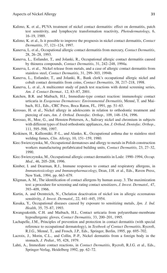- Kalimo, K. et al., PUVA treatment of nickel contact dermatitis: effect on dermatitis, patch test sensitivity, and lymphocyte transformation reactivity, *Photodermatology*, 6, 16–19, 1989.
- Kalimo, K. et al., Is it possible to improve the prognosis in nickel contact dermatitis, *Contact Dermatitis*, 37, 121–124, 1997.
- Kanerva, L. et al., Occupational allergic contact dermatitis from mercury, *Contact Dermatitis*, 28, 26–28, 1993.
- Kanerva, L., Estlander, T., and Jolanki, R., Occupational allergic contact dermatitis caused by thiourea compounds, *Contact Dermatitis*, 31, 242–248, 1994a.
- Kanerva, L. et al., Nickel release from metals, and a case of allergic contact dermatitis from stainless steel, *Contact Dermatitis*, 31, 299–303, 1994b.
- Kanerva, L., Estlander, T., and Jolanki, R., Bank clerk's occupational allergic nickel and cobalt contact dermatitis from coins, *Contact Dermatitis*, 38, 217–218, 1998.
- Kanerva, L. et al., A multicenter study of patch test reactions with dental screening series, *Am. J. Contact Dermat.,* 12, 83–87, 2001.
- Katchen, B.R. and Maibach, H.I., Immediate-type contact reaction: immunologic contact urticaria in *Exogenous Dermatoses: Environmental Dermatitis*, Menné, T. and Maibach, H.I., Eds., CRC Press, Boca Raton, FL, 1991, pp. 51–63.
- Kerosuo, H. et al., Nickel allergy in adolescents in relation to orthodontic treatment and piercing of ears, *Am. J. Orthod. Dentofac. Orthop.,* 109, 148–154, 1996.
- Kerosuo, H., Moe, G., and Hensten-Pettersen, A., Salivary nickel and chromium in subjects with different types of fixed orthodontic appliances, *Am. J. Orthod. Dentofac. Orthop.*, 111, 595–598, 1997.
- Keskinen, H., Kalliomäki, P.-L., and Alanko, K., Occupational asthma due to stainless steel welding fumes, *Clin. Allergy*, 10, 151–159, 1980.
- Kiec-Swierczynska, M., Occupational dermatoses and allergy to metals in Polish construction workers manufacturing prefabricated building units, *Contact Dermatitis*, 23, 27–32, 1990.
- Kiec-Swierczynska, M., Occupational allergic contact dermatitis in Lodz: 1990–1994, *Occup. Med.*, 46, 205–208, 1996.
- Kimber, I. and Dearman, R.J., Immune responses to contact and respiratory allergens, in *Immunotoxicology and Immunopharmacology*, Dean, J.H. et al., Eds., Raven Press, New York, 1994, pp. 663–679.
- Kligman, A. M., The identification of contact allergens by human assay. 3. The maximization test: a procedure for screening and rating contact sensitizers, *J. Invest. Dermatol.,* 47, 393–409, 1966.
- Kurtin, A. and Orentreich, N., Chelation deactivation of nickel ion in allergic eczematous sensitivity, *J. Invest. Dermatol.*, 22, 441–445, 1954.
- Kusaka, Y., Occupational diseases caused by exposure to sensitizing metals, *Jpn. J. Ind. Health*, 35, 75–87, 1993.
- Kwangsukstith, C.H. and Maibach, H.I., Contact urticaria from polyurethane-membrane hypoallergenic gloves, *Contact Dermatitis*, 33, 200–201, 1995.
- Lachapelle, J.M., Principles of prevention and protection in contact dermatitis (with special reference to occupational dermatology), in *Textbook of Contact Dermatitis*, Rycroft, R.J.G., Menné, T., and Frosch, J.P., Eds., Springer, Berlin, 1995, pp. 695–702.
- Lacroix, J., Morin, C.L., and Collin, P.-P., Nickel dermatitis from a foreign body in the stomach, *J. Pediat.*, 95, 428, 1979.
- Lahti, A., Immediate contact reactions, in *Contact Dermatitis*, Rycroft, R.J.G. et al., Eds., Springer-Verlag, Heidelberg 1992, pp. 62–72.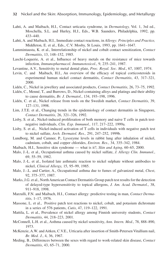- Lahti, A. and Maibach, H.I., Contact urticaria syndrome, in *Dermatology,* Vol. 1, 3rd ed., Moschella, S.L. and Hurley, H.J., Eds., W.B. Saunders, Philadelphia, 1992, pp. 433–440.
- Lahti, A. and Maibach, H.I., Immediate contact reactions, in *Allergy: Principles and Practice,* Middleton, E. et al., Eds., C.V. Mosby, St Louis, 1993, pp. 1641–1647.
- Lammintausta, K. et al., Interrelationship of nickel and cobalt contact sensitization, *Contact Dermatitis*, 13, 148–152, 1985.
- Laschi-Loquerie, A. et al., Influence of heavy metals on the resistance of mice towards infection, *Immunopharmacol. Immunotoxicol.*, 9, 235–241, 1987.
- Levantine, A.V., Sensitivity to metal dental plate, *Proc. Royal. Soc. Med.*, 67, 1007, 1974.
- Levin, C. and Maibach, H.I., An overview of the efficacy of topical corticosteroids in experimental human nickel contact dermatitis, *Contact Dermatitis*, 43, 317–321, 2000.
- Lidén, C., Nickel in jewellery and associated products, *Contact Dermatitis*, 26, 73–75, 1992.
- Lidén, C., Menné, T., and Burrows, D., Nickel-containing alloys and platings and their ability to cause dermatitis, *Br. J. Dermatol.*, 134, 193–198, 1996.
- Lidén, C. et al., Nickel release from tools on the Swedish market, *Contact Dermatitis*, 39, 127–131, 1998.
- Lim, J.T.E. et al., Changing trends in the epidemiology of contact dermatitis in Singapore, *Contact Dermatitis*, 26, 321–326, 1992.
- Lisby, S. et al., Nickel-induced proliferation of both memory and naive T cells in patch testnegative individuals, *Clin. Exp. Immunol.,* 117, 217–222, 1999a.
- Lisby, S. et al., Nickel-induced activation of T cells in individuals with negative patch test to nickel sulfate, *Arch. Dermatol. Res.,* 291, 247–252, 1999b.
- Lundborg, M. and Camner, P., Lysozyme levels in rabbit lung after inhalation of nickel, cadmium, cobalt, and copper chlorides, *Environ. Res.*, 34, 335–342, 1984.
- Maibach, H.I., Sensitive skin syndrome what is it?, *Skin and Aging*, 60–65, 2000.
- Malo, J.-L. et al., Occupational asthma caused by nickel sulfate, *J. Allergy Clin. Immunol.*, 69, 55–59, 1982.
- Malo, J.-L. et al., Isolated late asthmatic reaction to nickel sulphate without antibodies to nickel, *Clinical Allergy*, 15, 95–99, 1985.
- Malo, J.-.L. and Cartier, A., Occupational asthma due to fumes of galvanized metal, *Chest*, 92, 375–377, 1987.
- Marks, J.G. et al., North American Contact Dermatitis Group patch test results for the detection of delayed-type hypersensitivity to topical allergens, *J. Am. Acad. Dermatol.*, 38, 911–918, 1998.
- Marzulli, F.N. and Maibach, H.I., Contact allergy: predictive testing in man, *Contact Dermatitis*, 1–17, 1976.
- Massone, L. et al., Positive patch test reactions to nickel, cobalt, and potasium dichromate in a series of 576 patients, *Cutis*, 47, 119–122, 1991.
- Mattila, L. et al., Prevalence of nickel allergy among Finnish university students, *Contact Dermatitis*, 44, 218–223, 2001.
- McConnell, L.H. et al., Asthma caused by nickel sensitivity, *Ann. Intern. Med.*, 78, 888–890, 1973.
- McKenzie, A.W. and Aitken, C.V.E., Urticaria after insertion of Smith-Petersen Vitallium nail, *Br. Med. J.*, 4, 36, 1967.
- Meding, B., Differences between the sexes with regard to work-related skin disease, *Contact Dermatitis*, 43, 65–71, 2000.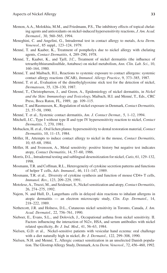- Memon, A.A., Molokhia, M.M., and Friedmann, P.S., The inhibitory effects of topical chelating agents and antioxidants on nickel-induced hypersensitivity reactions, *J. Am. Acad. Dermatol.*, 30, 560–565, 1994.
- Meneghini, C. and Angelini, G., Intradermal test in contact allergy to metals, *Acta Derm. Venereol.*, 85 suppl., 123–124, 1979.
- Menné, T. and Kaaber, K., Treatment of pompholyx due to nickel allergy with chelating agents, *Contact Dermatitis*, 4, 289–290, 1978.
- Menné, T., Kaaber, K., and Tjell, J.C., Treatment of nickel dermatitis (the influence of tetraethylthiuramdisulfide, Antabuse) on nickel metabolism, *Ann. Clin. Lab. Sci.*, 10, 160–164, 1980.
- Menné, T. and Maibach, H.I., Reactions to systemic exposure to contact allergens: systemic contact allergy reactions (SCAR), *Immunol. Allergy Practice*, 9, 373–385, 1987.
- Menné, T. et al., Evaluation of the dimethylglyoxime stick test for the detection of nickel, *Dermatosen*, 35, 128–130, 1987.
- Menné, T., Christophersen, J., and Green, A., Epidemiology of nickel dermatitis, in *Nickel and the Skin: Immunology and Toxicology*, Maibach, H.I. and Menné, T., Eds., CRC Press, Boca Raton, FL, 1989, pp. 109–115.
- Menné, T. and Rasmussen, K., Regulation of nickel exposure in Denmark, *Contact Dermatitis,* 23, 57–58, 1990.
- Menné, T. et al., Systemic contact dermatitis, *Am. J. Contact Dermat.,* 5, 1–12, 1994.
- Mitchell, J.C., Type I without type II and type IV hypersensitivity reaction to nickel, *Contact Dermatitis*, 7, 270, 1981.
- Mobacken, H. et al., Oral lichen planus: hypersensitivity to dental restoration material, *Contact Dermatitis*, 10, 11–15, 1984.
- Möller, H., Attempts to induce contact allergy to nickel in the mouse, *Contact Dermatitis*, 10, 65–68, 1984.
- Möller, H. and Svensson, A., Metal sensitivity: positive history but negative test indicates atopy, *Contact Dermatitis*, 14, 57–60, 1986.
- Morris, D.L., Intradermal testing and sublingual desensitization for nickel, *Cutis*, 61, 129–132, 1998.
- Mosmann, T.R. and Coffman, R.L., Heterogeneity of cytokine secretion patterns and functions of helper T cells, *Adv. Immunol.*, 46, 111–147, 1989.
- Mosmann, T.R. et al., Diversity of cytokine synthesis and function of mouse CD4+ T cells, *Immunol. Rev.*, 123, 209–229, 1991.
- Motolese, A., Truzzi, M., and Seidenari, S., Nickel sensitization and atopy, *Contact Dermatitis*, 26, 274–275, 1992.
- Najem, N. and Hull, D., Langerhans cells in delayed skin reactions to inhalant allergens in atopic dermatitis — an electron microscopic study, *Clin. Exp. Dermatol.*, 14, 218–222, 1989.
- Nethercott, J.R. and Holness, D.L., Cutaneous nickel sensitivity in Toronto, Canada, *J. Am. Acad. Dermatol.*, 22, 756–761, 1990.
- Nieboer, E., Evans, S.L., and Dolovich, J., Occupational asthma from nickel sensitivity. II. Factors influencing the interaction of Ni2+, HSA, and serum antibodies with nickel related specificity, *Br. J. Ind. Med.*, 41, 56–63, 1984.
- Nielsen, G.D. et al., Nickel-sensitive patients with vesicular hand eczema: oral challenge with a diet naturally high in nickel, *Br. J. Dermatol.*, 122, 299–308, 1990.
- Nielsen, N.H. and Menné, T., Allergic contact sensitization in an unselected Danish population. The Glostrup Allergy Study, Denmark, *Acta Derm. Venereol.*, 72, 456–460, 1992.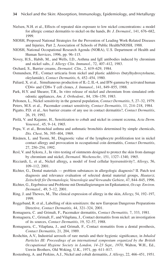- Nielsen, N.H. et al., Effects of repeated skin exposure to low nickel concentrations: a model for allergic contact dermatitis to nickel on the hands, *Br. J. Dermatol.*, 141, 676–682, 1999.
- NIOSH, Proposed National Strategies for the Prevention of Leading Work-Related Diseases and Injuries, Part 2, Association of Schools of Public Health/NIOSH, 1988.
- NIOSH, National Occupational Research Agenda (NORA), U.S. Department of Health and Human Services, 1996, pp. 96–115.
- Novey, H.S., Habib, M., and Wells, I.D., Asthma and IgE antibodies induced by chromium and nickel salts, *J. Allergy Clin. Immunol.*, 72, 407–412, 1983.
- Orchard, S., Barrier creams, *Dermatol. Clin.*, 2, 619–629, 1984.
- Osmundsen, P.E., Contact urticaria from nickel and plastic additives (butylhydroxytoluene, oleylamide), *Contact Dermatitis*, 6, 452–454, 1980.
- Paliard, X. et al., Simultaneous production of IL-2, IL-4, and IFN-gamma by activated human CD4+ and CD8+ T cell clones, *J. Immunol.*, 141, 849–855, 1988.
- Park, H.Y. and Shearer, T.R., In vitro release of nickel and chromium from simulated orthodontic appliances, *Am. J. Orthodont.*, 84, 156–159, 1983.
- Peltonen, L., Nickel sensitivity in the general population, *Contact Dermatitis*, 5, 27–32, 1979.
- Peters, M.S. et al., Pacemaker contact sensitivity, *Contact Dermatitis*, 11, 214–218, 1984.
- Pigatto, P.D. et al., Are barrier creams of any use in contact dermatitis?, *Contact Dermatitis*, 26, 19, 1992.
- Pirilä, V. and Kajanne, H., Sensitization to cobalt and nickel in cement eczema, *Acta Derm. Venereol.*, 45, 9–14, 1965.
- Popa, V. et al., Bronchial asthma and asthmatic bronchitis determined by simple chemicals, *Dis. Chest*, 56, 395–404, 1969.
- Räsänen, L. and Tuomi, M., Diagnostic value of the lymphocyte proliferation test in nickel contact allergy and provocation in occupational coin dermatitis, *Contact Dermatitis*, 27, 250–254, 1992.
- Resl, V. and Sykora, J., In vitro testing of ointments designed to protect the skin from damage by chromium and nickel, *Dermatol. Wochenschr.,* 151, 1327–1340, 1965.
- Ricciardi, L. et al., Nickel allergy, a model of food cellular hyersensitivity?, *Allergy*, 56, 109–112, 2001.
- Richter, G., Dental materials problem substances in allergologic diagnosis? II. Patch test diagnosis and relevance evaluation of selected dental material groups, *Hautarzt, Zeitschrift fòr Dermatologie, Venerologie und Verwandte Gebiete*, 47, 844–845, 1996.
- Richter, G., Ergebnisse und Probleme mit Dentallegierungen im Epikutantest, *Occup. Environ. Dermatol.*, 49, 5–12, 2001.
- Ring, J. and Thewes, M., The clinical expression of allergy in the skin, *Allergy*, 54, 192–197, 1999.
- Roggeband, R. et al., Labelling of skin sensitizers: the new European Dangerous Preparations Directive, *Contact Dermatitis*, 44, 321–324, 2001.
- Romaguera, C. and Grimalt, F., Pacemaker dermatitis, *Contact Dermatitis,* 7, 333, 1981.
- Romaguera, C., Grimalt, F., and Vilaplana, J., Contact dermatitis from nickel: an investigation of its sources, *Contact Dermatitis*, 19, 52–57, 1988.
- Romaguera, C., Vilaplana, J., and Grimalt, F., Contact stomatitis from a dental prosthesis, *Contact Dermatitis*, 21, 204, 1989.
- Roshchin, A.V., Industrial aerosols of rare metals and their hygienic significance, in *Inhaled Particles III: Proceedings of an international symposium organized by the British Occupational Hygiene Society in London, 14–23 Sept., 1970*, Walton, W.H., Ed., Unwin Brothers, Old Woking, U.K., 1971, pp. 611–817.

Rostenberg, A. and Perkins, A.J., Nickel and cobalt dermatitis, *J. Allergy*, 22, 466–451, 1951.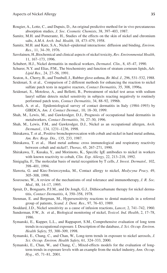- Rougier, A., Lotte, C., and Dupuis, D., An original predictive method for in vivo percutaneous absorption studies, *J. Soc. Cosmetic Chemists*, 38, 397–403, 1987.
- Samitz, M.H. and Pomerantz, H., Studies of the effects on the skin of nickel and chromium salts, *A.M.A. Arch. Ind. Health,* 18, 473–479, 1958.
- Samitz, M.H. and Katz, S.A., Nickel–epidermal interactions: diffusion and binding, *Environ. Res*., 11, 34–39, 1976.
- Savolainen, H.,Biochemical and clinical aspects of nickel toxicity, *Rev. Environmental Health*, 11, 167–173, 1996.
- Schubert, H.J., Nickel dermatitis in medical workers, *Dermatol. Clin.*, 8, 45–47, 1990.
- Schurer, N.Y. and Elias, P.M., The biochemistry and function of stratum corneum lipids, *Adv. Lipid Res.*, 24, 27–56, 1991.
- Seaton, A., Cherry, B., and Trunbull, J., Rubber glove asthma, *Br. Med. J.*, 296, 531–532, 1988.
- Seidenari, S. et al., Comparison of 2 different methods for enhancing the reaction to nickel sulfate patch tests in negative reactors, *Contact Dermatitis*, 35, 308, 1996a.
- Seidenari, S., Motolese, A., and Belletti, B., Pretreatment of nickel test areas with sodium lauryl sulfate detects nickel sensitivity in subjects reacting negatively to routinely performed patch tests, *Contact Dermatitis*, 34, 88–92, 1996b.
- Sertoli, A. et al., Epidemiological survey of contact dermatitis in Italy (1984–1993) by GIRDCA, *Am. J. Contact Dermat*., 10, 18–30, 1999.
- Shah, M., Lewis, M., and Gawkrodger, D.J., Prognosis of occupational hand dermatitis in metalworkers, *Contact Dermatitis*, 34, 27–30, 1996.
- Shah, M., Lewis, F.M., and Gawkrodger, D.J., Nickel as an occupational allergen, *Arch. Dermatol.,* 134, 1231–1236, 1998.
- Shirakawa, T. et al., Positive bronchoprovocation with cobalt and nickel in hard metal asthma, *Am. Rev. Resp. Dis.*, 135, 233, 1987.
- Shirakawa, T. et al., Hard metal asthma: cross immunological and respiratory reactivity between cobalt and nickel?, *Thorax*, 45, 267–271, 1990.
- Shirakawa, T., Kusaka, Y., and Morimoto, K., Specific IgE antibodies to nickel in workers with known reactivity to cobalt, *Clin. Exp. Allergy*, 22, 213–218, 1992.
- Sinigaglia, F., The molecular basis of metal recognition by T cells, *J. Invest. Dermatol.,* 102, 398–401, 1994.
- Slaweta, G. and Kiec-Swierczynska, M., Contact allergy to nickel, *Medycyna Pracy,* 49, 305–308, 1998.
- Sosroseno, W., A review of the mechanisms of oral tolerance and immunotherapy, *J. R. Soc. Med.,* 88, 14–17, 1995.
- Spruit, D., Bongaarts, P.J.M., and De Jongh, G.J., Dithiocarbamate therapy for nickel dermatitis, *Contact Dermatitis*, 4, 350–358, 1978.
- Stenman, E. and Bergman, M., Hypersensitivity reactions to dental materials in a referred group of patients, *Scand. J. Dent. Res.*, 97, 76–83, 1989.
- Stoddard, J.D., Nickel sensitivity as a cause of infusion reactions, *Lancet*, 2, 741–742, 1960.
- Sunderman, F.W., Jr. et al., Biological monitoring of nickel, *Toxicol. Ind. Health*, 2, 17–78, 1986.
- Symanski, E., Kupper, L.L., and Rappaport, S.M., Comprehensive evaluation of long term trends in occupational exposure. I. Description of the database, *J. Sci. Occup. Environ. Health Safety*, 55, 300–309, 1998.
- Symanski, E., Chang, C., and Chan, W., Long-term trends in exposure to nickel aerosols, *J. Sci. Occup. Environ. Health Safety*, 61, 324–333, 2000.
- Symanski, E., Chan, W., and Chang, C., Mixed-effects models for the evaluation of longterm trends in exposure levels with an example from the nickel industry, *Ann. Occup. Hyg.*, 45, 71–81, 2001.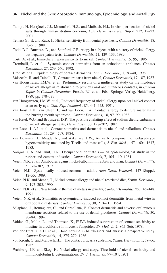- Tanojo, H. Hostýnek, J.J., Mountford, H.S., and Maibach, H.I., In vitro permeation of nickel salts through human stratum corneum, *Acta Derm. Venereol.*, Suppl. 212, 19–23, 2001.
- Temesvári, E. and Racz, I., Nickel sensitivity from dental prosthesis, *Contact Dermatitis*, 18, 50–51, 1988.
- Todd, D.J., Burrows, D., and Stanford, C.F., Atopy in subjects with a history of nickel allergy but negative patch tests, *Contact Dermatitis*, 21, 129–133, 1989.
- Tosti, A. et al., Immediate hypersensitivity to nickel, *Contact Dermatitis*, 15, 95, 1986.
- Trombelli, L. et al., Systemic contact dermatitis from an orthodontic appliance, *Contact Dermatitis*, 27, 259–260, 1992.
- Uter, W. et al., Epidemiology of contact dermatitis, *Eur. J. Dermatol.,* 1, 36–40, 1998.
- Valsecchi, R. and Cainelli, T., Contact urticaria from nickel, *Contact Dermatitis*, 17, 187, 1987. van Hoogstraten, I.M.W. et al., Preliminary results of a multicenter study on the incidence of nickel allergy in relationship to previous oral and cutaneous contacts, in *Current Topics in Contact Dermatitis*, Frosch, P.J. et al., Eds., Springer-Verlag, Heidelberg,

- van Hoogstraten, I.M.W. et al., Reduced frequency of nickel allergy upon oral nickel contact at an early age, *Clin. Exp. Immunol.*, 85, 441–445, 1991.
- van Joost, T.H., van Ulsen, J., and van Loon, L.A., Contact allergy to denture materials in the burning mouth syndrome, *Contact Dermatitis*, 18, 97–99, 1988.
- van Ketel, W.G. and Bruynzeel, D.P., The possible chelating effect of sodium diethylcarbamate of nickel allergic patients, *Dermatosen*, 30, 198–202, 1982.
- van Loon, L.A.J. et al., Contact stomatitis and dermatitis to nickel and palladium, *Contact Dermatitis,* 11, 294–297, 1984.
- van Loveren, H., Meade, R., and Askenase, P.W., An early component of delayed-type hypersensitivity mediated by T-cells and mast cells, *J. Exp. Med.*, 157, 1604–1617, 1983.
- Varigos, G.A. and Dunt, D.R., Occupational dermatitis an epidemiological study in the rubber and cement industries, *Contact Dermatitis*, 7, 105–110, 1981.
- Veien, N.K. et al., Antibodies against nickel-albumin in rabbits and man, *Contact Dermatitis*, 5, 378–382, 1979.
- Veien, N.K., Systemically induced eczema in adults, *Acta Derm. Venereol.,* 147 (Supp.), 12–55, 1989.
- Veien, N.K. and Menné, T., Nickel contact allergy and nickel restricted diet, *Semin. Dermatol.*, 9, 197–205, 1990.
- Veien, N.K. et al., New trends in the use of metals in jewelry, *Contact Dermatitis*, 25, 145–148, 1991.
- Veien, N.K. et al., Stomatitis or systemically-induced contact dermatitis from metal wire in orthodontic materials, *Contact Dermatitis*, 30, 210–213, 1994.
- Vilaplana, J., Romaguera, C., and Cornellana, F., Contact dermatitis and adverse oral mucous membrane reactions related to the use of dental prostheses, *Contact Dermatitis*, 30, 80–84, 1994.
- Volden, G., Molin, L., and Thomsen, K., PUVA-induced suppression of contact sensitivity to mustine hydrochloride in mycosis fungoides, *Br. Med. J.*, 2, 865–866, 1978.
- von der Burg, C.K.H. et al., Hand eczema in hairdressers and nurses: a prospective study, *Contact Dermatitis*, 14, 275–279, 1986.
- von Krogh, G. and Maibach, H.I., The contact urticaria syndrome, *Semin. Dermatol.*, 1, 59–66, 1982.
- Wahlberg, J.E. and Skog, E., Nickel allergy and atopy. Threshold of nickel sensitivity and immunoglobulin E determinations, *Br. J. Derm.*, 85, 97–104, 1971.

<sup>1989,</sup> pp. 178–183.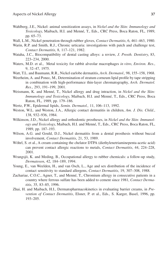- Wahlberg, J.E., Nickel: animal sensitization assays, in *Nickel and the Skin: Immunology and Toxicology*, Maibach, H.I. and Menné, T., Eds., CRC Press, Boca Raton, FL, 1989, pp. 65–73.
- Wall, L.M., Nickel penetration through rubber gloves, *Contact Dermatitis*, 6, 461–463, 1980.
- Warin, R.P. and Smith, R.J., Chronic urticaria: investigations with patch and challenge test, *Contact Dermatitis*, 8, 117–121, 1982.
- Wataha, J.C., Biocompatibility of dental casting alloys: a review, *J. Prosth. Dentistry*, 83, 223–234, 2000.
- Waters, M.D. et al., Metal toxicity for rabbit alveolar macrophages *in vitro*, *Environ. Res.*, 9, 32–47, 1975.
- Watt, T.L. and Baumann, R.R., Nickel earlobe dermatitis, *Arch. Dermatol.,* 98, 155–158, 1968.
- Weerheim, A. and Ponec, M., Determination of stratum corneum lipid profile by tape stripping in combination with high-performance thin-layer chromatography, *Arch. Dermatol. Res.*, 293, 191–199, 2001.
- Weismann, K. and Menné, T., Nickel allergy and drug intraction, in *Nickel and the Skin: Immunology and Toxicology*, Maibach, H.I. and Menné, T., Eds., CRC Press, Boca Raton, FL, 1989, pp. 179–186.
- Wertz, P.W., Epidermal lipids, *Semin. Dermatol.,* 11, 106–113, 1992.
- Weston, W.L. and Weston, J.A., Allergic contact dermatitis in children, *Am. J. Dis. Child.*, 138, 932–936, 1984.
- Wilkinson, J.D., Nickel allergy and orthodontic prostheses, in *Nickel and the Skin: Immunology and Toxicology*, Maibach, H.I. and Menné, T., Eds., CRC Press, Boca Raton, FL, 1989, pp. 187–193.
- Wilson, A.G. and Gould, D.J., Nickel dermatitis from a dental prosthesis without buccal involvement, *Contact Dermatitis*, 21, 53, 1989.
- Wöhrl, S. et al., A cream containing the chelator DTPA (diethylenetriaminepenta-acetic acid) can prevent contact allergic reactions to metals, *Contact Dermatitis*, 44, 224–228, 2001.
- Wrangsjö, K. and Meding, B., Occupational allergy to rubber chemicals: a follow-up study, *Dermatosen*, 42, 184–189, 1994.
- Young, E., van Weelden, H., and van Osch, L., Age and sex distribution of the incidence of contact sensitivity to standard allergens, *Contact Dermatitis*, 19, 307–308, 1988.
- Zachariae, C.O.C., Agner, T., and Menné, T., Chromium allergy in consecutive patients in a country where ferrous sulfate has been added to cement since 1981, *Contact Dermatitis*, 35, 83–85, 1996.
- Zhai, H. and Maibach, H.I., Dermatopharmacokinetics in evaluating barrier creams, in *Prevention of Contact Dermatitis*, Elsner, P. et al., Eds., S. Karger, Basel, 1996, pp. 193–205.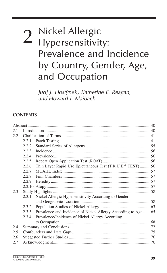### Nickel Allergic Hypersensitivity: Prevalence and Incidence by Country, Gender, Age, and Occupation 2

*Jurij J. Hostýnek, Katherine E. Reagan, and Howard I. Maibach*

### **CONTENTS**

| 2.1 |        |                                                                 |  |
|-----|--------|-----------------------------------------------------------------|--|
| 2.2 |        |                                                                 |  |
|     | 2.2.1  |                                                                 |  |
|     | 2.2.2. |                                                                 |  |
|     | 2.2.3  |                                                                 |  |
|     | 2.2.4  |                                                                 |  |
|     | 2.2.5  |                                                                 |  |
|     | 2.2.6  | Thin Layer Rapid Use Epicutaneous Test (T.R.U.E.® TEST) 56      |  |
|     | 2.2.7  |                                                                 |  |
|     | 2.2.8  |                                                                 |  |
|     | 2.2.9  |                                                                 |  |
|     |        |                                                                 |  |
| 2.3 |        |                                                                 |  |
|     | 2.3.1  | Nickel Allergic Hypersensitivity According to Gender            |  |
|     |        |                                                                 |  |
|     | 2.3.2  |                                                                 |  |
|     | 2.3.3  | Prevalence and Incidence of Nickel Allergy According to Age  65 |  |
|     | 2.3.4  | Prevalence/Incidence of Nickel Allergy According                |  |
|     |        |                                                                 |  |
| 2.4 |        |                                                                 |  |
| 2.5 |        |                                                                 |  |
| 2.6 |        |                                                                 |  |
| 2.7 |        |                                                                 |  |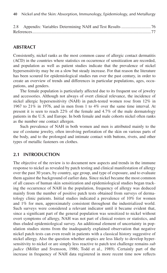#### **ABSTRACT**

Consistently, nickel ranks as the most common cause of allergic contact dermatitis (ACD) in the countries where statistics on occurrence of sensitization are recorded, and population as well as patient studies indicate that the prevalence of nickel hypersensitivity may be on a slow but steady increase. For that reason the literature has been scoured for epidemiological studies run over the past century, in order to create an overview of trends and differences in particular populations, ages, occupations, and genders.

The female population is particularly affected due to its frequent use of jewelry and accessories. Although not always of overt clinical relevance, the incidence of nickel allergic hypersensitivity (NAH) in patch-tested women rose from 12% in 1967 to 21% in 1976, and in men from 1 to 4% over the same time interval. At present it is seen to reach 22% of the female and 4.7% of the male dermatology patients in the U.S. and Europe. In both female and male cohorts nickel often ranks as the number one contact allergen.

Such prevalence of NAH in both women and men is attributed mainly to the use of costume jewelry, often involving perforation of the skin on various parts of the body, and to the prolonged and intimate contact with buttons, rivets, and other types of metallic fasteners on clothes.

#### **2.1 INTRODUCTION**

The objective of the review is to document new aspects and trends in the immune response to nickel as revealed by patch testing and clinical manifestation of allergy over the past 30 years, by country, age group, and type of exposure, and to evaluate them against the background of earlier data. Since nickel became the most common of all causes of human skin sensitization and epidemiological studies began tracking the occurrence of NAH in the population, frequency of allergy was deduced mainly from the number of positive patch tests obtained from surveys of dermatology clinic patients. Initial studies indicated a prevalence of 10% for women and 1% for men, approximately consistent throughout the industrialized world. Such surveys were considered a relevant indicator until it became evident that, since a significant part of the general population was sensitized to nickel without overt symptoms of allergy, NAH was not part of clinical rosters or statistics, and thus eluded epidemiological survey. An additional element of uncertainty in population studies stems from the inadequately explained observation that negative nickel patch tests can even result in patients with a classical history suggestive of nickel allergy. Also the question whether atopics are less likely to develop hypersensitivity to nickel or are simply less reactive to patch test challenge remains *sub judice* (Möller and Svensson, 1986; Todd et al., 1989). Certainly part of the increase in frequency of NAH data registered in more recent time now reflects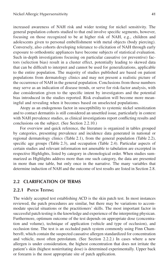increased awareness of NAH risk and wider testing for nickel sensitivity. The general population cohorts studied to that end involve specific segments, however, focusing on those recognized to be at higher risk of NAH, e.g., children and adolescents given to personal embellishment with metal objects (body piercing). Conversely, also cohorts developing tolerance to elicitation of NAH through early exposure to orthodontic appliances have become subjects of statistical evaluation. Such in-depth investigations focusing on particular causative (or preventive) factors (selection bias) result in a cluster effect, potentially leading to skewed data that can be difficult to interpret and cannot be used for generalizations, applicable to the entire population. The majority of studies published are based on patient populations from dermatology clinics and may not present a realistic picture of the occurrence of NAH in the general population. Conclusions from those numbers may serve as an indication of disease trends, or serve for risk-factor analysis, with due consideration given to the specific intent by investigators and the potential bias introduced in the studies reported. Risk evaluation will become more meaningful and revealing when it becomes based on unselected populations.

Atopy as an endogenous factor in susceptibility to systemic nickel sensitization and to contact dermatitis is still considered an unsettled issue, particularly in context with NAH prevalence studies, as clinical investigations report conflicting results and conclusions on the subject. (See Section 2.2.10.)

For overview and quick reference, the literature is organized in tables grouped by categories, presenting prevalence and incidence data generated in national or regional dermatology clinics (Table 2.1), from the general population (Table 2.2), specific age groups (Table 2.3), and occupation (Table 2.4). Particular aspects of certain studies and relevant information not amenable to tabulation are excerpted in respective Highlights, listed by category in chronological order. When studies summarized as Highlights address more than one such category, the data are presented in more than one table, but only once in the narrative. The many variables that determine induction of NAH and the outcome of test results are listed in Section 2.8.

#### **2.2 CLARIFICATION OF TERMS**

#### **2.2.1 PATCH TESTING**

The widely accepted test establishing ACD is the skin patch test. In most instances reviewed, the patch procedures are similar, but there may be variations to accommodate special situations or the practitioners' skills. The most important factor in successful patch testing is the knowledge and experience of the interpreting physican. Furthermore, optimum outcome of the test depends on appropriate dose (concentration and volume), technique of application (vehicle and type of occlusion), and occlusion time. The test is an occluded patch system commonly using Finn Chambers®, which contain the suspected causative allergen standardized for concentration and vehicle, most often petrolatum. (See Section 2.2.2.) In cases where a new allergen is under consideration, the highest concentration that does not irritate the patient's skin (highest nonirritating dose) is determined experimentally. Upper back or forearm is the most appropriate site of patch application.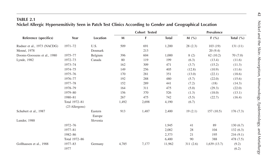# **TABLE 2.1**

|                             |                 |          |              | Cohort Tested |              |          | Prevalence  |                |
|-----------------------------|-----------------|----------|--------------|---------------|--------------|----------|-------------|----------------|
| Reference (specifics)       | Year            | Location | $\mathbf{M}$ | F             | <b>Total</b> | M(%)     | F(%)        | Total $(\% )$  |
| Rudner et al., 1973 (NACDG) | 1971-72         | U.S.     | 509          | 691           | 1,200        | 28(2.3)  | 103(19)     | 131(11)        |
| Menné, 1978                 |                 | Denmark  |              | 213           |              |          | 20(9.4)     |                |
| Dooms-Goossens et al., 1980 | 1975-77         | Belgium  | 396          | 604           | 1,000        | 8(2)     | 62(10.2)    | 70(7.0)        |
| Lynde, 1982                 | 1972-73         | Canada   | 80           | 119           | 199          | (6.3)    | (13.4)      | (11.6)         |
|                             | 1973-74         |          | 162          | 309           | 471          | (3.7)    | (15.2)      | (11.3)         |
|                             | 1974-75         |          | 149          | 256           | 405          | (12.8)   | (10.9)      | (11.6)         |
|                             | 1975-76         |          | 170          | 281           | 351          | (13.0)   | (22.1)      | (18.6)         |
|                             | 1976-77         |          | 192          | 288           | 480          | (5.7)    | (22.0)      | (15.6)         |
|                             | 1977-78         |          | 152          | 289           | 441          | (7.2)    | (18)        | (14.3)         |
|                             | 1978-79         |          | 164          | 311           | 475          | (5.0)    | (29.3)      | (22.0)         |
|                             | 1979-80         |          | 156          | 370           | 526          | (1.3)    | (18.0)      | (13.1)         |
|                             | 1980-81         |          | 267          | 475           | 742          | (5.5)    | (22.7)      | (16.4)         |
|                             | Total 1972-81   |          | 1,492        | 2,698         | 4,190        | (6.7)    |             |                |
|                             | (23 Allergens)  |          |              |               |              |          |             |                |
| Schubert et al., 1987       |                 | Eastern  | 913          | 1,487         | 2,400        | 19(2.1)  | 157(10.5)   | 176(7.3)       |
|                             |                 | Europe   |              |               |              |          |             |                |
| Lunder, 1988                |                 | Slovenia |              |               |              |          |             |                |
|                             | 1972-76         |          |              |               | 1,945        | 41       | 89          | 130(6.7)       |
|                             | 1977-81         |          |              |               | 2,082        | 28       | 104         | 132(6.3)       |
|                             | 1982-86         |          |              |               | 2,373        | 21       | 195         | 216(9.1)       |
|                             | Total 1972-86   |          |              |               | 6,400        | 90       | 388         | 478 (7.5)      |
| Gollhausen et al., 1988     | 1977-83<br>1977 | Germany  | 4,785        | 7,177         | 11,962       | 311(2.6) | 1,639(13.7) | (9.2)<br>(6.2) |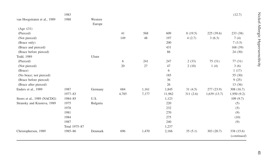|                              | 1983          |          |       |       |        |          |             | (12.7)      |
|------------------------------|---------------|----------|-------|-------|--------|----------|-------------|-------------|
| van Hoogstraten et al., 1989 | 1988          | Western  |       |       |        |          |             |             |
|                              |               | Europe   |       |       |        |          |             |             |
| $(Age \leq 31)$              |               |          |       |       |        |          |             |             |
| (Pierced)                    |               |          | 41    | 568   | 609    | 8(19.5)  | 225(39.6)   | 233 (38)    |
| (Not pierced)                |               |          | 149   | 48    | 197    | 4(2.7)   | 3(6.3)      | 7(4)        |
| (Brace only)                 |               |          |       |       | 200    |          |             | 7(3.5)      |
| (Brace and pierced)          |               |          |       |       | 431    |          |             | 168 (39)    |
| (Brace before pierced)       |               |          |       |       | 86     |          |             | 24(30)      |
| Todd, 1989                   |               | Ulster   |       |       |        |          |             |             |
| (Pierced)                    |               |          | 6     | 241   | 247    | 2(33)    | 75(31)      | 77(31)      |
| (Not pierced)                |               |          | 20    | 27    | 47     | 2(10)    | 1(4)        | 3(6)        |
| (Brace)                      |               |          |       |       | 6      |          |             | 1(17)       |
| (No brace; not pierced)      |               |          |       |       | 185    |          |             | 55 (30)     |
| (Brace before pierced)       |               |          |       |       | 36     |          |             | 9(25)       |
| (Brace after pierced)        |               |          |       |       | 26     |          |             | 13(36)      |
| Enders et al., 1989          | 1987          | Germany  | 684   | 1,161 | 1,845  | 31(4.5)  | 277(23.9)   | 308 (16.7)  |
|                              | 1977-83       |          | 4,785 | 7,177 | 11,962 | 311(2.6) | 1,639(13.7) | 1,950(9.2)  |
| Storrs et al., 1989 (NACDG)  | 1984-85       | U.S.     |       |       | 1,123  |          |             | 109(9.7)    |
| Stransky and Krasteva, 1989  | 1975          | Bulgaria |       |       | 220    |          |             | (5)         |
|                              | 1978          |          |       |       | 232    |          |             | (5)         |
|                              | 1981          |          |       |       | 270    |          |             | (9)         |
|                              | 1984          |          |       |       | 275    |          |             | (10)        |
|                              | 1987          |          |       |       | 240    |          |             | (9)         |
|                              | Total 1975-87 |          |       |       | 1,237  |          |             |             |
| Christophersen, 1989         | 1985-86       | Denmark  | 696   | 1,470 | 2,166  | 35(5.1)  | 303 (20.7)  | 338 (15.6)  |
|                              |               |          |       |       |        |          |             | (continued) |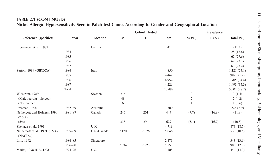### **TABLE 2.1 (CONTINUED)**

|                                           |         |             |              | Cohort Tested |              |                | Prevalence |               |
|-------------------------------------------|---------|-------------|--------------|---------------|--------------|----------------|------------|---------------|
| Reference (specifics)                     | Year    | Location    | $\mathbf{M}$ | F             | <b>Total</b> | M(%)           | F(%)       | Total $(\% )$ |
| Lipozencic et al., 1989                   |         | Croatia     |              |               | 1,412        |                |            | (11.4)        |
|                                           | 1984    |             |              |               |              |                |            | 28 (17.6)     |
|                                           | 1985    |             |              |               |              |                |            | 62(27.6)      |
|                                           | 1986    |             |              |               |              |                |            | 69(23.1)      |
|                                           | 1987    |             |              |               |              |                |            | 63(23.2)      |
| Sertoli, 1989 (GIRDCA)                    | 1984    | Italy       |              |               | 4,850        |                |            | 1,121(23.1)   |
|                                           | 1985    |             |              |               | 4,469        |                |            | 982 (21.9)    |
|                                           | 1986    |             |              |               | 4,952        |                |            | 1,705 (34.4)  |
|                                           | 1987    |             |              |               | 4,226        |                |            | 1,493(35.3)   |
|                                           | Total   |             |              |               | 18,497       |                |            | 5,301 (28.7)  |
| Widström, 1989                            |         | Sweden      | 216          |               |              | 3              |            | 3(1.4)        |
| (Male recruits; pierced)                  |         |             | 48           |               |              | $\overline{2}$ |            | 2(4.2)        |
| (Not pierced)                             |         |             | 168          |               |              |                |            | 1(0.6)        |
| Freeman, 1990                             | 1982-89 | Australia   |              |               | 3,300        |                |            | 226(6.9)      |
| Nethercott and Holness, 1990<br>$(2.5\%)$ | 1981-87 | Canada      | 246          | 201           | 447          | (7.7)          | (16.9)     | (11.9)        |
| (5%)                                      |         |             | 335          | 294           | 629          | (5.1)          | (16.7)     | (10.5)        |
| Shehade et al., 1991                      |         | U.K.        |              |               | 4,719        |                |            | 873 (18.5)    |
| Nethercott et al., 1991 (2.5%)<br>(NACDG) | 1985-89 | U.S.-Canada | 2,170        | 2,876         | 5,046        |                |            | 530 (10.5)    |
| Lim, 1992                                 | 1984-85 | Singapore   |              |               | 2,471        |                |            | 343 (13.9)    |
|                                           | 1986-90 |             | 2,634        | 2,923         | 5,557        |                |            | 986 (17.7)    |
| Marks, 1998 (NACDG)                       | 1994-96 | U.S.        |              |               | 3,108        |                |            | 444 (14.3)    |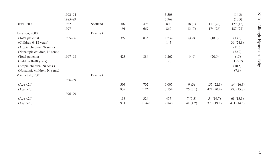|                                | 1992-94 |          |     |       | 3,508 |            |            | (14.3)     |
|--------------------------------|---------|----------|-----|-------|-------|------------|------------|------------|
|                                | 1985-89 |          |     |       | 3,969 |            |            | (10.5)     |
| Dawn, 2000                     | 1982    | Scotland | 307 | 493   | 800   | 18(7)      | 111(22)    | 129(16)    |
|                                | 1997    |          | 191 | 669   | 860   | 13(7)      | 174(26)    | 187 (22)   |
| Johansen, 2000                 |         | Denmark  |     |       |       |            |            |            |
| (Total patients)               | 1985-86 |          | 397 | 835   | 1,232 | (4.2)      | (18.3)     | (13.8)     |
| (Children 0-18 years)          |         |          |     |       | 145   |            |            | 36(24.8)   |
| (Atopic children, Ni sens.)    |         |          |     |       |       |            |            | (11.5)     |
| (Nonatopic children, Ni sens.) |         |          |     |       |       |            |            | (32.2)     |
| (Total patients)               | 1997-98 |          | 423 | 884   | 1,267 | (4.9)      | (20.0)     | (15)       |
| Children 0-18 years)           |         |          |     |       | 120   |            |            | 11(9.2)    |
| (Atopic children, Ni sens.)    |         |          |     |       |       |            |            | (10.5)     |
| (Nonatopic children, Ni sens.) |         |          |     |       |       |            |            | (7.9)      |
| Veien et al., 2001             |         | Denmark  |     |       |       |            |            |            |
|                                | 1986-89 |          |     |       |       |            |            |            |
| (Age < 20)                     |         |          | 303 | 702   | 1,005 | 9(3)       | 155(22.1)  | 164(16.3)  |
| (Age >20)                      |         |          | 832 | 2,322 | 3,154 | 26(3.1)    | 474 (20.4) | 500 (15.8) |
|                                | 1996-99 |          |     |       |       |            |            |            |
| (Age < 20)                     |         |          | 133 | 324   | 457   | 7(5.3)     | 54(16.7)   | 61(13.3)   |
| (Age >20)                      |         |          | 971 | 1,869 | 2,840 | 41 $(4.2)$ | 370 (19.8) | 411(14.5)  |
|                                |         |          |     |       |       |            |            |            |
|                                |         |          |     |       |       |            |            |            |
|                                |         |          |     |       |       |            |            |            |
|                                |         |          |     |       |       |            |            |            |
|                                |         |          |     |       |       |            |            |            |
|                                |         |          |     |       |       |            |            |            |
|                                |         |          |     |       |       |            |            |            |
|                                |         |          |     |       |       |            |            |            |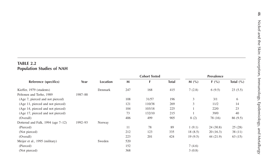| <b>TABLE 2.2</b>                   |         |          |              |                      |              |         |            |               |
|------------------------------------|---------|----------|--------------|----------------------|--------------|---------|------------|---------------|
| <b>Population Studies of NAH</b>   |         |          |              |                      |              |         |            |               |
|                                    |         |          |              | <b>Cohort Tested</b> |              |         | Prevalence |               |
| Reference (specifics)              | Year    | Location | $\mathbf{M}$ | F                    | <b>Total</b> | M(%)    | F(% )      | Total $(\% )$ |
| Kieffer, 1979 (students)           |         | Denmark  | 247          | 168                  | 415          | 7(2.8)  | 6(9.5)     | 23(5.5)       |
| Peltonen and Terho, 1989           | 1987-88 |          |              |                      |              |         |            |               |
| (Age 7, pierced and not pierced)   |         |          | 108          | 31/57                | 196          | 3       | 3/1        | 6             |
| (Age 11, pierced and not pierced)  |         |          | 121          | 110/38               | 269          | 3       | 11/2       | 14            |
| (Age 14, pierced and not pierced)  |         |          | 104          | 103/18               | 225          |         | 22/0       | 23            |
| (Age 17, pierced and not pierced)  |         |          | 73           | 132/10               | 215          |         | 39/0       | 40            |
| (Overall)                          |         |          | 406          | 499                  | 905          | 8(2)    | 78 (16)    | 86(9.5)       |
| Dotterud and Falk, 1994 (age 7-12) | 1992-93 | Norway   |              |                      |              |         |            |               |
| (Pierced)                          |         |          | 11           | 78                   | 89           | 1(9.1)  | 24(30.8)   | 25(28)        |
| (Not pierced)                      |         |          | 212          | 123                  | 335          | 18(8.5) | 20(16.3)   | 38(11)        |
| (Overall)                          |         |          | 223          | 201                  | 424          | 19(9.5) | 44 (21.9)  | 63(15)        |
| Meijer et al., 1995 (military)     |         | Sweden   | 520          |                      |              |         |            |               |
| (Pierced)                          |         |          | 152          |                      |              | 7(4.6)  |            |               |
| (Not pierced)                      |         |          | 368          |                      |              | 3(0.8)  |            |               |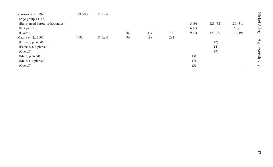| Kerosuo et al., 1996              | 1992-93 | $\ensuremath{\mathrm{Fin}}\xspace$ land |        |         |     |      |                  |          |
|-----------------------------------|---------|-----------------------------------------|--------|---------|-----|------|------------------|----------|
| $(Age group 14-18)$               |         |                                         |        |         |     |      |                  |          |
| (Ear pierced before orthodontics) |         |                                         |        |         |     | 3(9) | 123 (32)         | 126(31)  |
| (Not pierced)                     |         |                                         |        |         |     | 6(2) | $\boldsymbol{0}$ | 6(2)     |
| (Overall)                         |         |                                         | 283    | $417\,$ | 700 | 9(3) | 123 (30)         | 132 (19) |
| Mattila et al., 2001              | 1995    | Finland                                 | $96\,$ | 188     | 284 |      |                  |          |
| (Female, pierced)                 |         |                                         |        |         |     |      | (42)             |          |
| (Female, not pierced)             |         |                                         |        |         |     |      | (14)             |          |
| (Overall)                         |         |                                         |        |         |     |      | (39)             |          |
| (Male, pierced)                   |         |                                         |        |         |     | (3)  |                  |          |
| (Male, not pierced)               |         |                                         |        |         |     | (7)  |                  |          |
| (Overall)                         |         |                                         |        |         |     | (3)  |                  |          |
|                                   |         |                                         |        |         |     |      |                  |          |
|                                   |         |                                         |        |         |     |      |                  |          |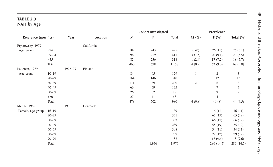### **TABLE 2.3**

|                       |           |         |            |              | <b>Cohort Investigated</b> |              |                | Prevalence |                |
|-----------------------|-----------|---------|------------|--------------|----------------------------|--------------|----------------|------------|----------------|
| Reference (specifics) |           | Year    | Location   | $\mathsf{M}$ | F                          | <b>Total</b> | $M$ (%)        | F(% )      | Total $(\% )$  |
| Prystowsky, 1979      |           |         | California |              |                            |              |                |            |                |
| Age group             | $<$ 24    |         |            | 182          | 243                        | 425          | 0(0)           | 26(11)     | 26(6.1)        |
|                       | $25 - 34$ |         |            | 96           | 219                        | 415          | 3(1.5)         | 20(9.1)    | 23(5.5)        |
|                       | $>35$     |         |            | 82           | 236                        | 318          | 1(2.4)         | 17(7.2)    | 18(5.7)        |
|                       | Total     |         |            | 460          | 698                        | 1,158        | 4(0.9)         | 63(9.0)    | 67(5.8)        |
| Peltonen, 1979        |           | 1976-77 | Finland    |              |                            |              |                |            |                |
| Age group             | $10 - 19$ |         |            | 84           | 95                         | 179          |                | $\sqrt{2}$ | $\mathfrak{Z}$ |
|                       | $20 - 29$ |         |            | 164          | 146                        | 310          |                | 12         | 13             |
|                       | $30 - 39$ |         |            | 111          | 89                         | 200          | $\mathfrak{2}$ | 6          | $8\,$          |
|                       | $40 - 49$ |         |            | 66           | 69                         | 135          |                | $\tau$     | $\tau$         |
|                       | $50 - 59$ |         |            | 26           | 62                         | 88           |                | 9          | 9              |
|                       | $>60$     |         |            | 27           | 41                         | 68           |                | 4          | $\overline{4}$ |
|                       | Total     |         |            | 478          | 502                        | 980          | 4(0.8)         | 40(8)      | 44 $(4.5)$     |
| Menné, 1982           |           | 1978    | Denmark    |              |                            |              |                |            |                |
| Female, age group     | $16 - 19$ |         |            |              |                            | 139          |                | 16(11)     | 16(11)         |
|                       | $20 - 29$ |         |            |              |                            | 351          |                | 65(19)     | 65(19)         |
|                       | $30 - 39$ |         |            |              |                            | 383          |                | 66 (17)    | 66 (17)        |
|                       | $40 - 49$ |         |            |              |                            | 289          |                | 55 (19)    | 55 (19)        |
|                       | $50 - 59$ |         |            |              |                            | 308          |                | 34(11)     | 34(11)         |
|                       | $60 - 69$ |         |            |              |                            | 239          |                | 29(12)     | 29(12)         |
|                       | $70 - 79$ |         |            |              |                            | 188          |                | 18(9.6)    | 18(9.6)        |
|                       | Total     |         |            |              | 1,976                      | 1,976        |                | 286 (14.5) | 286 (14.5)     |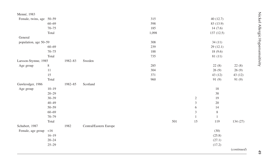| Menné, 1983              |             |         |                        |       |     |                |             |             |
|--------------------------|-------------|---------|------------------------|-------|-----|----------------|-------------|-------------|
| Female, twins, age 50-59 |             |         |                        | 315   |     |                | 40(12.7)    |             |
|                          | $60 - 69$   |         |                        | 598   |     |                | 83 (13.9)   |             |
|                          | $70 - 75$   |         |                        | 185   |     |                | 14(7.6)     |             |
|                          | Total       |         |                        | 1,098 |     |                | 137(12.5)   |             |
| General                  |             |         |                        |       |     |                |             |             |
| population, age 50-59    |             |         |                        | 308   |     |                | 34(11)      |             |
|                          | $60 - 69$   |         |                        | 239   |     |                | 29(12.1)    |             |
|                          | $70 - 75$   |         |                        | 188   |     |                | 18(9.6)     |             |
|                          | Total       |         |                        | 735   |     |                | 81 (11)     |             |
| Larsson-Stymne, 1985     |             | 1982-83 | Sweden                 |       |     |                |             |             |
| Age group                | $\,$ 8 $\,$ |         |                        | 285   |     |                | 22(8)       | 22(8)       |
|                          | 11          |         |                        | 304   |     |                | 26(9)       | 26(9)       |
|                          | 15          |         |                        | 371   |     |                | 43 (12)     | 43(12)      |
|                          | Total       |         |                        | 960   |     |                | 91 (9)      | 91 (9)      |
| Gawkrodger, 1986         |             | 1982-85 | Scotland               |       |     |                |             |             |
| Age group                | $10 - 19$   |         |                        |       |     |                | $18\,$      |             |
|                          | $20 - 29$   |         |                        |       |     |                | $38\,$      |             |
|                          | $30 - 39$   |         |                        |       |     | $\sqrt{2}$     | 19          |             |
|                          | $40 - 49$   |         |                        |       |     | $\mathfrak{Z}$ | $20\,$      |             |
|                          | $50 - 59$   |         |                        |       |     | 6              | 14          |             |
|                          | $60 - 69$   |         |                        |       |     | 3              | $\,$ 8 $\,$ |             |
|                          | $70 - 79$   |         |                        |       |     |                |             |             |
|                          | Total       |         |                        |       | 501 | 15             | 119         | 134 (27)    |
| Schubert, 1987           |             | 1982    | Central/Eastern Europe |       |     |                |             |             |
| Female, age group        | <16         |         |                        |       |     |                | (30)        |             |
|                          | $16 - 19$   |         |                        |       |     |                | (25.8)      |             |
|                          | $20 - 24$   |         |                        |       |     |                | (27.1)      |             |
|                          | $25 - 29$   |         |                        |       |     |                | (17.2)      |             |
|                          |             |         |                        |       |     |                |             | (continued) |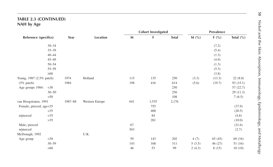## **TABLE 2.3 (CONTINUED)**

|                          |           |         |                |     | <b>Cohort Investigated</b> |              |        | Prevalence |               |
|--------------------------|-----------|---------|----------------|-----|----------------------------|--------------|--------|------------|---------------|
| Reference (specifics)    |           | Year    | Location       | M   | F                          | <b>Total</b> | M(%)   | F(% )      | Total $(\% )$ |
|                          | $30 - 34$ |         |                |     |                            |              |        | (7.2)      |               |
|                          | $35 - 39$ |         |                |     |                            |              |        | (5.4)      |               |
|                          | $40 - 44$ |         |                |     |                            |              |        | (1.3)      |               |
|                          | $45 - 49$ |         |                |     |                            |              |        | (4.9)      |               |
|                          | $50 - 54$ |         |                |     |                            |              |        | (1.3)      |               |
|                          | $55 - 59$ |         |                |     |                            |              |        | (5.3)      |               |
|                          | $\geq 60$ |         |                |     |                            |              |        | (3.8)      |               |
| Young, 1987 (2.5% patch) |           | 1974    | Holland        | 115 | 135                        | 250          | (3.3)  | (13.3)     | 22(8.8)       |
| $(5\% \text{ patch})$    |           | 1984    |                | 198 | 416                        | 614          | (5.6)  | (19.7)     | 93(15.1)      |
| Age groups 1984:         | $<$ 30    |         |                |     |                            | 250          |        |            | 57(22.7)      |
|                          | $30 - 50$ |         |                |     |                            | 256          |        |            | 29(11.3)      |
|                          | $>50$     |         |                |     |                            | 108          |        |            | 7(6.5)        |
| van Hoogstraten, 1991    |           | 1987-88 | Western Europe | 641 | 1,535                      | 2,176        |        |            |               |
| Female; pierced; age<35  |           |         |                |     | 755                        |              |        |            | (37.9)        |
|                          | $>35$     |         |                |     | 400                        |              |        |            | (20.5)        |
| n/pierced                | <35       |         |                |     | 84                         |              |        |            | (4.8)         |
|                          | $>35$     |         |                |     | 281                        |              |        |            | (10.0)        |
| Male; pierced            |           |         |                | 67  |                            |              |        |            | (21.6)        |
| n/pierced                |           |         |                | 563 |                            |              |        |            | (2.7)         |
| McDonagh, 1992           |           |         | U.K.           |     |                            |              |        |            |               |
| Age group                | $<$ 30    |         |                | 59  | 143                        | 202          | 4(7)   | 65(45)     | 69 (34)       |
|                          | $30 - 59$ |         |                | 143 | 168                        | 311          | 5(3.5) | 46(27)     | 51 (16)       |
|                          | $>60$     |         |                | 46  | 53                         | 99           | 2(4.3) | 8(15)      | 10(10)        |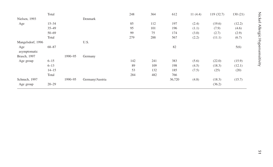|                     | $\operatorname{\mathsf{Total}}$ |         |                              | $248\,$ | 364     | 612    | 11(4.4) | 119 (32.7) | 130(21) |
|---------------------|---------------------------------|---------|------------------------------|---------|---------|--------|---------|------------|---------|
| Nielsen, 1993       |                                 |         | Denmark                      |         |         |        |         |            |         |
| Age                 | $15 - 34$                       |         |                              | 85      | $112\,$ | 197    | (2.4)   | (19.6)     | (12.2)  |
|                     | $35 - 49$                       |         |                              | 95      | $101\,$ | 196    | (1.1)   | (7.9)      | (4.6)   |
|                     | $50 - 69$                       |         |                              | 99      | $75\,$  | 174    | (3.0)   | (2.7)      | (2.9)   |
|                     | Total                           |         |                              | 279     | $288\,$ | 567    | (2.2)   | (11.1)     | (6.7)   |
| Mangelsdorf, 1996   |                                 |         | $\ensuremath{\mathrm{U.S.}}$ |         |         |        |         |            |         |
| Age<br>asymptomatic | 68-87                           |         |                              |         |         | $82\,$ |         |            | $5(6)$  |
| Brasch, 1997        |                                 | 1990-95 | Germany                      |         |         |        |         |            |         |
| Age group           | $6 - 15$                        |         |                              | 142     | 241     | 383    | (5.6)   | (22.0)     | (15.9)  |
|                     | $6 - 13$                        |         |                              | 89      | 109     | 198    | (4.5)   | (18.3)     | (12.1)  |
|                     | $14 - 15$                       |         |                              | 53      | 132     | 185    | (7.5)   | (25)       | (20)    |
|                     | Total                           |         |                              | 284     | 482     | 766    |         |            |         |
| Schnuch, 1997       |                                 | 1990-95 | Germany/Austria              |         |         | 36,720 | (4.8)   | (18.3)     | (15.7)  |
| Age group           | $20 - 29$                       |         |                              |         |         |        |         | (36.2)     |         |
|                     |                                 |         |                              |         |         |        |         |            |         |
|                     |                                 |         |                              |         |         |        |         |            |         |
|                     |                                 |         |                              |         |         |        |         |            |         |
|                     |                                 |         |                              |         |         |        |         |            |         |
|                     |                                 |         |                              |         |         |        |         |            |         |
|                     |                                 |         |                              |         |         |        |         |            |         |
|                     |                                 |         |                              |         |         |        |         |            |         |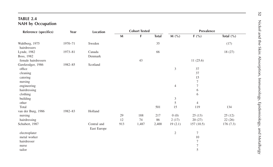#### **TABLE 2.4NAH** by Occupation

| <b>NAH</b> by Occupation |         |             |                      |       |              |                      |                |           |  |  |
|--------------------------|---------|-------------|----------------------|-------|--------------|----------------------|----------------|-----------|--|--|
| Reference (specifics)    | Year    | Location    | <b>Cohort Tested</b> |       |              | Prevalence           |                |           |  |  |
|                          |         |             | $\mathsf{M}$         | F     | <b>Total</b> | M(%)                 | F(%)           | Total (%) |  |  |
| Wahlberg, 1975           | 1970-71 | Sweden      |                      |       | 35           |                      |                | (17)      |  |  |
| hairdressers             |         |             |                      |       |              |                      |                |           |  |  |
| Lynde, 1982              | 1973-81 | Canada      |                      |       | 66           |                      |                | 18(27)    |  |  |
| Boss, 1982               |         | Denmark     |                      |       |              |                      |                |           |  |  |
| female hairdressers      |         |             |                      | 43    |              |                      | 11(25.6)       |           |  |  |
| Gawkrodger, 1986         | 1982-85 | Scotland    |                      |       |              |                      |                |           |  |  |
| office                   |         |             |                      |       |              | 3                    | 37             |           |  |  |
| cleaning                 |         |             |                      |       |              |                      | 37             |           |  |  |
| catering                 |         |             |                      |       |              |                      | 15             |           |  |  |
| nursing                  |         |             |                      |       |              |                      | 7              |           |  |  |
| engineering              |         |             |                      |       |              | $\overline{4}$       | 7              |           |  |  |
| hairdressing             |         |             |                      |       |              |                      | 6              |           |  |  |
| clothing                 |         |             |                      |       |              |                      | 6              |           |  |  |
| building                 |         |             |                      |       |              | $\boldsymbol{\beta}$ |                |           |  |  |
| other                    |         |             |                      |       |              | 5                    | 4              |           |  |  |
| Total                    |         |             |                      |       | 501          | 15                   | 119            | 134       |  |  |
| van der Burg, 1986       | 1982-83 | Holland     |                      |       |              |                      |                |           |  |  |
| nursing                  |         |             | 29                   | 188   | 217          | 0(0)                 | 25(13)         | 25(12)    |  |  |
| hairdressing             |         |             | 12                   | 74    | 86           | 2(17)                | 20(27)         | 22(26)    |  |  |
| Schubert, 1987           |         | Central and | 913                  | 1,487 | 2,400        | 19(2.1)              | 157(10.5)      | 176(7.3)  |  |  |
|                          |         | East Europe |                      |       |              |                      |                |           |  |  |
| electroplater            |         |             |                      |       |              | $\overline{2}$       | $\overline{7}$ |           |  |  |
| metal worker             |         |             |                      |       |              |                      | 10             |           |  |  |
| hairdresser              |         |             |                      |       |              |                      | $\tau$         |           |  |  |
| nurse                    |         |             |                      |       |              |                      | $\tau$         |           |  |  |
| tailor                   |         |             |                      |       |              |                      | 5              |           |  |  |
|                          |         |             |                      |       |              |                      |                |           |  |  |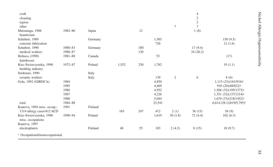| cook                                         |                                            |         |       |     |        |         | 4              |                                        |
|----------------------------------------------|--------------------------------------------|---------|-------|-----|--------|---------|----------------|----------------------------------------|
| cleaning                                     |                                            |         |       |     |        |         | $\mathfrak{2}$ |                                        |
| typists                                      |                                            |         |       |     |        |         | $\mathfrak{2}$ |                                        |
| other                                        |                                            |         |       |     |        | $\tau$  | $\tau$         |                                        |
| Matsunaga, 1988                              | 1982-86                                    | Japan   |       | 12  |        |         | 1(8)           |                                        |
| beauticians                                  |                                            |         |       |     |        |         |                |                                        |
| Schubert, 1989                               |                                            | Germany |       |     | 1,585  |         |                | 150(9.5)                               |
| concrete fabrication                         |                                            |         |       |     | 726    |         |                | 12(1.6)                                |
| Schubert, 1990                               | 1980-83                                    | Germany |       | 180 |        |         | 17(9.4)        |                                        |
| medical workers                              | 1986-87                                    |         |       | 130 |        |         | 34(26.2)       |                                        |
| <b>Holness</b> (1990)<br>hairdresser         | 1981-88                                    | Canada  |       |     | 53     |         |                | (17)                                   |
| Kiec-Swierczynska, 1990                      | 1972-87                                    | Poland  | 1,552 | 230 | 1,782  |         |                | 19(1.1)                                |
| building industry                            |                                            |         |       |     |        |         |                |                                        |
| Seidenari, 1990                              |                                            | Italy   |       |     |        |         |                |                                        |
| ceramic workers                              |                                            | Italy   |       |     | 139    | 2       | 6              | 8(6)                                   |
| Gola, 1992 (GIRDCA)                          | 1984                                       |         |       |     | 4,850  |         |                | 1,115 (23)(181/934) <sup>a</sup>       |
|                                              | 1985                                       |         |       |     | 4,469  |         |                | 910 (20)(88/822) <sup>a</sup>          |
|                                              | 1986                                       |         |       |     | 4,952  |         |                | 1,568 (32)(195/1373) <sup>a</sup>      |
|                                              | 1987                                       |         |       |     | 4,226  |         |                | 1,351 (32)(137/1214) <sup>a</sup>      |
|                                              | 1988                                       |         |       |     | 5,044  |         |                | $1,670$ (33)(218/1452) <sup>a</sup>    |
| total                                        | 1984-88                                    |         |       |     | 23,541 |         |                | $6,614$ (28.1)(819/5,795) <sup>a</sup> |
| Kanerva, 1994 misc. occup.;                  | 1991                                       | Finland |       |     |        |         |                |                                        |
| 1314 allergy cases/412 ACD                   |                                            |         | 165   | 247 | 412    | 2(1)    | 36(15)         | 38(9)                                  |
| Kiec-Swierczynska, 1996<br>misc. occupations | 1990-94                                    | Poland  |       |     | 1,619  | 30(1.8) | 72 (4.4)       | 102(6.3)                               |
| Kanerva, 1997                                |                                            |         |       |     |        |         |                |                                        |
| electroplaters                               |                                            | Finland | 48    | 55  | 103    | 2(4.2)  | 8(15)          | 10(9.7)                                |
|                                              | <sup>a</sup> Occupational/nonoccupational. |         |       |     |        |         |                |                                        |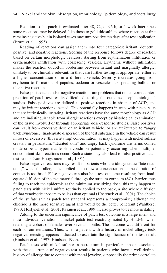Reaction to the patch is evaluated after 48, 72, or 96 h, or 1 week later since some reactions may be delayed, like those to gold thiosulfate, where reaction at first remains negative but in isolated cases may turn positive ten days after test application (Bruze et al., 1995).

Reading of reactions can assign them into four categories: irritant, doubtful, positive, and negative reactions. Scoring of the response follows degree of reaction based on certain morphologic features, starting from erythematous infiltration or erythematous infiltration with coalescing vesicles. Erythema without infiltration makes the reaction doubtful, borderline between irritant and marginally allergic, unlikely to be clinically relevant. In that case further testing is appropriate, either at a higher concentration or in a different vehicle. Severity increases going from erythema to formation of papules, oedema or vescicles, to spreading bullous or ulcerative reactions.

False-positive and false-negative reactions are problems that render correct interpretation of patch test results difficult, distorting the outcome in epidemiological studies. False positives are defined as positive reactions in absence of ACD, and may be irritant reactions instead. This potentially happens in tests with nickel salts that are intrinsically irritating. Irritant reactions have the same morphology as ACD and are indistinguishable from allergic reactions except by histological examination of the tissue involved or through appropriate dose-response studies. False positives can result from excessive dose or an irritant vehicle, or are attributable to "angry back syndrome." Inadequate dispersion of the test substance in the vehicle can result in foci of excessive (thus irritating) concentration, as may happen with nickel sulfate crystals in petrolatum. "Excited skin" and angry back syndrome are terms coined to describe a hyperirritable skin condition potentially occurring when multiple, concomitant skin reactions occur. Such a state may also lead to false-positive patch test results (van Hoogstraten et al., 1991).

False-negative reactions may result in patients who are idiosyncratic "late reactants," when the allergen is applied at too low a concentration or the duration of contact is too brief. False negative can also be a test outcome resulting from inadequate diffusion of the test material through the stratum corneum (SC) barrier, thus failing to reach the epidermis at the minimum sensitizing dose; this may happen in patch tests with nickel sulfate routinely applied to the back, a site where diffusion of that xenobiotic appears to be less than optimal (Hostýnek et al., 2001). The choice of the sulfate salt as patch test standard represents a compromise; although the chloride is the more sensitive agent and would be the better penetrant (Wahlberg, 1990; Hostýnek et al., 2001; Räsänen et al., 1999), it also proves to be more irritating.

Adding to the uncertain significance of patch test outcome is a large inter- and intra-individual variation in nickel patch test reactivity noted by Hindsén when retesting a cohort of females over several months. The outcome was different for each of four iterations. Thus, when a patient with a history of nickel allergy tests negative, retesting appears indicated to ascertain the significance of the test result (Hindsén et al., 1997; Hindsén, 1999).

Patch tests with nickel sulfate in petrolatum in particular appear associated with the occurrence of negative test results in patients who have a well-defined history of allergy due to contact with metal jewelry, supposedly the prime correlate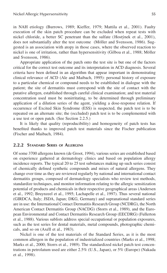in NAH etiology (Burrows, 1989; Kieffer, 1979; Mattila et al., 2001). Faulty execution of the skin patch procedure can be excluded when repeat tests with nickel chloride, a better SC penetrant than the sulfate (Hostýnek et al., 2001), does not substantially alter the test outcome (Möller and Svensson, 1986). Suggested is an association with atopy in those cases, where the observed reaction to nickel is one of irritation, rather than hypersensitivity (Gilboa et al., 1988; Möller and Svensson, 1986).

Appropriate application of the patch onto the test site is but one of the factors critical for the correct test outcome and its interpretation in ACD diagnosis. Several criteria have been defined in an algorithm that appear important in demonstrating clinical relevance of ACD (Ale and Maibach, 1995): personal history of exposure to a particular chemical or compound needs to be established in dialogue with the patient; the site of dermatitis must correspond with the site of contact with the putative allergen, established through careful clinical examination; and test material concentration used must be nonirritating, to be determined through preliminary application of a dilution series of the agent, yielding a dose-response relation. If occurrence of Excited Skin Syndrome (ESS) is suspected, the patch test is to be repeated on an alternate site; the (occluded) patch test is to be complemented with a use test or open patch. (See Section 2.2.5.)

It is likely that quality (reproducibility) and homogeneity of patch tests has benefited thanks to improved patch test materials since the Fischer publication (Fischer and Maibach, 1984).

#### **2.2.2 STANDARD SERIES OF ALLERGENS**

Of some 3700 allergens known (de Groot, 1994), various series are established based on experience gathered at dermatology clinics and based on population allergy incidence reports. The typical 20 to 25 test substances making up such series consist of chemically defined synthetic compounds and mixes of natural allergens. They change over time as they are reviewed regularly by national and international contact dermatitis groups, composed of dermatology specialists who review test methods, standardize techniques, and monitor information relating to the allergic sensitization potential of products and chemicals in their respective geographical areas (Andersen et al., 1992; Bruynzeel et al., 1995; Lachapelle et al., 1997). Thus several national (GIRDCA, Italy; JSDA, Japan; DKG, Germany) and supranational standard series are in use: the International Contact Dermatitis Research Group (NCDRG), the North American Contact Dermatitis Group (NACDG) (Storrs et al., 1989), and the European Environmental and Contact Dermatitis Research Group (EECDRG) (Fullerton et al., 1988). Various sublists address special occupational or population exposures, such as the test series for dental materials, metal compounds, photographic chemicals, and so on (Axéll et al., 1983).

Nickel is one of the test materials of the Standard Series, as it is the most common allergen in the population of industrialized countries (Marks et al., 1998; Marks et al., 2000; Storrs et al., 1989). The standardized nickel patch test concentrations in petrolatum used are either 2.5% (U.S., Japan), or 5% (Europe) (Nakada et al., 1998).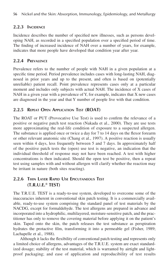# **2.2.3 INCIDENCE**

Incidence describes the number of specified new illnesses, such as persons developing NAH, as recorded in a specified population over a specified period of time. The finding of increased incidence of NAH over a number of years, for example, indicates that more people have developed that condition year after year.

# **2.2.4 PREVALENCE**

Prevalence refers to the number of people with NAH in a given population at a specific time period. Period prevalence includes cases with long-lasting NAH, diagnosed in prior years and up to the present, and often is based on (potentially unreliable) patient recall. Point prevalence represents cases only at a particular moment and includes only subjects with actual NAH. The incidence of X cases of NAH in a given year with a prevalence of Y, for example, indicates that X new cases are diagnosed in the year and that Y number of people live with that condition.

# **2.2.5 REPEAT OPEN APPLICATION TEST (ROAT)**

The ROAT or PUT (Provocative Use Test) is used to confirm the relevance of a positive or negative patch test reaction (Nakada et al., 2000). They are use tests more approximating the real-life condition of exposure to a suspected allergen. The substance is applied once or twice a day for 7 to 14 days on the flexor forearm or other relevant anatomic site (Chang et al., 1997). A positive reaction is usually seen within 4 days, less frequently between 5 and 7 days. In approximately half of the positive patch tests the (open) use test is negative, an indication that the individual threshold of response may not have been reached. A test with higher concentrations is then indicated. Should the open test be positive, then a repeat test using samples with and without allergen will clarify whether the reaction may be irritant in nature (both sites reacting).

# **2.2.6 THIN LAYER RAPID USE EPICUTANEOUS TEST (T.R.U.E.® TEST)**

The T.R.U.E. TEST is a ready-to-use system, developed to overcome some of the inaccuracies inherent in conventional skin patch testing. It is a commercially available, ready-to-use system comprising the standard panel of test materials by the NACDG, except for formaldehyde. The test allergens are prepared in advance and incorporated into a hydrophilic, multilayered, moisture-sensitive patch, and the practitioner has only to remove the covering material before applying it on the patient's skin. Taped onto the skin, the patch releases the test substance as perspiration hydrates the protactive film, transforming it into a permeable gel (Fisher, 1989; Lachapelle et al., 1988).

Although it lacks the flexibility of conventional patch testing and represents only a limited choice of allergens, advantages of the T.R.U.E. system are exact standardized dosage; stability of the test material, which is warranted by airtight and lightproof packaging; and ease of application and reproducibility of test results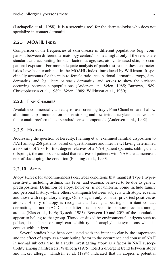(Lachapelle et al., 1988). It is a screening tool for the dermatologist who does not specialize in contact dermatitis.

# **2.2.7 MOAHL INDEX**

Comparison of the frequencies of skin disease in different populations (e.g., comparison between different dermatology centers), is meaningful only if the results are standardized, accounting for such factors as age, sex, atopy, diseased skin, or occupational exposure. For more adequate analysis of patch test results these characteristics have been combined in the MOAHL index, introduced by Wilkinson. It specifically accounts for the *m*ale-to-female ratio, *o*ccupational dermatitis, *a*topy, *h*and dermatitis, and *l*eg ulcers or stasis dermatitis, and serves to show the variance occurring between subpopulations (Andersen and Veien, 1985; Burrows, 1989; Christophersen et al., 1989a; Veien, 1989; Wilkinson et al., 1980).

# **2.2.8 FINN CHAMBERS**

Available commercially as ready-to-use screening trays, Finn Chambers are shallow aluminum cups, mounted on nonsensitizing and low-irritant acrylate adhesive tape, that contain preformulated standard series compounds (Andersen et al., 1992).

# **2.2.9 HEREDITY**

Addressing the question of heredity, Fleming et al. examined familial disposition to NAH among 258 patients, based on questionnaire and interview. Having determined a risk ratio of 2.83 for first-degree relatives of a NAH patient (parents, siblings, and offspring), the authors concluded that relatives of patients with NAH are at increased risk of developing the condition (Fleming et al., 1999).

# **2.2.10 ATOPY**

Atopy (Greek for uncommonness) describes conditions that manifest Type I hypersensitivity, including asthma, hay fever, and eczema, believed to be due to genetic predisposition. Definition of atopy, however, is not uniform. Some include family and personal history, while others distinguish between subjects with atopic eczema and those with respiratory allergy. Others again only consider prick-test positives as atopics. History of atopy is recognized as having a bearing on irritant contact dermatitis, but not on ACD, as the latter does not seem to be more prevalent among atopics (Klas et al., 1996; Rystedt, 1985). Between 10 and 20% of the population appear to belong to that group. Those sensitized by environmental antigens such as pollen, dust, plants, or fungi can exhibit typical anaphylactic symptoms when in contact with antigen.

Several studies have been conducted with the intent to clarify the importance and the effect of atopy as a contributing factor to the occurrence and course of NAH in normal subjects also. In a study investigating atopy as a factor in NAH susceptibility among hairdressers, Wahlberg (1975) noted a divergent trend between atopy and nickel allergy. Hindsén et al. (1994) indicated that in atopics a potential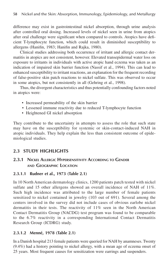difference may exist in gastrointestinal nickel absorption, through urine analysis after controlled oral dosing. Increased levels of nickel seen in urine from atopics after oral challenge were significant when compared to controls. Atopics have deficient T-lymphocyte function, which could result in diminished susceptibility to allergens (Hanifin, 1983; Hanifin and Rajka, 1980).

Clinical studies addressing both occurrence of irritant and allergic contact dermatitis in atopics are not consistent, however. Elevated transepidermal water loss on exposure to irritants in individuals with active atopic hand eczema was taken as an indication of impaired skin barrier function (Nassif et al., 1994). This can lead to enhanced susceptibility to irritant reactions, an explanation for the frequent recording of false-positive skin patch reactions to nickel sulfate. This was observed to occur in some atopics, but not consistently in all (Gehring et al., 1998).

Thus, the divergent characteristics and thus potentially confounding factors noted in atopics were:

- Increased permeability of the skin barrier
- Lessened immune reactivity due to reduced T-lymphocyte function
- Heightened GI nickel absorption

They contribute to the uncertainty in attempts to assess the role that such state may have on the susceptibility for systemic or skin-contact-induced NAH in atopic individuals. They help explain the less than consistent outcome of epidemiological studies.

# **2.3 STUDY HIGHLIGHTS**

# **2.3.1 NICKEL ALLERGIC HYPERSENSITIVITY ACCORDING TO GENDER AND GEOGRAPHIC LOCATION**

#### **2.3.1.1 Rudner et al., 1973 (Table 2.1)**

In 10 North American dermatology clinics, 1200 patients patch tested with nickel sulfate and 15 other allergens showed an overall incidence of NAH of 11%. Such high incidence was attributed to the large number of female patients sensitized to nickel contained in jewelry (103 out of 691). Several among the centers involved in the survey did not include cases of obvious earlobe nickel dermatitis in their tests. The reactivity of 11% seen in the North American Contact Dermatitis Group (NACDG) test program was found to be comparable to the 6.7% reactivity in a corresponding International Contact Dermatitis Research Group (ICDRG) study.

#### **2.3.1.2 Menné, 1978 (Table 2.1)**

In a Danish hospital 213 female patients were queried for NAH by anamneses. Twenty (9.4%) had a history pointing to nickel allergy, with a mean age of eczema onset of 25 years. Most frequent causes for sensitization were earrings and suspenders.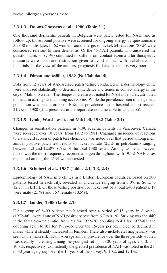# **2.3.1.3 Dooms-Goossens et al., 1980 (Table 2.1)**

One thousand dermatitis patients in Belgium were patch tested for NAH, and as follow-up, those found positive were screened for ongoing allergy by questionnaire 3 to 30 months later. In 62 women found allergic to nickel, 54 reactions (87%) were considered relevant to their dermatitis. Of the 45 NAH patients who answered the questionnaire, 34 (75%) continued to suffer from contact eczema after therapeutic measures were taken and instruction given to avoid contact with nickel-releasing materials. In the view of the authors, prognosis for hand eczema is very poor.

# **2.3.1.4 Edman and Möller, 1982 (Not Tabulated)**

Data from 12 years of standardized patch testing conducted in a dermatology clinic were analyzed statistically to determine incidence and trends in contact allergy in the city of Malmö, Sweden. The steepest increase was noted for NAH in females, attributed to metal in earrings and clothing accessories. While the prevalence seen in the general population was on the order of 10%, the prevalence in the hospital cohort reached 21.2% in 1980 (data presented in the report are not amenable to tabulation).

# **2.3.1.5 Lynde, Warshawski, and Mitchell, 1982 (Table 2.1)**

Changes in sensitization patterns in 4190 eczema patients in Vancouver, Canada were recorded over 10 years, from 1972 to 1981. Changing incidence of reactions to a standard screen of patch test chemicals was noted over that period among men: annual positive patch test results to nickel sulfate (2.5% in petrolatum) ranging between 1.3 and 12.8%, 6.7% of the total 1388 tested. Among women, however, nickel was the most frequently recorded allergen throughout, with 19.1% NAH cases registered among the 2534 women tested.

# **2.3.1.6 Schubert et al., 1987 (Tables 2.1, 2.3, 2.4)**

Epidemiology of NAH in 8 clinics in 5 Eastern European countries, based on 300 patients tested in each city, revealed an incidence ranging from 5.0% in Sofia to 12.7% in Erfurt. Of those testing positive for nickel out of a total 2400 patients, 19 were male (2.1%) and 157 female (10.5%).

# **2.3.1.7 Lunder, 1988 (Table 2.1)**

For a group of 6400 patients patch tested over a period of 15 years in Slovenia (1972–86), overall rate of NAH positivity rose from 6.7 to 9.1%. Striking was the shift in the female-to-male ratio: from 2:1 for 1972–76, doubling to 4:1 for 1977–81, and doubling again to 9:1 for 1982–86. Over the 15-year period, incidence declined in males while it steadily increased in females. There also nickel-releasing jewelry was seen as the main risk factor. Average annual prevalence over the three periods studied was steadily increasing among the youngest set (11 to 20 years of age): 2.3, 3, and 10.8%, respectively. Consistently the greatest prevalence of NAH was noted in the 21 to 30-year age group over the 15 years of the survey: 9, 10.2, and 19.1%.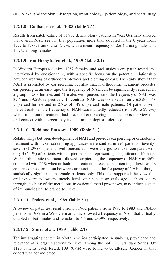#### **2.3.1.8 Gollhausen et al., 1988 (Table 2.1)**

Results from patch testing of 11,962 dermatology patients in West Germany showed that overall NAH seen in that population more than doubled in the 6 years from 1977 to 1983: from 6.2 to 12.7%, with a mean frequency of 2.6% among males and 13.7% among females.

#### **2.3.1.9 van Hoogstraten et al., 1989 (Table 2.1)**

In Western European clinics, 1252 females and 485 males were patch tested and interviewed by questionnaire, with a specific focus on the potential relationship between wearing of orthodontic devices and piercing of ears. The study shows that NAH is promoted by ear piercing, but also that, if orthodontic treatment precedes ear piercing at an early age, the frequency of NAH can be significantly reduced. In a group of 568 females and 41 males with pierced ears, the frequency of NAH was 39.6 and 19.5%, respectively. In contrast, NAH was observed in only 6.3% of 48 unpierced female and in 2.7% of 149 unpierced male patients. Of patients with pierced earlobes the frequency of NAH was markedly reduced (from 39 to 27.9%) when orthodontic treatment had preceded ear piercing. This supports the view that oral contact with allergen may induce immunological tolerance.

#### **2.3.1.10 Todd and Burrows, 1989 (Table 2.1)**

Relationships between development of NAH and previous ear piercing or orthodontic treatment with nickel-containing appliances were studied in 294 patients. Seventyseven (31.2%) of patients with pierced ears were allergic to nickel compared with only 3 (6.4%) of patients without pierced ears, representing a significant difference. When orthodontic treatment followed ear piercing the frequency of NAH was 36%, compared with 25% when orthodontic treatment preceded ear piercing. These results confirmed the correlation between ear piercing and the frequency of NAH, although statistically significant in female patients only. This also supported the view that oral exposure to low and steady levels of nickel at an early age, such as occurs through leaching of the metal ions from dental metal prostheses, may induce a state of immunological tolerance to nickel.

# **2.3.1.11 Enders et al., 1989 (Table 2.1)**

A review of patch test results from 11,962 patients from 1977 to 1983 and 18,456 patients in 1987 in a West German clinic showed a frequency in NAH that virtually doubled in both males and females, to 4.5 and 23.9%, respectively.

# **2.3.1.12 Storrs et al., 1989 (Table 2.1)**

Ten investigating centers in North America participated in studying prevalence and relevance of allergic reactions to nickel among the NACDG Standard Series. Of 1123 patients patch tested, 109 (9.7%) were found to be allergic. Gender in that cohort was not indicated.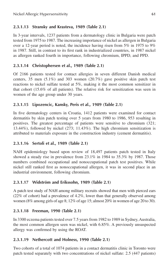# **2.3.1.13 Stransky and Krasteva, 1989 (Table 2.1)**

In 3-year intervals, 1237 patients from a dermatology clinic in Bulgaria were patch tested from 1975 to 1987. The increasing importance of nickel as allergen in Bulgaria over a 12-year period is noted, the incidence having risen from 5% in 1975 to 9% in 1987. Still, in contrast to its first rank in industrialized countries, in 1987 nickel as allergen ranked fourth in importance, following chromium, IPPD, and PPD.

# **2.3.1.14 Christophersen et al., 1989 (Table 2.1)**

Of 2166 patients tested for contact allergies in seven different Danish medical centers, 35 men  $(5.1\%)$  and 303 women  $(20.7\%)$  gave positive skin patch test reactions to nickel sulfate tested at 5%, making it the most common sensitizer in that cohort (15.6% of all patients). The relative risk for sensitization was seen in women of the age group under 30 years.

# **2.3.1.15 Lipozencic, Kansky, Peris et al., 1989 (Table 2.1)**

In five dermatology centers in Croatia, 1412 patients were examined for contact dermatitis by skin patch testing over 5 years from 1980 to 1986, 953 resulting in positives. The greatest percentage of patients were sensitive to chromium (321; 13.44%), followed by nickel (273; 11.43%). The high chromium sensitization is attributed to materials exposure in the construction industry (cement dermatitis).

# **2.3.1.16 Sertoli et al., 1989 (Table 2.1)**

NAH epidemiology based upon review of 18,497 patients patch tested in Italy showed a steady rise in prevalence from 23.1% in 1984 to 35.3% by 1987. Those numbers combined occupational and nonoccupational patch test positives. While nickel still ranked first as nonoccupational allergen, it was in second place in an industrial environment, following chromium.

# **2.3.1.17 Widström and Erikssohn, 1989 (Table 2.1)**

A patch test study of NAH among military recruits showed that men with pierced ears (22% of cohort) had a prevalence of 4.2%, lower than that generally observed among women (8% among girls of age 8; 12% of age 15; almost 20% in women of age 20 to 30).

# **2.3.1.18 Freeman, 1990 (Table 2.1)**

In 3300 eczema patients tested over 7.5 years from 1982 to 1989 in Sydney, Australia, the most common allergen seen was nickel, with 6.85%. A previously unsuspected allergy was confirmed by using the ROAT.

# **2.3.1.19 Nethercott and Holness, 1990 (Table 2.1)**

Two cohorts of a total of 1074 patients in a contact dermatitis clinic in Toronto were patch tested separately with two concentrations of nickel sulfate: 2.5 (447 patients)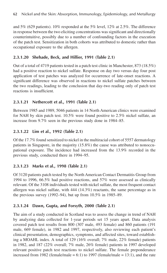and 5% (629 patients). 10% responded at the 5% level, 12% at 2.5%. The difference in response between the two eliciting concentrations was significant and directionally counterintuitive, possibly due to a number of confounding factors in the execution of the patch test. Sensitization in both cohorts was attributed to domestic rather than occupational exposure to the allergen.

#### **2.3.1.20 Shehade, Beck, and Hillier, 1991 (Table 2.1)**

Out of a total of 4719 patients tested in a patch test clinic in Manchester, 873 (18.5%) had a positive reaction to nickel sulfate. Response on day two versus day four post application of test patches was analyzed for occurrence of late-onset reactions. A significant difference was observed in reactions to nickel sulfate patches between the two readings, leading to the conclusion that day-two reading only of patch test reactions is insufficient.

#### **2.3.1.21 Nethercott et al., 1991 (Table 2.1)**

Between 1985 and 1989, 5046 patients in 14 North American clinics were examined for NAH by skin patch test. 10.5% were found positive to 2.5% nickel sulfate, an increase from 9.7% seen in the previous study done in 1984–85.

# **2.3.1.22 Lim et al., 1992 (Table 2.1)**

Of the 17.7% found sensitized to nickel in the multiracial cohort of 5557 dermatology patients in Singapore, in the majority (15.8%) the cause was attributed to nonoccupational exposure. The incidence had increased from the 13.9% recorded in the previous study, conducted there in 1994–95.

#### **2.3.1.23 Marks et al., 1998 (Table 2.1)**

Of 3120 patients patch tested by the North American Contact Dermatitis Group from 1994 to 1996, 66.5% had positive reactions, and 57% were assessed as clinically relevant. Of the 3108 individuals tested with nickel sulfate, the most frequent contact allergen was nickel sulfate, with 444 (14.3%) reactants, the same percentage as in the previous survey (1992–94), but up from 10.5% in 1985–89.

#### **2.3.1.24 Dawn, Gupta, and Forsyth, 2000 (Table 2.1)**

The aim of a study conducted in Scotland was to assess the change in trend of NAH by analyzing data collected for 1-year periods set 15 years apart. Data analysis covered patch test results from 800 (307 male, 493 female) and 860 patients (191 male, 669 female), in 1982 and 1997, respectively, also reviewing each patient's clinical presentation, demographics, symptoms, and affected sites, toward establishing a MOAHL index. A total of 129 (16% overall; 7% male, 22% female) patients in 1982, and 187 (22% overall; 7% male, 26% female) patients in 1997 developed relevant positive patch test reactions to nickel sulfate. The female preponderance increased from 1982 (female/male =  $6:1$ ) to 1997 (female/male = 13:1), and the rate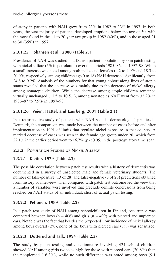of atopy in patients with NAH grew from 23% in 1982 to 33% in 1997. In both years, the vast majority of patients developed eruptions below the age of 30, with the most found in the 11 to 20 year age group in 1982 (40%), and in those aged 21 to 30 (35%) in 1997.

# **2.3.1.25 Johansen et al., 2000 (Table 2.1)**

Prevalence of NAH was studied in a Danish patient population by skin patch testing with nickel sulfate (5% in petrolatum) over the periods 1985–86 and 1997–98. While a small increase was noted among both males and females (4.2 to 4.9% and 18.3 to 20.0%, respectively, among children age 0 to 18) NAH decreased significantly, from 24.8 to 9.2%. Analysis of the numbers for that young cohort along lines of atopic status revealed that the decrease was mainly due to the decrease of nickel allergy among nonatopic children. While the decrease among atopic children remained virtually unchanged (11.5 to 10.5%), among nonatopics NAH went from 32.2% in 1986–87 to 7.9% in 1997–98.

# **2.3.1.26 Veien, Hattel, and Laurberg, 2001 (Table 2.1)**

In a retrospective study of patients with NAH seen in dermatological practice in Denmark, the comparison was made between the number of cases before and after implementation in 1991 of limits that regulate nickel exposure in that country. A marked decrease of cases was seen in the female age group under 20, which from 22.1% in the earlier period went to  $16.7\%$  (p < 0.05) in the postregulatory time span.

# **2.3.2 POPULATION STUDIES OF NICKEL ALLERGY**

# **2.3.2.1 Kieffer, 1979 (Table 2.2)**

The possible correlation between patch test results with a history of dermatitis was documented in a survey of unselected male and female veterinary students. The number of false-positive (13 of 28) and false-negative (8 of 23) predictions obtained from history or interview when compared with patch test outcome led the view that a number of variables were involved that preclude definite conclusions from being reached on NAH status of an individual, short of actual patch testing.

# **2.3.2.2 Peltonen, 1989 (Table 2.2)**

In a patch test study of NAH among schoolchildren in Finland, occurrence was compared between boys ( $n = 406$ ) and girls ( $n = 499$ ) with pierced and unpierced ears. Notable was the fact that besides the (expected) low incidence of nickel allergy among boys overall (2%), none of the boys with pierced ears (3%) was sensitized.

# **2.3.2.3 Dotterud and Falk, 1994 (Table 2.3)**

The study by patch testing and questionnaire involving 424 school children showed NAH among girls twice as high for those with pierced ears (30.8%) than the nonpierced  $(16.3\%)$ , while no such difference was noted among boys  $(9.1)$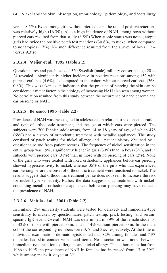versus 8.5%). Even among girls without pierced ears, the rate of positive reactions was relatively high (16.3%). Also a high incidence of NAH among boys without pierced ears resulted from that study (8.5%) When atopic status was noted, atopic girls had twice the positive patch test reactions (30.8%) to nickel when compared to nonatopics (17%). No such difference resulted from the survey of boys (12.4 versus 9.3%).

#### **2.3.2.4 Meijer et al., 1995 (Table 2.2)**

Questionnaires and patch tests of 520 Swedish (male) military conscripts age 20 to 24 revealed a significantly higher incidence in positive reactions among 152 with pierced earlobes (4.6%), as compared to the cohort without pierced earlobes (368, 0.8%). This was taken as an indication that the practice of piercing the skin can be considered a major factor in the etiology of increasing NAH also seen among women. No correlation resulted from this study between the occurrence of hand eczema and ear piercing or NAH.

#### **2.3.2.5 Kerosuo, 1996 (Table 2.2)**

Prevalence of NAH was investigated in adolescents in relation to sex, onset, duration and type of orthodontic treatment, and the age at which ears were pierced. The subjects were 700 Finnish adolescents, from 14 to 18 years of age, of which 476 (68%) had a history of orthodontic treatment with metallic appliances. The study consisted of patch testing for nickel allergy and a patient history obtained by a questionnaire and from patient records. The frequency of nickel sensitization in the entire group was 19%, significantly higher in girls (30%) than in boys (3%), and in subjects with pierced ears  $(31\%)$  than in those with no piercing of ears  $(2\%)$ . None of the girls who were treated with fixed orthodontic appliances before ear piercing showed hypersensitivity to nickel, whereas 35% of the girls who had experienced ear piercing before the onset of orthodontic treatment were sensitized to nickel. The results suggest that orthodontic treatment per se does not seem to increase the risk for nickel hypersensitivity. Rather, the data suggests that treatment with nickelcontaining metallic orthodontic appliances before ear piercing may have reduced the prevalence of NAH.

# **2.3.2.6 Mattila et al., 2001 (Table 2.2)**

In Finland, 284 university students were tested for delayed- and immediate-type sensitivity to nickel, by questionnaire, patch testing, prick testing, and serumspecific IgE levels. Overall, NAH was determined in 39% of the female students, in 42% of those with pierced skin, and in 14% without pierced skin. In the male cohort the corresponding numbers were 3, 7, and 3%, respectively. At the time of individual examination, dermatologists noted that  $82\%$  among females and  $74\%$ of males had skin contact with metal items. No association was noted between immediate-type reaction to allergens and nickel allergy. The authors note that from 1986 to 1995 the prevalence of NAH in females has increased from 13 to 39%, while among males it stayed at 3%.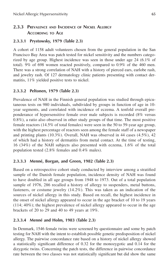# **2.3.3 PREVALENCE AND INCIDENCE OF NICKEL ALLERGY ACCORDING TO AGE**

#### **2.3.3.1 Prystowsky, 1979 (Table 2.3)**

A cohort of 1158 adult volunteers chosen from the general population in the San Francisco Bay Area was patch tested for nickel sensitivity and the numbers categorized by age group. Highest incidence was seen in those under age 24 (6.1% of total). 9% of 698 women reacted positively, compared to 0.9% of the 460 men. There was a strong correlation of NAH with a history of pierced ears, earlobe rash, and jewelry rash. Of 127 dermatology clinic patients presenting with contact dermatitis, 11% yielded positive tests to nickel.

#### **2.3.3.2 Peltonen, 1979 (Table 2.3)**

Prevalence of NAH in the Finnish general population was studied through epicutaneous tests on 980 individuals, subdivided by groups in function of age in 10 year segments, and correlated with incidence of eczema. A tenfold overall preponderance of hypersensitive female over male subjects is recorded (8% versus 0.8%), a ratio also observed in other study groups of that time. The most positive female reactors (14.5% of total females) were seen in the 50 to 59-year age group, with the highest percentage of reactors seen among the female staff of a newspaper and printing plants (10.3%). Overall, NAH was observed in 44 cases (4.5%), 42 of which had a history of dermatitis from metal contact. At the time of testing, 16 (34%) of the NAH subjects also presented with eczema, 1.6% of the total population tested (2.8% females and 0.4% males).

#### **2.3.3.3 Menné, Borgan, and Green, 1982 (Table 2.3)**

Based on a retrospective cohort study conducted by interview among a stratified sample of the Danish female population, incidence density of NAH was found to have doubled in all age groups from 1948 to 1973. Out of a total population sample of 1976, 286 recalled a history of allergy to suspenders, metal buttons, fasteners, or costume jewelry (14.2%). This was taken as an indication of the sources of nickel allergy in this study. Based on recall, the highest incidence in the onset of nickel allergy appeared to occur in the age bracket of 10 to 19 years (114; 40%); the highest prevalence of nickel allergy appeared to occur in the age brackets of 20 to 29 and 40 to 49 years at 19%.

#### **2.3.3.4 Menné and Holm, 1983 (Table 2.3)**

In Denmark, 1546 female twins were screened by questionnaire and some by patch testing for NAH with the intent to establish possible genetic predisposition of nickel allergy. The pairwise concordance rate based on a history of nickel allergy showed a statistically significant difference of 0.32 for the monozygotic and 0.14 for the dizygotic twins. Concerning the patch tests, the difference in pairwise concordance rate between the two classes was not statistically significant but did show the same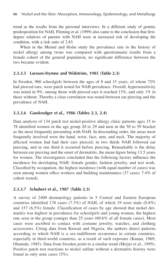trend as the results from the personal interviews. In a different study of genetic predesposition for NAH, Fleming et al. (1999) also came to the conclusion that firstdegree relatives of parents with NAH were at increased risk of developing the condition, with a risk ratio of 2.83.

When in the Menné and Holm study the prevalence rate in the history of nickel allergy among twins was compared with questionnaire results from a female cohort of the general population, no significant difference between the two became evident.

#### **2.3.3.5 Larsson-Stymne and Widström, 1985 (Table 2.3)**

In Sweden, 960 schoolgirls between the ages of 8 and 15 years, of whom 72% had pierced ears, were patch tested for NAH prevalence. Overall, hypersensitivity was noted in 9%; among those with pierced ears it reached 13%, and only 1% in those without. Thereby a clear correlation was noted between ear piercing and the prevalence of NAH.

#### **2.3.3.6 Gawkrodger et al., 1986 (Tables 2.3, 2.4)**

Data analysis of 134 patch test nickel-positive allergy clinic patients ages 15 to 78 identified women in the age group 20 to 29 and men in the 50 to 59 bracket as the most frequently presenting with NAH. In descending order, the areas most frequently involved were the hand, wrist, face, arm, and neck. The majority of affected women had had their ears pierced; in two thirds NAH followed ear piercing, and in one third it occurred before piercing. Remarkable is the delay between ear piercing and the onset of dermatitis, the mean figure being 13.5 years for women. The investigators concluded that the following factors influence the incidence for developing NAH: female gender, fashion jewelry, and wet work. Classified by occupation, the highest incidence (with equal number of cases) was seen among women office workers and building maintenance (37 cases; 7.4% of cohort tested).

# **2.3.3.7 Schubert et al., 1987 (Table 2.3)**

A survey of 2400 dermatology patients in 5 Central and Eastern European countries identified 176 cases (7.3%) of NAH, of which 19 were male (0.8%) and 157 (6.5%) female. Classification of cases by age showed that nickel dermatitis was highest in prevalence for schoolgirls and young women, the highest rate seen in the group younger than 25 years (60.6% of all female cases). Most cases were ascribed to contact with costume jewelry, watches, and clothing accessories. Citing data from Kuwait and Nigeria, the authors detect patterns according to which NAH is a sex-indifferent occurrence in certain countries, especially in third-world countries, as a result of such exposure (Kanan, 1969; Olumide, 1985). Data from Sweden point to a similar trend (Meijer et al., 1995). Positive patch test reactions to nickel sulfate without a dermatitis history were found in only nine cases (5%).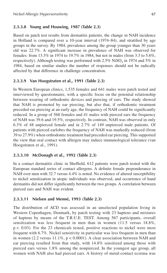#### **2.3.3.8 Young and Houwing, 1987 (Table 2.3)**

Based on patch test results from dermatitis patients, the change in NAH incidence in Holland is compared over a 10-year interval (1974–84), and stratified by age groups in the survey. By 1984, prevalence among the group younger than 30 years old was 22.7%. A significant increase in prevalence of NAH was observed for females: from 13.3% in 1974 to 19.7% in 1984, but not in males (from 3.3 to 5.6%, respectively). Although testing was performed with  $2.5\%$  NiSO<sub>4</sub> in 1974 and 5% in 1984, based on similar studies the number of responses should not be radically affected by that difference in challenge concentration.

#### **2.3.3.9 Van Hoogstraten et al., 1991 (Table 2.3)**

In Western European clinics, 1,535 females and 641 males were patch tested and interviewed by questionnaire, with a specific focus on the potential relationship between wearing of orthodontic devices and piercing of ears. The study showed that NAH is promoted by ear piercing, but also that, if orthodontic treatment preceded ear piercing at an early age, the frequency of NAH could be significantly reduced. In a group of 568 females and 41 males with pierced ears the frequency of NAH was 39.6 and 19.5%, respectively. In contrast, NAH was observed in only 6.3% of 48 unpierced female and in 2.7% of 149 unpierced male patients. Of patients with pierced earlobes the frequency of NAH was markedly reduced (from 39 to 27.9%) when orthodontic treatment had preceded ear piercing. This supported the view that oral contact with allergen may induce immunological tolerance (van Hoogstraten et al., 1991).

#### **2.3.3.10 McDonagh et al., 1992 (Table 2.3)**

In a contact dermatitis clinic in Sheffield, 612 patients were patch tested with the European standard series of contact allergens. A definite female preponderance in NAH over men with 32.7 versus 4.4% is noted. No evidence of altered susceptibility to nickel sensitization in atopic individuals was observed, and occurrence of hand dermatitis did not differ significantly between the two groups. A correlation between pierced ears and NAH was evident.

#### **2.3.3.11 Nielsen and Menné, 1993 (Table 2.3)**

The distribution of ACD was assessed in an unselected population living in Western Copenhagen, Denmark, by patch testing with 23 haptens and mixtures of haptens by means of the T.R.U.E. TEST. Among 567 participants, overall sensitization was less frequent in men than in women (11.5 versus 18.8%, p < 0.03). For the 23 chemicals tested, positive reactions to nickel were most frequent with 6.7%. Nickel sensitivity in particular was less frequent in men than in women (2.2 versus  $11.1\%$ ,  $p < 0.0001$ ). A clear association between NAH and ear piercing resulted from that study, with 14.8% sensitized among those with pierced ears versus 1.8% among the nonpierced. In the youngest age group, all women with NAH also had pierced ears. A history of metal-contact eczema was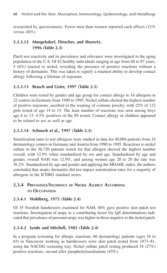researched by questionnaire. Fewer men than women reported such effects (21% versus 48%).

# **2.3.3.12 Mangelsdorf, Fleischer, and Sherertz, 1996 (Table 2.3)**

Patch test reactivity and its prevalence and relevance were investigated in the aging population of the U.S. Of 82 healthy individuals ranging in age from 68 to 87 years, 5 (6%) reacted to nickel, revealing the presence of positive reactions without a history of dermatitis. This was taken to signify a retained ability to develop contact allergy following a lifetime of exposure.

# **2.3.3.13 Brasch and Geier, 1997 (Table 2.3)**

Children were tested by gender and age group for contact allergy to 16 allergens in 22 centers in Germany from 1990 to 1995. Nickel sulfate elicited the highest number of positive reactions, ascribed to the wearing of costume jewelry, with 25% of 132 girls tested of age 14 to 15. The least number of reactions was seen among boys age 6 to 13: 4.5% positives of the 89 tested. Contact allergy in children appeared to be related to sex as well as age.

# **2.3.3.14 Schnuch et al., 1997 (Table 2.3)**

Sensitization rates to test allergens were studied in data for 40,004 patients from 24 dermatology centers in Germany and Austria from 1990 to 1995. Reactions to nickel sulfate in the 36,720 patients tested for that allergen showed the highest number overall, with 12.9% when standardized by sex and age. Standardized by age and gender, overall NAH was 12.9%, and among women age 20 to 29 the rate was 36.2%. Standardized by age and gender and applying the MOAHL index, the authors concluded that atopic dermatitis did not impact sensitization rates for a majority of allergens in the ICDRG standard series.

# **2.3.4 PREVALENCE/INCIDENCE OF NICKEL ALLERGY ACCORDING TO OCCUPATION**

# **2.3.4.1 Wahlberg, 1975 (Table 2.4)**

Of 35 Swedish hairdressers examined for NAH, 40% gave positive skin patch test reactions. Investigation of atopy as a contributing factor (by IgE determination) indicated that prevalence of personal atopy was higher in those negative to the nickel patch.

# **2.3.4.2 Lynde and Mitchell, 1982 (Table 2.4)**

In a program screening for allergic reactions, 66 dermatology patients (ages 16 to 65) in Vancouver working as hairdressers were skin patch tested from 1973–81, using the NACDG screening tray. Nickel sulfate patch testing produced 18 (27%) positive reactions, second after paraphenylenediamine (45%).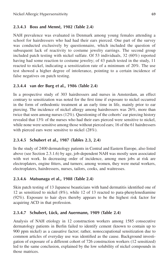# **2.3.4.3 Boss and Menné, 1982 (Table 2.4)**

NAH prevalence was evaluated in Denmark among young females attending a school for hairdressers who had had their ears pierced. One part of the survey was conducted exclusively by questionnaire, which included the question of subsequent lack of reactivity to costume jewelry earrings. The second group included patch testing with nickel sulfate. Of 53 individuals, 32 (60%) reported having had some reaction to costume jewelry; of 43 patch tested in the study, 11 reacted to nickel, indicating a sensitization rate of a minimum of 20%. The use test showed a higher degree of intolerance, pointing to a certain incidence of false negatives on patch testing.

# **2.3.4.4 van der Burg et al., 1986 (Table 2.4)**

In a prospective study of 303 hairdressers and nurses in Amsterdam, an effect contrary to sensitization was noted for the first time if exposure to nickel occurred in the form of orthodontic treatment at an early time in life, mainly prior to ear piercing. The incidence of nickel allergy among hairdressers was 26%, more than twice that seen among nurses (12%). Questioning of the cohorts' ear piercing history revealed that 13% of the nurses who had their ears pierced were sensitive to nickel, while none were sensitive among those without pierced ears; 16 of the 61 hairdressers with pierced ears were sensitive to nickel (28%).

# **2.3.4.5 Schubert et al., 1987 (Tables 2.3, 2.4)**

In the study of 2400 dermatology patients in Central and Eastern Europe, also listed above (see Section 2.3.1.6) by age, job-dependent NAH was mostly seen associated with wet work. In decreasing order of incidence, among men jobs at risk are electroplaters, engine fitters, and turners; among women, they were metal workers, electroplaters, hairdressers, nurses, tailors, cooks, and waitresses.

# **2.3.4.6 Matsunaga et al., 1988 (Table 2.4)**

Skin patch testing of 13 Japanese beauticians with hand dermatitis identified one of 12 as sensitized to nickel (8%), while 12 of 13 reacted to para-phenylenediamine (92%). Exposure to hair dyes thereby appears to be the highest risk factor for acquiring ACD in that profession.

# **2.3.4.7 Schubert, Lück, and Auermann, 1989 (Table 2.4)**

Analysis of NAH etiology in 12 construction workers among 1585 consecutive dermatology patients in Berlin failed to identify cement (known to contain up to 900 ppm nickel) as a causative factor; rather, nonoccupational sensitization due to common articles of everyday use was identified as the cause. Background investigation of exposure of a different cohort of 726 construction workers (12 sensitized) led to the same conclusion, explained by the low solubility of nickel compounds in those matrices.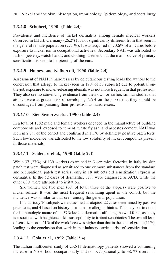#### **2.3.4.8 Schubert, 1990 (Table 2.4)**

Prevalence and incidence of nickel dermatitis among female medical workers observed in Erfurt, Germany (26.2%) is not significantly different from that seen in the general female population (27.4%). It was acquired in 70.6% of all cases before exposure to nickel ion in occupational activities. Secondary NAH was attributed to fashion jewelry, watch bands, and clothing fasteners, but the main source of primary sensitization is seen to be piercing of the ears.

#### **2.3.4.9 Holness and Nethercott, 1990 (Table 2.4)**

Assessment of NAH in hairdressers by epicutaneous testing leads the authors to the conclusion that allergy to nickel (seen in 17% of 53 subjects) due to potential onthe-job exposure to nickel-releasing utensils was not more frequent in that profession. They also see no convincing evidence from their own or earlier, similar studies that atopics were at greater risk of developing NAH on the job or that they should be discouraged from pursuing their profession as hairdressers.

# **2.3.4.10 Kiec-Swierczynska, 1990 (Table 2.4)**

In a total of 1782 male and female workers engaged in the manufacture of building components and exposed to cement, waste fly ash, and asbestos cement, NAH was seen in 2.7% of the cohort and confirmed in 1.1% by definitely positive patch tests. Such low incidence was attributed to the low solubility of nickel compounds present in those materials.

# **2.3.4.11 Seidenari et al., 1990 (Table 2.4)**

While 37 (27%) of 139 workers examined in 3 ceramics factories in Italy by skin patch test were diagnosed as sensitized to one or more substances from the standard and occupational patch test series, only in 18 subjects did sensitization express as dermatitis. In the 52 cases of dermatitis, 37% were diagnosed as ACD, while the other 63% were attributed to irritation.

Six women and two men (6% of total; three of the atopics) were positive to nickel sulfate. It was the most frequent sensitizing agent in the cohort, but the incidence was similar to that seen among the general population.

In that study 26 subjects were classified as atopics: 22 cases determined by positive prick tests, and 4 based on history of asthma or allergic rhinitis. This may put in doubt the immunologic nature of the 37% level of dermatitis afflicting the workforce, as atopy is associated with heightened skin susceptibility to irritant xenobiotics. The overall level of sensitization at 21% of the workforce was higher than that in the control group (11%), leading to the conclusion that work in that industry carries a risk of sensitization.

# **2.3.4.12 Gola et al., 1992 (Table 2.4)**

The Italian multicenter study of 23,541 dermatology patients showed a continuing increase in NAH, both occupationally and nonoccupationally, to 38.7% overall in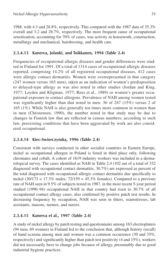1988, with 4.3 and 28.8%, respectively. This compared with the 1987 data of 35.3% overall and 3.2 and 28.7%, respectively. The most frequent cause of occupational sensitization, accounting for 70% of cases, was activity in housework, construction, metallurgy and mechanical, hairdressing, and health care.

# **2.3.4.13 Kanerva, Jolanki, and Toikkanen, 1994 (Table 2.4)**

Frequencies of occupational allergic diseases and gender differences were studied in Finland for 1991. Of a total of 1314 cases of occupational allergic diseases reported, comprising 14.2% of all registered occupational diseases, 412 cases were allergic contact dermatitis. Women were overrepresented in that category (247 women versus 165 men), taken as an indication of women's predisposition to delayed-type allergy as was also noted in other studies (Jordan and King, 1977; Leyden and Kligman, 1977; Rees et al., 1989) or women's greater occupational exposure to contact allergens. Prevalence of NAH among women tested was significantly higher than that noted in men: 36 of 247 (15%) versus 2 of 165 (1%). While NAH is also generally ten times more common in women than in men (Christensen, 1990), the number noted in that study may be due to changes in Finnish law that are reflected in census numbers; according to such law, preexisting conditions that have been aggravated by work are also considered occupational.

# **2.3.4.14 Kiec-Swierczynska, 1996 (Table 2.4)**

Consistent with surveys conducted in other socialist countries in Eastern Europe, nickel as occupational allergen in Poland is listed in third place only, following chromates and cobalt. A cohort of 1619 industry workers was included in a dermatological survey. The cases identified as NAH in Table 2.4 (102 out of a total of 332 diagnosed with occupational contact dermatitis; 30.7%) are expressed as percent of the total diagnosed with occupational allergic contact dermatitis due specifically to nickel (30/173 = 17.3% males;  $72/159 = 45.3\%$  females). Compared to a previous rate of NAH seen in 9.5% of subjects tested in 1987, in the most recent 5-year period studied (1990–94) occupational NAH in that country had risen to 30.7% of all occupational contact allergy cases, also confirmed by positive patch test results. In decreasing frequency by occupation, NAH was seen in fitters, seamstresses, lab assistants, masons, turners, and nurses.

# **2.3.4.15 Kanerva et al., 1997 (Table 2.4)**

A study of nickel allergy by patch testing and questionnaire among 163 electroplaters (94 men, 69 women) in Finland led to the conclusion that, although history (recall) of hand eczema among men and women was a common occurrence (30 and 35%, respectively) and significantly higher than patch test positivity (4 and 15%), workers did not necessarily have to change jobs because of allergy, presumably due to good industrial hygiene practices.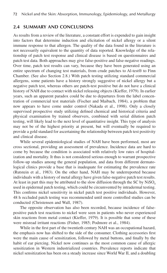#### **2.4 SUMMARY AND CONCLUSIONS**

As results from a review of the literature, a constant effort is expended to gain insight into factors that determine induction and elicitation of nickel allergy or a silent immune response to that allergen. The quality of the data found in the literature is not necessarily equivalent to the quantity of data reported. Knowledge of the relationship of patch test response and clinical disease is based on questionnaires and patch test data. Both approaches may give false-positive and false-negative readings. Over time, patch test results can vary, because they have been generated using an entire spectrum of changing test materials, from crude patches to Al-test® to Finn Chamber. (See also Section 2.8.) With patch testing utilizing standard commercial allergens, some patients have a history strongly suggestive of nickel allergy but a negative patch test, whereas others are patch-test positive but do not have a clinical history of NAH due to contact with nickel releasing objects (Kieffer, 1979). In earlier years, such an apparent paradox could be due to departures from the label concentration of commercial test materials (Fischer and Maibach, 1984), a problem that now appears to have come under control (Nakada et al., 1998). Only a closely supervised prospective study utilizing defined chemical and historical criteria and physical examination by trained observers, combined with serial dilution patch testing, will likely lead to the next level of quantitative insight. This type of analysis may not be of the highest priority at present, but will eventually be required to provide a gold standard for ascertaining the relationship between patch test positivity and clinical disease.

While several epidemiological studies of NAH have been performed, most are cross sectional, providing an assessment of prevalence. Incidence data are hard to come by because the condition is associated with relatively low rates of hospitalization and mortality. It thus is not considered serious enough to warrant prospective follow-up studies among the general population, and data from different dermatological clinics provide a base that is inadequate for estimating the prevalence rate (Rutstein et al., 1983). On the other hand, NAH may be underreported because individuals with a history of metal allergy have given false-negative patch test results. At least in part this may be attributed to the slow diffusion through the SC by  $Niso<sub>4</sub>$ used in epidermal patch testing, which could be circumvented by intradermal testing. This confirms nickel sensitivity in nickel patch test positive individuals. However, 48 h occluded patch testing was recommended until more controlled studies can be conducted (Christensen and Wall, 1987).

The opposite observation has also been recorded, because incidence of falsepositive patch test reactions to nickel were seen in patients who never experienced skin reactions from metal contact (Kieffer, 1979). It is possible that some of these were misread irritant reactions (Fisher, 1985; Podmore et al., 1984).

While in the first part of the twentieth century NAH was an occupational hazard, the emphasis now has shifted to the side of the consumer. Clothing accessories first were the main cause of sensitization, followed by metal buttons, and finally by the habit of ear piercing. Nickel now continues as the most common cause of allergic sensitization in Western industrialized countries. Prevalence reports indicate that nickel sensitization has been on a steady increase since World War II, and a doubling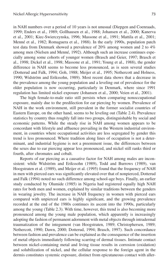in NAH numbers over a period of 10 years is not unusual (Diepgen and Coenraads, 1999; Enders et al., 1989; Gollhausen et al., 1988; Johansen et al., 2000; Kanerva et al., 2001; Kiec-Swierczynska, 1996; Massone et al., 1991; Mattila et al., 2001; Menné et al., 1982; Romaguera et al., 1988). In the early 1990s, population patch test data from Denmark showed a prevalence of 20% among women and 2 to 4% among men (Nielsen and Menné, 1992). Although such an increase continues especially among some cohorts of younger women (Brasch and Geier, 1997; Brasch et al., 1998; Dickel et al., 1998; Massone et al., 1991; Young et al., 1988), the gender difference in NAH seems to become less pronounced, as is seen several studies (Dotterud and Falk, 1994; Goh, 1988; Meijer et al., 1995; Nethercott and Holness, 1990; Widström and Erikssohn, 1989). Most recent data shows that a decrease in the prevalence among the young population and a leveling out of prevalence for the older population is now occurring, particularly in Denmark, where since 1991 regulation has limited nickel exposure (Johansen et al., 2000; Veien et al., 2001).

The high female-to-male ratio still persists when comparing nonoccupational exposure, mainly due to the predilection for ear piercing by women. Prevalence of NAH in the work environment, still prevalent in the former socialist countries of Eastern Europe, on the other hand, seems to be leveling out (Table 2.4). Prevalence statistics by country thus roughly fall into two groups, distinguishable by social and economic patterns. While the steady rise in NAH among women appears to be concordant with lifestyle and affluence prevailing in the Western industrial environment, in countries where occupational activities are less segregated by gender this trend is less pronounced. Where tradition along lines of occupation is not a determinant, and industrial hygiene is not a preeminent issue, the differences between the sexes due to ear piercing appear less pronounced, and nickel still ranks third or fourth, after chromates and cobalt.

Reports of ear piercing as a causative factor for NAH among males are inconsistent: while Widström and Erikssohn (1989), Todd and Burrows (1989), van Hoogstraten et al. (1989), and Meijer et al. (1995) found that the frequency of NAH in men with pierced ears was significantly elevated over that of nonpierced, Dotterud and Falk (1994) noted no such difference among school-age boys. Finally, an earlier study conducted by Olumide (1985) in Nigeria had registered equally high NAH rates for both men and women, explained by similar traditions between the genders in wearing jewelry. The increase in NAH frequency in women with pierced ears compared with unpierced ears is highly significant, and the growing prevalence recorded at the end of the 1980s continues its ascent into the 1990s, particularly among the young (Table 2.3). With time, however, this trend is also becoming more pronounced among the young male population, which apparently is increasingly adopting the fashion of permanent adornment with metal objects through intradermal traumatization of the integument (van Hoogstraten, 1989; Christophersen, 1989; Nethercott, 1990; Dawn, 2000; Dotterud, 1994; Brasch, 1997). Such concordance between fashion and prevalence can be explained as the consequence of the insertion of metal objects immediately following scarring of dermal tissues. Intimate contact between nickel-containing metal and living tissue results in corrosion (oxidation) and solubilization of nickel, and the cellular response to the foreign agent in the dermis constitutes systemic exposure, distinct from epicutaneous contact with aller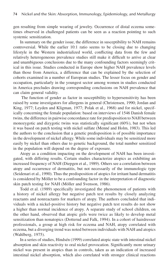gen resulting from simple wearing of jewelry. Occurrence of distal eczema sometimes observed in challenged patients can be seen as a reaction pointing to such systemic sensitization.

In summary on the gender issue, the difference in susceptibility to NAH remains controversial. While the earlier 10:1 ratio seems to be closing due to changing lifestyle in the Western industrialized world, conflicting data from the few and relatively heterogeneous prevalence studies still make it difficult to arrive at clear and unambiguous conclusions due to the many confounding factors seemingly critical in this issue. Studies conducted in Europe show higher NAH prevalence levels than those from America, a difference that can be explained by the selection of cohorts examined in a number of European studies. The lesser focus on gender and occupation, particularly in the youngest sector among women in studies conducted in America precludes drawing corresponding conclusions on NAH prevalence that can claim general validity.

 The function of gender as factor in susceptibility to hypersensitivity has been raised by some investigators for allergens in general (Christensen, 1990; Jordan and King, 1977; Leyden and Kligman, 1977; Polak et al., 1968) and for nickel, specifically concerning the female population: based on interviews of 1546 Danish female twins, the difference in pairwise concordance rate for predisposition to NAH between monozygotic and dizygotic twins was statistically significant (60%), but not when it was based on patch testing with nickel sulfate (Menné and Holm, 1983). This led the authors to the conclusion that a genetic predisposition is of possible importance in the development of nickel allergy. While some individuals may be sensitized more easily by nickel than others due to genetic background, the total number sensitized in the population will depend on the degree of exposure.

Atopy as a condition impacting on the development of NAH has been investigated, with differing results. Certain studies characterize atopics as exhibiting an increased frequency of NAH (Diepgen et al., 1989). Others see a correlation between atopy and occurrence of dermatitis, but not necessarily of the immunologic type (Seidenari et al., 1990). Thus the predisposition of atopics for irritant hand dermatitis is considered by Möller to be a confounding factor in the interpretation of diagnostic skin patch testing for NAH (Möller and Svenson, 1986).

Todd et al. (1989) specifically investigated the phenomenon of patients with a history of nickel allergy but negative patch test results by closely analyzing reactants and nonreactants for markers of atopy. The authors concluded that individuals with a nickel-positive history but negative patch test results do not show a higher than normal incidence of atopy. A separate study of school children, on the other hand, observed that atopic girls were twice as likely to develop metal sensitization than nonatopics (Dotterud and Falk, 1994). In a cohort of hairdresser professionals, a group at high risk for eczema and NAH, atopy correlated with eczema, but a diverging trend was noted between individuals with NAH and atopics (Wahlberg, 1975).

In a series of studies, Hindsén (1999) correlated atopic state with intestinal nickel absorption and skin reactivity to oral nickel provocation. Significantly more urinary nickel was present in atopics than in controls, taken as an indication of increased intestinal nickel absorption, which also correlated with stronger clinical reactions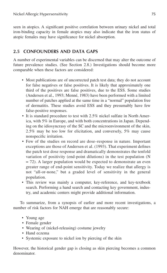seen in atopics. A significant positive correlation between urinary nickel and total iron-binding capacity in female atopics may also indicate that the iron status of atopic females may have significance for nickel absorption.

# **2.5 CONFOUNDERS AND DATA GAPS**

A number of experimental variables can be discerned that may alter the outcome of future prevalence studies. (See Section 2.8.) Investigations should become more comparable when these factors are considered:

- Most publications are of uncorrected patch test data; they do not account for false negatives or false positives. It is likely that approximately one third of the positives are false positives, due to the ESS. Some studies (Andersen et al., 1993; Menné, 1983) have been performed with a limited number of patches applied at the same time in a "normal" population free of dermatitis. These studies avoid ESS and they presumably have few false-positive responses.
- It is standard procedure to test with 2.5% nickel sulfate in North America, with 5% in Europe, and with both concentrations in Japan. Depending on the idiosyncrasy of the SC and the microenvironment of the skin, 2.5% may be too low for elicitation, and conversely, 5% may cause nonspecific irritation.
- Few of the studies on record are dose–response in nature. Important exceptions are those of Andersen et al. (1993). That experiment defines the patch test dose response and dramatically demonstrates the tenfold variation of positivity (end-point dilutions) in the test population (N  $=$  72). A larger population would be expected to demonstrate an even greater range of end-point sensitivity. Today we realize that allergy is not "all-or-none," but a graded level of sensitivity in the general population.
- This review was mainly a computer, key-reference, and key-textbook search. Performing a hand search and contacting key government, industry, and academic centers might provide additional information.

To summarize, from a synopsis of earlier and more recent investigations, a number of risk factors for NAH emerge that are reasonably secure:

- Young age
- Female gender
- Wearing of (nickel-releasing) costume jewelry
- Hand eczema
- Systemic exposure to nickel ion by piercing of the skin

However, the historical gender gap is closing as skin piercing becomes a common denominator.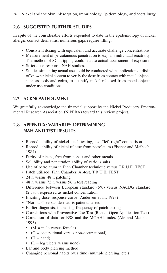# **2.6 SUGGESTED FURTHER STUDIES**

In spite of the considerable efforts expended to date in the epidemiology of nickel allergic contact dermatitis, numerous gaps require filling:

- Consistent dosing with equivalent and accurate challenge concentrations.
- Measurement of percutaneous penetration to explain individual reactivity. The method of SC stripping could lead to actual assessment of exposure.
- Strict dose-response NAH studies.
- Studies simulating actual use could be conducted with application of disks of known nickel content to verify the dose from contact with metal objects, such as tools and coins, to quantify nickel released from metal objects under use conditions.

# **2.7 ACKNOWLEDGMENT**

We gratefully acknowledge the financial support by the Nickel Producers Environmental Research Association (NiPERA) toward this review project.

# **2.8 APPENDIX: VARIABLES DETERMINING NAH AND TEST RESULTS**

- Reproducibility of nickel patch testing, i.e., "left-right" comparison
- Reproducibility of nickel release from petrolatum (Fischer and Maibach, 1984)
- Purity of nickel, free from cobalt and other metals
- Solubility and penetration ability of various salts
- Use of petrolatum in Finn Chamber technique versus T.R.U.E. TEST
- Patch utilized: Finn Chamber, Al-test, T.R.U.E. TEST
- 24 h versus 48 h patching
- 48 h versus 72 h versus 96 h test reading
- Difference between European standard (5%) versus NACDG standard (2.5%), expressed as nickel concentration
- Eliciting dose–response curve (Andersen et al., 1993)
- "Normals" versus dermatitis patients tested
- Earlier diagnosis, increasing frequency of patch testing
- Correlations with Provocative Use Test (Repeat Open Application Test)
- Correction of data for ESS and the MOAHL index (Ale and Maibach, 1995)
	- $(M = male versus female)$
	- (O = occupational versus non-occupational)
	- $(H = hand)$
	- $(L = \text{leg ulcers versus none})$
- Ear and body piercing method
- Changing personal habits over time (multiple piercing, etc.)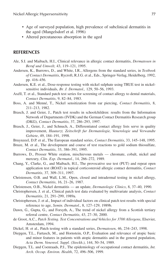- Age of surveyed population, high prevalence of subclinical dermatitis in the aged (Mangelsdorf et al. 1996)
- Altered percutaneous absorption in the aged

#### **REFERENCES**

- Ale, S.I. and Maibach, H.I., Clinical relevance in allergic contact dermatitis, *Dermatosen in Beruf und Umwelt,* 43, 119–121, 1995.
- Andersen, K., Burrows, D., and White, I.R., Allergens from the standard series, in *Textbook of Contact Dermatitis*, Rycroft, R.J.G. et al., Eds., Springer-Verlag, Heidelberg, 1992, pp. 416–456.
- Andersen, K.E. et al., Dose-response testing with nickel sulphate using TRUE test in nickelsensitive individuals, *Br. J. Dermatol.,* 129, 50–56, 1993.
- Axéll, T. et al., Standard patch test series for screening of contact allergy to dental materials, *Contact Dermatitis*, 9, 82–84, 1983.
- Boss, A. and Menné, T., Nickel sensitization from ear piercing, *Contact Dermatitis*, 8, 211–213, 1982.
- Brasch, J. and Geier, J., Patch test results in schoolchildren: results from the Information Network of Departments (IVDK) and the German Contact Dermatitis Research group (DKG), *Contact Dermatitis*, 37, 286–293, 1997.
- Brasch, J., Geier, J., and Schnuch, A., Differentiated contact allergy lists serve in quality improvement, *Hautarzt, Zeitschrift fur Dermatologie, Venerologie und Verwandte Gebiete*, 49, 184–191, 1998.
- Bruynzeel, D.P. et al., The European standard series, *Contact Dermatitis*, 33, 145–148, 1995.
- Bruze, M. et al., The development and course of test reactions to gold sodium thiosulfate, *Contact Dermatitis*, 33, 386–391, 1995.
- Burrows, D., Prosser White oration, mischievous metals chromate, cobalt, nickel and mercury, *Clin. Exp. Dermatol.*, 14, 266–272, 1989.
- Chang, Y., Clarke, G., and Maibach, H.I., The provocative use test (PUT) and repeat open application test (ROAT) in topical corticosteroid allergic contact dermatitis, *Contact Dermatitis*, 37, 309–311, 1997.
- Christensen, O.B. and Wall, L.M., Open, closed and intradermal testing in nickel allergy, *Contact Dermatitis*, 16, 21–26, 1987.
- Christensen, O.B., Nickel dermatitis an update, *Dermatologic Clinics*, 8, 37–40, 1990.
- Christophersen, J. et al., Clinical patch test data evaluated by multivariate analysis, *Contact Dermatitis*, 21, 291–299, 1989a.
- Christophersen, J. et al., Impact of individual factors on clinical patch test results with special reference to age, *Semin. Dermatol.*, 8, 127–129, 1989b.
- Dawn, G., Gupta, G., and Forsyth, A., The trend of nickel allergy from a Scottish tertiary referral centre, *Contact Dermatitis*, 43, 27–30, 2000.
- de Groot, A.C., *Patch Testing. Test Concentrations and Vehicles for 3700 Allergens*, Elsevier, Amsterdam, 1994.
- Dickel, H. et al., Patch testing with a standard series, *Dermatosen*, 46, 234–243, 1998.
- Diepgen, T.L., Fartasch, M., and Hornstein, O.P., Evaluation and relevance of atopic basic and minor features in patients with atopic dermatitis and in the general population, *Acta Derm. Venereol. Suppl. (Stockh.)*, 144, 50–54, 1989.
- Diepgen, T.L. and Coenraads, P.J., The epidemiology of occupational contact dermatitis, *Int. Arch. Occup. Environ. Health*, 72, 496–506, 1999.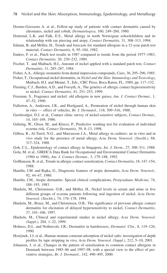- Dooms-Goossens A. et al., Follow-up study of patients with contact dermatitis caused by chromates, nickel and cobalt, *Dermatologica*, 160, 249–260, 1980.
- Dotterud, L.K. and Falk, E.S., Metal allergy in north Norwegian schoolchildren and its relationship with ear piercing and atopy, *Contact Dermatitis*, 31, 308–313, 1994.
- Edman, B. and Möller, H., Trends and forecasts for standard allergens in a 12-year patch test material, *Contact Dermatitis*, 8, 95–104, 1982.
- Enders, F. et al., Patch test results in 1987 compared to trends from the period 1977–1983, *Contact Dermatitis,* 20, 230–232, 1989.
- Fischer, T. and Maibach, H.I., Amount of nickel applied with a standard patch test, *Contact Dermatitis*, 11, 285–287, 1984.
- Fisher, A.A., Allergic stomatitis from dental impression compounds, *Cutis*, 36, 295–296, 1985.
- Fisher, T., Occupational nickel dermatitis, in *Nickel and the Skin: Immunology and Toxicology*, Maibach, H.I. and Menné, T., Eds., CRC Press, Boca Raton, FL, 1989, pp. 117–132.
- Fleming, C.J., Burden, A.D., and Forsyth, A., The genetics of allergic contact hypersensitivity to nickel, *Contact Dermatitis*, 41, 251–253, 1999.
- Freeman, S., Fragrance and nickel: old allergens in new guises, *Am. J. Contact Dermat.*, 1, 47–52, 1990.
- Fullerton, A., Andersen, J.R., and Hoelgaard, A., Permeation of nickel through human skin in vitro — effect of vehicles, *Br. J. Dermatol.*, 118, 509–516, 1988.
- Gawkrodger, D.J. et al., Contact clinic survey of nickel-sensitive subjects, *Contact Dermat*., 14, 165–169, 1986.
- Gehring, W., Gloor, M., and Kleesz, P., Predictive washing test for evaluation of individual eczema risk, *Contact Dermatitis*, 39, 8–13, 1998.
- Gilboa, R., Al-Tawil, N.G., and Marcusson J.A., Metal allergy in cashiers: an in vitro and in vivo study for the presence of metal allergy, *Acta Derm. Venereol. (Stockh.)*, 68, 317–324, 1988.
- Goh, C.L., Epidemiology of contact allergy in Singapore, *Int. J. Derm.*, 27, 308–311, 1988.
- Gola, M. et al., GIRDCA Data Bank for Occupational and Environmental Contact Dermatitis (1984 to 1988), *Am. J. Contact Dermat.,* 3, 179–188, 1992.
- Gollhausen, R. et al., Trends in allergic contact sensitization, *Contact Dermatitis*, 18, 147–154, 1988.
- Hanifin, J.M. and Rajka, G., Diagnostic features of atopic dermatitis, *Acta Derm. Venereol.*, 92, 44–47, 1980.
- Hanifin, J.M., Atopic dermatitis: Special clinical complications, *Postgraduate Medicine,* 74, 188–193, 1983.
- Hindsén, M., Christensen, O.B., and Möller, H., Nickel levels in serum and urine in five different groups of eczema patients following oral ingestion of nickel, *Acta Derm. Venereol. (Stockh.)*, 74, 176–178, 1994.
- Hindsén, M., Bruze, M., and Christensen, O.B., The significance of previous allergic contact dermatitis for elicitation of delayed hypersensitivity to nickel, *Contact Dermatitis*, 37, 101–106, 1997.
- Hindsén, M., Clinical and experimental studies in nickel allergy, *Acta Derm. Venereol. (Suppl.)*, 204, 1–22, 1999.
- Holness, D.L. and Nethercott, J.R., Dermatitis in hairdressers, *Dermatol. Clin.,* 8, 119–126, 1990.
- Hostýnek, J.J. et al., Human stratum corneum adsorption of nickel salts: investigation of depth profiles by tape stripping in vivo, *Acta Derm. Venereol. (Suppl.)*, 212, 5–10, 2001.
- Johansen, J. et al., Changes in the pattern of sensitization to common contact allergens in Denmark between 1985–86 and 1997–98, with a special view to the effect of preventive strategies, *Br. J. Dermatol.*, 142, 490–495, 2000.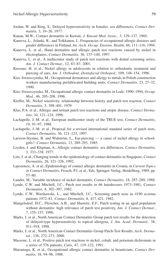- Jordan, W. and King, S., Delayed hypersensitivity in females: sex differences, *Contact Dermatitis*, 3, 19–26, 1977.
- Kanan, M.W., Contact dermatitis in Kuwait, *J. Kuwait Med. Assoc.,* 3, 129–137, 1969.
- Kanerva, L., Jolanki, R., and Toikkanen, J., Frequencies of occupational allergic diseases and gender differences in Finland, *Int. Arch. Occup. Environ. Health,* 66, 111–116, 1994.
- Kanerva, L. et al., Hand dermatitis and allergic patch test reactions caused by nickel in electroplaters, *Contact Dermatitis*, 36, 137–140, 1997.
- Kanerva, L. et al., A multicenter study of patch test reactions with dental screening series, *Am. J. Contact Dermat.*, 12, 83–87, 2001.
- Kerosuo, H. et al., Nickel allergy in adolescents in relation to orthodontic treatment and piercing of ears, *Am. J. Orthodont. Dentofacial Orthoped.,* 109, 148–154, 1996.
- Kiec-Swierczynska, M., Occupational dermatoses and allergy to metals in Polish construction workers manufacturing prefabricated building units, *Contact Dermatitis*, 23, 27–32, 1990.
- Kiec-Swierczynska, M., Occupational allergic contact dermatitis in Lodz: 1990–1994, *Occup. Med.*, 46, 205–208, 1996.
- Kieffer, M., Nickel sensitivity: relationship between history and patch test reaction, *Contact Dermatitis*, 5, 398–401, 1979.
- Klas, P.A. et al., Allergic and irritant patch test reactions and atopic disease, *Contact Dermatitis*, 34, 121–124, 1996.
- Lachapelle, J.-M. et al., European multicenter study of the TRUE test, *Contact Dermatitis*, 19, 91–97, 1988.
- Lachapelle, J.-M. et al., Proposal for a revised international standard series of patch tests, *Contact Dermatitis*, 36, 121–123, 1997.
- Larsson-Stymne, B. and Widström, L., Ear-piercing a cause of nickel allergy in schoolgirls?, *Contact Dermatitis*, 13, 289–293, 1985.
- Leyden, J. and Kligman, A., Allergic contact dermatitis: sex differences, *Contact Dermatitis*, 3, 333–338, 1977.
- Lim, J. et al., Changing trends in the epidemiology of contact dermatitis in Singapore, *Contact Dermatitis*, 26, 321–326, 1992.
- Lipozencic, A. et al., Epidemiology of contact allergic dermatitis in Croatia, in *Current Topics in Contact Dermatitis*, Frosch, P.J. et al., Eds, Springer-Verlag, Heidelberg, 1989, pp. 57–80.
- Lunder, M., Variable incidence of nickel dermatitis, *Contact Dermatitis*, 18, 287–289, 1988.
- Lynde, C.W. and Mitchell, J.C., Patch test results in 66 hairdressers 1973–1981, *Contact Dermatitis*, 8, 302–307, 1982.
- Lynde, C.W., Warshawski, L., and Mitchell, J.C., Screening patch tests in 4190 eczema patients 1972–81, *Contact Dermatitis,* 8, 417–421, 1982.
- Mangelsdorf, H.C., Fleischer, A.B., and Sherertz, E.F., Patch testing in an aged population without dermatitis: high relevance of patch test positivity, *Am. J. Contact Dermat.*, 7, 155–157, 1996.
- Marks, J. et al., North American Contact Dermatitis Group patch test results for the detection of delayed-type hypersensitivity to topical allergens, *J. Am. Acad. Dermatol.*, 38, 911–918, 1998.
- Marks, J. et al., North American Contact Dermatitis Group Patch-Test Results, *Arch. Dermatol.*, 136, 272–273, 2000.
- Massone, L. et al., Positive patch test reactions to nickel, cobalt, and potasium dichromate in a series of 576 patients, *Cutis*, 47, 119–122, 1991.
- Matsunaga, K. et al., Occupational allergic contact dermatitis in beauticians, *Contact Dermaitis*, 18, 94–96, 1988.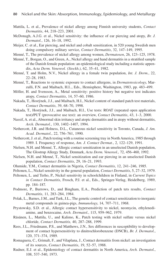- Mattila, L. et al., Prevalence of nickel allergy among Finnish university students, *Contact Dermatitis*, 44, 218–223, 2001.
- McDonagh, A.J.G. et al., Nickel sensitivity: the influence of ear piercing and atopy, *Br. J. Dermatol.*, 126, 16–18, 1992.
- Meijer, C. et al., Ear piercing, and nickel and cobalt sensitization, in 520 young Swedish men doing compulsory military service, *Contact Dermatitis*, 32, 147–149, 1995.
- Menné, T., The prevalence of nickel allergy among women, *Dermatosen*, 26, 123–125, 1978.
- Menné, T., Borgan, O., and Green, A., Nickel allergy and hand dermatitis in a stratified sample of the Danish female population: an epidemiological study including a statistic appendix, *Acta Derm. Venereol. (Stockh.)*, 62, 35–41, 1982.
- Menné, T. and Holm, N.V., Nickel allergy in a female twin population, *Int. J. Derm.*, 22, 22–28, 1983.
- Menné, T., Reactions to systemic exposure to contact allergens, in *Dermatotoxicology*, Marzulli, F.N. and Maibach, H.I.., Eds., Hemisphere, Washington, 1983, pp. 483–499.
- Möller, H. and Svensson, A., Metal sensitivity: positive history but negative test indicates atopy, *Contact Dermatitis*, 14, 57–60, 1986.
- Nakada, T., Hostýnek, J.J., and Maibach, H.I., Nickel content of standard patch test materials, *Contact Dermatitis*, 39, 68–70, 1998.
- Nakada, T., Hostýnek, J.J., and Maibach, H.I., Use tests: ROAT (repeated open application test)/PUT (provocative use test): an overview, *Contact Dermatitis*, 43, 1–3, 2000.
- Nassif, A. et al., Abnormal skin irritancy and atopic dermatitis and in atopy without dermatitis, *Arch. Dermatol.*, 130, 1402–1407, 1994.
- Nethercott, J.R. and Holness, D.L., Cutaneous nickel sensitivity in Toronto, Canada, *J. Am. Acad. Dermatol.*, 22, 756–761, 1990.
- Nethercott, J. et al., Patch testing with a routine screening tray in North America, 1985 through 1989. I. Frequency of response, *Am. J. Contact Dermat.*, 2, 122–129, 1991.
- Nielsen, N.H. and Menné, T., Allergic contact sensitization in an unselected Danish population, The Glostrup Allergy Study, Denmark, *Acta Derm. Venereol.*, 72, 456–460, 1992.
- Nielsen, N.H. and Menné, T., Nickel sensitization and ear piercing in an unselected Danish population, *Contact Dermatitis*, 29, 16–21, 1993.
- Olumide, Y.M., Contact dermatitis in Nigeria, *Contact Dermatitis*, 12, 241–246, 1985.
- Peltonen, L., Nickel sensitivity in the general population, *Contact Dermatitis*, 5, 27–32, 1979.
- Peltonen, L. and Terho, P., Nickel sensitivity in schoolchildren in Finland, in *Current Topics in Contact Dermatitis*, Frosch, P.J. et al., Eds., Springer-Verlag, Heidelberg, 1989, pp. 184–187*.*
- Podmore, P., Burrows, D., and Bingham, E.A., Prediction of patch tets results, *Contact Dermatitis*, 11, 283–284, 1984.
- Polak, L., Barnes, J.M., and Turk, J.L., The genetic control of contact sensitization to inorganic metal compounds in guinea-pigs, *Immunology*, 14, 707–711, 1968.
- Prystowsky, S.D. et al., Allergic contact hypersensitivity to nickel, neomycin, ethylenediamine, and benzocaine, *Arch. Dermatol.*, 115, 959–962, 1979.
- Räsänen, L., Mattila, U., and Kalimo, K., Patch testing with nickel sulfate versus nickel chloride, *Contact Dermatitis,* 40, 287–288, 1999.
- Rees, J.L., Friedmann, P.S., and Matthews, J.N., Sex differences in susceptibility to development of contact hypersensitivity to dinitrochlorobenzene (DNCB), *Br. J. Dermatol.*, 120, 371–374, 1989.
- Romaguera, C., Grimalt, F., and Vilaplana, J., Contact dermatitis from nickel: an investigation of its sources, *Contact Dermatitis*, 19, 52–57, 1988.
- Rudner, E.J. et al., Epidemiology of contact dermatitis in North America, *Arch. Dermatol.*, 108, 537–540, 1973.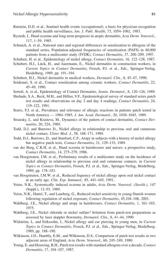- Rutstein, D.D. et al., Sentinel health events (occupational): a basis for physician recognition and public health surveillance, *Am. J. Publ. Health*, 73, 1054–1062, 1983.
- Rystedt, I., Hand eczema and long-term prognosis in atopic dermatitis, *Acta Derm. Venereol.*, 117, 1–59, 1985.
- Schnuch, A. et al., National rates and regional differences in sensitization to allergens of the standard series, Population-adjusted frequencies of sensitization (PAFS) in 40,000 patients from a multicenter study (IVDK), *Contact Dermatitis*, 37, 200–209, 1997.
- Schubert, H. et al., Epidemiology of nickel allergy, *Contact Dermatitis*, 16, 122–128, 1987.
- Schubert, H.J., Lück, H., and Auermann, E., Nickel dermatitis in construction workers, in *Current Topics in Contact Dermatitis*, Frosch, P.J. et al., Eds., Springer-Verlag, Heidelberg, 1989, pp. 191–194.
- Schubert, H.J., Nickel dermatitis in medical workers, *Dermatol. Clin.*, 8, 45–47, 1990.
- Seidenari, S. et al., Contact sensitization among ceramic workers, *Contact Dermatitis*, 22, 45–49, 1990.
- Sertoli, A. et al., Epidemiology of Contact Dermatitis, *Semin. Dermatol.*, 8, 120–126, 1989.
- Shehade, S.A., Beck, M.H., and Hillier, V.F., Epidemiological survey of standard series patch test results and observations on day 2 and day 4 readings, *Contact Dermatitis*, 24, 119–122, 1991.
- Storrs, F.J. et al., Prevalence and relevance of allergic reactions in patients patch tested in North America — 1984–1985, *J. Am. Acad. Dermatol.,* 20, 1038–1045, 1989.
- Stransky, L. and Krasteva, M., Dynamics of the pattern of contact dermatitis, *Contact Dermatitis*, 20, 224, 1989.
- Todd, D.J. and Burrows D., Nickel allergy in relationship to previous oral and cutaneous nickel contact, *Ulster Med. J.*, 58, 168–171, 1989.
- Todd, D.J., Burrows, D., and Stanford, C.F., Atopy in subjects with a history of nickel allergy but negative patch tests, *Contact Dermatitis*, 21, 129–133, 1989.
- van der Burg, C.K.H. et al., Hand eczema in hairdressers and nurses: a prospective study, *Contact Dermatitis*, 14, 275–279, 1986.
- van Hoogstraten, I.M. et al., Preliminary results of a multicenter study on the incidence of nickel allergy in relationship to previous oral and cutaneous contacts, in *Current Topics in Contact Dermatitis*, Frosch, P.J. et al., Eds., Springer-Verlag, Heidelberg, 1989, pp. 178–183.
- van Hoogstraten, I.M.W. et al., Reduced fequency of nickel allergy upon oral nickel contact at an early age, *Clin. Exp. Immunol.*, 85, 441–445, 1991.
- Veien, N.K., Systemically induced eczema in adults, *Acta Derm. Venereol. (Stockh.)*, 147 (Suppl.), 12–55, 1989.
- Veien, N.K., Hattel, T., and Laurberg, G., Reduced nickel sensitivity in young Danish women following regulation of nickel exposure, *Contact Dermatitis*, 45,104–106, 2001.
- Wahlberg, J.E., Nickel allergy and atopy in hairdressers, *Contact Dermatitis*, 1, 161–165, 1975.
- Wahlberg, J.E., Nickel chloride or nickel sulfate? Irritation from patch-test preparations as assessed by laser doppler flowmetry, *Dermatol. Clin.*, 8, 41–44, 1990.
- Widström, L. and Erikssohn, I., Nickel allergy and ear piercing in young men, in *Current Topics in Contact Dermatitis*, Frosch, P.J. et al., Eds., Springer-Verlag, Heidelberg, 1989, pp. 188–190.
- Wilkinson, J.D., Hambly, E.M., and Wilkinson, D.S., Comparison of patch test results in two adjacent areas of England, *Acta Derm. Venereol.*, 60, 245–249, 1980.
- Young, E. and Houwing, R.H., Patch test results with standard allergens over a decade, *Contact Dermatitis*, 17, 104–107, 1987.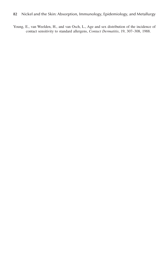Young, E., van Weelden, H., and van Osch, L., Age and sex distribution of the incidence of contact sensitivity to standard allergens, *Contact Dermatitis*, 19, 307–308, 1988.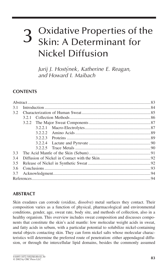# Oxidative Properties of the Skin: A Determinant for Nickel Diffusion 3

*Jurij J. Hostýnek, Katherine E. Reagan, and Howard I. Maibach*

# **CONTENTS**

| 3.1 |       |         |  |  |  |
|-----|-------|---------|--|--|--|
| 3.2 |       |         |  |  |  |
|     | 3.2.1 |         |  |  |  |
|     | 3.2.2 |         |  |  |  |
|     |       |         |  |  |  |
|     |       | 3.2.2.2 |  |  |  |
|     |       | 3.2.2.3 |  |  |  |
|     |       | 3.2.2.4 |  |  |  |
|     |       |         |  |  |  |
| 3.3 |       |         |  |  |  |
| 3.4 |       |         |  |  |  |
| 3.5 |       |         |  |  |  |
| 3.6 |       |         |  |  |  |
| 3.7 |       |         |  |  |  |
|     |       |         |  |  |  |
|     |       |         |  |  |  |

# **ABSTRACT**

Skin exudates can corrode (oxidize, dissolve) metal surfaces they contact. Their composition varies as a function of physical, pharmacological and environmental conditions, gender, age, sweat rate, body site, and methods of collection, also in a healthy organism. This overview includes sweat composition and discusses components that constitute the skin's acid mantle: low molecular weight acids in sweat, and fatty acids in sebum, with a particular potential to solubilize nickel-containing metal objects contacting skin. They can form nickel salts whose molecular characteristics will determine the preferred route of penetration: either appendageal diffusion, or through the intercellular lipid domains, besides the commonly assumed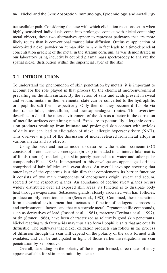transcellular path. Considering the ease with which elicitation reactions set in when highly sensitized individuals come into prolonged contact with nickel-containing metal objects, these two alternatives appear to represent pathways that are more likely routes than is conventional transcellular diffusion. Occlusive application of micronized nickel powder on human skin *in vivo* in fact leads to a time-dependent concentration gradient of the metal in the stratum corneum, as was demonstrated in our laboratory using inductively coupled plasma mass spectroscopy to analyze the spatial nickel distribution within the superficial layer of the skin.

#### **3.1 INTRODUCTION**

To understand the phenomenon of skin penetration by metals, it is important to account for the role played in that process by the chemical microenvironment prevailing on the skin surface. By the action of salts and acids present in sweat and sebum, metals in their elemental state can be converted to the hydrophilic or lipophilic salt form, respectively. Only then do they become diffusible via the transcellular, intercellular, and transappendageal routes. This overview describes in detail the microenvironment of the skin as a factor in the corrosion of metallic surfaces containing nickel. Exposure to potentially allergenic corrosion products resulting from intimate and prolonged skin contact with articles of daily use can lead to elicitation of nickel allergic hypersensitivity (NAH). This overview is part of the discussion of nickel released from metal alloys in various media and its effects.

Using the brick-and-mortar model to describe it, the stratum corneum (SC) consists of proteinaceous corneocytes (bricks) imbedded in an intercellular matrix of lipids (mortar), rendering the skin poorly permeable to water and other polar compounds (Elias, 1983). Interspersed in this envelope are appendageal orifices comprised of hair follicles and sweat ducts. An overall envelope covering that outer layer of the epidermis is a thin film that complements its barrier function; it consists of two main components of endogenous origin: sweat and sebum, secreted by the respective glands. An abundance of eccrine sweat glands occurs widely distributed over all exposed skin areas; its function is to dissipate body heat through evaporation. Sebaceous glands, closely asociated with hair follicles, produce an oily secretion, sebum (Sens et al., 1985). Combined, these secretions form a chemical environment that fluctuates in function of endogenous processes and environmental factors, and that can corrode metal. Organometallic compounds, such as derivatives of lead (Rasetti et al., 1961), mercury (Toribara et al., 1997), or tin (Stoner, 1966), have been characterized as relatively good skin penetrants. Nickel reacting with fatty acids may thus also form lipophilic salts that are equally diffusible. The pathways that nickel oxidation products can follow in the process of diffusion through the skin will depend on the polarity of the salts formed with exudates, and can be anticipated in light of those earlier investigations on skin penetration by xenobiotics.

Overall, depending on the polarity of the ion pair formed, three routes of entry appear available for skin penetration by nickel: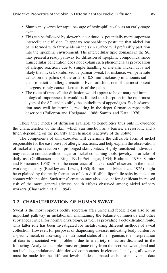- Shunts may serve for rapid passage of hydrophilic salts as an early-stage event.
- This can be followed by slower but continuous, potentially more important intercellular diffusion. It appears reasonable to postulate that nickel ion pairs formed with fatty acids on the skin surface will preferably partition into the lipophilic environment. The intercellular lipid domains in the SC may present a ready pathway for diffusion of lipophilic compounds, since transcellular penetration does not explain such phenomena as provocation of allergic reactions due to simple handling of metallic nickel. It is not likely that nickel, solubilized by palmar sweat, for instance, will penetrate callus on the palms (of the order of 0.8 mm thickness) in amounts sufficient to elicit an allergic reaction. Even urushiol, one of the most potent allergens, rarely causes dermatitis of the palms.
- The route of transcellular diffusion would appear to be of marginal immunological importance; it would be limited to adsorption in the outermost layers of the SC, and possibly the epithelium of appendages. Such adsorption may well be terminal, resulting in the depot formation repeatedly described (Fullerton and Hoelgaard, 1988; Samitz and Katz, 1976).

These three modes of diffusion available to xenobiotics thus puts in evidence the characteristics of the skin, which can function as a barrier, a reservoir, and a filter, depending on the polarity and chemical reactivity of the solute.

The components of skin exudates will determine the diffusible form of nickel responsible for the easy onset of allergic reactions, and help explain the observations of nickel allergic reaction on prolonged skin contact. Highly sensitized individuals may react to contact with coinage, or nickel-containing tools, jewelry, or articles of daily use (Gollhausen and Ring, 1991; Preininger, 1934; Rothman, 1930; Samitz and Pomerantz, 1958). Also, the occurrence of "nickel rash" observed in the metalworking industry (Buckley and Lewis, 1960; Bulmer and Mackenzie, 1926) might be explained by the ready formation of skin-diffusible, lipophilic salts by nickel on contact with the skin. Such transformation may also account for significant increased risk of the more general adverse health effects observed among nickel refinery workers (Chashschin et al., 1994).

#### **3.2 CHARACTERIZATION OF HUMAN SWEAT**

Sweat is the most copious bodily secretion after urine and feces; it can also be an important pathway in metabolism, maintaining the balance of minerals and other substances critical for normal physiology, as well as providing a detoxification route. This latter role has been investigated for metals, using different methods of sweat collection. However, for purposes of diagnosing disease, indicating body burden for a specific metal, or assessing the nutritional status of the organism, the interpretation of data is associated with problems due to a variety of factors discussed in the following. Analytical samples must originate only from the eccrine sweat gland and not include glandular and skin-derived components. In elemental analysis, allowance must be made for the different levels of desquamated cells present, versus data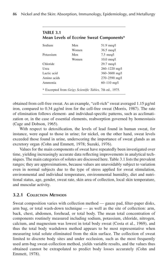|             |       | <b>Mean Levels of Eccrine Sweat Components*</b>                  |
|-------------|-------|------------------------------------------------------------------|
| Sodium      | Men   | $51.9 \text{ meq/l}$                                             |
|             | Women | $36.5 \text{ meq/l}$                                             |
| Potassium   | Men   | $7.5 \text{ meq/l}$                                              |
|             | Women | $10.0$ meq/l                                                     |
| Chloride    |       | $29.7 \text{ meq/l}$                                             |
| Urea        |       | 260-1220 mg/l                                                    |
| Lactic acid |       | 360-3600 mg/l                                                    |
| Amino acids |       | 270-2590 mg/l                                                    |
| Ammonia     |       | $60 - 110$ mg/l                                                  |
|             |       | * Excerpted from <i>Geigy Scientific Tables</i> , 7th ed., 1975. |

**TABLE 3.1**

obtained from cell-free sweat. As an example, "cell-rich" sweat averaged 1.15 µg/ml iron, compared to 0.34 µg/ml iron for the cell-free sweat (Morris, 1987). The rate of elimination follows element- and individual-specific patterns, such as acclimatization or, in the case of essential elements, reabsorption governed by homeostasis (Cage and Dobson, 1965).

With respect to detoxification, the levels of lead found in human sweat, for instance, were equal to those in urine; for nickel, on the other hand, sweat levels exceeded those found in urine, underscoring the importance of sweat glands as an excretory organ (Cohn and Emmett, 1978; Suzuki, 1976).

Values for the main components of sweat have repeatedly been investigated over time, yielding increasingly accurate data reflecting improvements in analytical techniques. The main categories of solutes are discussed here. Table 3.1 lists the prevalent ranges; they are approximations, because values are unavoidably subject to variation even in normal subjects due to the type of stress applied for sweat stimulation, environmental and individual temperature, environmental humidity, diet and nutritional status, age, gender, sweat rate, skin area of collection, local skin temperature, and muscular activity.

#### **3.2.1 COLLECTION METHODS**

Sweat composition varies with collection method — gauze pad, filter-paper disks, arm bag, or total wash-down technique — as well as the site of collection: arm, back, chest, abdomen, forehead, or total body. The mean total concentration of components routinely measured including sodium, potassium, chloride, nitrogen, calcium, and magnesium was lowest in total body sweat (Costa et al., 1969), and thus the total body washdown method appears to be most representative when measuring total solute eliminated from the skin surface. The collection of sweat limited to discrete body sites and under occlusion, such as the most frequently used arm-bag sweat-collection method, yields variable results, and the values thus obtained cannot be extrapolated to predict body losses accurately (Cohn and Emmett, 1978).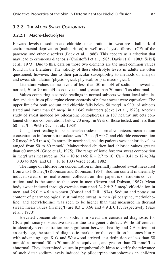#### **3.2.2 THE MAJOR SWEAT COMPONENTS**

#### **3.2.2.1 Macro-Electrolytes**

Elevated levels of sodium and chloride concentrations in sweat are a hallmark of environmental deprivation (malnutrition) as well as of cystic fibrosis (CF) of the pancreas and other disorders (Beck et al., 1986). This appears as a criterion that may lead to erroneous diagnosis (Christoffel et al., 1985; Davis et al., 1983; Sekelj et al., 1973). Due to this, data on those two elements are the most common values found in the literature. The validity of these electrolyte levels in adults are often questioned, however, due to their particular susceptibility to methods of analysis and sweat stimulation (physiological, physical, or pharmacological).

Literature values define levels of less than 50 mmol/l of sodium in sweat as normal, 50 to 70 mmol/l as equivocal, and greater than 70 mmol/l as abnormal.

Values comparing electrode readings in normal subjects without local stimulation and data from pilocarpine electrophoresis of palmar sweat were equivalent. The upper limit for both sodium and chloride falls below 50 meq/l in 99% of subjects tested and lower than 65 meq/l in all 649 volunteers (Sekelj et al., 1973). Another study of sweat induced by pilocarpine iontophoresis in 187 healthy subjects contained chloride concentrations below 70 meq/l in 99% of those tested, and less than 60 meq/l in 96% (Davis et al., 1983).

Using direct-reading ion-selective electrodes on normal volunteers, mean sodium concentration in forearm transudate was 1.7 meq/l  $\pm$  0.7, and chloride concentration 2.8 meq/l  $\pm$  3.5 (n = 6). In normally nourished, healthy patients sweat chloride values ranged from 50 to 60 mmol/l. Malnourished children had chloride values greater than 60 mmol/l (Grice et al., 1975). The range of ionic forearm sweat composition in meq/l was measured as: Na = 10 to 146; K = 2.7 to 10; Ca = 0.41 to 12.4; Mg  $= 0.03$  to 0.58; and Cl = 16 to 100 (Verde et al., 1982).

The range of chloride ion concentration in thermally induced sweat measured from 5 to 148 meq/l (Robinson and Robinson, 1954). Sodium content in thermally induced sweat of normal women, collected on filter paper, is of isotonic concentration, and is the same as that seen in men (Brown and Dobson, 1967). Mean body sweat induced through exercise contained  $24.2 \pm 2.2$  meq/l chloride ion in men, and  $26.0 \pm 4.6$  in women (Yousef and Dill, 1974). Sodium and potassium content of pharmacologically stimulated sweat in men (pilocarpine, methylcholine, and acetylcholine) was seen to be higher than that measured in thermal sweat: mean values (in meq/l) are  $8.3 \pm 0.66$  and  $4.9 \pm 0.17$ , respectively (Sato et al., 1970).

Elevated concentrations of sodium in sweat are considered diagnostic for CF, a pulmonary obstructive disease due to a genetic defect. While differences in electrolyte concentration are significant between healthy and CF patients at an early age, the standard diagnostic marker for that condition becomes blurry with advancing age. Kirk and Westwood arrived at a definition of less than 50 mmol/l as normal, 50 to 70 mmol/l as equivocal, and greater than 70 mmol/l as abnormal. They determined values in prepubertal children to verify the relevance of such data: sodium levels induced by pilocarpine iontophoresis in children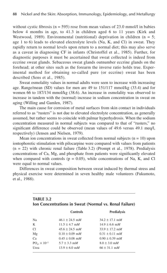without cystic fibrosis ( $n = 595$ ) rose from mean values of 23.0 mmol/l in babies below 4 months in age, to 41.3 in children aged 6 to 11 years (Kirk and Westwood, 1989). Environmental (nutritional) deprivation in children ( $n = 5$ ; age 1 to 6) leads to elevated electrolyte levels (Na, K, and Cl) in sweat. They rapidly return to normal levels upon return to a normal diet; this may also serve as a caveat in diagnosing CF in infants (Christoffel et al., 1985). Further, for diagnostic purposes it must be ascertained that sweat collected is indeed from eccrine sweat glands. Sebaceous sweat glands outnumber eccrine glands on the forehead; at other sites such as the forearm the inverse ratio holds true. Experimental method for obtaining so-called pure (or eccrine) sweat has been described (Sens et al., 1985).

Sweat osmolality values in normal adults were seen to increase with increasing age. Range/mean (SD) values for men are 49 to 151/117 mmol/kg (33.4) and for women 66 to 187/134 mmol/kg (38.6). An increase in osmolality was observed to increase in tandem with the (normal) increase in sodium concentration in sweat on aging (Willing and Gamlen, 1987).

The main cause for corrosion of metal surfaces from skin contact in individuals referred to as "rusters" is not due to elevated electrolyte concentration, as generally assumed, but rather seems to coincide with palmar hyperhydrosis. When the sodium concentration measured in normal subjects was compared to that of "rusters," no significant difference could be observed (mean values of 49.6 versus 49.1 meq/l, respectively) (Jensen and Nielsen, 1979).

Mean ion concentrations in sweat collected from normal subjects  $(n = 10)$  upon iontophoretic stimulation with pilocarpine were compared with values from patients  $(n = 22)$  with chronic renal failure (Table 3.2) (Prompt et al., 1978). Predialysis concentrations of Ca, Mg, and phosphate from patients were significantly elevated when compared with controls ( $p = 0.05$ ), while concentrations of Na, K, and Cl were equal to normal values.

Differences in sweat composition between sweat induced by thermal stress and physical exercise were determined in seven healthy male volunteers (Fukumoto, et al., 1988).

| <b>TABLE 3.2</b><br>Ion Concentrations in Sweat (Normal vs. Renal Failure) |                    |                    |  |  |  |
|----------------------------------------------------------------------------|--------------------|--------------------|--|--|--|
|                                                                            | Controls           | <b>Predialysis</b> |  |  |  |
| Na                                                                         | $46.1 \pm 24.5$ mM | $34.2 \pm 17.1$ mM |  |  |  |
| K                                                                          | $11.5 \pm 4.7$ mM  | $14.9 \pm 6.6$ mM  |  |  |  |
| Cl                                                                         | $45.6 \pm 24.5$ mM | $33.9 \pm 17.2$ mM |  |  |  |
| Mg                                                                         | $0.10 \pm 0.09$ mM | $0.31 \pm 0.11$ mM |  |  |  |
| Ca                                                                         | $0.45 \pm 0.08$ mM | $0.90 \pm 0.39$ mM |  |  |  |
| $PO4$ , $\times 10^{-2}$                                                   | $5.7 \pm 3.3$ mM   | $8.0 \pm 3.0$ mM   |  |  |  |
| <b>U</b> rea                                                               | $13.9 \pm 6.0$ mM  | $66 \pm 31.1$ mM   |  |  |  |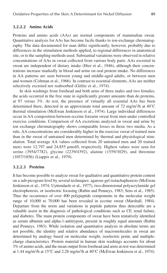#### **3.2.2.2 Amino Acids**

Proteins and amino acids (AAs) are normal components of mammalian sweat. Quantitative analysis for AAs has become facile thanks to ion-exchange chromatography. The data documented for man differ significantly, however, probably due to differences in the stimulation methods applied, to regional differences in anatomical site, or to the sampling methods used. Substantial variations were observed in relative concentrations of AAs in sweat collected from various body parts. AAs excreted in sweat are independent of dietary intake (Hier et al., 1946), although their concentrations increase markedly in blood and urine on oral protein intake. No differences in AA patterns are seen between young and middle-aged adults, or between men and women (Coltman et al., 1966). In contrast to essential elements, AAs are neither selectively excreted nor reabsorbed (Gitlitz et al., 1974).

In skin washings from forehead and both arms of three males and two females, the acids occurred in the free state in significantly greater amounts than do proteins, at 97 versus 3%. At rest, the presence of virtually all essential AAs has been determined there, detected in an approximate total amount of 72 mg/m<sup>2</sup>/h at  $40^{\circ}$ C thermal stimulation (McEwan Jenkinson et al., 1974). Large individual differences occur in AA composition between eccrine forearm sweat from men under controlled exercise conditions. Comparison of AA excretions analyzed in sweat and urine by ion exchange chromatography shows comparable losses in those two media. As a rule, AA concentrations are considerably higher in the exercise sweat of trained men than in the sweat of untrained men determined by thermal and physiological stimulation. Total average AA values collected from 20 untrained men and 20 trained men) were 12,797 and 24,855 µmol/l, respectively. Highest values were seen for serine (3954/7782), glycine (2239/4392), alanine (1559/3029), and threonine (1057/1856) (Liappis et al., 1979).

#### **3.2.2.3 Proteins**

It has become possible to analyze sweat for qualitative and quantitative protein content on a sub-picogram level by several techniques: agarose-gel isotachaphoresis (McEwan Jenkinson et al., 1974; Uyttendaele et al., 1977), two-dimensional polyacrylamide gel electrophoresis, or isoelectric focusing (Rubin and Penneys, 1983; Sens et al., 1985). Thus the occurrence of over 400 polypeptide components in the molecular weight range of 10,000 to 70,000 has been revealed in eccrine sweat (Marshall, 1984). Departure from the norm and variations in peptide patterns thus detectable are a valuable assist in the diagnosis of pathological conditions such as CF, renal failure, and diabetes. The main protein components of sweat have been tentatively identified as serum albumin and alpha-1-antitrypsin, present in roughly equal amounts (Rubin and Penneys, 1983). While isolation and quantitative analysis in absolute terms are not possible, the identity and relative abundance of macromolecules in sweat are determined by analogy based on molecular weight, isoelectric point, and multiplecharge characteristics. Protein material in human skin washings accounts for about 3% of amino acids, and the mean output from forehead and arms at rest was determined at 1.44 mg/m<sup>2</sup>/h at 15<sup>o</sup>C and 2.28 mg/m<sup>2</sup>/h at 40<sup>o</sup>C (McEwan Jenkinson et al., 1974).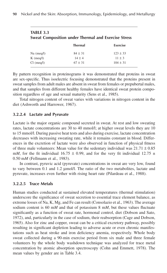| <b>TABLE 3.3</b><br><b>Sweat Composition under Thermal and Exercise Stress</b> |                |              |  |  |  |  |
|--------------------------------------------------------------------------------|----------------|--------------|--|--|--|--|
|                                                                                | <b>Thermal</b> | Exercise     |  |  |  |  |
| $Na$ (meg/l)                                                                   | $84 \pm 31$    | $123 \pm 33$ |  |  |  |  |
| $K$ (meg/l)                                                                    | $14 \pm 4$     | $11 \pm 3$   |  |  |  |  |
| $Cl$ (meq/l)                                                                   | $67 \pm 31$    | $104 \pm 31$ |  |  |  |  |

By pattern recognition in proteinograms it was demonstrated that proteins in sweat are sex-specific. Thus isoelectric focusing demonstrated that the proteins present in sweat samples from adult males are absent in sweat from females or prepubertal males, and that samples from different healthy females have identical sweat protein composition regardless of age and sexual maturity (Sens et al., 1985).

Total nitrogen content of sweat varies with variations in nitrogen content in the diet (Ashworth and Harrower, 1967).

#### **3.2.2.4 Lactate and Pyruvate**

Lactate is the major organic compound secreted in sweat. At rest and low sweating rates, lactate concentrations are 30 to 40 mmol/l; at higher sweat levels they are 10 to 15 mmol/l. During passive heat tests and also during exercise, lactate concentration decreases with increasing sweating rate, while it remains constant in blood. Differences in the excretion of lactate were also observed in function of physical fitness of three male volunteers: Mean value for the sedentary individual was  $21.71 \pm 0.85$ m*M*, for the fit individual 16.75  $\pm$  0.99, and for the very fit individual 12.75  $\pm$ 0.50 m*M* (Fellmann et al., 1983).

In contrast, pyruvic acid (pyruvate) concentrations in sweat are very low, found to vary between 0.1 and 1.2 µmol/l. The ratio of the two metabolites, lactate and pyruvate, increases even further with rising heart rate (Pilardeau et al., 1988).

#### **3.2.2.5 Trace Metals**

Human studies conducted at sustained elevated temperatures (thermal stimulation) underscore the significance of sweat secretion to essential trace element balance, as extreme losses of Na, K, Mg, and Fe can result (Consolazio et al., 1963). The average sodium content is 60 m*M* and that of potassium 8 m*M*, but these values fluctuate significantly as a function of sweat rate, hormonal control, diet (Dobson and Sato, 1972), and, particularly in the case of sodium, their reabsorption (Cage and Dobson, 1965). Also for zinc and copper, sweat can be a critical excretory pathway, possibly resulting in significant depletion leading to adverse acute or even chronic manifestations such as heat stroke and iron deficiency anemia, respectively. Whole body sweat collected during a 90-min exercise period from six male and three female volunteers by the whole body washdown technique was analyzed for trace metal concentration by atomic absorption spectroscopy (Cohn and Emmett, 1978). The mean values by gender are in Table 3.4.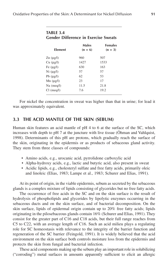| <b>TABLE 3.4</b><br><b>Gender Difference in Exercise Sweats</b> |                           |                             |  |  |  |  |
|-----------------------------------------------------------------|---------------------------|-----------------------------|--|--|--|--|
| Element                                                         | <b>Males</b><br>$(n = 6)$ | <b>Females</b><br>$(n = 3)$ |  |  |  |  |
| $Zn (\mu g/l)$                                                  | 960                       | 507                         |  |  |  |  |
| Cu (µg/l)                                                       | 1427                      | 1533                        |  |  |  |  |
| Fe $(\mu g/l)$                                                  | 630                       | 163                         |  |  |  |  |
| Ni (µg/l)                                                       | 57                        | 57                          |  |  |  |  |
| Pb $(\mu g/l)$                                                  | 62.                       | 53                          |  |  |  |  |
| $Mn$ ( $\mu$ g/l)                                               | 23                        | 17                          |  |  |  |  |
| $Na$ (meg/l)                                                    | 11.5                      | 21.8                        |  |  |  |  |
| $Cl$ (meq/l)                                                    | 7.6                       | 19.2                        |  |  |  |  |

For nickel the concentration in sweat was higher than that in urine; for lead it was approximately equivalent.

#### **3.3 THE ACID MANTLE OF THE SKIN (SEBUM)**

Human skin features an acid mantle of pH 4 to 6 at the surface of the SC, which increases with depth to pH 7 at the juncture with live tissue (Öhman and Vahlquist, 1998). Determinants of this pH are protons, which gradually reach the surface of the skin, originating in the epidermis or as products of sebaceous gland activity. They stem from three classes of compounds:

- Amino acids, e.g., urocanic acid, pyrrolidone carboxylic acid
- Alpha-hydroxy acids, e.g., lactic and butyric acid, also present in sweat
- Acidic lipids, e.g., cholesteryl sulfate and free fatty acids, primarily oleic and linoleic (Elias, 1983; Lampe et al., 1983; Schurer and Elias, 1991).

At its point of origin, in the viable epidermis, sebum as secreted by the sebaceous glands is a complex mixture of lipids consisting of glycerides but no free fatty acids.

The occurrence of free acids in the SC and on the skin surface is the result of hydrolysis of phospholipids and glycerides by lipolytic enzymes occurring in the sebaceous ducts and on the skin surface, and of bacterial decomposition. On the skin surface, lipids of epidermal origin contain up to 20% free fatty acids; lipids originating in the pilosebaceous glands contain 16% (Schurer and Elias, 1991). They consist for the greater part of C16 and C18 acids, but their full range reaches from C5 to C22, with an average length of C16. Such an acid milieu plays a regulating role for SC homeostasis with relevance to the integrity of the barrier function and regeneration of the SC barrier (Feingold, 1991). It is widely believed that the acid environment on the skin surface both controls moisture loss from the epidermis and protects the skin from fungal and bacterial infection.

These acid components making up the sebum play an important role in solubilizing ("corroding") metal surfaces in amounts apparently sufficient to elicit an allergic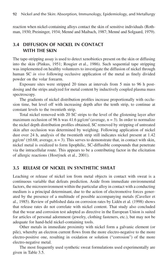reaction when nickel-containing alloys contact the skin of sensitive individuals (Rothman, 1930; Preininger, 1934; Menné and Maibach, 1987; Menné and Solgaard, 1979).

# **3.4 DIFFUSION OF NICKEL IN CONTACT WITH THE SKIN**

The tape-stripping assay is used to detect xenobiotics present on the skin or diffusing into the skin (Pinkus, 1951; Rougier et al., 1986). Such sequential tape stripping was implemented on healthy volunteers to investigate the diffusion of nickel through human SC *in vivo* following occlusive application of the metal as finely divided powder on the volar forearm.

Exposure sites were stripped 20 times at intervals from 5 min to 96 h postdosing and the strips analyzed for metal content by inductively coupled plasma mass spectroscopy.

The gradients of nickel distribution profiles increase proportionally with occlusion time, but level off with increasing depth after the tenth strip, to continue at constant levels to the twentieth strip.

Total nickel removed with 20 SC strips to the level of the glistening layer after maximum occlusion of 96 h was  $41.6 \mu g/cm^2$  (average, n = 3). In order to normalize the nickel depth distribution profiles obtained, SC removed by stripping of untreated skin after occlusion was determined by weighing. Following application of nickel dust over 24 h, analysis of the twentieth strip still indicates nickel present at 1.42  $\mu$ g/cm<sup>2</sup> ( $\pm$ 0.68; average, n = 3). This serves to demonstrate that, in contact with skin, nickel metal is oxidized to form lipophilic, SC-diffusible compounds that penetrate via the intracellular route. This appears to be a contributing factor in the elicitation of allergic reactions (Hostýnek et al., 2001).

### **3.5 RELEASE OF NICKEL IN SYNTHETIC SWEAT**

Leaching or release of nickel ion from metal objects in contact with sweat is a continuous variable that defeats prediction. Aside from immediate environmental factors, the microenvironment within the particular alloy in contact with a conducting medium is a principal determinant, due to the action of electromotive forces generated by the presence of a multitude of possible accompanying metals (Cavelier et al., 1985). Review of published data on corrosion rates by Lidén et al. (1998) shows that release rates do not correlate with nickel content. That study also concluded that the wear and corrosion test adopted as directive in the European Union is suited for articles of personal adornment (jewelry, clothing fasteners, etc.), but may not be adequate for hand-held nickel-containing tools.

Other metals in immediate proximity with nickel form a galvanic element (or pile), whereby an electron current flows from the more electro-negative to the more electro-positive one, resulting in oxidation or solution ("corrosion") of the more electro-negative metal.

The most frequently used synthetic sweat formulations used experimentally are given in Table 3.5.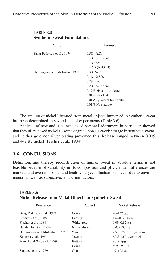| <b>TABLE 3.5</b><br><b>Synthetic Sweat Formulations</b> |                                |  |  |
|---------------------------------------------------------|--------------------------------|--|--|
| Author                                                  | Formula                        |  |  |
| Bang Pedersen et al., 1974                              | $0.5\%$ NaCl                   |  |  |
|                                                         | $0.1\%$ lactic acid            |  |  |
|                                                         | $0.1\%$ urea                   |  |  |
|                                                         | pH 6.5 (NH <sub>4</sub> OH)    |  |  |
| Hemingway and Molokhia, 1987                            | $0.3\%$ NaCl                   |  |  |
|                                                         | $0.1\%$ NaSO <sub>4</sub>      |  |  |
|                                                         | $0.2\%$ urea                   |  |  |
|                                                         | $0.2\%$ lactic acid            |  |  |
|                                                         | $0.19\%$ glycerol trioleate    |  |  |
|                                                         | $0.01\%$ Na oleate             |  |  |
|                                                         | $0.019\%$ glycerol tristearate |  |  |
|                                                         | $0.01\%$ Na stearate           |  |  |
|                                                         |                                |  |  |

The amount of nickel liberated from metal objects immersed in synthetic sweat has been determined in several model experiments (Table 3.6).

Analysis of new and used articles of personal adornment in particular showed that they all released nickel to some degree upon a 1-week storage in synthetic sweat, and neither gold nor silver plating prevented this. Release ranged between 0.005 and 442 µg nickel (Fischer et al., 1984).

### **3.6 CONCLUSIONS**

Definition, and thereby reconstitution of human sweat in absolute terms is not feasible because of variability in its composition and pH. Gender differences are marked, and even in normal and healthy subjects fluctuations occur due to environmental as well as subjective, endocrine factors.

| <b>TABLE 3.6</b><br>Nickel Release from Metal Objects in Synthetic Sweat |                |                                                      |  |  |  |
|--------------------------------------------------------------------------|----------------|------------------------------------------------------|--|--|--|
| <b>Reference</b>                                                         | <b>Object</b>  | <b>Nickel Released</b>                               |  |  |  |
| Bang Pedersen et al., 1974                                               | Coins          | $96 - 137$ ug                                        |  |  |  |
| Emmett et al., 1988                                                      | Earrings       | $1.6 - 103 \mu g/cm^2$                               |  |  |  |
| Fischer et al., 1984                                                     | White gold     | $0.09 - 0.82$ ug                                     |  |  |  |
| Haudrechy et al., 1994                                                   | Ni metal/steel | $0.03 - 100 \text{ µg}$                              |  |  |  |
| Hemingway and Molokhia, 1987                                             | Wire           | $2 \times 10^{-6} - 10^{-4}$ mg/cm <sup>2</sup> /min |  |  |  |

Kanerva et al., 1994 Jewelry  $\langle 0.5-435 \text{ µg/cm}^2/\text{wk}$ 

Coins 409–691 µg

Menné and Solgaard, 1979 Buttons <0.5–7 $\mu$ g

Santucci et al., 1989 Clips  $\frac{29-103 \text{ µg}}{2}$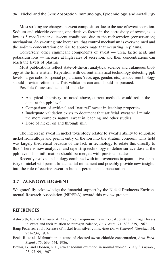Most striking are changes in sweat composition due to the rate of sweat secretion. Sodium and chloride content, one decisive factor in the corrosivity of sweat, is as low as 5 meq/l under quiescent conditions, due to the reabsorption (conservation) mechanism. As sweating rate increases, that control mechanism is overwhelmed and the sodium concentration can rise to approximate that occurring in plasma.

Conversely, other significant components of sweat — urea, lactic acid, and potassium ions — increase at high rates of secretion, and their concentrations can reach the levels of plasma.

Most publications reflect state-of-the-art analytical science and cutaneous biology at the time written. Repetition with current analytical technology detecting ppb levels, larger cohorts, special populations (race, age, gender, etc.) and current biology should provide refinement. This validation can and should be pursued.

Possible future studies could include:

- Analytical chemistry; as noted above, current methods would refine the data, at the ppb level
- Comparison of artificial and "natural" sweat in leaching properties
- Inadequate validation exists to document that artificial sweat will mimic the more complex natural sweat in leaching and other studies
- Dose of nickel on and through skin

The interest in sweat in nickel toxicology relates to sweat's ability to solubilize nickel from alloys and permit entry of the ion into the stratum corneum. This field was largely theoretical because of the lack in technology to relate this directly to flux. There is now analytical and tape strip technology to define surface dose at the ppb level. This information should be merged with previous studies.

Recently evolved technology combined with improvements in quantitative chemistry of nickel will permit fundamental refinement and possibly provide new insights into the role of eccrine sweat in human percutaneous penetration.

#### **3.7 ACKNOWLEDGMENT**

We gratefully acknowledge the financial support by the Nickel Producers Environmental Research Association (NiPERA) toward this review project.

### **REFERENCES**

Ashworth, A. and Harrower, A.D.B., Protein requirements in tropical countries: nitrogen losses in sweat and their relation to nitrogen balance, *Br. J. Nutr.*, 21, 833–839, 1967.

- Bang Pedersen et al., Release of nickel from silver coins, *Acta Derm.Venereol. (Stockh.)*, 54, 231–234, 1974.
- Beck, R. et al., Malnutrition: a cause of elevated sweat chloride concentration, *Acta Paed. Scand.*, 75, 639–644, 1986.
- Brown, G. and Dobson, R.L., Sweat sodium excretion in normal women, *J. Appl. Physiol.,* 23, 97–99, 1967.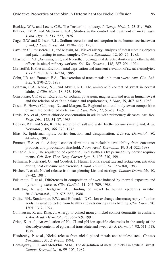Buckley, W.R. and Lewis, C.E., The "ruster" in industry, *J. Occup. Med.*, 2, 23–31, 1960.

- Bulmer, F.M.R. and Mackenzie, E.A., Studies in the control and treatment of nickel rash, *J. Ind. Hyg.*, 8, 517–527, 1926.
- Cage, G.W. and Dobson, R.L., Sodium secretion and reabsorption in the human eccrine sweat gland, *J. Clin. Invest*., 44, 1270–1276, 1965.
- Cavelier, C., Foussereau, J., and Massin, M., Nickel allergy: analysis of metal clothing objects and patch testing to metal samples, *Contact Dermatitis,* 12, 65–75, 1985.
- Chashschin, V.P., Artunina, G.P., and Norseth, T., Congenital defects, abortion and other health effects in nickel refinery workers, *Sci. Tot. Environ*., 148, 287–291, 1994.
- Christoffel, K.S. et al., Environmental deprivation and transient elevation of sweat electrolytes, *J. Pediatr.*, 107, 231–234, 1985.
- Cohn, J.R. and Emmett, E.A., The excretion of trace metals in human sweat, *Ann. Clin. Lab. Sci*., 8, 270–275, 1978.
- Coltman, C.A., Rowe, N.J., and Atwell, R.J., The amino acid content of sweat in normal adults, *J. Clin. Nutr.*, 18, 373, 1966.
- Consolazio, C.F. et al., Excretion of sodium, potassium, magnesium and iron in human sweat and the relation of each to balance and requirements, *J. Nutr.*, 79, 407–415, 1963.
- Costa, F., Howes Calloway, D., and Margen, S., Regional and total body sweat composition of men fed controlled diets, *Am. J. Clin. Nutr.*, 22, 52–58, 1969.
- Davis, P.A. et al., Sweat chloride concentration in adults with pulmonary diseases, *Am. Rev. Resp. Dis.*, 128, 34–37, 1983.
- Dobson, R.L. and Sato, K., The secretion of salt and water by the eccrine sweat gland, *Arch. Dermatol*., 105, 366–370, 1972.
- Elias, P., Epidermal lipids, barrier function, and desquamation, *J. Invest. Dermatol.*, 80, 44s–49s, 1983.
- Emmett, E.A. et al., Allergic contact dermatitis to nickel: bioavailability from consumer products and provocation threshold, *J. Am. Acad. Dermatol.*, 19, 314–322, 1988.
- Feingold, K.R., The regulation of epidermal lipid synthesis by permeability barrier requirements, *Crit. Rev. Ther. Drug Carrier Syst.*, 8, 193–210, 1991.
- Fellmann, N., Grizard, G., and Coudert, J., Human frontal sweat rate and lactate concentration during heat exposure and exercise, *J. Appl. Physiol*., 54, 355–360, 1983.
- Fischer, T. et al., Nickel release from ear piercing kits and earrings, *Contact Dermatitis*, 10, 39–42, 1984.
- Fukumoto, T. et al., Differences in composition of sweat induced by thermal exposure and by running exercise, *Clin. Cardiol.*, 11, 707–709, 1988.
- Fullerton, A. and Hoelgaard, A., Binding of nickel to human epidermis in vitro, *Br. J. Dermatol.*, 119, 675–682, 1988.
- Gitlitz, P.H., Sunderman, F.W., and Hohnadel, D.C., Ion-exchange chromatography of amino acids in sweat collected from healthy subjects during sauna bathing, *Clin. Chem.,* 20, 1305–1312, 1974.
- Gollhausen, R. and Ring, J., Allergy to coined money: nickel contact dermatitis in cashiers, *J. Am. Acad. Dermatol*., 25, 365–369, 1991.
- Grice, K. et al., An evaluation of Na, Cl and pH ion-specific electrodes in the study of the electrolyte contents of epidermal transudate and sweat, *Br. J. Dermatol.*, 92, 511–518, 1975.
- Haudrechy, P. et al., Nickel release from nickel-plated metals and stainless steel, *Contact Dermatitis*, 31, 249–255, 1994.
- Hemingway, J. D. and Molokhia, M.M., The dissolution of metallic nickel in artificial sweat, *Contact Dermatitis*, 16, 99–105, 1987.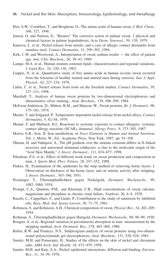- Hier, S.W., Cornbleet, T., and Bergheim, O., The amino acids of human sweat, *J. Biol. Chem.*, 166, 327, 1946.
- Jensen, O. and Nielsen, E., "Rusters" The corrosive action of palmar sweat: 2 physical and chemical factors in palmar hyperhidrosis, *Acta Derm. Venereol.*, 59, 139, 1979.
- Kanerva, L. et al., Nickel release from metals, and a case of allergic contact dermatitis from stainless steel, *Contact Dermatitis*, 31, 299–303, 1994.
- Kirk, J. M. and Westwood, A., Interpretation of sweat sodium results the effect of patient age, *Ann. Clin. Biochem.*, 26, 38–43, 1989.
- Lampe, M.A. et al., Human stratum corneum lipids: characterization and regional variations, *J. Lipid Res.,* 24, 120–130, 1983.
- Liappis, N. et al., Quantitative study of free amino acids in human eccrine sweat excreted from the forearms of healthy trained and untried men during exercise, *Eur. J. Appl. Physiol.*, 42, 227–234, 1979.
- Lidén, C. et al., Nickel release from tools on the Swedish market, *Contact Dermatitis*, 39, 127–131, 1998.
- Marshall, T., Analysis of human sweat proteins by two-dimensional electrophoresis and ultrasensitive silver staining., *Anal. Biochem.*, 139, 506–509, 1984.
- McEwan Jenkinson, D., Mabon, R.M., and Manson, W., Sweat proteins, *Br. J. Dermatol.*, 90, 175–181, 1974.
- Menné, T. and Solgaard, P., Temperature-dependent nickel release from nickel alloys, *Contact Dermatitis*, 5, 82–84, 1979.
- Menné, T. and Maibach, H.I., Reactions to systemic exposure to contact allergens: systemic contact allergy reactions (SCAR), *Immunol. Allergy Pract*., 9, 373–385, 1987.
- Morris, E.R., Iron. II. Iron metabolism, in *Trace Elements in Human and Animal Nutrition*, Vol. 1, Mertz, W., Ed., Academic Press, New York, 1987, pp. 91–108.
- Öhman, H. and Vahlquist, A., The pH gradient over the stratum corneum differs in X-linked recessive and autosomal dominant ichthyosis: a clue to the molecular origin of the "Acid Skin Mantle," *J. Invest. Dermatol*., 111, 674–677, 1998.
- Pilardeau, P.A. et al., Effect of different work-loads on sweat production and composition in man, *J. Sports Med. Phys. Fitness*, 28, 247–252, 1988.
- Pinkus, H., Examination of the epidermis by the strip method of removing horny layers. I. Observation on thickness of the horny layer, and on mitotic activity after stripping, *J. Invest. Dermatol.*, 383–386, 1951.
- Preininger, T., Überempfindlichkeit gegen Nickelgeld, *Dermatol. Wochenschr.*, 99, 1082–1084, 1934.
- Prompt, C.A., Quinton, P.M., and Kleeman, C.R., High concentrations of sweat calcium, magnesium and phosphate in chronic renal failure, *Nephron*, 20, 4–9, 1978.
- Rasetti, L., Cappellaro, F., and Gaido, P., Contribution to the study of saturnism by inhibited oils, *Rass. Med. Ind. Igiene Lavoro*, 30, 71–75, 1961.
- Robinson, S. and Robinson, A.H., Chemical composition of sweat, *Physiol. Rev.*, 34, 202–209, 1954.
- Rothman, S., Überempfindlichkeit gegen Hartgeld, *Dermatol. Wochenschr.*, 90, 98–99, 1930.

Rougier, A. et al., Regional variation in percutaneous absorption in man: measurement by the stripping method, *Arch. Dermatol. Res*., 278, 465–469, 1986.

- Rubin, R.W. and Penneys, N.S., Subpicogram analysis of sweat proteins using two-dimensional polyacrylamide gel electrophoresis, *Anal. Biochem.*, 131, 520–524, 1983.
- Samitz, M.H. and Pomerantz, H., Studies of the effects on the skin of nickel and chromium salts, *AMA Arch. Ind. Health*, 18, 473–479, 1958.
- Samitz, M.H. and Katz, S.A., Nickel–epidermal interactions: diffusion and binding, *Environ. Res.*, 11, 34–39, 1976.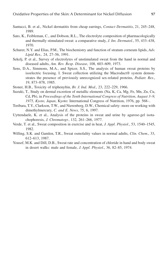- Santucci, B. et al., Nickel dermatitis from cheap earrings, *Contact Dermatitis*, 21, 245–248, 1989.
- Sato, K., Feibleman, C., and Dobson, R.L., The electrolyte composition of pharmacologically and thermally stimulated sweat: a comparative study, *J. Inv. Dermatol.*, 55, 433–438, 1970.
- Schurer, N.Y. and Elias, P.M., The biochemistry and function of stratum corneum lipids, *Adv. Lipid Res.,* 24, 27–56, 1991.
- Sekelj, P. et al., Survey of electrolytes of unstimulated sweat from the hand in normal and diseased adults, *Am. Rev. Resp. Disease*, 108, 603–609, 1973.
- Sens, D.A., Simmons, M.A., and Spicer, S.S., The analysis of human sweat proteins by isoelectric focusing. I. Sweat collection utilizing the Macroduct® system demonstrates the presence of previously unrecognized sex-related proteins, *Pediatr. Res*., 19, 873–878, 1985.
- Stoner, H.B., Toxicity of triphenyltin, *Br. J. Ind. Med*., 23, 222–229, 1966.
- Suzuki, T., Study on dermal excretion of metallic elements (Na, K, Ca, Mg, Fe, Mn, Zn, Cu, Cd, Pb), in *Proceedings of the Tenth International Congress of Nutrition, August 3–9, 1975, Kyoto, Japan*, Kyoto: International Congress of Nutrition, 1976, pp. 568–.
- Toribara, T.Y., Clarkson, T.W., and Nierenberg, D.W., Chemical safety: more on working with dimethylmercury, *C. and E. News*, 75, 6, 1997.
- Uyttendaele, K. et al., Analysis of the proteins in sweat and urine by agarose-gel isotachophoresis, *J. Chromatogr.*, 132, 261–266, 1977.
- Verde, T. et al., Sweat composition in exercise and in heat, *J. Appl. Physiol*., 53, 1540–1545, 1982.
- Willing, S.K. and Gamlen, T.R., Sweat osmolality values in normal adults, *Clin. Chem.*, 33, 612–613, 1987.
- Yousef, M.K. and Dill, D.B., Sweat rate and concentration of chloride in hand and body sweat in desert walks: male and female, *J. Appl. Physiol*., 36, 82–85, 1974.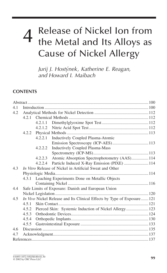# Release of Nickel Ion from the Metal and Its Alloys as Cause of Nickel Allergy 4

*Jurij J. Hostýnek, Katherine E. Reagan, and Howard I. Maibach*

# **CONTENTS**

| 4.1 |       |                                                                         |  |
|-----|-------|-------------------------------------------------------------------------|--|
| 4.2 |       |                                                                         |  |
|     | 4.2.1 |                                                                         |  |
|     |       |                                                                         |  |
|     |       | 4.2.1.2                                                                 |  |
|     | 4.2.2 |                                                                         |  |
|     |       | Inductively Coupled Plasma-Atomic<br>4.2.2.1                            |  |
|     |       |                                                                         |  |
|     |       | <b>Inductively Coupled Plasma-Mass</b><br>4.2.2.2                       |  |
|     |       |                                                                         |  |
|     |       | Atomic Absorption Spectrophotometry (AAS)114<br>4.2.2.3                 |  |
|     |       | Particle Induced X-Ray Emission (PIXE)  114<br>4.2.2.4                  |  |
| 4.3 |       | In Vitro Release of Nickel in Artificial Sweat and Other                |  |
|     |       |                                                                         |  |
|     |       | 4.3.1 Leaching Experiments Done on Metallic Objects                     |  |
|     |       |                                                                         |  |
| 4.4 |       | Safe Limits of Exposure: Danish and European Union                      |  |
|     |       |                                                                         |  |
| 4.5 |       | In Vivo Nickel Release and Its Clinical Effects by Type of Exposure 121 |  |
|     | 4.5.1 |                                                                         |  |
|     | 4.5.2 | Pierced Skin: Systemic Induction of Nickel Allergy 123                  |  |
|     | 4.5.3 |                                                                         |  |
|     | 4.5.4 |                                                                         |  |
|     | 4.5.5 |                                                                         |  |
| 4.6 |       |                                                                         |  |
| 4.7 |       |                                                                         |  |
|     |       |                                                                         |  |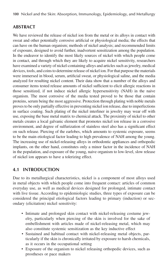**100** Nickel and the Skin: Absorption, Immunology, Epidemiology, and Metallurgy

# **ABSTRACT**

We have reviewed the release of nickel ion from the metal or its alloys in contact with sweat and other potentially corrosive artificial or physiological media; the effects that can have on the human organism; methods of nickel analysis; and recommended limits of exposure, designed to avoid further, inadvertent sensitization among the population. In the endeavor to identify the most likely sources of nickel with which people come in contact, and through which they are likely to acquire nickel sensitivity, researchers have examined a variety of nickel-containing alloys and articles such as jewelry, medical devices, tools, and coins to determine release of nickel ion. For that purpose the materials were immersed in blood, serum, artificial sweat, or physiological saline, and the media analyzed for resulting nickel content. Their data show that a number of the alloys and consumer items tested release amounts of nickel sufficient to elicit allergic reactions in those sensitized, if not induce nickel allergic hypersensitivity (NAH) in the naive organism. The most corrosive of the media tested proved to be those that contain proteins, serum being the most aggressive. Protection through plating with noble metals proves to be only partially effective in preventing nickel ion release, due to imperfections in surface coating. Such plating of the nickel interliner in jewelry may wear off with use, exposing the base metal matrix to chemical attack. The proximity of nickel to other metals creates a local galvanic element that promotes nickel ion release in a corrosive environment, and degree of sulfurization of stainless steel also has a significant effect on such release. Piercing of the earlobes, which amounts to systemic exposure, seems to be the main etiological factor leading to high prevalence of NAH among the young. The increasing use of nickel-releasing alloys in orthodontic appliances and orthopedic implants, on the other hand, constitutes only a minor factor in the incidence of NAH in the population, and exposure of the young, naive organism to low-level, slow release of nickel ion appears to have a tolerizing effect.

# **4.1 INTRODUCTION**

Due to its metallurgical characteristics, nickel is a component of most alloys used in metal objects with which people come into frequent contact: articles of common everyday use, as well as medical devices designed for prolonged, intimate contact with live tissue. According to epidemiologic studies, three types of exposure can be considered the principal etiological factors leading to primary (induction) or secondary (elicitation) nickel sensitivity:

- Intimate and prolonged skin contact with nickel-releasing costume jewelry, particularly when piercing of the skin is involved for the sake of embellishment with articles made of nickel-releasing metal, which may also constitute systemic sensitization as the key inductive effect
- Sustained and habitual contact with nickel-releasing metal objects, particularly if the skin is chronically irritated by exposure to harsh chemicals, as it occurs in the occupational setting
- Exposure of the organism to nickel releasing orthopedic devices, such as prostheses or pace makers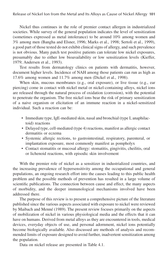Nickel thus continues in the role of premier contact allergen in industrialized societies. While survey of the general population indicates the level of sensitization (sometimes expressed as metal intolerance) to be around 10% among women and 3% among men (Bangha and Elsner, 1996; Marks et al., 1998; Sertoli et al., 1999), a good part of those tested do not exhibit clinical signs of allergy, and such prevalence is not obvious. Many patch test positive patients can tolerate low nickel exposures, presumably due to either low bioavailability or low sensitization levels (Kieffer, 1979; Andersen et al., 1993).

Test results from dermatology clinics on patients with dermatitis, however, document higher levels. Incidence of NAH among those patients can run as high as 17.6% among women and 11.7% among men (Dickel et al., 1998).

When skin, mucous membranes (e.g., oral exposure), or live tissue (e.g., ear piercing) come in contact with nickel metal or nickel-containing alloys, nickel ions are released through the natural process of oxidation (corrosion), with the potential to penetrate the organism. The free nickel ions bear the risk of primary sensitization of a naive organism or elicitation of an immune reaction in a nickel-sensitized individual. Such a reaction can be:

- Immediate type, IgE-mediated skin, nasal and bronchial (type I, anaphilactoid) reactions
- Delayed type, cell-mediated (type 4) reactions, manifest as allergic contact dermatitis or eczema
- Systemic allergic rections, to gastrointestinal, respiratory, parenteral, or implantation exposure, most commonly manifest as pompholyx
- Contact stomatitis or mucosal allergy: stomatitis, gingivitis, cheilitis, oral or lichenoid reactions, with episodic skin involvement

With the premier role of nickel as a sensitizer in industrialized countries, and the increasing prevalence of hypersensitivity among the occupational and general populations, an ongoing research effort into the causes leading to this public health problem and the possible methods of prevention has resulted in a large volume of scientific publications. The connection between cause and effect, the many aspects of morbidity, and the deeper immunological mechanisms involved have been addressed there.

The purpose of this review is to present a comprehensive picture of the literature published since the various aspects associated with exposure to nickel were reviewed by Maibach and Menné (1989). The present review focuses primarily on the aspects of mobilization of nickel in various physiological media and the effects that it can have on humans. Derived from metal alloys as they are encountered in tools, medical devices, everyday objects of use, and personal adornment, nickel ions potentially become biologically available. Also discussed are methods of analysis and recommended limits of exposure designed to avoid further, inadvertent sensitization among the population.

Data on nickel release are presented in Table 4.1.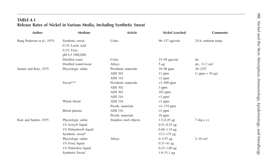# **<sup>102</sup> TABLE 4.1**TABLE 4.1<br>Release Rates of Nickel in Various Media, Including Synthetic Sweat

| Author                     | Medium                       | <b>Article</b>          | Nickel Leached      | <b>Comments</b>          |
|----------------------------|------------------------------|-------------------------|---------------------|--------------------------|
| Bang Pedersen et al., 1974 | Synthetic sweat:             | Coins                   | $96-137$ µg/coin    | 24 h; ambient temp.      |
|                            | 0.1% Lactic acid             |                         |                     |                          |
|                            | $0.1\%$ Urea                 |                         |                     |                          |
|                            | pH 6.5 (NH <sub>4</sub> OH)  |                         |                     |                          |
|                            | Distilled water              | Coins                   | $15-49$ µg/coin     | do.                      |
|                            | Distilled water/sweat        | Alloys                  | $5 \mu g$           | do., $11.2 \text{ cm}^2$ |
| Samitz and Katz, 1975      | Physiologic saline           | Prosthetic materials    | $10-98$ ppm         | $20 - 22$ °C             |
|                            |                              | <b>AISI 303</b>         | 11 ppm              | $(1$ ppm = 10 $\mu$ g)   |
|                            |                              | <b>AISI 316</b>         | $<1$ ppm            |                          |
|                            | Sweat***                     | Prosthetic materials    | $<$ 1-990 ppm       |                          |
|                            |                              | <b>AISI 302</b>         | 3 ppm               |                          |
|                            |                              | <b>AISI 303</b>         | $102$ ppm           |                          |
|                            |                              | <b>AISI 316</b>         | $<1$ ppm            |                          |
|                            | Whole blood                  | <b>AISI 316</b>         | $<1$ ppm            |                          |
|                            |                              | Prosth. materials       | $<1-174$ ppm        |                          |
|                            | Blood plasma                 | <b>AISI 316</b>         | $<1$ ppm            |                          |
|                            |                              | Prosth. materials       | $10$ ppm            |                          |
| Katz and Samitz, 1975      | Physiologic saline           | Stainless steel objects | $1.5 - 0.25 \mu g$  | 7 days; r.t.             |
|                            | 1% Ivory <sup>®</sup> liquid |                         | $0.51 - 0.25$ µg    |                          |
|                            | 1% Palmolive® liquid         |                         | $0.48 - 1.19$ µg    |                          |
|                            | Synthetic sweat*             |                         | $15.2 - 175 \mu g$  |                          |
|                            | Physiologic saline           | Alloys                  | $0 - 5.97$ $\mu$ g  | $2 - 10$ cm <sup>2</sup> |
|                            | 1% Ivory liquid              |                         | $0.37 - 41$ µg      |                          |
|                            | 1% Palmolive liquid          |                         | $0.33 - 1.00 \mu$ g |                          |
|                            | Synthetic Sweat*             |                         | $1.8 - 51.1 \mu g$  |                          |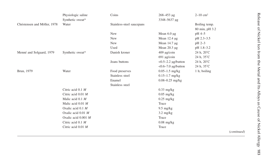|                              | Physiologic saline    | Coins                     | 268-453 µg            | $2 - 10$ cm <sup>2</sup>        |             |
|------------------------------|-----------------------|---------------------------|-----------------------|---------------------------------|-------------|
|                              | Synthetic sweat*      |                           | 3348-5637 µg          |                                 |             |
| Christensen and Möller, 1978 | Water                 | Stainless-steel saucepans |                       | Boiling temp.<br>80 min, pH 3.2 |             |
|                              |                       | <b>New</b>                | Mean $6.0 \mu g$      | pH 4-5                          |             |
|                              |                       | <b>New</b>                | Mean $12.4 \mu g$     | pH 2.3-3.5                      |             |
|                              |                       | <b>New</b>                | Mean 14.7 µg          | pH 2-3                          |             |
|                              |                       | Used                      | Mean $20.3 \mu g$     | pH 1.8-3.2                      |             |
| Menné and Solgaard, 1979     | Synthetic sweat*      | Danish kroner             | 409 µg/coin           | 24 h, 20°C                      |             |
|                              |                       |                           | $691 \mu g$ /coin     | 24 h, 35°C                      |             |
|                              |                       | Jeans buttons             | $<$ 0.5–2.2 µg/button | 24 h, 20°C                      |             |
|                              |                       |                           | $<$ 0.6–7.0 µg/button | 24 h, 35°C                      |             |
| Brun, 1979                   | Water                 | Food preserves            | $0.05 - 1.5$ mg/kg    | 1 h; boiling                    |             |
|                              |                       | Stainless steel           | $0.15 - 1.7$ mg/kg    |                                 |             |
|                              |                       | Enamel                    | $0.08 - 0.25$ mg/kg   |                                 |             |
|                              |                       | Stainless steel           |                       |                                 |             |
|                              | Citric acid $0.1 M$   |                           | $0.33$ mg/kg          |                                 |             |
|                              | Citric acid $0.01 M$  |                           | $0.05$ mg/kg          |                                 |             |
|                              | Malic acid $0.1 M$    |                           | $0.25$ mg/kg          |                                 |             |
|                              | Malic acid 0.01 M     |                           | Trace                 |                                 |             |
|                              | Oxalic acid $0.1 M$   |                           | $9.5 \text{ mg/kg}$   |                                 |             |
|                              | Oxalic acid $0.01 M$  |                           | $3.2 \text{ mg/kg}$   |                                 |             |
|                              | Oxalic acid $0.001 M$ |                           | Trace                 |                                 |             |
|                              | Citric acid $0.1 M$   |                           | $0.08$ mg/kg          |                                 |             |
|                              | Citric acid $0.01 M$  |                           | Trace                 |                                 |             |
|                              |                       |                           |                       |                                 | (continued) |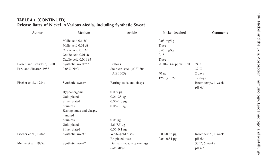| Author                    | Medium                              | <b>Article</b>              | <b>Nickel Leached</b>     | <b>Comments</b>    |
|---------------------------|-------------------------------------|-----------------------------|---------------------------|--------------------|
|                           | Malic acid $0.1 M$                  |                             | $0.05$ mg/kg              |                    |
|                           | Malic acid $0.01 M$                 |                             | Trace                     |                    |
|                           | Oxalic acid $0.1 M$                 |                             | $0.45$ mg/kg              |                    |
|                           | Oxalic acid $0.01 M$                |                             | 0.15                      |                    |
|                           | Oxalic acid $0.001 M$               |                             | Trace                     |                    |
| Larsen and Brandrup, 1980 | Synthetic sweat***                  | <b>Buttons</b>              | $< 0.01 - 14.6$ ppm/10 ml | 24 h               |
| Park and Shearer, 1983    | 0.05% NaCl                          | Stainless steel (AISI 304,  |                           | $37^{\circ}$ C     |
|                           |                                     | AISI 303)                   | $40 \mu g$                | 2 days             |
|                           |                                     |                             | 125 $\mu$ g ± 22          | 12 days            |
| Fischer et al., 1984a     | Synthetic sweat*                    | Earring studs and clasps    |                           | Room temp., 1 week |
|                           |                                     |                             |                           | pH 6.4             |
|                           | Hypoallergenic                      | $0.005 \mu g$               |                           |                    |
|                           | Gold plated                         | $0.04 - 25 \text{ µg}$      |                           |                    |
|                           | Silver plated                       | $0.05 - 1.0 \mu$ g          |                           |                    |
|                           | <b>Stainless</b>                    | $0.05 - 19 \mu g$           |                           |                    |
|                           | Earring studs and clasps,<br>unused |                             |                           |                    |
|                           | <b>Stainless</b>                    | $0.06 \mu$ g                |                           |                    |
|                           | Gold plated                         | $2.6 - 7.5 \mu g$           |                           |                    |
|                           | Silver plated                       | $0.05 - 0.1 \mu g$          |                           |                    |
| Fischer et al., 1984b     | Synthetic sweat*                    | White-gold discs            | $0.09 - 0.82$ µg          | Room temp., 1 week |
|                           |                                     | Rh plated discs             | $0.04 - 0.54$ µg          | pH 6.4             |
| Menné et al., 1987a       | Synthetic sweat*                    | Dermatitis-causing earrings |                           | 30°C, 6 weeks      |
|                           |                                     | Safe alloys                 |                           | pH 6.5             |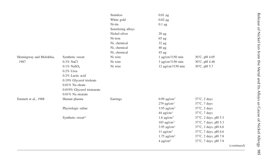|                         |                             | <b>Stainless</b>   | $0.01 \mu g$                    |                        |             |
|-------------------------|-----------------------------|--------------------|---------------------------------|------------------------|-------------|
|                         |                             | White gold         | $0.02 \mu g$                    |                        |             |
|                         |                             | Ni-tin             | $0.1 \mu g$                     |                        |             |
|                         |                             | Sensitizing alloys |                                 |                        |             |
|                         |                             | Nickel-silver      | $20 \mu g$                      |                        |             |
|                         |                             | Ni-iron            | $65 \mu g$                      |                        |             |
|                         |                             | Ni, chemical       | $32 \mu g$                      |                        |             |
|                         |                             | Ni, chemical       | $40 \mu g$                      |                        |             |
|                         |                             | Ni, chemical       | $45 \mu g$                      |                        |             |
| Hemingway and Molokhia, | Synthetic sweat:            | Ni wire            | $1 \mu g/cm^2/150 \text{ min}$  | 30°C, pH 4.05          |             |
| 1987                    | 0.3% NaCl                   | Ni wire            | $3 \mu g/cm^2/150 \text{ min}$  | 30°C, pH 4.48          |             |
|                         | $0.1\%$ NaSO <sub>4</sub>   | Ni wire            | $12 \mu g/cm^2/150 \text{ min}$ | 30°C, pH 5.7           |             |
|                         | $0.2\%$ Urea                |                    |                                 |                        |             |
|                         | 0.2% Lactic acid            |                    |                                 |                        |             |
|                         | 0.19% Glycerol trioleate    |                    |                                 |                        |             |
|                         | $0.01\%$ Na oleate          |                    |                                 |                        |             |
|                         | 0.019% Glycerol tristearate |                    |                                 |                        |             |
|                         | $0.01\%$ Na stearate        |                    |                                 |                        |             |
| Emmett et al., 1988     | Human plasma                | Earrings           | $0.99 \text{ µg/cm}^2$          | $37^{\circ}$ C, 2 days |             |
|                         |                             |                    | 279 $\mu$ g/cm <sup>2</sup>     | 37°C, 7 days           |             |
|                         | Physiologic saline          |                    | 3.95 $\mu$ g/cm <sup>2</sup>    | $37^{\circ}$ C, 2 days |             |
|                         |                             |                    | 44 $\mu$ g/cm <sup>2</sup>      | 37°C, 7 days           |             |
|                         | Synthetic sweat*            |                    | 1.6 $\mu$ g/cm <sup>2</sup>     | 37°C, 2 days, pH 5.3   |             |
|                         |                             |                    | $103 \text{ µg/cm}^2$           | 37°C, 7 days, pH 5.3   |             |
|                         |                             |                    | 3.95 $\mu$ g/cm <sup>2</sup>    | 37°C, 2 days, pH 6.6   |             |
|                         |                             |                    | 11 $\mu$ g/cm <sup>2</sup>      | 37°C, 7 days, pH 6.6   |             |
|                         |                             |                    | $1.75 \text{ µg/cm}^2$          | 37°C, 2 days, pH 7.8   |             |
|                         |                             |                    | $4 \mu g/cm^2$                  | 37°C, 7 days, pH 7.8   |             |
|                         |                             |                    |                                 |                        | (continued) |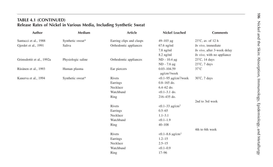| Author                    | Medium             | <b>Article</b>           | <b>Nickel Leached</b>                            | <b>Comments</b>             |
|---------------------------|--------------------|--------------------------|--------------------------------------------------|-----------------------------|
| Santucci et al., 1988     | Synthetic sweat*   | Earring clips and clasps | $49 - 103$ µg                                    | 23°C, av. of 12 h           |
| Gjerdet et al., 1991      | Saliva             | Orthodontic appliances   | $67.6$ ng/ml                                     | In vivo, immediate          |
|                           |                    |                          | $7.8$ ng/ml                                      | In vivo, after 3-week delay |
|                           |                    |                          | $8.2$ ng/ml                                      | In vivo, with no appliance  |
| Grimsdottit et al., 1992a | Physiologic saline | Orthodontic appliances   | ND - 10.4 µg                                     | 23°C, 14 days               |
|                           |                    |                          | ND - 7.6 µg                                      | $23^{\circ}$ C, 7 days      |
| Räsänen et al., 1993      | Human plasma       | Ear piercers             | $0.03 - 104.59$<br>$\mu$ g/cm <sup>2</sup> /week | $37^{\circ}$ C              |
| Kanerva et al., 1994      | Synthetic sweat*   | Rivets                   | $<$ 0.1–95 µg/cm <sup>2</sup> /week              | $30^{\circ}$ C, 7 days      |
|                           |                    | Earrings                 | $0.8 - 165$ do.                                  |                             |
|                           |                    | Necklace                 | $6.4 - 62$ do.                                   |                             |
|                           |                    | Watchband                | $< 0.1 - 3.1$ do.                                |                             |
|                           |                    | Ring                     | 216-435 do.                                      |                             |
|                           |                    |                          |                                                  | 2nd to 3rd week             |
|                           |                    | Rivets                   | $< 0.1 - 33$ µg/cm <sup>2</sup>                  |                             |
|                           |                    | Earrings                 | $0.5 - 65$                                       |                             |
|                           |                    | Necklace                 | $1.1 - 3.1$                                      |                             |
|                           |                    | Watchband                | $< 0.1 - 1.9$                                    |                             |
|                           |                    | Ring                     | $40 - 108$                                       |                             |
|                           |                    |                          |                                                  | 4th to 6th week             |
|                           |                    | Rivets                   | $< 0.1 - 8.6$ µg/cm <sup>2</sup>                 |                             |
|                           |                    | Earrings                 | $1.2 - 15$                                       |                             |
|                           |                    | Necklace                 | $2.5 - 15$                                       |                             |
|                           |                    | Watchband                | $< 0.1 - 0.9$                                    |                             |
|                           |                    | Ring                     | $17 - 96$                                        |                             |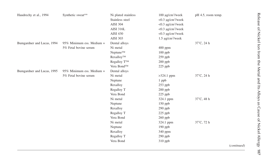| Haudrechy et al., 1994     | Synthetic sweat**         | Ni plated stainless | 100 µg/cm <sup>2</sup> /week     | pH 4.5, room temp. |             |
|----------------------------|---------------------------|---------------------|----------------------------------|--------------------|-------------|
|                            |                           | Stainless steel     | $< 0.3 \mu g/cm^2$ /week         |                    |             |
|                            |                           | <b>AISI 304</b>     | $< 0.3 \mu g/cm^2$ /week         |                    |             |
|                            |                           | <b>AISI 316L</b>    | $< 0.3 \mu g/cm^2$ /week         |                    |             |
|                            |                           | <b>AISI 430</b>     | $<$ 0.3 µg/cm <sup>2</sup> /week |                    |             |
|                            |                           | <b>AISI 303</b>     | $1.5 \mu g/cm^2$ /week           |                    |             |
| Bumgardner and Lucas, 1994 | 95% Minimum ess. Medium + | Dental alloys       |                                  | 37°C, 24 h         |             |
|                            | 5% Fetal bovine serum     | Ni metal            | $400$ ppm                        |                    |             |
|                            |                           | Neptune™            | $100$ ppb                        |                    |             |
|                            |                           | Rexalloy™           | $259$ ppb                        |                    |             |
|                            |                           | Regalloy TTM        | $200$ ppb                        |                    |             |
|                            |                           | Vera Bond™          | $225$ ppb                        |                    |             |
| Bumgardner and Lucas, 1995 | 95% Minimum ess. Medium + | Dental alloys       |                                  |                    |             |
|                            | 5% Fetal bovine serum     | Ni metal            | $>324.1$ ppm                     | 37°C, 24 h         |             |
|                            |                           | Neptune             | $1$ ppb                          |                    |             |
|                            |                           | Rexalloy            | $253$ ppb                        |                    |             |
|                            |                           | Regalloy T          | $200$ ppb                        |                    |             |
|                            |                           | Vera Bond           | $225$ ppb                        |                    |             |
|                            |                           | Ni metal            | 324.1 ppm                        | 37°C, 48 h         |             |
|                            |                           | Neptune             | $150$ ppb                        |                    |             |
|                            |                           | Rexalloy            | $290$ ppb                        |                    |             |
|                            |                           | Regalloy T          | 225 ppb                          |                    |             |
|                            |                           | Vera Bond           | 260 ppb                          |                    |             |
|                            |                           | Ni metal            | 324.1 ppm                        | 37°C, 72 h         |             |
|                            |                           | Neptune             | $190$ ppb                        |                    |             |
|                            |                           | Rexalloy            | $340$ ppm                        |                    |             |
|                            |                           | Regalloy T          | $290$ ppb                        |                    |             |
|                            |                           | Vera Bond           | 310 ppb                          |                    |             |
|                            |                           |                     |                                  |                    | (continued) |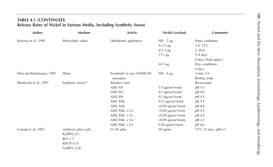| Author                      | Medium                   | <b>Article</b>              | Nickel Leached                    | <b>Comments</b>       |
|-----------------------------|--------------------------|-----------------------------|-----------------------------------|-----------------------|
| Kerosuo et al., 1995        | Physiologic saline       | Orthodontic appliances      | $ND - 2 \mu g$                    | Static conditions     |
|                             |                          |                             | $0 - 2.5 \text{ µg}$              | 2 h, 23°C             |
|                             |                          |                             | $0.5 - 2 \mu g$                   | $2 - 26 h$            |
|                             |                          |                             | $17.1 \mu g$                      | $2-8$ days            |
|                             |                          |                             |                                   | 8 days (fixed appls.) |
|                             |                          |                             | $44.3 \mu g$                      | Dyn. conditions       |
|                             |                          |                             |                                   | 8 days                |
| Flint and Packirisamy, 1995 | Water                    | Foodstuffs in new S30400 SS | $ND - 8$ µg                       | $4$ min- $2$ h        |
|                             |                          | saucepans                   |                                   | Boiling temp.         |
| Haudrechy et al., 1997      | Synthetic sweat**        | Stainless steel             |                                   | Room temp.            |
|                             |                          | <b>AISI 303</b>             | $1.4 \mu g/cm^2$ /week            | pH 4.5                |
|                             |                          | <b>AISI 303</b>             | $0.3 \mu g/cm^2$ /week            | pH 6.6                |
|                             |                          | <b>AISI 304</b>             | $0.2 \mu g/cm^2$ /week            | pH 4.5                |
|                             |                          | <b>AISI 304L</b>            | $0.11 \mu g/cm^2$ /week           | pH 4.5                |
|                             |                          | AISI 304L                   | $<$ 0.09 µg/cm <sup>2</sup> /week | pH 6.6                |
|                             |                          | AISI $304L + Ca$            | $< 0.09 \mu g/cm^2$ /week         | pH 4.5                |
|                             |                          | AISI $304L + Ca$            | $< 0.09 \mu g/cm^2$ /week         | pH 6.6                |
|                             |                          | AISI $304L + Cu$            | $<$ 0.09 µg/cm <sup>2</sup> /week | pH 4.5                |
|                             |                          | AISI $304L + Cu$            | $0.29 \mu g/cm^2$ /week           | pH 6.6                |
| Cortada et al., 1997        | Artificial saliva (g/l): | Cr-Ni alloy                 | $50$ ng/ml                        | 37°C, 15 days, pH 6.7 |
|                             | $K_2HPO_4$ 0.2           |                             |                                   |                       |
|                             | <b>KCl 1.2</b>           |                             |                                   |                       |
|                             | <b>KSCN 0.33</b>         |                             |                                   |                       |
|                             | $N_{2}HPO_{4}$ 0.26      |                             |                                   |                       |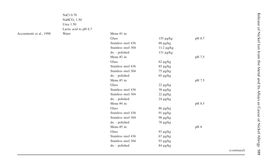|                          | NaCl 0.70<br>NaHCO $3, 1.50$<br>Urea 1.50<br>Lactic acid to pH 6.7 |                     |                 |        |             | <b>Kelease</b>          |
|--------------------------|--------------------------------------------------------------------|---------------------|-----------------|--------|-------------|-------------------------|
| Accominotti et al., 1998 | Water                                                              | Menu #1 in:         |                 |        |             | of Nickel lon trom the  |
|                          |                                                                    | Glass               | $155 \mu g/kg$  | pH 8.7 |             |                         |
|                          |                                                                    | Stainless steel 436 | $88 \mu g/kg$   |        |             |                         |
|                          |                                                                    | Stainless steel 304 | $11.2 \mu g/kg$ |        |             |                         |
|                          |                                                                    | do. - polished      | $131 \mu g/kg$  |        |             |                         |
|                          |                                                                    | Menu #2 in:         |                 | pH 7.5 |             |                         |
|                          |                                                                    | Glass               | $62 \mu g/kg$   |        |             |                         |
|                          |                                                                    | Stainless steel 436 | $85 \mu g/kg$   |        |             |                         |
|                          |                                                                    | Stainless steel 304 | $75 \mu g/kg$   |        |             |                         |
|                          |                                                                    | do. - polished      | $65 \mu g/kg$   |        |             |                         |
|                          |                                                                    | Menu #3 in:         |                 | pH 7.5 |             | Metal and Its Alloys as |
|                          |                                                                    | Glass               | $22 \mu g/kg$   |        |             |                         |
|                          |                                                                    | Stainless steel 436 | 38 µg/kg        |        |             |                         |
|                          |                                                                    | Stainless steel 304 | $22 \mu g/kg$   |        |             |                         |
|                          |                                                                    | do. - polished      | $24 \mu g/kg$   |        |             |                         |
|                          |                                                                    | Menu #4 in:         |                 | pH 8.5 |             |                         |
|                          |                                                                    | Glass               | $86 \mu g/kg$   |        |             |                         |
|                          |                                                                    | Stainless steel 436 | $91 \mu g/kg$   |        |             |                         |
|                          |                                                                    | Stainless steel 304 | 98 µg/kg        |        |             |                         |
|                          |                                                                    | do. - polished      | 78 μg/kg        |        |             |                         |
|                          |                                                                    | Menu #5 in:         |                 | pH 8   |             |                         |
|                          |                                                                    | Glass               | 93 $\mu$ g/kg   |        |             |                         |
|                          |                                                                    | Stainless steel 436 | $67 \mu g/kg$   |        |             |                         |
|                          |                                                                    | Stainless steel 304 | 93 $\mu$ g/kg   |        |             |                         |
|                          |                                                                    | do. - polished      | $84 \mu g/kg$   |        |             | Cause of Nickel Allergy |
|                          |                                                                    |                     |                 |        | (continued) | 60L                     |

Release of Nickel Ion from the Metal and Its Alloys as Cause of Nickel Allergy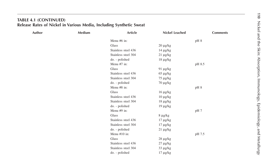| Author | Medium | <b>Article</b>      | Nickel Leached | <b>Comments</b> |
|--------|--------|---------------------|----------------|-----------------|
|        |        | Menu #6 in:         |                | pH 8            |
|        |        | Glass               | $20 \mu g/kg$  |                 |
|        |        | Stainless steel 436 | $14 \mu g/kg$  |                 |
|        |        | Stainless steel 304 | $21 \mu g/kg$  |                 |
|        |        | do. - polished      | $18 \mu g/kg$  |                 |
|        |        | Menu #7 in:         |                | pH 8.5          |
|        |        | Glass               | $91 \mu g/kg$  |                 |
|        |        | Stainless steel 436 | $65 \mu g/kg$  |                 |
|        |        | Stainless steel 304 | $75 \mu g/kg$  |                 |
|        |        | do. - polished      | $70 \mu g/kg$  |                 |
|        |        | Menu #8 in:         |                | pH 8            |
|        |        | Glass               | $16 \mu g/kg$  |                 |
|        |        | Stainless steel 436 | $10 \mu g/kg$  |                 |
|        |        | Stainless steel 304 | $18 \mu g/kg$  |                 |
|        |        | do. - polished      | $19 \mu g/kg$  |                 |
|        |        | Menu #9 in:         |                | pH 7            |
|        |        | Glass               | $8 \mu g/kg$   |                 |
|        |        | Stainless steel 436 | $17 \mu g/kg$  |                 |
|        |        | Stainless steel 304 | $17 \mu g/kg$  |                 |
|        |        | do. - polished      | $21 \mu g/kg$  |                 |
|        |        | Menu #10 in:        |                | pH 7.5          |
|        |        | Glass               | $28 \mu g/kg$  |                 |
|        |        | Stainless steel 436 | $27 \mu g/kg$  |                 |
|        |        | Stainless steel 304 | $33 \mu g/kg$  |                 |
|        |        | do. - polished      | $17 \mu g/kg$  |                 |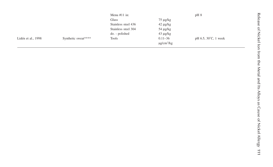| Lidén et al., 1998 | Synthetic sweat**** | Menu #11 in:<br>$\operatorname{Glass}$<br>Stainless steel 436<br>Stainless steel 304<br>do. - polished<br>${\rm Tools}$ | 75 μg/kg<br>$42 \ \mu g/kg$<br>$54 \ \mu g/kg$<br>$43 \ \mu g/kg$<br>$0.11 - 36$<br>$\mu\text{g/cm}^2\text{/kg}$ | pH 8<br>pH 6.5, 30°C, 1 week | Release of Nickel Ion from the Metal and Its Alloys as Cause of Nickel Allergy |
|--------------------|---------------------|-------------------------------------------------------------------------------------------------------------------------|------------------------------------------------------------------------------------------------------------------|------------------------------|--------------------------------------------------------------------------------|
|                    |                     |                                                                                                                         |                                                                                                                  |                              |                                                                                |
|                    |                     |                                                                                                                         |                                                                                                                  |                              |                                                                                |
|                    |                     |                                                                                                                         |                                                                                                                  |                              |                                                                                |
|                    |                     |                                                                                                                         |                                                                                                                  |                              |                                                                                |
|                    |                     |                                                                                                                         |                                                                                                                  |                              | $\frac{1}{2}$                                                                  |
|                    |                     |                                                                                                                         |                                                                                                                  |                              |                                                                                |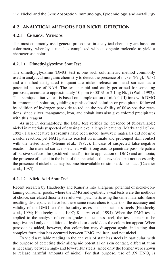# **4.2 ANALYTICAL METHODS FOR NICKEL DETECTION**

#### **4.2.1 CHEMICAL METHODS**

The most commonly used general procedures in analytical chemistry are based on colorimetry, whereby a metal is complexed with an organic molecule to yield a characteristic color.

#### **4.2.1.1 Dimethylglyoxime Spot Test**

The dimethylglyoxime (DMG) test is one such colorimetric method commonly used in analytical inorganic chemistry to detect the presence of nickel (Feigl, 1958) and a method designated to quantitate nickel release on metal surfaces as a potential source of NAH. The test is rapid and easily performed for screening purposes, accurate to approximately 10 ppm (0.001% or 2.1 µg Ni/g) (Wall, 1992). That semiquantitative test is based on complexation of nickel (II) ions with DMG in ammoniacal solution, yielding a pink-colored solution or precipitate, followed by addition of hydrogen peroxide to reduce the possibility of false-positive reactions, since silver, manganese, iron, and cobalt ions also give colored precipitates with this reagent.

As used in dermatology, the DMG test verifies the presence of (bioavailable) nickel in materials suspected of causing nickel allergy in patients (Marks and DeLeo, 1992). False-negative test results have been noted, however; materials did not give a color reaction, yet NAH patients reacted on intimate and prolonged skin contact with the tested alloy (Menné et al., 1987c). In case of suspected false-negative reaction, the material surface is etched with strong acid to penetrate possible patina of passive surface film (oxidized metal) prior to application of DMG and ammonia; the presence of nickel in the bulk of the material is thus revealed, but not necessarily the presence of nickel that may become bioavailable on simple skin contact (Cavelier et al., 1985).

#### **4.2.1.2 Nitric Acid Spot Test**

Recent research by Haudrechy and Kanerva into allergenic potential of nickel-containing consumer goods, where the DMG and synthetic sweat tests were the methods of choice, correlated those test results with patch tests using the same materials. Some resulting discrepancies have led these same researchers to question the accuracy and validity of the DMG test for the safety assessment of stainless steels (Haudrechy et al., 1994; Haudrechy et al., 1997; Kanerva et al., 1994). When the DMG test is applied to the analysis of certain grades of stainless steel, the test appears to be negative, and only on addition of hydrochloric acid does the coloration appear. When peroxide is added, however, that coloration may disappear again, indicating that complex formation has occurred between DMG and iron, and not nickel.

To yield a reliable reading in the analysis of stainless steels in particular, with the purpose of detecting their allergenic potential on skin contact, differentiation is necessary between high- and low-sulfur steels, since only the former were shown to release harmful amounts of nickel. For that purpose, use of  $3N HNO<sub>3</sub>$  is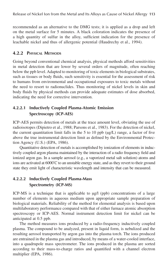recommended as an alternative to the DMG tests; it is applied as a drop and left on the metal surface for 5 minutes. A black coloration indicates the presence of a high quantity of sulfur in the alloy, sufficient indication for the presence of leachable nickel and thus of allergenic potential (Haudrechy et al., 1994).

# **4.2.2 PHYSICAL METHODS**

Going beyond conventional chemical analysis, physical methods afford sensitivities in metal detection that are lower by several orders of magnitude, often reaching below the ppb level. Adapted to monitoring of toxic elements in biological substrates, such as tissues or body fluids, such sensitivity is essential for the assessment of risk to humans from environmental and occupational exposures to toxic metals without the need to resort to radionuclides. Thus monitoring of nickel levels in skin and body fluids by physical methods can provide adequate estimates of dose absorbed, indicating the need for corrective intervention.

# **4.2.2.1 Inductively Coupled Plasma-Atomic Emission Spectroscopy (ICP-AES)**

ICP-AES permits detection of metals at the trace amount level, obviating the use of radioisotopes (Dipietro et al., 1988; Parsons et al., 1983). For the detection of nickel, the current quantitation limit falls in the 5 to 10 ppb  $(\mu g/L)$  range, a factor of five above the true instrumental detection limit as defined by the Environmental Protection Agency (U.S.) (EPA, 1986).

Quantitative detection of metals is accomplished by ionization of elements in inductively coupled argon plasma maintained by the interaction of a radio frequency field and ionized argon gas. In a sample aerosol (e.g., a vaporized metal salt solution) atoms and ions are activated at 6000° C to an unstable energy state, and as they revert to their ground state they emit light of characteristic wavelength and intensity that can be measured.

# **4.2.2.2 Inductively Coupled Plasma-Mass Spectrometry (ICP-MS)**

ICP-MS is a technique that is applicable to  $\mu$ g/l (ppb) concentrations of a large number of elements in aqueous medium upon appropriate sample preparation of biological materials. Reliability of the method for elemental analysis is based upon multilaboratory performance compared with that of either furnace atomic absorption spectroscopy or ICP-AES. Normal instrument detection limit for nickel can be anticipated at 0.5 ppb.

The method measures ions produced by a radio-frequency inductively coupled plasma. The compound to be analyzed, present in liquid form, is nebulized and the resulting aerosol transported by argon gas into the plasma torch. The ions produced are entrained in the plasma gas and introduced, by means of a water-cooled interface, into a quadrupole mass spectrometer. The ions produced in the plasma are sorted according to their mass-to-charge ratios and quantified with a channel electron multiplier (EPA, 1986).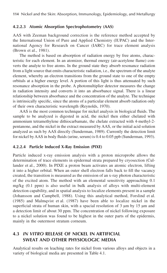### **4.2.2.3 Atomic Absorption Spectrophotometry (AAS)**

AAS with Zeeman background correction is the reference method accepted by the International Union of Pure and Applied Chemistry (IUPAC) and the International Agency for Research on Cancer (IARC) for trace element analysis (Brown et al., 1981).

The method is based on absorption of radiation energy by free atoms, characteristic for each element. In an atomizer, thermal energy (air-acetylene flame) converts the analyte to free atoms. In the ground state they absorb resonance radiation from a light source that emits characteristic radiation, i.e., the spectrum of the analyte element, whereby an electron transitions from the ground state to one of the empty orbitals at a higher energy level. A portion of this light is thus attenuated by such resonance absorption in the probe. A photomultiplier detector measures the change in radiation intensity and converts it into an absorbance signal. There is a linear relationship between absorbance and the concentration of the analyte. The technique is intrinsically specific, since the atoms of a particular element absorb radiation only of their own characteristic wavelength (Reynolds, 1970).

AAS is the most common technique for nickel analysis in biological fluids. The sample to be analyzed is digested in acid, the nickel then either chelated with ammonium tetramethylene dithiocarbamate, the chelate extracted with 4-methyl-2 pentanone, and the nickel in the extract measured by AAS, or the initial acid solution analyzed as such by AAS directly (Sunderman, 1989). Currently the detection limit for nickel by AAS in body fluids (urine, serum) is 0.4 to 0.05 ppb (Sunderman, 1993).

#### **4.2.2.4 Particle Induced X-Ray Emission (PIXE)**

Particle induced x-ray emission analysis with a proton microprobe allows the determination of trace elements in epidermal strata prepared by cryosection (Cullander et al., 2000). In PIXE a proton beam activates an atomic electron, lifting it into a higher orbital. When an outer shell electron falls back to fill the vacancy created, the transition is measured as the emission of an x-ray photon characteristic of the excited atom. The method with an elemental sensitivity approaching 0.1 mg/kg (0.1 ppm) is also useful in bulk analysis of alloys with multi-element detection capability, and in spatial analysis to localize elements present in a sample (Johansson and Campbell, 1988). Using this analytical method, Forslind et al. (1985) and Malmqvist et al. (1987) have been able to localize nickel in the superficial strata of human skin, with a spacial resolution of  $3 \mu m$  by  $15 \mu m$  and a detection limit of about 30 ppm. The concentration of nickel following exposure to a nickel solution was found to be highest in the outer parts of the epidermis, mainly in the outermost stratum corneum.

# **4.3** *IN VITRO* **RELEASE OF NICKEL IN ARTIFICIAL SWEAT AND OTHER PHYSIOLOGIC MEDIA**

Analytical results on leaching rates for nickel from various alloys and objects in a variety of biological media are presented in Table 4.1.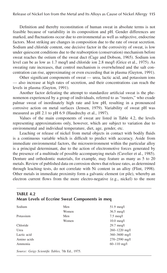Definition and thereby reconstitution of human sweat in absolute terms is not feasible because of variability in its composition and pH. Gender differences are marked, and fluctuations occur due to environmental as well as subjective, endocrine factors. Most striking are changes in composition due to the rate of sweat secretion. Sodium and chloride content, one decisive factor in the corrosivity of sweat, is low under quiescent conditions due to the reabsorption (conservation) mechanism before sweat reaches the ostium of the sweat duct (Cage and Dobson, 1965). Sodium ion level can be as low as 1.7 meq/l and chloride ion 2.8 meq/l (Grice et al., 1975). As sweating rate increases, that control mechanism is overwhelmed and the salt concentration can rise, approximating or even exceeding that in plasma (Guyton, 1991).

Other significant components of sweat — urea, lactic acid, and potassium ions — also increase at high rates of secretion, and their concentrations can reach the levels in plasma (Guyton, 1991).

Another factor defeating the attempt to standardize artificial sweat is the phenomenon experienced by a group of individuals, referred to as "rusters," who exude palmar sweat of inordinately high rate and low pH, resulting in a pronounced corrosive action on metal surfaces (Jensen, 1979). Variability of sweat pH was measured as pH 2.1 to pH 6.9 (Haudrechy et al., 1997).

Values of the main components of sweat are listed in Table 4.2, the levels representing approximations only, however, which are subject to variation due to environmental and individual temperature, diet, age, gender, etc.

Leaching or release of nickel from metal objects in contact with bodily fluids is a continuous variable which is difficult to predict with accuracy. Aside from immediate environmental factors, the microenvironment within the particular alloy is a principal determinant, due to the action of electromotive forces generated by the presence of a multitude of possible accompanying metals (Cavelier et al., 1985). Denture and orthodontic materials, for example, may feature as many as 5 to 20 metals. Review of published data on corrosion shows that release rates, as determined through leaching tests, do not correlate with Ni content in an alloy (Flint, 1998). Other metals in immediate proximity form a galvanic element (or pile), whereby an electron current flows from the more electro-negative (e.g., nickel) to the more

| Sodium      | Men   | $51.9 \text{ meq/l}$ |  |
|-------------|-------|----------------------|--|
|             | Women | $36.5 \text{ meq/l}$ |  |
| Potassium   | Men   | $7.5 \text{ meq/l}$  |  |
|             | Women | $10.0$ meg/l         |  |
| Chloride    |       | $29.7 \text{ meq/l}$ |  |
| Urea        |       | $260 - 1220$ mg/l    |  |
| Lactic acid |       | 360-3600 mg/l        |  |
| Amino acids |       | 270-2590 mg/l        |  |
| Ammonia     |       | $60 - 110$ mg/l      |  |
|             |       |                      |  |

### **TABLE 4.2 Mean Levels of Eccrine Sweat Components in meq**

*Source: Geigy Scientific Tables,* 7th Ed., 1975.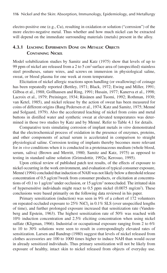electro-positive one (e.g., Cu), resulting in oxidation or solution ("corrosion") of the more electro-negative metal. Thus whether and how much nickel can be extracted will depend on the immediate surrounding materials (metals) present in the alloy.

# **4.3.1 LEACHING EXPERIMENTS DONE ON METALLIC OBJECTS CONTAINING NICKEL**

Model solubilization studies by Samitz and Katz (1975) show that levels of up to 99 ppm of nickel are released from a 2 to 5 cm2 surface area of (unspecified) stainless steel prostheses, suture wires, and screws on immersion in physiological saline, sweat, or blood plasma for one week at room temperature.

Elicitation of nickel allergic reactions upon handling (or swallowing) of coinage has been repeatedly reported (Bettley, 1971; Black, 1972; Ewing and Miller, 1991; Gilboa et al., 1988; Gollhausen and Ring, 1991; Husain, 1977; Kanerva et al., 1998; Lacroix et al., 1979; Preininger, 1934; Räsänen and Tuomi, 1992; Rothman, 1930; van Ketel, 1985), and nickel release by the action of sweat has been measured for coins of different origins (Bang Pedersen et al., 1974; Katz and Samitz, 1975; Menné and Solgaard, 1979). Also the accelerated leaching of nickel from coins and metal buttons in distilled water and synthetic sweat at elevated temperatures was determined in those two studies by Katz and by Menné. Refer to Table 4.1 for details.

Comparative tests simulating corrosion of implant metals *in vitro* demonstrated that the electrochemical process of oxidation in the presence of enzymes, proteins, and other components of actual serum is accelerated in comparison to straight physiological saline. Corrosion testing of implants thereby becomes more relevant for *in vivo* conditions when it is conducted in a proteinaceous medium (whole blood, serum, saliva) (Brown and Merritt, 1980; Samitz and Katz, 1975) as opposed to testing in standard saline solution (Grimsdottir, 1992a; Kerosuo, 1995).

Upon critical review of published patch test results, of the effects of exposure to nickel occurring in the work environment, and evaluation of typical consumer exposure, Menné (1994) concluded that induction of NAH was not likely below a threshold release concentration of 0.5 µg/cm2/week from consumer products, or elicitation at concentrations of <0.1 to 1  $\mu$ g/cm<sup>2</sup> under occlusion, or 15  $\mu$ g/cm<sup>2</sup> nonoccluded. The irritated skin of hypersensitive individuals might react to 0.5 ppm nickel (0.0075 mg/cm2). These conclusions were based primarily on the following data reviewed in his paper.

Primary sensitization (induction) was seen in 9% of a cohort of 172 volunteers on repeated occluded exposure to  $25\%$  NiCl<sub>2</sub> in  $0.1\%$  SLS (over unspecified lengths of time), and further prolonged exposure increased that sensitization rate (Vandenberg and Epstein, 1963). The highest sensitization rate of 50% was reached with 10% induction concentration and 2.5% eliciting concentration when using nickel sulfate (Kligman, 1966). Industrial or occupational exposure ranging from 2 to 6% to 10 to 30% solutions were seen to result in correspondingly elevated rates of sensitization. Larsen and Bandrup (1980) suggest that levels of nickel released from clothes accessories are 100 to 1000 times higher to induce NAH than would occur in already sensitized individuals. Thus primary sensitization will not be likely from exposure of healthy, intact skin to nickel released from objects of everyday use.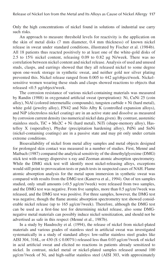Only the high concentrations of nickel found in solutions of industrial use carry such risks.

An approach to measure threshold levels for reactivity is the application on the skin of metal disks (7 mm diameter, 0.4 mm thickness) of known nickel release in sweat under standard conditions, illustrated by Fischer et al. (1984b). All 18 patients thus reacted positively to at least one of the white-gold disks of 2.5 to 15% nickel content, releasing 0.09 to 0.82 µg Ni/week. There was no correlation between nickel content and nickel release. Analysis of used and unused studs, clasps, and earrings showed that they all released nickel to some degree upon one-week storage in synthetic sweat, and neither gold nor silver plating prevented this. Nickel release ranged from 0.005 to 442 µg/object/week. Nickelsensitive women wearing these studs and clasps showed reactions to objects that released <0.5 µg/object/week.

The corrosion resistance of various nickel-containing materials was measured by Randin (1988) in oxygenated artificial sweat (perspiration): Ni, CuNi 25 (coin alloy), NiAl (colored intermetallic compounds), tungsten carbide + Ni (hard metal), white gold (jewelry alloy), FN42 and Nilo Alby K (controlled expansion alloys), and NiP (electroless nickel coating) are in an active state and dissolve as measured by corrosion current density (no numerical nickel data given). By contrast, austenitic stainless steels, TiC + Mo2C + Ni (hard metal), NiTi (shape-memory alloy), Hastelloy X (superalloy), Phydur (precipitation hardening alloy), PdNi and SnNi (nickel-containing coatings) are in a passive state and may pit only under certain extreme conditions.

Bioavailability of nickel from metal alloy samples and metal objects designed for prolonged skin contact was measured in a number of studies. First, Menné and Maibach (1987) compared the analytical sensitivity of the dimethylglyoxime (DMG) stick test with energy dispersive x-ray and Zeeman atomic absorption spectrometry. While the DMG stick test will identify most nickel-releasing alloys, exceptions would still point to provocation tests or patch tests in suspected cases of NAH. Flame atomic absorption analysis for the metal upon immersion in synthetic sweat was compared with results from the DMG test (Kanerva et al., 1994). Out of ten samples studied, only small amounts  $\left($ <0.5 µg/cm<sup>2</sup>/week) were released from two samples, and the DMG test was negative. From five samples, more than 0.5 µg/cm<sup>2</sup>/week was released, and the DMG test was positive. For three samples, however, the DMG test was negative, though the flame atomic absorption spectrometry test showed considerable nickel release (up to 165 µg/cm<sup>2</sup>/week). Therefore, although the DMG test can be used as a first-line test for determining nickel release, also some DMGnegative metal materials can possibly induce nickel sensitization, and should not be advertised as safe in this respect (Menné et al., 1987b).

In a study by Haudrechy et al. (1994), the release of nickel from nickel-plated materials and various grades of stainless steel in artificial sweat was investigated systematically in a study of standard alloys: low-sulfur stainless steel grades like AISI 304, 316L, or 430 ( $S \le 0.007\%$ ) released less than 0.03 ug/cm<sup>2</sup>/week of nickel in acid artificial sweat and elicited no reactions in patients already sensitized to nickel. In contrast, nickel metal or nickel-plated samples released around 100 ug/cm<sup>2</sup>/week of Ni, and high-sulfur stainless steel (AISI 303, with approximately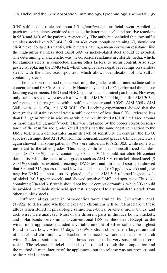0.3% sulfur added) released about 1.5 µg/cm2/week in artificial sweat. Applied as patch tests on patients sensitized to nickel, the latter metals elicited positive reactions in 96% and 14% of the patients, respectively. The authors concluded that low-sulfur stainless steels like AISI 304, 316L, or 430, even though containing Ni, should not elicit nickel contact dermatitis, while metals having a mean corrosion resistance like the high-sulfur stainless steel (AISI 303) or nickel-plated steel should be avoided. The determining characteristic was the corrosion resistance in chloride media, which, for stainless steels, is connected, among other factors, to sulfur content. Also suggested is replacing the DMG test, which can give false negative readings on stainless steels, with the nitric acid spot test, which allows identification of low-sulfurcontaining steels.

The question remained open concerning the grades with an intermediate sulfur content, around 0.03%. Subsequently Haudrechy et al. (1997) performed three tests: leaching experiments, DMG and  $HNO<sub>3</sub>$  spot tests, and clinical patch tests. However, only stainless steels were tested: a low-sulfur AISI 304 and high-sulfur AISI 303 as references and three grades with a sulfur content around 0.03%: AISI 304L, AISI 304L with added Ca, and AISI 304L+Cu. Leaching experiments showed that the four grades of stainless steel with a sulfur content of less than 0.03% released less than 0.5 µg/cm2/week in acid sweat while the resulfurized AISI 303 released around or more than 0.5 µg g/cm<sup>2</sup>/week. This was explained by the poorer corrosion resistance of the resulfurized grade. Yet all grades had the same negative reaction to the DMG test, which demonstrates again its lack of sensitivity. In contrast, the  $HNO<sub>3</sub>$ spot test distinguished AISI 303 from the nonresulfurized grades. Clinical patch tests again showed that some patients (4%) were intolerant to AISI 303, while none was intolerant to the other grades. This study confirms that nonresulfurized stainless steels ( $S \le 0.03\%$ ) like Ni-containing 304 and 304L should not elicit Ni contact dermatitis, while the resulfurized grades such as AISI 303 or nickel-plated steel (S > 0.1%) should be avoided. Leaching, DMG test, and nitric acid spot tests showed that 304 and 316 grades released low levels of nickel  $\langle$ <0.5 µg/cm<sup>2</sup>/week) and gave negative DMG and spot tests. Ni-plated steels and AISI 303 released higher levels of nickel (>0.5 µg/cm2/week) and showed positive DMG and spot tests. Thus, Nicontaining 304 and 316 steels should not induce contact dermatitis, while 303 should be avoided. A reliable nitric acid spot test is proposed to distinguish this grade from other stainless steels.

Different alloys used in orthodontics were studied by Grimsdottir et al. (1992a) to determine whether nickel and chromium will be released from these alloys when stored in physiologic saline. Face-bows, brackets, molar bands, and arch wires were analyzed. Most of the different parts in the face-bows, brackets, and molar bands were similar to conventional 18/8 stainless steel. Except for the wires, most appliances included a variable amount of silver solder, the highest found in face-bows. After 14 days in 0.9% sodium chloride, the largest amount of nickel and chromium was leached from face-bows and the least from arch wires. Soldered stainless steel face-bows seemed to be very susceptible to corrosion. The release of nickel seemed to be related to both the composition and the method of manufacture of the appliances, but the release was not proportional to the nickel content.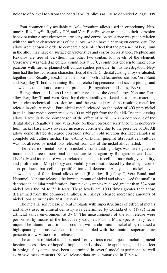Four commercially available nickel–chromium alloys used in orthodontry, Neptune™, Rexalloy™, Regalloy T™, and Vera Bond™, were tested as to their corrosion behavior using Auger electron microscopy, and corrosion resistance was put in relation with the surface characteristics of the alloys, which have a bearing on corrosivity. The alloys were chosen in order to compare a possible effect that the presence of beryllium in the alloy may have on surface characteristics and corrosion resistance. Neptune and Rexalloy are free of beryllium; the other two contain low levels of the element. Corrosivity was tested in culture conditions at 37˚C, conditions chosen to make comparisons with further planned cell culture studies possible. In this investigation, Neptune had the best corrosion characteristics of the Ni-Cr dental casting alloys evaluated; together with Rexalloy it exhibited the more smooth and featureless surface. Vera Bond and Regalloy T, both containing Be, had etched appearances and severe pitting, and showed accumulation of corrosion products (Bumgardner and Lucas, 1993).

Bumgardner and Lucas (1994) further evaluated the dental alloys Neptune, Rexalloy, Regalloy T, and Vera Bond for their suitability as dental restorative materials, by an electrochemical corrosion test and the cytotoxicity of the resulting metal ion release in culture media. Pure nickel metal released on the order of 400 ppm nickel in cell culture media, compared with 100 to 255 ppb from the four Ni-Cr dental casting alloys. Particularly the comparison of the effect of beryllium as a component of the dental alloys Regalloy T and Vera Bond on their corrosion resistance with nonberyllium, nickel base alloys revealed increased corrosivity due to the presence of Be. All alloys demonstrated decreased corrosion rates in cold solution sterilized samples in complete cell culture media. The viability of human gingival fibroblast cell cultures was not affected by metal ions released from any of the nickel alloys tested.

The release of metal ions from nickel-chrome casting alloys was investigated in incremental three-dimensional cell culture tests, again by Bumgardner and Lucas (1995). Metal ion release was correlated to changes in cellular morphology, viability, and proliferation. Morphology and viability were not affected by the alloys' corrosion products, but cellular proliferation did decrease. Analysis of nickel levels showed that, of four dental alloys tested (Rexalloy, Regalloy T, Vera Bond, and Neptune), Neptune released the lowest amount of nickel and also caused the smallest decrease in cellular proliferation. Pure nickel samples released greater than 324 ppm nickel over the 24 to 72 h tests. These levels are 1000 times greater than those determined from the commercial alloys. All alloys released increasing amounts of nickel ions at successive test intervals.

The metallic ion release in oral implants with superstructures of different metals and alloys used in clinical dentistry was determined by Cortada et al. (1997) in an artificial saliva environment at 37˚C. The measurements of the ion release were performed by means of the Inductively Coupled Plasma Mass Spectrometry technique. The titanium oral implant coupled with a chromium–nickel alloy released a high quantity of ions, while the implant coupled with the titanium superstructure presents a low value of ion release.

The amount of nickel ions liberated from various metal objects, including metal fashion accessories, orthopedic implants and orthodontic appliances, and its effect in biological systems, have been determined in several model experiments as well as *in vivo* measurements. Nickel release data are summarized in Table 4.1.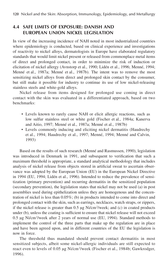# **4.4 SAFE LIMITS OF EXPOSURE: DANISH AND EUROPEAN UNION NICKEL LEGISLATION**

In view of the increasing incidence of NAH noted in most industrialized countries where epidemiology is conducted, based on clinical experience and investigations of reactivity to nickel alloys, dermatologists in Europe have elaborated regulatory standards that would limit nickel present or released from commonplace metal items of direct and prolonged contact, in order to minimize the risk of induction or elicitation of nickel allergy (Avnstorp et al., 1990; Lidén et al., 1996; Menné, 1994; Menné et al., 1987a; Menné et al., 1987b). The intent was to remove the most sensitizing nickel alloys from direct and prolonged skin contact by the consumer, but still make it possible for industry to continue its use of low nickel-releasing stainless steels and white-gold alloys.

Nickel release from items designed for prolonged use coming in direct contact with the skin was evaluated in a differentiated approach, based on two benchmarks:

- Levels known to rarely cause NAH or elicit allergic reactions, such as low sulfur stainless steel or white gold (Fischer et al., 1984a; Kanerva and Aitio, 1997; Menné et al., 1987a; Menné et al., 1987b)
- Levels commonly inducing and eliciting nickel dermatitis (Haudrechy et al., 1994; Haudrechy et al., 1997; Menné, 1994; Menné and Calvin, 1993)

Based on the results of such research (Menné and Rasmussen, 1990), legislation was introduced in Denmark in 1991, and subsequent to verification that such a maximum threshold is appropriate, a standard analytical methodology that includes analysis of nickel release from objects stored in artificial sweat to ascertain observance was adopted by the European Union (EU) in the European Nickel Directive in 1994 (EU, 1994; Lidén et al., 1996). Intended to reduce the prevalence of sensitization (primary prevention) and recurring dermatitis in the sensitized population (secondary prevention), the legislation states that nickel may not be used (a) in post assemblies used during epithelization unless they are homogenous and the concentration of nickel is less than 0.05%; (b) in products intended to come into direct and prolonged contact with the skin, such as earrings, necklaces, watch straps, or zippers, if the nickel release is greater than 0.5 µg Ni/cm2/week; and (c) in coated products under (b), unless the coating is sufficient to ensure that nickel release will not exceed 0.5 µg Ni/cm2/week after 2 years of normal use (EU, 1994). Standard methods to implement the control of the three parts that make up the regulation are in place and have been agreed upon, and in different countries of the EU the legislation is now in force.

The threshold thus mandated should prevent contact dermatitis in most sensitized subjects, albeit some nickel-allergic individuals are still expected to react even to levels of 0.05 µg Ni/cm2/week (Fischer et al., 1984b; Gawkrodger, 1996).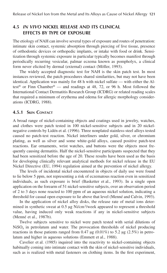# **4.5** *IN VIVO* **NICKEL RELEASE AND ITS CLINICAL EFFECTS BY TYPE OF EXPOSURE**

The etiology of NAH can involve several types of exposure and routes of penetration: intimate skin contact, systemic absorption through piercing of live tissue, presence of orthodontic devices or orthopedic implants, or intake with food or drink. Sensitization through systemic exposure in particular typically becomes manifest through periodically recurring vesicular, palmar eczema known as pompholyx, a clinical form never elicited by dermal (external) contact (Möller, 1993).

The widely accepted diagnostic test for NAH is the skin patch test. In most instances reviewed, the patch procedures shared similarities, but may not have been identical. Application was mainly for 48 h with nickel sulfate — with either the Altest® or Finn Chamber® — and readings at 48, 72, or 96 h. Most followed the International Contact Dermatitis Research Group (ICDRG) or related reading scales that required a minimum of erythema and edema for allergic morphology considerations (ICDRG, 1988).

#### **4.5.1 SKIN CONTACT**

A broad range of nickel-containing objects and coatings used in jewelry, watches, and clothes were patch tested in 100 nickel-sensitive subjects and in 20 nickelnegative controls by Lidén et al. (1996). Three nonplated stainless-steel alloys tested caused no patch-test reaction. Nickel interliners under gold, silver, or chromium plating, as well as silver and some white-gold alloys, caused positive patch-test reactions. Ear ornaments, wrist watches, and buttons were the objects most frequently causing dermatitis. Half the nickel-sensitive participants suspected that they had been sensitized before the age of 20. These results have been used as the basis for developing clinically relevant analytical methods for nickel release in the EU Nickel Directive (EU, 1994) regulation aimed at the prevention of nickel allergy.

The levels of incidental nickel encountered in objects of daily use were found to lie below 5 ppm, not representing a risk of eczematous reaction even in sensitized individuals, as such exposure is brief (Basketter et al., 1993). In a single open application on the forearm of 51 nickel-sensitive subjects, over an observation period of 2 to 3 days none reacted to 100 ppm of an aqueous nickel solution, indicating a threshold for casual open exposure to lie above that level (Menné and Calvin, 1993).

In the application of nickel alloy disks, the release rate of metal ions determined in synthetic sweat at 0.5 µg Ni/cm<sup>2</sup>/week appeared to represent a threshold value, having induced only weak reactions if any in nickel-sensitive subjects (Menné et al., 1987b).

Twelve subjects sensitive to nickel were patch tested with serial dilutions of  $Niso<sub>4</sub>$  in petrolatum and water. The provocation thresholds of nickel producing reactions in those patients ranged from 0.47  $\mu$ g (0.01%) to 5.2  $\mu$ g (2.5%) in petrolatum and higher in aqueous solutions (Emmett et al., 1988).

Cavelier et al. (1985) inquired into the reactivity to nickel-containing objects habitually coming into intimate contact with the skin of nickel-sensitive individuals, such as is realized with metal fasteners on clothing items. In the first experiment,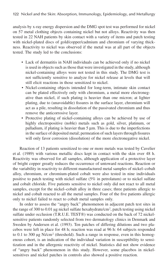analysis by x-ray energy dispersion and the DMG spot test was performed for nickel on 57 metal clothing objects containing nickel but not alloys. Reactivity was then tested in 22 NAH patients by skin contact with a variety of items and patch testing with nickel-plated discs of gold/copper/cadmium and chromium of varying thickness. Reactivity to nickel was observed if the metal was at all part of the objects tested. The study led to the conclusions:

- Lack of dermatitis in NAH individuals can be achieved only if no nickel is used in objects such as those that were investigated in the study, although nickel-containing alloys were not tested in this study. The DMG test is not sufficiently sensitive to analyze for nickel release at levels that will still elicit reactions in those sensitized to nickel.
- Nickel-containing objects intended for long-term, intimate skin contact can be plated effectively only with chromium, a metal more electronegative than nickel, if such plating is heavier than one micron; at lighter plating, due to (unavoidable) fissures in the surface layer, chromium will act as a pile, resulting in dissolution of the passivated chromium and thus remove the anticorrosive layer.
- Protective plating of nickel-containing alloys can be achieved by use of highly electropositive (noble) metals such as gold, silver, platinum, or palladium, if plating is heavier than 5 µm. This is due to the imperfections in the surface of deposited metal; permeation of such layers through fissures will only favor corrosion (dissolution) of the more electronegative nickel.

Reaction of 13 patients sensitized to one or more metals was tested by Cavelier et al. (1989) with various metallic discs kept in contact with the skin over 48 h. Reactivity was observed for all samples, although application of a protective layer of bright copper greatly reduces the occurrence of untoward reactions. Reaction or the variability in reactivity to different manufactured metal samples of nickel–cobalt alloy, chromium, or chromium-plated cobalt were also tested in nine individuals positive to patch testing with nickel sulfate (5% in petrolatum) or to nickel sulfate and cobalt chloride. Five patients sensitive to nickel only did not react to all metal samples, except for the nickel–cobalt alloy in three cases; three patients allergic to nickel and cobalt reacted to all the metal samples. Four of the five patients allergic only to nickel failed to react to cobalt metal samples only.

In order to assess the "angry back" phenomenon in adjacent patch test sites in the range of 300 to 0.01 µg nickel sulfate hexahydrate/cm<sup>2</sup>, patch testing using nickel sulfate under occlusion (T.R.U.E. TEST®) was conducted on the back of 72 nickelsensitive patients randomly selected from two dermatology clinics in Denmark and Sweden by Andersen et al. (1993). Ten patches of differing dilutions and two placebos were left in place for 48 h; reaction was read at 96 h: 64 subjects responded to 0.1 to 300 µg Ni/cm2 (threshold). Such a range in response, even in this homogenous cohort, is an indication of the individual variation in susceptibility to sensitization and in the allergenic reactivity of nickel. Statistics did not show evidence of "angry back" phenomenon in this study. However, some placebos in nickelsensitives and nickel patches in controls also showed a positive reaction.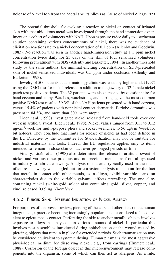The potential threshold for evoking a reaction to nickel on contact of irritated skin with that ubiquitous metal was investigated through the hand-immersion experiment on a cohort of volunteers with NAH. Upon exposure twice daily to a surfactant solution containing various concentrations of nickel, there was no evidence of elicitation reactions up to a nickel concentration of 0.1 ppm (Allenby and Goodwin, 1983). No reaction was seen in another hand-immersion study at a 1 ppm nickel concentration twice daily for 23 days on the skin of four sensitized volunteers following pretreatment with SDS (Allenby and Basketter, 1994). In another threshold study by the same authors, the minimal eliciting concentration on SDS-pretreated skin of nickel-sensitized individuals was 0.5 ppm under occlusion (Allenby and Basketter, 1993).

Jewelry of 500 patients at a dermatology clinic was tested by Ingber et al. (1997) using the DMG test for nickel release, in addition to the jewelry of 32 female nickel patch test positive patients. The 32 patients were also screened by questionnaire for hand eczema and atopy. Watches, watchstraps, and earrings gave the most common positive DMG test results; 59.3% of the NAH patients presented with hand eczema, versus 15.4% of patients with nonnickel contact dermatitis. Earlobe dermatitis was present in 84.3%, and more than 80% were atopic.

Lidén et al. (1998) investigated nickel released from hand-held tools over one week in artificial sweat (Lidén et al., 1998). Nickel values ranged from 0.11 to 0.12 µg/cm2/week for multi-purpose pliers and socket wrenches, to 56 µg/cm2/week for bit holders. They conclude that limits for release of nickel as had been defined in the EU Directive by the Committee for Standardization may not be suitable for industrial materials and tools. Indeed, the EU regulation applies only to items intended to remain in close skin contact over prolonged periods of time.

Finally, Lidén et al. (1998) also determined the release in artificial sweat of nickel and various other precious and nonprecious metal ions from alloys used in industry to fabricate jewelry. Analysis of material typically used in the manufacture of jewelry was singled out for corrosion analysis to account for the fact that metals in contact with other metals, as in alloys, exhibit variable corrosion characteristics due to the variable galvanic effects prevailing. The one alloy containing nickel (white-gold solder also containing gold, silver, copper, and zinc) released 0.09 µg Ni/cm<sup>2</sup>/wk.

#### **4.5.2 PIERCED SKIN: SYSTEMIC INDUCTION OF NICKEL ALLERGY**

For purposes of the present review, piercing of the ears and other sites on the human integument, a practice becoming increasingly popular, is not considered to be equivalent to epicutaneous contact. Perforating the skin to anchor metallic objects involves exposure to alloys that may contain various amounts of nickel. In particular this involves post assemblies introduced during epithelization of the wound caused by piercing, objects that remain in place for extended periods. Such traumatization may be considered equivalent to systemic dosing. Human plasma is the most aggressive physiological medium for dissolving nickel, e.g., from earrings (Emmett et al., 1988). Corrosion of the foreign object in this microenvironment may release components into the organism, some of which can then act as allergens. As a rule,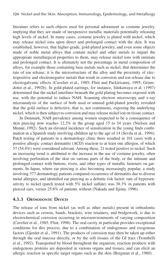literature refers to such objects used for personal adornment as costume jewelry, implying that they are made of inexpensive metallic materials potentially releasing high levels of nickel. In many cases, costume jewelry is plated with nickel, which may release nickel ions upon direct and prolonged contact with the skin. It was established, however, that higher-grade, gold-plated jewelry, and even some objects made of noble metal alloys that contain nickel and other metals to impart the appropriate metallurgical properties to them, may release nickel ions with intimate and prolonged contact. It is ultimately not the percentage in metal composition of alloys, for example those containing base metals such as nickel, that determines the rate of ion release; it is the microstructure of the alloy and the proximity of electropositive and electronegative metals that result in corrosion and ion release due to electrogalvanic effects (Cavelier et al., 1985; Flint and Packirisamy, 1995; Grimsdottir et al., 1992b). In gold-plated earrings, for instance, Ishikawaya et al. (1997) determined that the nickel interliner beneath the gold plating becomes exposed with use, with the potential to induce NAH. Scanning electron microscopy and x-ray microanalysis of the surface of both used or unused gold-plated jewelry revealed that the gold surface is defective, that is, not continuous, exposing the underlying nickel, which is then subject to corrosion and may release nickel ion on tissue contact.

In Denmark, NAH prevalence among women suspected to be a consequence of skin piercing now reaches 12.2% in the group aged 15 to 34 years (Nielsen and Menné, 1992). Such an elevated incidence of sensitization in the young finds confirmation in a Spanish study involving children up to the age of 14 (Sevila et al., 1994). Patch testing of patients in a dermatology clinic there resulted in 101 cases with a positive allergic contact dermatitis (ACD) reaction to at least one allergen, of which 57 (54.4%) were considered relevant. Among these, 21 tested positive to nickel. Such an increasing trend is attributed to the increase in the use of costume jewelry, often involving perforation of the skin on various parts of the body, or the intimate and prolonged contact with buttons, rivets, and other types of metallic fasteners on garments. In Japan, where ear piercing is also becoming increasingly popular, a study involving 377 dermatology patients compared occurrence of dermatitis due to diverse metal allergies, and identified ear piercing as a definite risk factor: rate of hypersensitivity to nickel (patch tested with 5% nickel sulfate) was 38.3% in patients with pierced ears, versus 25.6% of patients without (Nakada and Iijima, 1996).

#### **4.5.3 ORTHODONTIC DEVICES**

The release of ions from nickel (as well as other metals) present in orthodontic devices such as crowns, bands, brackets, wire retainers, and bridgework, is due to electrochemical corrosion occurring in microenvironments of varying composition (Cavelier et al., 1985; Flint, 1998). The oral cavity in particular provides exceptional conditions for this process, due to a combination of endogenous and exogenous factors (Gjerdet et al., 1991). The products of corrosion may then be taken up either through the oral mucosa directly, or by the soft tissues of the GI tract (Trombelli et al., 1992). Transported by blood throughout the organism, reaction products with endogenous proteins are deposited in various organs and tissues, and can elicit an allergic reaction in specific target organs such as the skin (Bergman et al., 1980).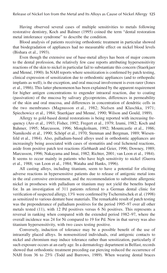Having observed several cases of multiple sensitivities to metals following restorative dentistry, Koch and Balmer (1995) coined the term "dental restoration metal intolerance syndrome" to describe the condition.

Blood analysis of patients receiving orthodontic treatment in particular showed that biodegradation of appliances had no measurable effect on nickel blood levels (Bishara et al., 1993).

Even though the extensive use of base-metal alloys has been of major concern to the dental profession, the relatively few case reports attributing hypersensitivity reactions of the skin to nickel in particular fail to substantiate this concern (Staerkjaer and Menné, 1990). In NAH reports where sensitization is confirmed by patch testing, clinical expression of sensitization due to orthodontic appliances (and to orthopedic implants as well), is the exception, and oral mucosal involvement is even rarer (Jones et al., 1986). This latter phenomenon has been explained by the apparent requirement for higher antigen concentrations to engender intraoral reaction, due to coating (passivation) of the mucosa by salivary glycoproteins, differences in permeability of the skin and oral mucosa, and differences in concentration of dendritic cells in the two membranes (Magnusson et al., 1982; Nielsen and Klaschka, 1971; Spiechowicz et al., 1984; Staerkjaer and Menné, 1990; Wilson and Gould, 1989).

Allergy to gold-based dental restorations is being reported with increasing frequency (Aro et al., 1993; Fisher, 1992; Fregert et al., 1979; Izumi, 1982; Koch and Bahmer, 1995; Marcusson, 1996; Mongkolnam, 1992; Mountcastle et al., 1986; Namikoshi et al., 1990; Schöpf et al., 1970; Stenman and Bergman, 1989; Wiesenfeld et al., 1984). Also, palladium-based alloys used in orthodontic appliances are increasingly being associated with cases of stomatitis and oral lichenoid reactions, aside from positive patch test reactions (Gebhardt and Geier, 1996; Downey, 1989; Marcusson, 1996; Nakayama and Imai, 1982; Richter, 2001; van Loon et al., 1984). It seems to occur mainly in patients who have high sensitivity to nickel (Guerra et al., 1988; van Loon et al., 1984; Wataha and Hanks, 1996).

All casting alloys, including titanium, seem to have a potential for eliciting adverse reactions in hypersensitive patients due to release of antigenic metal ions in the oral corrosive environment, and the recommendation to substitute allergenic nickel in prostheses with palladium or titanium may not yield the benefits hoped for. In an investigation of 311 patients referred to a German dental clinic for verification of suspected allergy, 13% were confirmed by Tschernitschek et al. (1998) as sensitized to various denture base materials. The remarkable result of patch testing was the preponderance of palladium positives for the period 1995–97 over all other metals tested (11), with 12 Pd positives versus 6 Ni positives. This represents a reversal in ranking when compared with the extended period 1982–97, where the overall incidence was 24 for Ni compared to 19 for Pd. New in that survey was also titanium hypersensitivity, with two cases testing positive.

Conversely, induction of tolerance may be a possible benefit of the use of intraorally placed alloys. In nonsensitized individuals, oral antigenic contacts to nickel and chromium may induce tolerance rather than sensitization, particularly if such exposure occurs at an early age. In a dermatology department in Belfast, records showed that orthodontic treatment preceding ear piercing reduced the occurrence of NAH from 36 to 25% (Todd and Burrows, 1989). When wearing dental braces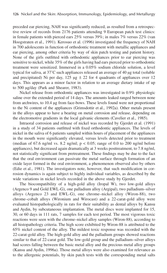preceded ear piercing, NAH was significantly reduced, as resulted from a retrospective review of records from 2176 patients attending 9 European patch test clinics: in female patients with pierced ears 25% versus 39%; in males 7% versus 22% (van Hoogstraten et al., 1991). Kerosuo et al. (1996) investigated the frequency of NAH in 700 adolescents in function of orthodontic treatment with metallic appliances and ear piercing, among other criteria by way of skin patch testing and patient history. None of the girls outfitted with orthodontic appliances prior to ear piercing was sensitive to nickel, while 35% of the girls having had ears pierced prior to orthodontic treatment were sensitized. Immersed in a 0.05% sodium chloride solution, a level typical for saliva, at 37˚C such appliances released an average of 40 µg total (soluble and precipitated) Ni per day,  $125 \mu g \pm 22$  for 4 quadrants of appliances over 12 days. This appears as a minor factor in relation to an average dietary intake of up to 500 µg/day (Park and Shearer, 1983).

Nickel release from orthodontic appliances was investigated in 0.9% physiologic saline over the extended period of 14 days. The amounts leaked ranged between none from archwires, to 10.4 µg from face-bows. These levels found were not proportional to the Ni content of the appliances (Grimsdottir et al., 1992a). Other metals present in the alloys appear to have a bearing on metal corrosion and release, depending on the electromotive gradients in the local galvanic elements (Cavelier et al., 1985).

Intraoral corrosion and release of nickel was recorded by Gjerdet et al. (1991) in a study of 34 patients outfitted with fixed orthodontic appliances. The levels of nickel in the saliva of 6 patients sampled within hours of placement of the appliances in the mouth were significantly elevated, versus levels detected prior to treatment (median of 67.6 ng/ml vs. 8.2 ng/ml;  $p < 0.05$ ; range of 0.0 to 200 ng/ml before appliances), but decreased again dramatically at 3 weeks posttreatment, to 7.8 ng/ml, not statistically significant from pretreatment. These findings may be due to the fact that the oral environment can passivate the metal surface through formation of an oxide layer formed in the oral environment, a phenomenon observed also by others (Edie et al., 1981). The investigators note, however, that such modification in corrosion dynamics is again subject to highly individual variables, as described by the wide variations in nickel levels recorded in the above study by Gjerdet.

The biocompatibility of a high-gold alloy (Iropal W), two low-gold alloys (Argenco 9 and Gold EWL-G), one palladium alloy (Argipal), two palladium–silver alloys (Argenco 23 and EWL-G), one chrome–nickel alloy (Wiron-88), two chrome–cobalt alloys (Wironium and Wirocast) and a 22-carat-gold alloy were evaluated histopathologically in rats for their suitability as dental alloys by Kansu and Aydin, by subcutaneous implantation. The metal discs were implanted for 15, 30, or 60 days in 111 rats, 7 samples for each test period. The most vigorous toxic reactions were seen with the chrome–nickel alloy samples (Wiron-88), according to all histopathology criteria. The high score exhibited by Wiron-88 is attributed to the 65% nickel content of the alloy. The mildest toxic response was recorded with the 22-carat-gold alloy. The high-gold alloy and the palladium groups showed reactions similar to that of 22-carat gold. The low-gold group and the palladium–silver alloys had scores falling between the basic metal alloy and the precious metal alloy groups (Kansu and Aydin, 1996a). Those metal alloys were also examined for relevance as to the allergenic potentials, by skin patch tests with the corresponding metal salts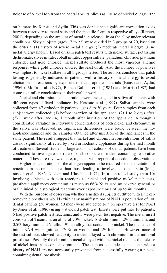on humans by Kansu and Aydin. This was done since significant correlation exists between reactivity to metal salts and the metallic form in respective alloys (Richter, 2001), depending on the amount of metal ion released from the alloy under relevant conditions. Sixty subjects (ages 17 to 23) were divided in 3 groups of 20, based on the criteria: (1) history of severe metal allergy; (2) moderate metal allergy; (3) no metal allergy known. Based on skin patch test results with nickel sulfate, potassium dichromate, silver nitrate, cobalt nitrate, copper sulfate, palladium chloride, platinum chloride, and gold chloride, nickel sulfate produced the most vigorous allergic response, while gold chloride showed the least of all. Also the number of positives was highest to nickel sulfate in all 3 groups tested. The authors conclude that patch testing is generally indicated in patients with a history of metal allergy to avoid elicitation of reactions by exposure to inappropriate materials (Kansu and Aydin, 1996b). Moffa et al. (1977), Blanco-Dalmau et al. (1984) and Morris (1987) had come to similar conclusions in their earlier work.

Nickel and chromium concentrations were investigated in saliva of patients with different types of fixed appliances by Kerosuo et al. (1997). Saliva samples were collected from 47 orthodontic patients, ages 8 to 30 years. Four samples from each subject were collected: (1) before insertion of the appliance, (2) 1 to 2 days after, (3) 1 week after, and (4) 1 month after insertion of the appliance. Although a considerable variation in individual concentrations of both nickel and chromium in the saliva was observed, no significant differences were found between the noappliance samples and the samples obtained after insertion of the appliances in the same patient. The results suggest that nickel and chromium concentrations of saliva are not significantly affected by fixed orthodontic appliances during the first month of treatment. Several studies in large and small cohorts of dental patients have been conducted to investigate the role of oral exposure to nickel containing restorative materials. These are reviewed here, together with reports of anecdotal observations.

Higher concentrations of the allergen appear to be required for the elicitation of reactions in the oral mucosa than those leading to involvement of the skin (Magnusson et al., 1982; Nielsen and Klaschka, 1971). In a controlled study  $(n = 10)$ involving subjects with skin reactions to nickel and positive nickel patch tests, prosthetic appliances containing as much as 66% Ni caused no adverse general or oral clinical or histological reactions over exposure times of up to 40 months.

With the purpose of observing whether sensitized subjects outfitted with a nickelremovable prosthesis would exhibit any manifestations of NAH, a population of 100 dental patients (50 women, 50 men) were subjected to a preoperative test for NAH by Jones et al. (1986) using a standard patch test. Inserts were put into 10 patients: 5 had positive patch test reactions, and 5 were patch-test negative. The metal insert consisted of Ticonium, an alloy of 70% nickel, 16% chromium, 2% aluminum, and 0.5% beryllium, and Vitallium™, an alloy that contains no nickel. The incidence of initial NAH was significant: 20% for women and 2% for men. However, none of the test subjects showed reactivity to nickel alloyed with chromium in the intraoral prostheses. Possibly the chromium metal alloyed with the nickel reduces the release of nickel ions in the oral environment. The authors conclude that patients with a history of NAH are not necessarily prevented from successfully wearing a nickelcontaining dental prosthesis.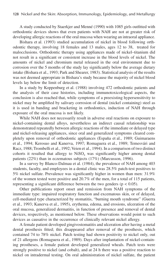A study conducted by Staerkjer and Menné (1990) with 1085 girls outfitted with orthodontic devices shows that even patients with NAH are not at greater risk of developing allergic reactions of the oral mucosa when wearing an intraoral appliance.

Bishara et al. (1993) studied accumulation of nickel in blood following orthodontic therapy, involving 18 females and 13 males, ages 12 to 38, treated for malocclusions. Orthodontic therapy using appliances made of nickel–titanium did not result in a significant or consistent increase in the blood levels of nickel. The amounts of nickel and chromium metal released in the oral environment due to corrosion over the 5 months of the study lay significantly below the average dietary intake (Bishara et al., 1993; Park and Shearer, 1983). Statistical analysis of the results was not deemed appropriate in Bishara's study because the majority of nickel blood levels lay below the limit of detection.

In a study by Koppenburg et al. (1988) involving 472 orthodontic patients and the analysis of their case histories, including immunotoxicological aspects, the conclusion is also reached that, while symptoms of a preexisting hypersensitivity to nickel may be amplified by salivary corrosion of dental (nickel containing) steel as it is used in banding and bracketing in orthodontics, induction of NAH through exposure of the oral mucosa is not likely.

While NAH does not necessarily result in adverse oral reactions on exposure to nickel-containing dental alloys, nevertheless an indirect causal relationship was demonstrated repeatedly between allergic reactions of the immediate or delayed type and nickel-releasing appliances, since oral and generalized symptoms cleared completely upon removal of orthodontic appliances (España et al., 1989; Guimaraens et al., 1994; Kerosuo and Kanerva, 1997; Romaguera et al., 1989; Temesvári and Racz, 1988; Trombelli et al., 1992; Veien et al., 1994). In a comparison of two distinct cohorts it resulted that allergy to  $NiSO<sub>4</sub>$  was significantly higher among dental patients (22%) than in eczematous subjects (17%) (Marcusson, 1996).

In a survey by Blanco-Dalmau et al. (1984), the prevalence of NAH among 403 students, faculty, and employees in a dental clinic was 28.5% patch-test positives to 5% nickel sulfate. Prevalence was significantly higher in women than men: 31.9% of the women tested were positive and 20.7% of the men, for a total of 115 patients, representing a significant difference between the two genders ( $p < 0.05$ ).

Other publications report onset and remission from NAH symptoms of the immediate type: impaired respiratory function and excematous skin, or of delayed, cell-mediated type characterized by stomatitis, "burning mouth syndrome" (Guerra et al., 1993; Kanerva et al., 1995), erythema, edema, and erosions, ulceration of the oral mucosa, generalized dermatitis, in function of presence and removal of dental devices, respectively, as mentioned below. These observations would point to such devices as causative in the occurrence of clinically relevant nickel allergy.

A female patient developed gingivostomatitis and ulceration after having a metal dental prosthesis fitted; this disappeared after removal of the prosthesis, which contained 74 to 78% nickel. Patch testing had shown positivity to nickel only, out of 21 allergens (Romaguera et al., 1989). Days after implantation of nickel-containing prostheses, a female patient developed generalized wheals. Patch tests were strongly positive to nickel (and cobalt), and at 24 h there was a positive reaction to nickel on intradermal testing. On oral administration of nickel sulfate, the patient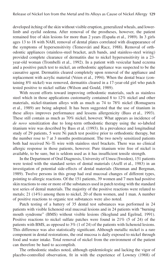developed itching of the skin without visible eruption, generalized wheals, and lowerlimb and eyelid oedema. After removal of the prostheses, however, the patient remained free of skin lesions for more than 2 years (España et al., 1989). In 3 girls ages 13 to 18 with NAH, removal of dental plates correlated with disappearance of the symptoms of hypersensitivity (Temesvári and Racz, 1988). Removal of orthodontic appliances (stainless-steel bracket, arch bands, and stainless-steel wiring) provided complete clearance of dermatitis due to nickel hypersensitivity in a 23 year-old woman (Trombelli et al., 1992). In a patient with vesicular hand eczema and a positive patch test to nickel, an orthodontic appliance was suspected to be the causative agent. Dermatitis cleared completely upon removal of the appliance and replacement with acrylic material (Veien et al., 1994). When the dental brace (containing 8% nickel) was removed, dermatitis cleared in a 17-year-old girl who patch tested positive to nickel sulfate (Wilson and Gould, 1989).

With recent efforts toward improving orthodontic materials, such as stainless steel which in those applications customarily contained 8 to 12% nickel and other materials, nickel-titanium alloys with as much as 74 to 78% nickel (Romaguera et al., 1989) are being adopted. It has been suggested that the use of titanium in these alloys improves performance and lessens allergenicity (Bass et al., 1993). These still contain as much as 70% nickel, however. What appears as incidence of *de novo* sensitization due to long-term orthodontic therapy using the so-labeled titanium wire was described by Bass et al. (1993). In a prevalence and longitudinal study of 29 patients, 5 were Ni patch test positive prior to orthodontic therapy, but the number rose to 7 at 3 months posttreatment. The two newly sensitized patients both had received Ni–Ti wire with stainless steel brackets. There was no clinical allergic response in those patients, however. Pure titanium wire free of nickel is available, to be sure, but is seldom used as it has insufficient tensile strength.

In the Department of Oral Diagnosis, University of Umea (Sweden), 151 patients were tested with the standard series of dental materials (Axéll et al., 1983) in an investigation of potential side-effects of dental materials (Stenman and Bergman, 1989). Twelve persons in this group had oral mucosal changes of different types, pointing to allergic reactions. Of the 151 patients, 39 women and 7 men had positive skin reactions to one or more of the substances used in patch testing with the standard test series of dental materials. The majority of the positive reactions were related to metals; 21 (14%) among them to nickel, 20 of them women, and 1 man. A number of positive reactions to organic test substances were also noted.

Patch testing of a battery of 35 dental test substances was performed in 24 patients with visible lichenoid oral mucosal lesions and in 24 patients with "burning mouth syndrome" (BMS) without visible lesions (Skoglund and Egelrud, 1991). Positive reactions to nickel sulfate patches were found in 21% (5 of 24) of the patients with BMS, as opposed to 3% (1 of 24) of the patients with lichenoid lesions. This difference was also statistically significant. Although metallic nickel is a rare component in dental restorations, the oral mucosa is daily exposed to nickel through food and water intake. Total removal of nickel from the environment of the patient can therefore be hard to accomplish.

The orthodontic studies noted, although epidemiologic and lacking the vigor of placebo-controlled observation, fit in with the experience of Lowney (1968) of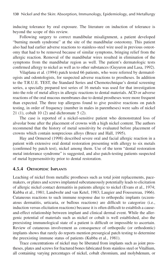inducing tolerance by oral exposure. The literature on induction of tolerance is beyond the scope of this review.

Following surgery to correct mandibular misalignment, a patient developed "burning mouth syndrome" at the site of the mandibular osteotomy. This patient also had had earlier adverse reactions to stainless-steel wire used in previous osteotomy that had to be removed because of similar symptoms, bringing relief from the allergic reaction. Removal of the mandibular wires resulted in elimination of the symptoms from the mandibular region as well. The patient's dermatologic tests confirmed allergy to nickel as well as to other substances (Guyuron and Lasa, 1992).

Vilaplana et al. (1994) patch tested 66 patients, who were referred by dermatologists and odontologists, for suspected adverse reactions to prostheses. In addition to the T.R.U.E. TEST, the Standard Series and Chemotechnique's dental screening series, a specially prepared test series of 16 metals was used for that investigation into the role of metal alloys in allergic reactions to dental materials. ACD or adverse reactions of the oral mucous membranes due to dental prostheses were more frequent than expected. The three top allergens found to give positive reactions on patch testing, in order of frequency (number in males in parentheses) were salts of nickel 21 (1), cobalt 10 (2) and dichromate 5 (2).

The case is reported of a nickel-sensitive patient who demonstrated loss of alveolar bone after the placement of crowns with a high nickel content. The authors recommend that the history of metal sensitivity be evaluated before placement of crowns which contain nonprecious alloys (Bruce and Hall, 1995).

Hay and Ormerod (1998) described severe oral and facial allergic reaction in a patient with extensive oral dental restoration presenting with allergy to six metals (confirmed by patch test), nickel among them. Use of the term "dental restoration metal intolerance syndrome" is suggested, and also patch-testing patients suspected of metal hypersensitivity prior to dental restoration.

## **4.5.4 ORTHOPEDIC IMPLANTS**

Leaching of nickel from metallic prostheses such as total joint replacements, pacemakers, or plates and screws implanted subcutaneously potentially leads to elicitation of allergic nickel contact dermatitis in patients allergic to nickel (Evans et al., 1974; Kubba et al., 1981; Landwehr and van Ketel, 1983; Laugier and Foussereau, 1966). Cutaneous reactions to such immune response due to orthopedic implants (eczematous dermatitis, urticaria, or bullous reactions) are difficult to categorize (i.e., induction versus elicitation reactions) because it is often difficult to establish a causeand-effect relationship between implant and clinical dermal event. While the allergenic potential of materials such as nickel or cobalt is well established, also the preexisting immunological state of a patient is difficult or impossible to ascertain. Review of cutaneous involvement as consequence of orthopedic (or orthodontic) implants shows that rarely do reports mention presurgical patch testing to determine the preexisting immune status of patients (Kubba et al., 1981).

Trace concentrations of nickel may be liberated from implants such as joint prostheses, plates and screws for fractured bones fabricated from stainless steel or Vitallium, all containing varying percentages of nickel, cobalt chromium, and molybdenum, or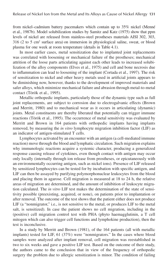from nickel–cadmium battery pacemakers which contain up to 35% nickel (Menné et al., 1987b). Model solubilization studies by Samitz and Katz (1975) show that ppm levels of nickel are released from stainless-steel prostheses materials AISI 302, 303, 316 (2 to 5 cm2 surface area) on immersion in physiological saline, sweat, or blood plasma for one week at room temperature (details in Table 4.1).

In most earlier cases, metal sensitization due to implanted joint replacements was correlated with loosening or mechanical failure of the prostheses; mechanical attrition of the loose parts articulating against each other leads to increased solubilization of the alloy components (Elves et al., 1975) and cell and bone necrosis due to inflammation can lead to loosening of the implant (Cortada et al., 1997). The risk of sensitization to nickel and other heavy metals used in artificial joints appears to be diminishing now, however, thanks to the development of improved materials and safer alloys, which minimize mechanical failure and abrasion through metal-to-metal contact (Török et al., 1995).

Metallic orthopedic implants, particularly those of the dynamic type such as full joint replacements, are subject to corrosion due to electrogalvanic effects (Brown and Merritt, 1980) and to mechanical wear as it occurs in articulating (dynamic) joints. Metal constituents are thereby liberated that potentially can trigger immune reactions (Török et al., 1995). The occurrence of metal sensitivity was evaluated by Merritt and Brown in 164 patients with orthopedic implants having implants removed, by measuring the *in vitro* lymphocyte migration inhibition factor (LIF) as an indicator of antigen-stimulated T cells.

Lymphocytes activated by an encounter with an antigen (a cell-mediated immune reaction) move through the blood and lymphatic circulation. Such migration explains why immunologic reactions acquire a systemic character, producing a generalized response causing release of cytokines, even though contact with antigen may occur only locally (internally through ion release from prostheses, or epicutaneously with an environmentally occurring antigen, such as nickel ions). Presence of LIF released by sensitized lymphocytes can be tested for by incubation with specific antigen, and LIF can then be assayed by purifying polymorphonuclear leukocytes from the blood and placing them in agarose. Cell migration is measured at 18 to 24 h, the relative areas of migration are determined, and the amount of inhibition of leukocyte migration calculated. The *in vitro* LIF test makes the determination of the state of sensitivity possible (preexisting, acquired, or none), on patients prior to implantation or after removal. The outcome of the test shows that the patient either does not produce LIF (a "nonmigrator," i.e., is not sensitive to the metal, or produces LIF to the metal salt, is sensitized). In case the patient shows no cell migration, including in the (positive) cell migration control test with PHA (phyto haemagglutinin, a T cell mitogen which can also trigger cell functions and lymphokine production), then the test is inconclusive.

In a study by Merritt and Brown (1981), of the 164 patients (all with metallic implants) tested for LIF, 61 (37%) were "nonmigrators." In the cases where blood samples were analyzed after implant removal, cell migration was reestablished in two to six weeks and gave a positive LIF test. Based on the outcome of their study, the authors came to the conclusion that in view of the frequency of orthopedic surgery the problem due to allergic sensitization is minor. The condition of failing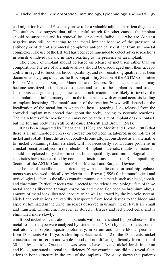cell migration by the LIF test may prove to be a valuable adjunct in patient diagnosis. The authors also suggest that, after careful search for other causes, the implant should be suspected and its removal be considered. Individuals who are skin test negative may still be reacting to the metal implant because of the presence of antibody or of deep-tissue–metal complexes antigenically distinct from skin–metal complexes. The use of the LIF test has been recommended to detect adverse reactions in sensitive individuals and in those reacting to the presence of an implant.

The choice of implant should be based on release of metal ion rather than on composition. The use of alternative alloys should be discouraged until their acceptability in regard to function, biocompatibility, and nonsensitizing qualities has been documented by groups such as the Biocompatibility Section of the ASTM Committee F-4 on Medical and Surgical Materials and Devices. Some patients are or may become sensitized to implant constituents and react to the implant. Animal studies (in rabbits and guinea pigs) indicate that such reactions are likely to involve the accumulation of inflammatory cells at the implant site, with eventual necrosis leading to implant loosening. The manifestation of the reaction *in vivo* will depend on the localization of the metal ion to which the host is reacting. Ions released from the corroded implant may spread throughout the body, leading to systemic reactions. The main focus of the reaction then may not be at the site of implant or skin contact, but the foreign body may still be its cause (Merritt and Brown, 1981).

It has been suggested by Kubba et al. (1981) and Merritt and Brown (1981) that there is an immunologic cross- or co-reaction between metal–protein complexes of nickel and cobalt. Thus, the use of cobalt–chrome alloys, considered as an alternative to (nickel-containing) stainless steel, will not necessarily avoid future problems in a nickel-sensitive subject. In the selection of implant materials, traditional materials should be replaced only when function, biocompatibility, and immunological characteristics have been certifed by competent institutions such as the Biocompatibility Section of the ASTM Committee F-4 on Medical and Surgical Devices.

The use of metallic heads articulating with metallic cups for total hip replacements was reviewed critically by Merritt and Brown (1996) for immunological and toxicological safety, as the alloys contain immunogenic metals such as nickel, cobalt, and chromium. Particular focus was directed to the release and biologic fate of those metal species liberated through corrosion and wear. For cobalt–chromium alloys, amount of metal ions liberated appears to be well tolerated by the biologic system. Nickel and cobalt ions are rapidly transported from local tissues to the blood and rapidly eliminated in the urine. Increases observed in urinary nickel levels are small and transient. Chromium, however, is stored in tissues and red blood cells, and is eliminated more slowly.

Blood nickel concentrations in patients with stainless-steel hip prostheses of the metal-to-plastic type were analyzed by Linden et al. (1985) by means of electrothermal atomic absorption spectrophotometry, in serum and whole-blood specimens from 13 patients 9 to 15 years after hip replacement. In 12 of the 13 patients, nickel concentrations in serum and whole blood did not differ significantly from those of 30 healthy controls. One patient was seen to have elevated nickel levels in serum and blood, attributed to renal insufficiency. X-ray examinations did not reveal alterations in bone structure in the area of the implants. The study shows that patients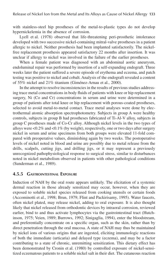with stainless-steel hip prostheses of the metal-to-plastic types do not develop hypernickelemia in the absence of corrosion.

Lyell et al. (1978) observed that life-threatening peri-prosthetic intolerance developed with two successive nickel-containing mitral-valve prostheses in a patient allergic to nickel. Neither prosthesis had been implanted satisfactorily. The nickelfree replacement prosthesis appeared satisfactory 22 months after insertion. It was unclear if allergy to nickel was involved in the failure of the earlier prostheses.

When a female patient was diagnosed with an abdominal aortic aneurysm, endoluminal repair was performed by insertion of a self-expanding endograft. Three weeks later the patient suffered a severe episode of erythema and eczema, and patch testing was positive to nickel and cobalt. Analysis of the endograft revealed a content of 55% nickel and 21% titanium (Giménez-Arnau et al., 2000).

In the attempt to resolve inconsistencies in the results of previous studies addressing trace metal concentrations in body fluids of patients with knee or hip replacement surgery, Ni (Co and Cr) concentrations in serum and urine were determined in a group of patients after total knee or hip replacement with porous-coated prostheses, selected to avoid metal-to-metal contact. Trace metal analyses were done by electrothermal atomic absorption spectrophotometry. Subjects in group A were healthy controls, subjects in group B had prostheses fabricated of Ti-Al-V alloy, subjects in group C prostheses made of Co-Cr alloy. Although nickel levels in the two types of alloys were  $\langle 0.2\% \rangle$  and  $\langle 0.1\% \rangle$  (by weight), respectively, one or two days after surgery nickel in serum and urine specimens from both groups were elevated 11-fold compared with preoperative values, diminishing again by two weeks. The postoperative levels of nickel noted in blood and urine are possibly due to metal release from the drills, scalpels, cutting jigs, and drilling jigs, or it may represent a previously unrecognized pathophysiological response to surgical stress, similar to disturbances noted in nickel metabolism observed in patients with other pathological conditions (Sunderman et al., 1989).

## **4.5.5 GASTROINTESTINAL EXPOSURE**

Induction of NAH by the oral route appears unlikely. The elicitation of a systemic dermal reaction in those already sensitized may occur, however, when they are exposed to soluble nickel species released from cooking utensils or certain foods (Accominotti et al., 1998; Brun, 1979; Flint and Packirisamy, 1995). Water faucets, often nickel plated, may release nickel, adding to oral exposure. It is also thought likely that nickel released from orthodontic devices by intraoral corrosion, reviewed earlier, bind to and thus activate lymphocytes via the gastrointestinal tract (Hutchinson, 1975; Veien, 1989; Burrows, 1992; Sinigaglia, 1994), enter the bloodstream, and preferentially concentrate on a specific organ, such as the skin, rather than by direct penetration through the oral mucosa. A state of NAH may thus be maintained by nickel ions of various origins that are ingested, eliciting immunologic reactions of both the immediate (urticaria) and delayed type (eczema), and may be a factor contributing to a state of chronic, unremitting sensitization. This dietary effect has been demonstrated by Cronin et al. (1980) by controlled exposure of nickel-sensitized eczematous patients to a soluble nickel salt in their diet. The cutaneous reaction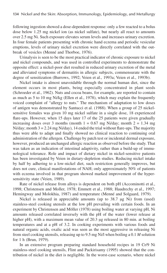following ingestion showed a dose-dependent response: only a few reacted to a bolus dose below 1.25 mg nickel ion (as nickel sulfate), but nearly all react to amounts over 2.5 mg Ni. Such exposure elevates serum levels and increases urinary excretion. In four female patients presenting with chronic hand eczema and periodic vesicular eruptions, levels of urinary nickel excretion were directly correlated with the outbreak of vesicles (Menné and Thorboe, 1976).

Urinalysis is seen to be the most practical indicator of chronic exposure to nickel and nickel compounds, and was used in controlled experiments to demonstrate the opposite effect: a nickel-poor diet resulted in reduced urinary excretion of the metal and alleviated symptoms of dermatitis in allergic subjects, commensurate with the degree of sensitization (Burrows, 1992; Veien et al., 1993a; Veien et al., 1993b).

Nickel intake is almost unavoidable through the normal human diet, since the element occurs in most plants, being especially concentrated in plant seeds (Schroeder et al., 1962). Nuts and cocoa beans, for example, are reported to contain as much as 5 to 10 mg Ni/kg (Ellen et al., 1978), which may explain the frequently voiced complaint of "allergy to nuts." The mechanism of adaptation to low doses of antigen was demonstrated by Santucci et al. (1988). When a group of 25 nickelsensitive females was given 10 mg nickel sulfate in a single dose, 18 experienced flare-ups. However, when 15 days later 17 of the 25 patients were given gradually increasing doses over 3 months (month  $1 = 0.67$  mg Ni/day; month  $2 = 1.34$  mg Ni/day; month  $3 = 2.24$  mg Ni/day), 14 ended the trial without flare-ups. The majority thus were able to adapt and finally showed no clinical reaction to continuing oral administration of the allergen. Challenge by patch test or incidental dermal exposure, however, produced an unchanged allergic reaction as observed before the study. That was taken as an indication of intestinal adaptivity, rather than a build-up of immunological tolerance. Role and impact of dietary nickel in nickel-sensitive patients has been investigated by Veien in dietary-depletion studies. Reducing nickel intake by half by adhering to a low-nickel diet, such restriction generally improves, but does not cure, clinical manifestations of NAH; only approximately 50% of patients with eczema involved in that program showed marked improvement of the hypersensitivity state (Veien, 1989).

Rate of nickel release from alloys is dependent on both pH (Accominotti et al., 1998; Christensen and Moller, 1978; Emmett et al., 1988; Haudrechy et al., 1997; Hemingway and Molokhia, 1987) and temperature (Menné and Solgaard, 1979).

Nickel is released in appreciable amounts (up to 38.7 µg Ni) from (used) stainless-steel cooking utensils at the low pH prevailing with certain foods. In an experiment by Christensen and Möller (1978) using boiling water at varying pH, Ni amounts released correlated inversely with the pH of the water (lower release at higher pH), with a maximum mean value of 20.3 µg released in 80 min. at boiling temperatures and at a pH of 3.2. In cooking experiments with various foods and natural organic acids, oxalic acid was seen as the most aggressive in releasing Ni from steel cooking utensils, releasing up to 9.5 mg Ni/l when boiling a 0.1 *M* solution for 1 h (Brun, 1979).

In an extensive program preparing standard household recipes in 19 Cr/9 Ni stainless-steel cooking utensils, Flint and Packirisamy (1995) showed that the contribution of nickel in the diet is negligible. In the worst-case scenario, where nickel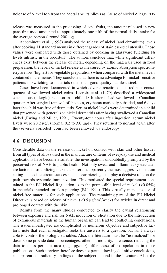release was measured in the processing of acid fruits, the amount released in new pans first used amounted to approximately one fifth of the normal daily intake for the average person (around 200 µg).

Accominotti et al. (1998) analyzed the release of nickel (and chromium) levels after cooking 11 standard menus in different grades of stainless-steel utensils. Those values were compared with those obtained by cooking in glassware (yielding Ni levels intrinsic in the foodstuff). The authors conclude that, while significant differences exist between the release of metal, depending on the materials used in food preparation, the levels of nickel release as measured by atomic absorption spectrometry are low (highest for vegetable preparation) when compared with the metal levels contained in the menus. They conclude that there is no advantage for nickel-sensitive patients in switching to materials other than good quality stainless steel.

Cases have been documented in which adverse reactions occurred as a consequence of swallowed nickel coins. Lacroix et al. (1979) described a widespread eczematous (allergic) reaction in a child 18 h after it had swallowed a Canadian quarter. After surgical removal of the coin, erythema markedly subsided, and 6 days later the child was free of dermatitis. Serum nickel levels were determined in a child that presented with generalized nickel dermatitis after having swallowed a Canadian nickel (Ewing and Miller, 1991). Twenty-four hours after ingestion, serum nickel levels were 20.2 µg/l (normal 0.2 to 3.0 µg/l). They returned to normal again after the (severely corroded) coin had been removed via endoscopy.

## **4.6 DISCUSSION**

Considerable data on the release of nickel on contact with skin and other tissues from all types of alloys used in the manufacture of items of everyday use and medical applications have become available, the investigations undoubtedly prompted by the perceived risk of NAH to public health. Not only sweat and inflammatory exudates are factors in solubilizing nickel; also serum, apparently the most aggressive medium acting in specific circumstances such as ear piercing, can play a decisive role on the path towards systemic immunization. This motivated the special requirement contained in the EU Nickel Regulation as to the permissible level of nickel  $\langle$ <0.05%) in materials intended for skin piercing (EU, 1994). This virtually mandates use of nickel-free materials for such applications. The remaining part of the EU Nickel Directive is based on release of nickel (<0.5 µg/cm<sup>2</sup>/week) for articles in direct and prolonged contact with the skin.

Results from the many studies conducted to clarify the causal relationship between exposure and risk for NAH induction or elicitation due to the introduction of extraneous materials in the human organism can lead to conflicting conclusions. The issues investigated are complicated by numerous objective and subjective factors; note that each investigator seeks the answers to a question, but isn't always able to control the biologic variables. Also, the literature must be "normalized" for dose: some provide data in percentages, others in molarity. In essence, reducing the data to mass per unit area (e.g.,  $\mu$ g/cm<sup>2</sup>) offers ease of extrapolation in those publications. Such a review therefore does not permit drawing definitive conclusions, as apparent contradictory findings on the subject abound in the literature. Also, the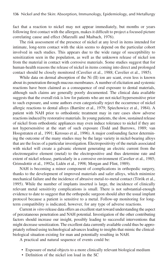fact that a reaction to nickel may not appear immediately, but months or years following first contact with the allergen, makes it difficult to project a focused picture correlating cause and effect (Marzulli and Maibach, 1976).

The risk assessment of the presence of nickel at any level in items intended for intimate, long-term contact with the skin seems to depend on the particular cohort involved in such studies. This appears due to the wide range of susceptibility to sensitization seen in the population, as well as the unknown release of nickel ion from the material in contact with corrosive materials. Some studies suggest that for human-health reasons the release of nickel in items coming into direct and prolonged contact should be closely monitored (Cavelier et al., 1988; Cavelier et al., 1985).

While data on dermal absorption of the Ni (II) ion are scant, even less is known about its penetration through mucous membranes. A number of elicitation and systemic reactions have been claimed as a consequence of oral exposure to dental materials, although such claims are generally poorly documented. The clinical data available suggests that the overall risk is low for patients who are not nickel hypersensitive prior to such exposure, and some authors even categorically reject the occurrence of nickel allergic reactions to dental alloys (Barrière et al., 1979; Spiechowicz et al., 1984). A patient with NAH prior to orthodontic treatment may in rare cases show adverse reactions induced by restorative materials. In young patients, the slow, sustained release of nickel from orthodontic appliances may even induce tolerance to nickel if they are not hypersensitive at the start of such exposure (Todd and Burrows, 1989; van Hoogstraten et al., 1991; Kerosuo et al., 1996). A major confounding factor determining the outcome of the many studies may be the large variety in nickel-bearing alloys that are the focus of a particular investigation. Electropositivity of the metals associated with nickel will create a galvanic element generating an electric current from the electronegative element (metal) to the electropositive and thus determine rate and extent of nickel release, particularly in a corrosive environment (Cavelier et al., 1985; Grimsdottir et al., 1992a; Lidén et al., 1998; Morgan and Flint, 1989).

NAH is becoming a minor component of complications in orthopedic surgery, thanks to the development of improved materials and safer alloys, which minimize mechanical failure and the incidence of abrasive metal-to-metal contact (Török et al., 1995). While the number of implants inserted is large, the incidence of clinically relevant metal sensitivity complications is small. There is not substantial-enough evidence to date to suggest that the orthopedic surgeon should alter the usual implant protocol because a patient is sensitive to a metal. Follow-up monitoring for longterm compatibility is indicated, however, for any type of adverse reactions.

Current *in vitro* release data offers an excellent start toward understanding the aspect of percutaneous penetration and NAH potential. Investigation of the other contributing factors should increase our insight, possibly leading to successful interventions that might decrease sensitization. The excellent data currently available could thus be appropriately refined using technological advances leading to insights that mimic the clinicalbiological situation existing for man and potentially resulting in NAH.

A practical and natural sequence of events could be:

- Exposure of metal objects to a more clinically relevant biological medium
- Definition of the nickel ion load in the SC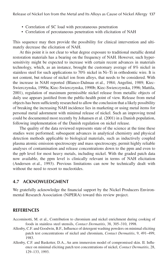- Correlation of SC load with percutaneous penetration
- Correlation of percutaneous penetration with elicitation of NAH

This sequence may then provide the possibility for clinical intervention and ultimately decrease the elicitation of NAH.

At this point it is not clear to what degree exposure to traditional metallic dental restoration materials has a bearing on the frequency of NAH. However, such hypersensitivity might be expected to increase with certain recent advances in materials technology, which, as an instance, brought the customary average of 8% nickel in stainless steel for such applications to 70% nickel in Ni–Ti in orthodontic wire. It is not content, but release of nickel ion from alloys, that needs to be considered. With the increase in NAH reported (Blanco-Dalmau et al., 1984; Angelini, 1989; Kiec-Swierczynska, 1990a; Kiec-Swierczynska, 1990b; Kiec-Swierczynska, 1996; Mattila, 2001), regulation of maximum permissible nickel release from metallic objects of daily use appears justified from the public-health point of view. Release from metal objects has been sufficiently researched to allow the conclusion that a likely possibility of breaking the increasing NAH incidence lies in marketing or using metal items for personal metal adornment with minimal release of nickel. Such an improving trend could be documented most recently by Johansen et al. (2001) in a Danish population, following implementation of the Danish regulation on nickel release.

The quality of the data reviewed represents state of the science at the time these studies were performed; subsequent advances in analytical chemistry and physical detection methods applicable to biological materials, such as inductively coupled plasma atomic emission spectroscopy and mass spectroscopy, permit highly reliable analyses of contamination and release concentrations down to the ppm and even to the ppb level for most heavy metals, including nickel. With the graded patch data now available, the ppm level is clinically relevant in terms of NAH elicitation (Andersen et al., 1993). Previous limitations can now be technically dealt with without the need to resort to nucleotides.

## **4.7 ACKNOWLEDGMENT**

We gratefully acknowledge the financial support by the Nickel Producers Environmental Research Association (NiPERA) toward this review project.

## **REFERENCES**

- Accominotti, M. et al., Contribution to chromium and nickel enrichment during cooking of foods in stainless steel utensils, *Contact Dermatitis*, 38, 305–310, 1998.
- Allenby, C.F. and Goodwin, B.F., Influence of detergent washing powders on minimal eliciting patch test concentrations of nickel and chromium, *Contact Dermatitis*, 9, 491–499, 1983.
- Allenby, C.F. and Basketter, D.A., An arm immersion model of compromised skin. II. Influence on minimal eliciting patch test concentrations of nickel, *Contact Dermatitis*, 28, 129–133, 1993.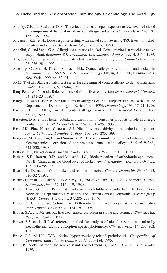- Allenby, C.F. and Basketter, D.A., The effect of repeated open exposure to low levels of nickel on compromised hand skin of nickel allergic subjects, *Contact Dermatitis*, 30, 135–138, 1994.
- Andersen, K.E. et al., Dose-response testing with nickel sulphate using TRUE test in nickelsensitive individuals, *Br. J. Dermatol.*, 129, 50–56, 1993.
- Angelini, G. and Veña, G.A., Allergia da contatto al nickel. Considerazioni su vecchie e nuove acquisizioni, *Bollettino di Dermatologia Allergologica e Professional*, 4, 5–14, 1989.
- Aro, T. et al., Long-lasting allergic patch test reaction caused by gold, *Contact Dermatitis*, 28, 276–281, 1993.
- Avnstorp, C., Menné, T., and Maibach, H.I., Contact allergy to chromium and nickel, in *Immunotoxicity of Metals and Immunotoxicology*, Dayan, A.D., Ed., Plenum Press, New York, 1990, pp. 83–91.
- Axéll, T. et al., Standard patch test series for screening of contact allergy to dental materials, *Contact Dermatitis*, 9, 82–84, 1983.
- Bang Pedersen, N. et al., Release of nickel from silver coins, *Acta Derm. Venereol. (Stockh.)*, 54, 231–234, 1974.
- Bangha, E. and Elsner, P., Sensitizations to allergens of the European standard series at the Department of Dermatology in Zurich 1990–1994, *Dermatology*, 193, 17–21, 1996.
- Barrière, H. et al., Allergie aux détergents et allergie au nickel, *Ann. Dermatol. Vénérol.*, 106, 33–37, 1979.
- Basketter, D.A. et al., Nickel, cobalt, and chromium in consumer products: a role in allergic contact dermatitis?, *Contact Dermatitis*, 28, 15–25, 1993.
- Bass, J.K., Fine, H., and Cisneros, G.J., Nickel hypersensitivity in the orthodontic patient, *Am. J. Orthodont. Dentofac. Orthop.*, 103, 280–285, 1993.
- Bergman, M., Bergman, B., and Söremark, R., Tissue accumulation of nickel released due to electrochemical corrosion of non-precious dental casting alloys, *J. Oral Rehab.*, 325–330, 1980.
- Bettley, F.R., Nickel coin dermatitis, *Contact Dermatitis Newsl.*, 9, 198, 1971.
- Bishara, S.E., Barrett, R.D., and Moustafa, I.S., Biodegradation of orthodontic appliances. Part II. Changes in the blood level of nickel, *Am. J. Orthodont. Dentofac. Orthop.*, 103, 280–285, 1993.
- Black, H., Dermatitis from nickel and copper in coins, *Contact Dermatitis Newsl*., 12, 326–327, 1972.
- Blanco-Dalmau, L., Carrasquillo-Alberty, H., and Silva-Parra, J., A study of nickel allergy, *J. Prosthet. Dent.*, 52, 116–119, 1989.
- Brasch, J. and Geier, J., Patch test results in schoolchildren. Results from the Information Network of Departments (IVDK) and the German Contact Dermatitis Research group (DKG), *Contact Dermatitis*, 37, 286–293, 1997.
- Brasch, J., Geier, J., and Schnuch, A., Differentiated contact allergy lists serve in quality improvement, *Hautarzt*, 49, 184–191, 1998.
- Brown, S.A. and Merritt, K., Electrochemical corrosion in saline and serum, *J. Biomed. Mat. Res.*, 14, 173–179, 1980.
- Brown, S.S. et al., IUPAC reference method for analysis of nickel in serum and urine by electrothermal atomic absorption spectrophotometry, *Clin. Biochem.*, 14, 295–302, 1981.
- Bruce, G.J. and Hall, W.B., Nickel hypersensitivity-related periodontitis, *Compendium of Continuing Education in Dentistry*, 178, 180–184, 1995.
- Brun, R., Nickel in food: the role of stainless-steel utensils, *Contact Dermatitis*, 5, 43–45, 1979.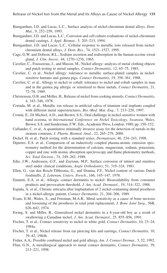- Bumgardner, J.D. and Lucas, L.C., Surface analysis of nickel-chromium dental alloys, *Dent. Mat.*, 9, 252–259, 1993.
- Bumgardner, J.D. and Lucas, L.C., Corrosion and cell culture evaluations of nickel-chromium dental castings, *J. Appl. Biomat.*, 5, 203–213, 1994.
- Bumgardner, J.D. and Lucas, L.C., Cellular response to metallic ions released from nickelchromium dental alloys, *J. Dent. Res.*, 74, 1521–1527, 1995.
- Cage, G.W. and Dobson, R.L., Sodium secretion and reabsorption in the human eccrine sweat gland, *J. Clin. Invest.*, 44, 1270–1276, 1965.
- Cavelier, C., Foussereau, J., and Massin, M., Nickel allergy: analysis of metal clothing objects and patch testing to metal samples, *Contact Dermatitis*, 12, 65–75, 1985.
- Cavelier, C. et al., Nickel allergy: tolerance to metallic surface-plated samples in nickelsensitive humans and guinea pigs, *Contact Dermatitis*, 19, 358–361, 1988.
- Cavelier, C. et al., Allergy to nickel or cobalt: tolerance to nickel and cobalt samples in man and in the guinea pig allergic or sensitized to these metals, *Contact Dermatitis*, 21, 72–78, 1989.
- Christensen, O.B. and Möller, H., Release of nickel from cooking utensils, *Contact Dermatitis*, 4, 343–346, 1978.
- Cortada, M. et al., Metallic ion release in artificial saliva of titanium oral implants coupled with different metal superstructures, *Bio.-Med. Mat. Eng.*, 7, 213–220, 1997.
- Cronin, E., Di Michiel, A.D., and Brown, S.S., Oral challenge in nickel-sensitive women with hand eczema, in *International Conference on Nickel Toxicology, Swansea, Wales*, Brown, S.S. and Sunderman, F.W., Eds., Academic Press, London, 1980, pp. 150–152.
- Cullander, C. et al., A quantitative minimally invasive assay for the detection of metals in the stratum corneum, *J. Pharm. Biomed. Anal.*, 22, 265–279, 2000.
- Dickel, H. et al., Patch testing with a standard series, *Dermatosen*, 46, 234–243, 1998.
- Dipietro, E.S. et al., Comparison of an inductively coupled plasma-atomic emission spectrometry method for the determination of calcium, magnesium, sodium, potassium, copper and zinc with atomic absorption spectroscopy and flame photometry methods, *Sci. Total Environ.*, 74, 249–262, 1988.
- Edie, J.W., Andreasen, G.F., and Zaytoun, M.P., Surface corrosion of nitinol and stainless steel under clinical conditions, *Angle Orthodontry*, 51, 319–324, 1981.
- Ellen, G., van den Bosch-Tibbesma, G., and Douma, F.F., Nickel content of various Dutch foodstuffs, *Z. Lebensm. Unters. Forsch.*, 166, 145–147, 1978.
- Emmett, E.A. et al., Allergic contact dermatitis to nickel: Bioavailability from consumer products and provocation threshold, *J. Am. Acad. Dermatol.*, 19, 314–322, 1988.
- España, A. et al., Chronic urticaria after implantation of 2 nickel-containing dental prosthesis in a nickel-allergic patient, *Contact Dermatitis*, 21, 204–206, 1989.
- Evans, E.M., Walex, S., and Freeman, M.A.R., Metal sensitivity as a cause of bone necrosis and loosening of the prosthesis in total joint replacement, *J. Bone Joint Surg.*, 56B, 626–642, 1974.
- Ewing, S. and Miller, R., Generalized nickel dermatitis in a 6-year-old boy as a result of swallowing a Canadian nickel, *J. Am. Acad. Dermatol.*, 25, 855–856, 1991.
- Fischer, T. et al., Contact sensitivity to nickel in white gold, *Contact Dermatitis*, 10, 23–24, 1984a.
- Fischer, T. et al., Nickel release from ear piercing kits and earrings, *Contact Dermatitis*, 10, 39–42, 1984b.
- Fisher, A.A., Possible combined nickel and gold allergy, *Am. J. Contact Dermat.*, 3, 52, 1992.
- Flint, G.N., A metallurgical approach to metal contact dermatitis, *Contact Dermatitis*, 39, 213–221, 1998.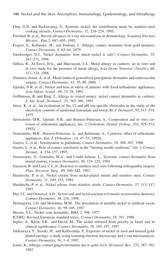- Flint, G.N. and Packirisamy, S., Systemic nickel: the contribution made by stainless-steel cooking utensils, *Contact Dermatitis*, 32, 218–224, 1995.
- Forslind, B. et al., Recent advances in x-ray microanalysis in dermatology, *Scanning Electron Microsc.*, Part 2, 687–695, 1985.
- Fregert, S., Kollander, M., and Poulsen, J., Allergic contact stomatitis from gold dentures, *Contact Dermatitis*, 5, 63–64, 1979.
- Gawkrodger, D.J., Nickel dermatitis: how much nickel is safe?, *Contact Dermatitis,* 35, 267–271, 1996.
- Gilboa, R., Al-Tawil, N.G., and Marcusson, J.A., Metal allergy in cashiers: an in vitro and in vivo study for the presence of metal allergy, *Acta Derm. Venereol. (Stockh.)*, 68, 317–324, 1988.
- Giménez-Arnau, A. et al., Metal-induced generalized pruriginous dermatitis and endovascular surgery, *Contact Dermatitis*, 43, 35–40, 2000.
- Gjerdet, N.R. et al., Nickel and iron in saliva of patients with fixed orthodontic appliances, *Acta Odont. Scand.*, 49, 73–78, 1991.
- Gollhausen, R. and Ring, J., Allergy to coined money: nickel contact dermatitis in cashiers, *J. Am. Acad. Dermatol.*, 25, 365–369, 1991.
- Grice, K. et al., An evaluation of Na, Cl and pH ion-specific electrodes in the study of the electrolyte contents of epidermal transudate and sweat, *Br. J. Dermatol.*, 92, 511–518, 1975.
- Grimsdottir, M.R., Gjerdet, N.R., and Hensten-Pettersen, A., Composition and in vitro corrosion of orthodontic appliances, *Am. J. Orthodont. Dentof. Orthop.*, 101, 525–532, 1992a.
- Grimsdottir, M.R., Hensten-Pettersen, A., and Kullmann, A., Cytotoxic effect of orthodontic appliances, *Eur. J. Orthodont.*, 14, 47–53, 1992b.
- Guerra, L. et al., Sensitization to palladium, *Contact Dermatitis*, 19, 306–307, 1988.
- Guerra, L. et al., Role of contact sensitizers in the "burning mouth syndrome," *Am. J. Contact Dermat.*, 4, 154–157, 1993.
- Guimaraens, D., Gonzales, M.A., and Condé-Salazar, L., Systemic contact dermatitis from dental crowns, *Contact Dermatitis*, 30, 124–125, 1994.
- Guyuron, B. and Lasa, C.I., Jr., Reaction to stainless steel wire following orthognathic surgery, *Plast. Reconstr. Surg.*, 89, 540–542, 1992.
- Haudrechy, P. et al., Nickel release from nickel-plated metals and stainless steel, *Contact Dermatitis*, 31, 249–255, 1994.
- Haudrechy, P. et al., Nickel release from stainless steels, *Contact Dermatitis*, 37, 113–117, 1997.
- Hay, I.C. and Ormerod, A.D., Severe oral and facial reaction to 6 metals in restorative dentistry, *Contact Dermatitis*, 38, 216, 1998.
- Hemingway, J.D. and Molokhia, M.M., The dissolution of metallic nickel in artificial sweat, *Contact Dermatitis*, 16, 99–105, 1987.
- Husain, S.L., Nickel coin dermatitis, *BMJ,* 2, 998, 1977.
- ICDRG, Revised European standard series, *Contact Dermatitis*, 19, 391, 1988.
- Ingber, A., Klein, S.K., and David, M., The nickel released from jewelry in Israel and its clinical significance, *Contact Dermatitis*, 39, 195–197, 1997.
- Ishikawaya, Y., Suzuki, H., and Kullavanija, P., Exposure of nickel in used and unused goldplated earrings: a study using scanning electron microscopy and x-ray microanalysis, *Contact Dermatitis*, 36, 1–4, 1997.
- Izumi, K., Allergic contact gingivostomatitis due to gold, *Arch. Dermatol. Res.*, 272, 387–391, 1982.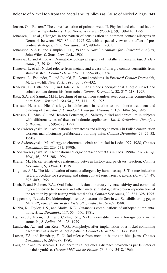- Jensen, O., "Rusters." The corrosive action of palmar sweat. II. Physical and chemical factors in palmar hyperhidrosis, *Acta Derm. Venereol. (Stockh.)*, 59, 139–143, 1979.
- Johansen, J. et al., Changes in the pattern of sensitization to common contact allergens in Denmark between 1985–86 and 1997–98, with a special view to the effect of preventive strategies, *Br. J. Dermatol.*, 142, 490–495, 2001.
- Johansson, S.A.E. and Campbell, J.L., *PIXE: A Novel Technique for Elemental Analysis,* John Wiley & Sons, New York, 1988.
- Kanerva, L. and Aitio, A., Dermatotoxicological aspects of metallic chromium, *Eur. J. Dermatol.*, 7, 79–84, 1997.
- Kanerva, L. et al., Nickel release from metals, and a case of allergic contact dermatitis from stainless steel, *Contact Dermatitis*, 31, 299–303, 1994.
- Kanerva, L., Estlander, T., and Jolanki, R., Dental problems, in *Practical Contact Dermatitis*, McGraw-Hill, New York, 1995, pp. 397–432.
- Kanerva, L., Estlander, T., and Jolanki, R., Bank clerk's occupational allergic nickel and cobalt contact dermatitis from coins, *Contact Dermatitis*, 38, 217–218, 1998.
- Katz, S.A. and Samitz, M.H., Leaching of nickel from stainless steel consumer commodities, *Acta Derm. Venereol. (Stockh.)*, 55, 113–115, 1975.
- Kerosuo, H. et al., Nickel allergy in adolescents in relation to orthodontic treatment and piercing of ears, *Am. J. Orthodont. Dentofac. Orthoped.*, 109, 148–154, 1996.
- Kerosuo, H., Moe, G., and Hensten-Pettersen, A., Salivary nickel and chromium in subjects with different types of fixed orthodontic appliances, *Am. J. Orthodont. Dentofac. Orthoped.*, 111, 595–598, 1997.
- Kiec-Swierczynska, M., Occupational dermatoses and allergy to metals in Polish construction workers manufacturing prefabricated building units, *Contact Dermatitis*, 23, 27–32, 1990a.
- Kiec-Swierczynska, M., Allergy to chromate, cobalt and nickel in Lodz 1977–1988, *Contact Dermatitis*, 22, 229–231, 1990b.
- Kiec-Swierczynska, M., Occupational allergic contact dermatitis in Lodz: 1990–1994, *Occup. Med.*, 46, 205–208, 1996.
- Kieffer, M., Nickel sensitivity: relationship between history and patch test reaction, *Contact Dermatitis*, 5, 398–401, 1979.
- Kligman, A.M., The identification of contact allergens by human assay. 3. The maximization test: a procedure for screening and rating contact sensitizers, *J. Invest. Dermatol.*, 47, 393–409, 1966.
- Koch, P. and Bahmer, F.A., Oral lichenoid lesions, mercury hypersensitivity and combined hypersensitivity to mercury and other metals: histologically-proven reproduction of the reaction by patch testing with metal salts, *Contact Dermatitis*, 33, 323–328, 1995.
- Koppenburg, P. et al., Die kieferothopädische Apparatur-ein Schritt zur Sensibilisierung gegen Metalle?, *Fortschritte in der Kieferothopaedie*, 49, 62–69, 1988.
- Kubba, R., Taylor, J. S., and Marks, K.E., Cutaneous complications of orthopedic implantations, *Arch. Dermatol.*, 117, 554–560, 1981.
- Lacroix, J., Morin, C.L., and Collin, P.-P., Nickel dermatitis from a foreign body in the stomach., *J. Pediat.*, 95, 428, 1979.
- Landwehr, A.J. and van Ketel, W.G., Pompholyx after implantation of a nickel-containing pacemaker in a nickel-allergic patient, *Contact Dermatitis*, 9, 147, 1983.
- Larsen, F.S. and Brandrup, F., Nickel release from metallic buttons in blue jeans, *Contact Dermatitis*, 6, 298–299, 1980.
- Laugier, P. and Foussereau, J., Les dermites allergiques à distance provoquées par le matériel d'osthéosynthèse, *Gazette Médicale de France*, 73, 3409–3418, 1966.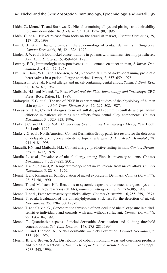- Lidén, C., Menné, T., and Burrows, D., Nickel-containing alloys and platings and their ability to cause dermatitis, *Br. J. Dermatol.*, 134, 193–198, 1996.
- Lidén, C. et al., Nickel release from tools on the Swedish market, *Contact Dermatitis*, 39, 127–131, 1998.
- Lim, J.T.E. et al., Changing trends in the epidemiology of contact dermatitis in Singapore, *Contact Dermatitis*, 26, 321–326, 1992.
- Linden, J. V. et al., Blood nickel concentrations in patients with stainless-steel hip prostheses, *Ann. Clin. Lab. Sci.*, 15, 459–464, 1985.
- Lowney, E.D., Immunologic unresponsiveness to a contact sensitizer in man, *J. Invest. Dermatol.*, 51, 411–417, 1968.
- Lyell, A., Bain, W.H., and Thomson, R.M., Repeated failure of nickel-containing prosthetic heart valves in a patient allergic to nickel, *Lancet*, 2, 657–659, 1978.
- Magnusson, B. et al., Nickel allergy and nickel-containing dental alloys, *Scand. J. Dent. Res.*, 90, 163–167, 1982.
- Maibach, H.I. and Menné, T., Eds., *Nickel and the Skin: Immunology and Toxicology,* CRC Press, Boca Raton, FL, 1989.
- Malmqvist, K.G. et al., The use of PIXE in experimental studies of the physiology of human skin epidermis, *Biol. Trace Element Res.*, 12, 297–308, 1987.
- Marcusson, J.A., Contact allergies to nickel sulfate, gold sodium thiosulfate and palladium chloride in patients claiming side-effects from dental alloy components, *Contact Dermatitis*, 34, 320–323, 1996.
- Marks, J.C. and DeLeo, V.A., *Contact and Occupational Dermatology*, Mosby Year Book, St. Louis, 1992.
- Marks, J.G. et al., North American Contact Dermatitis Group patch test results for the detection of delayed-type hypersensitivity to topical allergens, *J. Am. Acad. Dermatol.*, 38, 911–918, 1998.
- Marzulli, F.N. and Maibach, H.I., Contact allergy: predictive testing in man, *Contact Dermatitis*, 2, 1–17, 1976.
- Mattila, L. et al., Prevalence of nickel allergy among Finnish university students, *Contact Dermatitis*, 44, 218–223, 2001.
- Menné, T. and Solgaard, P., Temperature-dependent nickel release from nickel alloys, *Contact Dermatitis*, 5, 82–84, 1979.
- Menné, T. and Rasmussen, K., Regulation of nickel exposure in Denmark, *Contact Dermatitis*, 23, 57–58, 1990.
- Menné, T. and Maibach, H.I., Reactions to systemic exposure to contact allergens: systemic contact allergy reactions (SCAR), *Immunol. Allergy Pract.*, 9, 373–385, 1987.
- Menné, T. et al., Patch test reactivity to nickel alloys, *Contact Dermatitis*, 16, 255–259, 1987a.
- Menné, T. et al., Evaluation of the dimethylglyoxime stick test for the detection of nickel, *Dermatosen*, 35, 128–130, 1987b.
- Menné, T. and Calvin, G., Concentration threshold of non-occluded nickel exposure in nickelsensitive individuals and controls with and without surfactant, *Contact Dermatitis*, 29, 180–184, 1993.
- Menné, T., Quantitative aspects of nickel dermatitis. Sensitization and eliciting threshold concentrations, *Sci. Total Environ.*, 148, 275–281, 1994.
- Menné, T. and Thorboe, A., Nickel dermatitis nickel excretion, *Contact Dermatitis*, 2, 353–354, 1976.
- Merritt, K. and Brown, S.A., Distribution of cobalt chromium wear and corrosion products and biologic reactions, *Clinical Orthopaedics and Related Research*, 329 Suppl., S233–243, 1996.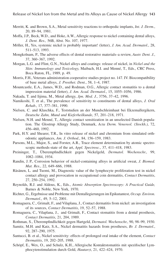- Merritt, K. and Brown, S.A., Metal sensitivity reactions to orthopedic implants, *Int. J. Derm.*, 20, 89–94, 1981.
- Moffa, J.P., Beck, W.D., and Hoke, A.W., Allergic response to nickel containing dental alloys, *J. Dent. Res.,* 56B, Abst. No. 107, 1977.
- Möller, H., Yes, systemic nickel is probably important! (letter), *J. Am. Acad. Dermatol.*, 28, 511–513, 1993.
- Mongkolnam, P., The adverse effects of dental restorative materials–a review, *Austr. Dent. J.*, 37, 360–367, 1992.
- Morgan, L.G. and Flint, G.N., Nickel alloys and coatings: release of nickel, in *Nickel and the Skin: Immunology and Toxicology*, Maibach, H.I. and Menné, T., Eds., CRC Press, Boca Raton, FL, 1989, p. 49.
- Morris, F.H., Veterans administration cooperative studies project no. 147. IV. Biocompatibility of base metal alloys, *J. Prosthet. Dent.*, 58, 1–4, 1987.
- Mountcastle, E.A., James, W.D., and Rodman, O.G., Allergic contact stomatitis to a dental impression material (letter), *J. Am. Acad. Dermatol.*, 15, 1055–1056, 1986.
- Nakada, T. and Iijima, M., Metal allergy, *Jpn. Med. J.*, 3756, 37–42, 1996.
- Namikoshi, T. et al., The prevalence of sensitivity to constituents of dental alloys, *J. Oral Rehab.*, 17, 377–381, 1990.
- Nielsen, C. and Klaschka, F., Teststudien an der Mundschleimhaut bei Ekzemallergikern, *Deutsche Zahn, Mund und Kieferheilkunde*, 57, 201–218, 1971.
- Nielsen, N.H. and Menné, T., Allergic contact sensitization in an unselected Danish population. The Glostrup Allergy Study, Denmark, *Acta Derm. Venereol. (Stockh.)*, 72, 456–460, 1992.
- Park, H.Y. and Shearer, T.R., In vitro release of nickel and chromium from simulated orthodontic appliances, *Am. J. Orthod.*, 84, 156–159, 1983.
- Parsons, M.L., Major, S., and Forster, A.R., Trace element determination by atomic spectroscopic methods-state of the art, *Appl. Spectrosc.*, 37, 411–418, 1983.
- Preininger, T., Überempfindlichkeit gegen Nickelgeld, *Dermatol. Wochenschr.*, 99, 1082–1084, 1934.
- Randin, J. P., Corrosion behavior of nickel-containing alloys in artificial sweat, *J. Biomed. Mat. Res.*, 22, 649–666, 1988.
- Räsänen, L. and Tuomi, M., Diagnostic value of the lymphocyte proliferation test in nickel contact allergy and provocation in occupational coin dermatitis, *Contact Dermatitis*, 27, 250–254, 1992.
- Reynolds, R.J. and Aldous, K., Eds., *Atomic Absorption Spectroscopy: A Practical Guide,* Barnes & Noble, New York, 1970.
- Richter, G., Ergebnisse und Probleme mit Dentallegierungen im Epikutantest, *Occup. Environ. Dermatol.*, 49, 5–12, 2001.
- Romaguera, C., Grimalt, F., and Vilaplana, J., Contact dermatitis from nickel: an investigation of its sources, *Contact Dermatitis*, 19, 52–57, 1988.
- Romaguera, C., Vilaplana, J., and Grimalt, F., Contact stomatitis from a dental prosthesis, *Contact Dermatitis*, 21, 204, 1989.
- Rothman, S., Überempfindlichkeit gegen Hartgeld, *Dermatol. Wochenschr.*, 90, 98–99, 1930.
- Samitz, M.H. and Katz, S.A., Nickel dermatitis hazards from prostheses, *Br. J. Dermatol.*, 92, 287–290, 1975.
- Santucci, B. et al., Nickel sensitivity: effects of prolonged oral intake of the element, *Contact Dermatitis*, 19, 202–205, 1988.
- Schöpf, E., Wex, O., and Schulz, K.H., Allergische Kontaktstomatitis mit spezifischer Lymphocytenstimulation durch Gold, *Hautarzt*, 21, 422–424, 1970.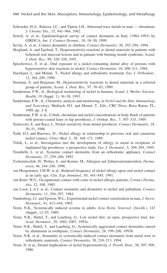- Schroeder, H.A., Balassa, J.C., and Tipton, I.H., Abnormal trace metals in man chromium, *J. Chronic Dis.*, 15, 941–964, 1962.
- Sertoli, A. et al., Epidemiological survey of contact dermatitis in Italy (1984–1993) by GIRDCA, *Am. J. Contact Dermat.*, 10, 18–30, 1999.
- Sevila, A. et al., Contact dermatitis in children, *Contact Dermatitis*, 30, 292–294, 1994.
- Skoglund, A. and Egelrud, T., Hypersensitivity reactions to dental materials in patients with lichenoid oral mucosal lesions and in patients with burning mouth syndrome, *Scand. J. Dent. Res.*, 99, 320–328, 1991.
- Spiechowicz, E. et al., Oral exposure to a nickel-containing dental alloy of persons with hypersensitive skin reactions to nickel, *Contact Dermatitis*, 10, 206–211, 1984.
- Staerkjaer, L. and Menné, T., Nickel allergy and orthodontic treatment, *Eur. J. Orthodont.*, 12, 284–289, 1990.
- Stenman, E. and Bergman, M., Hypersensitivity reactions to dental materials in a referred group of patients, *Scand. J. Dent. Res.*, 97, 76–83, 1989.
- Sunderman, F.W., Jr., Biological monitoring of nickel in humans, *Scand. J. Worker Environ. Health*, 19 (Suppl. 1), 34–38, 1993.
- Sunderman, F.W., Jr., Chemistry, analysis and monitoring, in *Nickel and the Skin: Immunology and Toxicology*, Maibach, H.I. and Menné, T., Eds., CRC Press, Boca Raton, FL, 1989, pp. 2–8.
- Sunderman, F.W. et al., Cobalt, chromium and nickel concentrations in body fluids of patients with porous-coated knee or hip prostheses, *J. Orthop. Res.*, 7, 307–315, 1989.
- Temesvári, E. and Racz, I., Nickel sensitivity from dental prosthesis, *Contact Dermatitis*, 18, 50–51, 1988.
- Todd, D.J. and Burrows, D., Nickel allergy in relationship to previous oral and cutaneous nickel contact, *Ulster Med. J.*, 58, 168–171, 1989.
- Török, L. et al., Investigation into the development of allergy to metal in recipients of implanted hip prostheses: a prospective study, *Eur. J. Dermatol.*, 5, 294–295, 1995.
- Trombelli, L. et al., Systemic contact dermatitis from an orthodontic appliance, *Contact Dermatitis*, 27, 259–260, 1992.
- Tschernitschek, H., Wolter, S., and Korner, M., Allergien auf Zahnersatzmaterialien, *Dermatosen*, 46, 244–248, 1998.
- van Hoogstraten, I.M.W. et al., Reduced frequency of nickel allergy upon oral nickel contact at an early age, *Clin. Exp. Immunol.*, 85, 441–445, 1991.
- van Ketel, W.G., Occupational contact with coins in nickel-allergic patients, *Contact Dermatitis*, 12, 108, 1985.
- van Loon, L.A.J. et al., Contact stomatitis and dermatitis to nickel and palladium, *Contact Dermatitis*, 11, 294–297, 1984.
- Vandenberg, J.J. and Epstein, W.L., Experimental nickel contact sensitization in man, *J. Invest. Dermatol.*, 41, 413–416, 1963.
- Veien, N.K., Systemically induced eczema in adults, *Acta Derm. Venereol. (Stockh.)*, 147 (Suppl), 12–55, 1989.
- Veien, N.K., Hattel, T., and Laurberg, G., Low nickel diet: an open, prospective trial, *Am. Acad. Dermatol.*, 29, 1002–1007, 1993a.
- Veien, N.K., Hattel, T., and Laurberg, G., Systemically aggravated contact dermatitis caused by aluminium in toothpaste, *Contact Dermatitis*, 28, 199–200, 1993b.
- Veien, N.K. et al., Stomatitis or systemically-induced contact dermatitis from metal wire in orthodontic materials, *Contact Dermatitis*, 30, 210–213, 1994.
- Veien, N. et al., Dental implications of nickel hypersensitivity, *J. Prosth. Dent.*, 56, 507–509, 1986.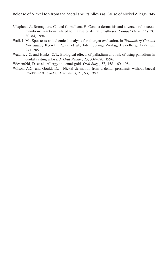- Vilaplana, J., Romaguera, C., and Cornellana, F., Contact dermatitis and adverse oral mucous membrane reactions related to the use of dental prostheses, *Contact Dermatitis*, 30, 80–84, 1994.
- Wall, L.M., Spot tests and chemical analysis for allergen evaluation, in *Textbook of Contact Dermatitis*, Rycroft, R.J.G. et al., Eds., Springer-Verlag, Heidelberg, 1992. pp. 277–285.
- Wataha, J.C. and Hanks, C.T., Biological effects of palladium and risk of using palladium in dental casting alloys, *J. Oral Rehab.*, 23, 309–320, 1996.

Wiesenfeld, D. et al., Allergy to dental gold, *Oral Surg.*, 57, 158–160, 1984.

Wilson, A.G. and Gould, D.J., Nickel dermatitis from a dental prosthesis without buccal involvement, *Contact Dermatitis*, 21, 53, 1989.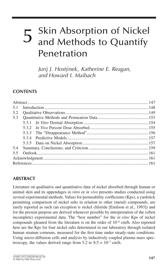# Skin Absorption of Nickel and Methods to Quantify Penetration 5

*Jurij J. Hostýnek, Katherine E. Reagan, and Howard I. Maibach*

## **CONTENTS**

| 5.1 |  |  |  |  |  |  |
|-----|--|--|--|--|--|--|
| 5.2 |  |  |  |  |  |  |
| 5.3 |  |  |  |  |  |  |
|     |  |  |  |  |  |  |
|     |  |  |  |  |  |  |
|     |  |  |  |  |  |  |
|     |  |  |  |  |  |  |
|     |  |  |  |  |  |  |
| 5.4 |  |  |  |  |  |  |
| 5.5 |  |  |  |  |  |  |
|     |  |  |  |  |  |  |
|     |  |  |  |  |  |  |
|     |  |  |  |  |  |  |

## **ABSTRACT**

Literature on qualitative and quantitative data of nickel absorbed through human or animal skin and its appendages *in vitro* or *in vivo* presents studies conducted using several experimental methods. Values for permeability coefficients (Kps), a yardstick permitting comparison of nickel salts in relation to other (metal) compounds, are rarely reported as such (an exception is nickel chloride [Emilson et al., 1993]) and for the present purpose are derived whenever possible by interpretation of the (often incomplete) experimental data. The "best number" for the *in vitro* Kps of nickel compounds gleaned from the literature is on the order of 10<sup>−</sup>6 cm/h. Also reported here are the Kps for four nickel salts determined in our laboratory through isolated human stratum corneum, measured for the first time under steady-state conditions. Using micro-diffusion cells and analysis by inductively coupled plasma mass spectroscopy, the values derived range from 5.2 to  $8.5 \times 10^{-7}$  cm/h.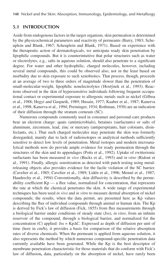## **5.1 INTRODUCTION**

Aside from endogenous factors in the target organism, skin permeation is determined by the physicochemical parameters and reactivity of permeants (Barry, 1983; Scheuplein and Blank, 1967; Scheuplein and Blank, 1971). Based on experience with the therapeutic action of dermatologicals, we anticipate ready skin penetration by lipophilic compounds. But it is counterintuitive that polar structures such as water or electrolytes, e.g., salts in aqueous solution, should also penetrate to a significant degree. For water and other hydrophilic, charged molecules, however, including several metal compounds, this could be observed also, not in the least based on morbidity due to skin exposure to such xenobiotics. That process, though, proceeds at an average of two to three orders of magnitude slower than the penetration of small-molecular-weight, lipophilic nonelectrolytes (Hostýnek et al., 1993). Reactions observed in the skin of hypersensitive individuals following frequent occupational contact or experimental exposure to allergenic metals such as nickel (Gilboa et al., 1988; Hegyi and Gasparik, 1989; Husain, 1977; Kaaber et al., 1987; Kanerva et al., 1998; Kanerva et al., 1994; Preininger, 1934; Rothman, 1930) are an indication of their diffusion through the stratum corneum (SC).

Numerous compounds commonly used in consumer and personal-care products bear an electron charge: quats (antimicrobials), betaines (surfactants) or salts of aluminum, zirconium, lead, zinc or mercury (antiperspirants, hair colorants, disinfectants, etc.). That such charged molecules may penetrate the skin was formerly disregarded, mainly due to lack of radioisotopes or analytical methods sufficiently sensitive to detect low levels of penetration. Metal isotopes and modern microanalytical methods now do provide ample evidence for ready permeation through the structures of the skin and its appendages (Potts et al., 1992). Uptake of zwitterionic surfactants has been measured *in vivo* (Bucks et al., 1993) and *in vitro* (Ridout et al., 1991). Finally, allergic sensitization as detected with patch testing using metalreleasing objects also provides evidence for the facile violation of the SC barrier. (Cavelier et al., 1985; Cavelier et al., 1989; Lidén et al., 1996; Menné et al., 1987; Haudrechy et al., 1994) Conventionally, skin diffusivity is described by the permeability coefficient  $Kp - a$  flux value, normalized for concentration, that represents the rate at which the chemical penetrates the skin. A wide range of experimental techniques has been used *in vivo* and *in vitro* to measure dermal absorption of nickel compounds; the results, when the data permit, are presented here as Kp values describing the flux of individual compounds through animal or human skin. The Kp is derived by Fick's law of diffusion (Fick, 1855) from flux measurements through a biological barrier under conditions of steady state (Jss), *in vitro*, from an infinite reservoir of the compound, through a biological barrier, and normalized for the concentration (C) applied: Jss = Kp $\Delta C$ . Expressed as depth of diffusion per unit of time (here in cm/h), it provides a basis for comparison of the relative absorption rates of diverse chemicals. When the permeant is applied from aqueous solution, it also represents the method by which numerous compound-specific penetration data currently available have been generated. While the Kp is the best descriptor of membrane penetration characteristic for those materials that do conform with Fick's law of diffusion**,** data, particularly on the absorption of nickel, have rarely been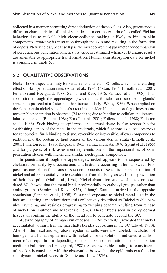collected in a manner permitting direct deduction of these values. Also, percutaneous diffusion characteristics of nickel salts do not meet the criteria of so-called Fickian behavior due to nickel's high electrophilicity, making it likely to bind to skin components, retarding its migration through the skin and resulting in the formation of depots. Nevertheless, because Kp is the most convenient parameter for comparison of percutaneous penetration kinetics, its value is estimated whenever literature results are amenable to appropriate transformation. Human skin absorption data for nickel is compiled in Table 5.1.

## **5.2 QUALITATIVE OBSERVATIONS**

Nickel shows a special affinity for keratin encountered in SC cells, which has a retarding effect on skin penetration rates (Alder et al., 1986; Cotton, 1964; Ermolli et al., 2001; Fullerton and Hoelgaard, 1988; Samitz and Katz, 1976; Santucci et al., 1998). Thus absorption through the appendages (sweat ducts, follicles, and sebaceous glands) appears to proceed at a faster rate than transcellularly (Wells, 1956). When applied on the skin, certain nickel salts thus also require considerable induction (lag) times before measurable penetration is observed (24 to 90 h) due to binding to cellular and intercellular components (Bennett, 1984; Ermolli et al., 2001; Fullerton et al., 1988; Fullerton et al., 1986). Such binding to epidermal and dermal tissue is also responsible for establishing depots of the metal in the epidermis, which functions as a local reservoir for xenobiotics. Such binding to tissue, reversible or irreversible, allows compounds to partition into the protein or lipid phases of the various dermal strata (Ermolli et al., 2001; Fullerton et al., 1986; Kolpakov, 1963; Samitz and Katz, 1976; Spruit et al., 1965) and for purposes of risk assessment represents one of the imponderables of skinpenetration studies with nickel and similar electrophilic compounds.

In penetration through the appendages, nickel appears to be sequestered by chelation, primarily by urocanic acid and histidine occurring in human sweat. Proposed as one of the functions of such components of sweat is the sequestration of nickel and other potentially toxic xenobiotics from the body, as well as the prevention of their absorption (Mali et al., 1964). Nickel absorption studies of nickel on powdered SC showed that the metal binds preferentially to carboxyl groups, rather than amino groups (Samitz and Katz, 1976), although Santucci arrived at the opposite conclusion (Santucci et al., 1998). Sustained exposure to nickel metal dust in the industrial setting can induce dermatitis collectively described as "nickel rash": papules, erythema, and vesicles progressing to weeping eczema resulting from release of nickel ion (Bulmer and Mackenzie, 1926). These effects seen in the epidermal tissues all confirm the ability of the metal ion to penetrate beyond the SC.

Autoradiography of human skin exposed *in vitro* to <sup>63</sup>NiC1<sub>2</sub> revealed that nickel accumulated within 1 h in the hair shafts besides depositing in the SC (Lloyd, 1980). After 4 h the basal and suprabasal epidermal cells were also labeled. Incubation of homogenized human epidermis with nickel chloride solutions indicated establishment of an equilibrium depending on the nickel concentration in the incubation medium (Fullerton and Hoelgaard, 1988). Such reversible binding to constituents of the skin is consistent with the observation *in vivo* that the epidermis can function as a dynamic nickel reservoir (Samitz and Katz, 1976).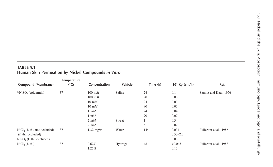| <b>TABLE 5.1</b><br>Human Skin Permeation by Nickel Compounds in Vitro |                              |                                                   |                |                |                               |                        |  |  |  |
|------------------------------------------------------------------------|------------------------------|---------------------------------------------------|----------------|----------------|-------------------------------|------------------------|--|--|--|
| Compound (Membrane)                                                    | Temperature<br>$(^{\circ}C)$ | Concentration                                     | <b>Vehicle</b> | Time (h)       | $104$ Kp (cm/h)               | Ref.                   |  |  |  |
| ${}^{63}NiSO4$ (epidermis)                                             | 37                           | $100 \text{ m}$<br>$100 \text{ m}$                | Saline         | 24<br>90       | 0.1<br>0.03                   | Samitz and Katz, 1976  |  |  |  |
|                                                                        |                              | $10 \text{ m}$<br>$10 \text{ m}$<br>$1 \text{ m}$ |                | 24<br>90<br>24 | 0.03<br>0.03<br>0.04          |                        |  |  |  |
|                                                                        |                              | $1 \text{ m}$<br>$2 \text{ m}$                    | Sweat          | 90<br>1        | 0.07<br>0.3                   |                        |  |  |  |
| $NiCl2$ (f. th., not occluded)<br>(f. th., occluded)                   | 37                           | $2 \text{ m}$<br>$1.32$ mg/ml                     | Water          | 5<br>144       | 0.02<br>0.034<br>$0.53 - 2.3$ | Fullerton et al., 1986 |  |  |  |
| $NiSO4$ (f. th., occluded)<br>$\mathrm{NiCl}_2$ (f. th.)               | 37                           | 0.62%<br>1.25%                                    | Hydrogel       | 48             | 0.03<br>< 0.045<br>0.13       | Fullerton et al., 1988 |  |  |  |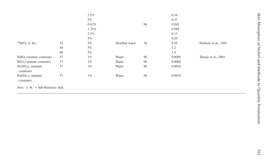| $^{63}\mathrm{NiCl}_{2}$ (f. th.)         | $22\,$<br>$40\,$ | $2.5\%$<br>$5\%$<br>$0.62\%$<br>1.25%<br>$2.5\%$<br>$5\%$<br>$5\%$ | Distilled water | 96     | $0.16\,$<br>0.37<br>0.045<br>0.088<br>0.13<br>0.29 |                      |
|-------------------------------------------|------------------|--------------------------------------------------------------------|-----------------|--------|----------------------------------------------------|----------------------|
|                                           |                  |                                                                    |                 |        |                                                    |                      |
|                                           |                  |                                                                    |                 |        |                                                    |                      |
|                                           |                  |                                                                    |                 |        |                                                    |                      |
|                                           |                  |                                                                    |                 |        |                                                    |                      |
|                                           |                  |                                                                    |                 |        |                                                    |                      |
|                                           |                  |                                                                    |                 | $18\,$ | $0.55\,$                                           | Emilson et al., 1993 |
|                                           |                  | $5\%$                                                              |                 |        | $1.2\,$                                            |                      |
|                                           | $60\,$           | $5\%$                                                              |                 |        | $1.4\,$                                            |                      |
| $NiSO4$ (stratum corneum)                 | 37               | $1\%$                                                              | Water           | 96     | 0.0085                                             | Tanojo et al., 2001  |
| $NiCl2$ (stratum corneum)                 | 37               | $1\%$                                                              | Water           | $96\,$ | 0.0068                                             |                      |
| $Ni(NO3)2$ (stratum<br>corneum)           | $37\,$           | $1\%$                                                              | Water           | $96\,$ | 0.0016                                             |                      |
| Ni(OAc) <sub>2</sub> (stratum<br>corneum) | $37\,$           | $1\%$                                                              | Water           | $96\,$ | 0.0010                                             |                      |
|                                           |                  |                                                                    |                 |        |                                                    |                      |
|                                           |                  |                                                                    |                 |        |                                                    |                      |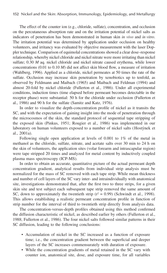The effect of the counter ion (e.g., chloride, sulfate), concentration, and occlusion on the percutaneous absorption rate and on the irritation potential of nickel salts as indicators of penetration has been demonstrated in human skin *in vivo* and *in vitro*. The irritation potential was determined by application under occlusion on healthy volunteers, and irritancy was evaluated by objective measurement with the laser Doppler technique. Comparison of equimolal concentrations showed a clear dose–response relationship, whereby nickel chloride and nickel nitrate were more irritating than nickel sulfate; 0.30 *M* aq. nickel chloride and nickel nitrate caused erythema, while lower concentrations (0.01 to 0.10 *M*) did not affect skin blood flow, a measure of irritation (Wahlberg, 1996). Applied as a chloride, nickel permeates at 50 times the rate of the sulfate. Occlusion may increase skin penetration by xenobiotics up to tenfold, as observed by Feldmann and Maibach (1965) and Maibach and Feldman (1994) and almost 20-fold by nickel chloride (Fullerton et al., 1986). Under all experimental conditions, induction times (time elapsed before permeant becomes detectable in the receptor phase) were substantial: 50 h for the chloride under occlusion (Fullerton et al., 1986) and 90 h for the sulfate (Samitz and Katz, 1976).

In order to visualize the depth-concentration profile of nickel as it transits the SC, and with the expectation of gaining insight into the mode of penetration through the microcosmos of the skin, the standard protocol of sequential tape stripping of the exposed skin (Pinkus, 1951; Rougier et al., 1986) was implemented in our laboratory on human volunteers exposed to a number of nickel salts (Hostýnek et al., 2001a).

Following single open application at levels of 0.001 to 1% of the metal in methanol as the chloride, sulfate, nitrate, and acetate salts over 30 min to 24 h on the skin of volunteers, the application sites (volar forearm and intrascapular region) were tape stripped 20 times and analyzed for metal content by inductively coupled plasma mass spectroscopy (ICP-MS).

In order to obtain an accurate, quantitative picture of the actual permeant depth concentration gradient, analytical results from individual strip analysis must be normalized for the mass of SC removed with each tape strip. While mean thickness and number of cell layers of the SC vary inter- and intraindividually with anatomical site, investigations demonstrated that, after the first two to three strips, for a given skin site and test subject each subsequent tape strip removed the same amount of SC, down to approximately the twentieth strip ( $r^2 = 0.99$ ) (Schwindt et al., 1998). This allows establishing a realistic permeant concentration profile in function of strip number for the interval of third to twentieth strip directly from analysis data.

The concentration-versus-depth profiles obtained using this method confirmed the diffusion characteristic of nickel, as described earlier by others (Fullerton et al., 1988; Fullerton et al., 1986). The four nickel salts followed similar patterns in their SC diffusion, leading to the following conclusions:

- Accumulation of nickel in the SC increased as a function of exposure time; i.e., the concentration gradient between the superficial and deeper layers of the SC increases commensurately with duration of exposure.
- While the concentration gradients of metal retained in the SC vary with counter ion, anatomical site, dose, and exposure time, for all variables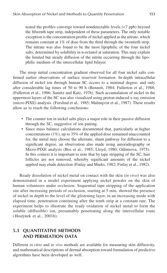tested the profiles converge toward nondetectable levels (<7 ppb) beyond the fifteenth tape strip, independent of these parameters. The only notable exception is the concentration profile of nickel applied as the nitrate, which remains constant at 1% of dose from the third through the twentieth strip. The nitrate was also found to be the most lipophilic of the four nickel salts, determined by solubility in n-octanol at saturation. This may explain the limited but steady diffusion of the nitrite occurring through the lipophilic medium of the intercellular lipid bilayer.

The steep initial concentration gradient observed for all four nickel salts confirmed earlier observations of surface reservoir formation. In-depth intracellular diffusion of nickel ion through human SC occurs to a minimal degree, and only after considerable lag times of 50 to 90 h (Bennett, 1984; Fullerton et al., 1988; (Fullerton et al., 1986; Samitz and Katz, 1976). Such accumulation of nickel in the uppermost layers of the SC was also visualized using proton-induced x-ray emission (micro-PIXE) analysis. (Forslind et al., 1985; Malmqvist et al., 1987). These results allow us to reach the following conclusions:

- The counter ion in nickel salts plays a major role in their passive diffusion through the SC, suggestive of ion pairing.
- Since mass balance calculations documented that, particularly at higher concentrations (1%), up to 35% of the applied dose remained unaccounted for, the metal may choose the alternate, shunt pathway for diffusion to a significant degree, an observation also made using autoradiography or Micro-PIXE analysis (Bos et al., 1985; Lloyd, 1980; Odintsova, 1975). In this context it is important to note that by tape stripping of the SC, hair follicles are not removed, whereby significant amounts of the nickel applied may elude detection (Finlay and Marks, 1982; Finlay et al., 1982).

Ready dissolution of nickel metal on contact with the skin (*in vivo*) was also demonstrated in a model experiment applying nickel powder on the skin of human volunteers under occlusion. Sequential tape stripping of the application site after increasing periods of occlusion, starting at 5 min, showed the presence of nickel in depth to the level of the glistening layer, in an increasing mode with elapsed time, penetration continuing after the tenth strip at a constant rate. The experiment helps to illustrate the ready oxidation of nickel metal to form the soluble (diffusible) ion, presumably penetrating along the intercellular route (Hostýnek et al., 2001b).

## **5.3 QUANTITATIVE METHODS AND PERMEATION DATA**

Different *in vitro* and *in vivo* methods are available for measuring skin diffusivity, and mathematical descriptions of dermal absorption toward formulation of predictive algorithms have been developed as well.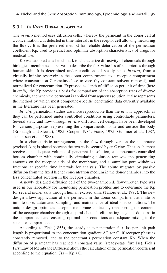## **5.3.1** *IN VITRO* **DERMAL ABSORPTION**

The *in vitro* method uses diffusion cells, whereby the permeant in the donor cell at a concentration C is detected in time intervals in the receptor cell allowing measuring the flux J. It is the preferred method for reliable deterivation of the permeation coefficient Kp, used to predict and optimize absorption characteristics of drugs for medical use.

Kp was adopted as a benchmark to characterize diffusivity of chemicals through biological membranes; it serves to describe the flux value Jss of xenobiotics through human skin. It is determined under conditions of steady state, *in vitro*, from a virtually infinite reservoir in the donor compartment, to a receptor compartment where concentration C remains close to zero (by constant solvent removal), and normalized for concentration. Expressed as depth of diffusion per unit of time (here in cm/h), the Kp provides a basis for comparison of the absorption rates of diverse chemicals, and when the permeant is applied from aqueous solution, it also represents the method by which most compound-specific penetration data currently available in the literature has been generated.

*In vitro* permeation studies are more reproducible than the *in vivo* approach, as they can be performed under controlled conditions using controllable parameters. Several static and flow-through *in vitro* diffusion cell designs have been developed for various purposes, representing the compartments inside and outside the body (Bronaugh and Stewart, 1985; Cooper, 1984; Franz, 1975; Gummer et al., 1987; Tiemessen et al., 1988).

In a characteristic arrangement, in the flow-through version the membrane (excised skin) is placed between the two cells, secured by an O ring. The top chamber receives an adequate volume of penetrant in solution, a temperature-controlled bottom chamber with continually circulating solution removes the penetrating amounts on the receptor side of the membrane, and a sampling port withdraws fractions at specific time intervals for analysis. The solute migrates by passive diffusion from the fixed higher concentration medium in the donor chamber into the less concentrated solution in the receptor chamber.

A newly designed diffusion cell of the two-chambered, flow-through type was used in our laboratory for monitoring permeation profiles and to determine the Kp for several nickel salts through human excised skin. (Tanojo et al., 1997). The new design allows application of the permeant in the donor compartment at finite or infinite dose, automated sampling, and maintenance of ideal sink conditions. The unique design optimizes acceptor–membrane contact by transporting the contents of the acceptor chamber through a spiral channel, eliminating stagnant domains in the compartment and ensuring optimal sink conditions and adquate mixing in the acceptor compartment.

According to Fick (1855), the steady-state penetration flux Jss per unit path length is proportional to the concentration gradient ∆C (or C, if receptor phase is constantly removed) and to the penetrant's permeation constant Kp. When the diffusion of permeant has reached a constant value (steady-state flux Jss), Fick's First Law of Membrane Diffusion allows the calculation of the permeation coefficient according to the equation:  $Jss = Kp \cdot C$ .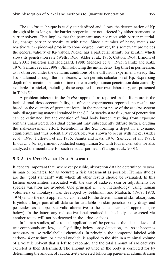The *in vitro* technique is easily standardized and allows the determination of Kp through skin as long as the barrier properties are not affected by either permeant or carrier solvent. That implies that the permeant may not react with barrier material, i.e., change barrier permeability with time. Since a number of heavy metals are reactive with epidermal protein to some degree, however, this somewhat prejudices the general validity of Kp values. Nickel has a particular affinity for keratin, which slows its penetration rate (Wells, 1956; Alder et al., 1986; Cotton, 1964; Ermolli et al., 2001; Fullerton and Hoelgaard, 1988; Menczel et al., 1985; Samitz and Katz, 1976; Santucci et al., 1998). Still, following the initial delay (lag time) in permeation, as is observed under the dynamic conditions of the diffusion experiment, steady flux Jssis attained through the membrane, which permits calculation of Kp. Expressing depth of permeation per unit of time (here in cm/h), human penetration data currently available for nickel, including those acquired in our own laboratory, are presented in Table 5.1.

A problem inherent in the *in vitro* approach as reported in the literature is the lack of total dose accountability, as often in experiments reported the results are based on the quantity of permeant found in the receptor phase of the *in vitro* system only, disregarding material retained in the SC. At steady-state flux, rate of penetration can be estimated, but the question of final body burden resulting from exposure remains unanswered. Residual permeant may subsequently diffuse further, eluding the risk-assessment effort. Retention in the SC, forming a depot in a dynamic equilibrium and thus potentially reversible, was shown to occur with nickel (Alder et al., 1986; Fullerton et al., 1986; Samitz and Katz, 1976; Santucci et al., 1998). In our *in vitro* experiment conducted using human SC with four nickel salts we also analyzed the membrane for such residual permeant (Tanojo et al., 2001).

## **5.3.2** *IN VIVO* **PERCENT DOSE ABSORBED**

It appears important that, whenever possible, absorption data be determined *in vivo*, in man or primates, for as accurate a risk assessment as possible. Human studies are the "gold standard" with which all other results should be evaluated. In this fashion uncertainties associated with the use of cadaver skin or adjustments for species variation are avoided. One principal *in vivo* methodology, using human volunteers or monkeys, was developed by Feldmann and Maibach, (1969; 1970; 1974) and is the most applied *in vivo* method for the determination of skin absorption. It yields a large part of all data so far available on skin penetration by drugs and pesticides, as it appears a valid alternative to the "disappearance" approach (see below). In the latter, any radioactive label retained in the body, or excreted via another route, will not be detected in the urine or feces.

In human studies, after topical application of the permeant the plasma levels of test compounds are low, usually falling below assay detection, and so it becomes necessary to use radiolabelled chemicals. In principle, the compound labeled with carbon-14 or tritium, or a metal nuclide, is applied to the skin in a minimal volume of a volatile solvent that is left to evaporate, and the total amount of radioactivity excreted is then determined. The amount retained in the body is corrected for by determining the amount of radioactivity excreted following parenteral administration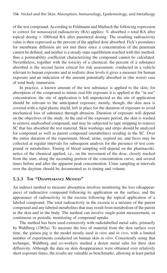of the test compound. According to Feldmann and Maibach the following expression to correct for nonassayed radioactivity  $(RA)$  applies: % absorbed = total RA after topical dosing  $\times$  100/total RA after parenteral dosing. The resulting radioactivity value is then expressed as the percent of the applied dose absorbed. Fick's postulates for membrane diffusion are not met there since a concentration of the penetrant cannot be defined, and neither is a steady-state equilibrium reached with this method; thus a permeability coefficient characterizing the compound cannot be calculated. Nevertheless, together with the toxicity of a chemical, the percent of a substance absorbed is the second factor critical for risk assessment; conducted in a vehicle relevant to human exposure and at realistic dose levels it gives a measure for human exposure and an indication of the amount potentially absorbed in (the worst) case of total body immersion.

In practice, a known amount of the test substance is applied to the skin; for absorption of the compound to mimic real-life exposure it is applied at the "in use" concentration; the site of application is left unprotected as the site of application should be relevant to the anticipated exposure; mostly, though, the skin area is covered with a rigid plastic shield, left in place for the duration of exposure to avoid mechanical loss of substance through abrasion. Duration of exposure will depend on the objectives of the study. At the end of the exposure period, the skin is washed to remove unabsorbed compound, and may be subjected to tape stripping to remove SC that has absorbed the test material. Skin washings and strips should be analyzed for compound as well as parent compound (metabolites) residing in the SC. Over the entire duration of the experiment, blood, urine, expired air, and feces may be collected at regular intervals for subsequent analysis for the presence of test compound or metabolites. Timing of blood sampling will depend on the pharmacokinetics of the chemical applied, i.e., on the movement of the dose, closely tracked from the start, along the ascending portion of the concentration curve, and several times before and after the apparent peak concentration. Urine sampling at intervals over the daytime should be documented as to timing and volume.

## **5.3.3 THE "DISAPPEARANCE METHOD"**

An indirect method to measure absorption involves monitoring the loss (disappearance) of radioactive compound following its application on the surface, and the appearance of radioactivity in the excreta following the topical application of a labeled compound. The total radioactivity in the excreta is a mixture of the parent compound and any labeled metabolites that may result from metabolism of the parent in the skin and in the body. The method can involve single-point measurement, or continuous or periodic monitoring of compound uptake.

The method has been used extensively with radiolabelled metal salts, primarily by Wahlberg (1965a). To measure the loss of material from the skin surface over time, the guinea pig is the model mostly used *in vitro* and *in vivo*, with a limited number of experiments conducted on human skin *in vitro*. Consistently using that technique, Wahlberg and co-workers studied a dozen metal salts for their skin diffusivity. Although the data on skin disappearance were obtained over relatively short exposure times, the results are valuable as benchmarks, allowing at least partial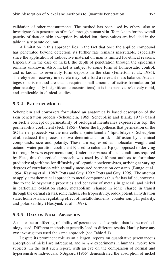validation of other measurements. The method has been used by others, also to investigate skin penetration of nickel through human skin. To make up for the overall paucity of data on skin absorption by nickel ion, those values are included in the table in a separate column.

A limitation in this approach lies in the fact that once the applied compound has penetrated beyond detection, its further fate remains inscrutable, especially since the application of radioactive material on man is limited for ethical reasons. Especially in the case of nickel, the depth of penetration through the epidermis remains unknown. Also, nickel is subject to some form of homeostatic control, and is known to reversibly form deposits in the skin (Fullerton et al., 1986). Thereby even recovery in excreta may not afford a relevant mass balance. Advantages of this method are that it requires small amounts of active formulation (at pharmacologically insignificant concentrations), it is inexpensive, relatively rapid, and applicable in clinical studies.

## **5.3.4 PREDICTIVE MODELS**

Scheuplein and coworkers formulated an anatomically based description of the skin penetration process (Scheuplein, 1965; Scheuplein and Blank, 1971) based on Fick's concept of permeability of biological membranes expressed as Kp, the permeability coefficient (Fick, 1855). Under the hypothesis that permeation of the SC barrier proceeds via the intercellular (interlamellar) lipid bilayers, Scheuplein et al. reduced the process to two determinants for skin diffusion by chemical compounds: size and polarity. These are expressed as molecular weight and octanol-water partition coefficient P, used to calculate Kp (as opposed to deriving it through *in vitro* experimentation). Under observance of ideal conditions required by Fick, this theoretical approach was used by different authors to formulate predictive algorithms for diffusivity of organic nonelectrolytes, arriving at varying degrees of correlation with actually measured permeation constants (Bunge et al., 1994; Kasting et al., 1987; Potts and Guy, 1992; Potts and Guy, 1995). The attempt to apply a mathematical approach to metal compounds thus far has failed, however, due to the idiosyncratic properties and behavior of metals in general, and nickel in particular: oxidation states, metabolism (change in ionic charge in transit through the dermal strata), ionic radius, electropositivity, redox potential, hydration state, homeostasis, regulating effect of metallothioneins, counter ion, pH, polarity, and polarizability (Hostýnek et al., 1998).

## **5.3.5 DATA ON NICKEL ABSORPTION**

A major factor affecting reliability of percutaneous absorption data is the methodology used. Different methods expectedly lead to different results. Hardly have any two investigators used the same approach (see Table 5.1).

Despite its prominent role as an allergen, reports on quantitative percutaneous absorption of nickel are infrequent, and *in vivo* experiments in humans involve few subjects. In the first such report, with an eye on the comparison of normal and hypersensitive individuals, Nørgaard (1955) demonstrated the absorption of nickel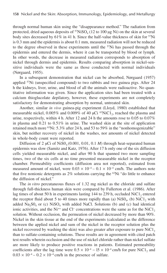through normal human skin using the "disappearance method." The radiation from protected, dried aqueous deposits of  $57N$ iSO<sub>4</sub> (12 to 100 µg Ni) on the skin at several body sites decreased by 61% in 41 h. Since the half-value thickness of skin for 57Ni is 0.3 mm and the epidermis is about 0.1 mm, measured radiation will not be reduced to the degree observed in these experiments until the 57Ni has passed through the epidermis and entered the dermis, where it can be transported by blood or lymph. In other words, the decrease in measured radiation corresponds to absorption of nickel through dermis and epidermis. Results comparing absorption in nickel-sensitive individuals were the same as those conducted with normal individuals (Nørgaard, 1955).

In a subsequent demonstration that nickel can be absorbed, Nørgaard (1957) applied 57Ni (unspecified compound) to two rabbits and two guinea pigs. After 24 h the kidneys, liver, urine, and blood of all the animals were radioactive. No quantitative information was given. Since the application sites had been treated with a calcium thioglucolate depilatory, however, these experiments are not completely satisfactory for demonstrating absorption by normal, untreated skin.

Another, similar *in vivo* guinea-pig experiment (Lloyd, 1980) established that measurable nickel, 0.005% and 0.009% of 40  $\mu$ Ci <sup>63</sup>NiC1<sub>2</sub>, reached the plasma and urine, respectively, within 4 h. After 12 and 24 h the amounts rose to 0.05 to 0.07% in plasma and 0.21 to 0.51% in urine. The washed skin at the site of application retained much more 63Ni: 5.3% after 24 h, and 53 to 59% in the "nonhomogenizable" skin, but neither recovery of nickel in the washes, nor amounts of nickel detected in whole-body count were reported.

Diffusion of 2  $\mu$ Ci of NiSO<sub>4</sub> (0.001, 0.01, 0.1 *M*) through heat-separated human epidermis was slow (Samitz and Katz, 1976). After 17 h only one of the six diffusion cells yielded measurable nickel, and after 90 h that spanned two more sampling times, two of the six cells at no time presented measurable nickel in the receptor chamber. Permeability coefficients (diffusion area not reported), estimated from measured amount of nickel, were  $0.03 \times 10^{-4} - 0.1 \times 10^{-4}$  cm/h. The authors note that five nonionic detergents as 2% solutions carrying the 63Ni "do little to enhance the diffusion of nickel."

The *in vitro* percutaneous fluxes of 1.32 mg nickel as the chloride and sulfate through full-thickness human skin were compared by Fullerton et al. (1986). After lag times of about 50 h in experiments lasting 144 to 239 h, occluded NiC1<sub>2</sub> entered the receptor fluid about 5 to 40 times more rapidly than (a)  $NiSO_4$ , (b)  $NiCl_2$ , with added  $Na<sub>2</sub>SO<sub>4</sub>$  or (c) NiSO<sub>4</sub> with added NaCl. Solutions (b) and (c) had identical ionic activities, and the Ni<sup>++</sup> and Cl<sup>−</sup> concentrations were the same as for the NiC1<sub>2</sub> solution. Without occlusion, the permeation of nickel decreased by more than 90%. Nickel in the skin tissue at the end of the experiments (calculated as the difference between the applied nickel and sum of the nickel in the receptor solution plus the nickel recovered by washing the skin) was also greater after exposure to pure  $NiCl<sub>2</sub>$ than to sulfate-containing solutions. These results are in agreement with cited patch test results wherein occlusion and the use of nickel chloride rather than nickel sulfate are more likely to produce positive reactions in patients. Estimated permeability coefficients after the lag time were  $0.5 \times 10^{-4} - 15 \times 10^{-4}$  cm/h for pure NiC1<sub>2</sub> and  $0.03 \times 10^{-4} - 0.2 \times 10^{-4}$  cm/h in the presence of sulfate.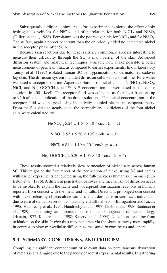Subsequently additional, similar *in vitro* experiments explored the effect of six hydrogels as vehicles for NiC1<sub>2</sub> and of petrolatum for both NiC1<sub>2</sub> and NiSO<sub>4</sub> (Fullerton et al., 1988). Petrolatum was the poorest vehicle for  $NiCl<sub>2</sub>$  and for  $NiSO<sub>4</sub>$ . The sulfate, again a poorer penetrant than the chloride, yielded no detectable nickel in the receptor phase after 96 h.

Because skin reactions due to nickel salts are common, it appears interesting to measure their diffusivity through the SC, a main barrier of the skin. Advanced diffusion system and analytical techniques available now make possible a better measurement of permeant flux, as compared to earlier experiments. In our laboratory Tanojo et al. (1997) isolated human SC by trypsinization of dermatomed cadaver leg skin. The diffusion system included diffusion cells with a spiral line. Pure water was used as acceptor solution. Aqueous solutions of nickel salts —  $Ni(NO<sub>3</sub>)<sub>2</sub>$ , NiSO<sub>4</sub>, NiCl<sub>2</sub> and Ni(−OOCCH<sub>3</sub>)<sub>2</sub> at 1% Ni<sup>2+</sup> concentration — were used as the donor solution, in 400 µl/cell. The receptor fluid was collected as four-hour fractions up to 96 h after the application of the donor solutions. The nickel concentration in the receptor fluid was analyzed using inductively coupled plasma mass spectrometry. From the flux data at steady state, the permeability coefficients of the four nickel salts were calculated to:

> Ni(NO<sub>3</sub>)<sub>2</sub> 5.24 ± 1.64 × 10<sup>-7</sup> cm/h (n = 7) NiSO<sub>4</sub> 8.52 ± 5.50 × 10<sup>-7</sup> cm/h (n = 3) NiCl<sub>2</sub> 6.81 ± 1.19 × 10<sup>-7</sup> cm/h (n = 4) Ni(-OOCCH<sub>3</sub>)2 5.20 ± 1.05 × 10<sup>-7</sup> cm/h (n = 4)

These results showed a relatively slow permeation of nickel salts across human SC. This might be the first report of the permeation of nickel using SC and agrees with earlier experiments conducted using the full-thickness human skin *in vitro* (Fullerton et al., 1986). A different penetration pathway and mechanism of diffusion needs to be invoked to explain the facile and widespread sensitization reactions in humans reported from contact with the metal and its salts. Direct and prolonged skin contact with nickel-releasing objects alone can also elicit dermatitis in sensitized individuals due to ease of oxidation on skin contact to yield diffusible ion (Bumgardner and Lucas, 1995; Haudrechy et al., 1994; Haudrechy et al., 1997; Lidén et al., 1998; Santucci et al., 1989), constituting an important factor in the pathogenesis of nickel allergy (Husain, 1977; Kanerva et al., 1998; Kanerva et al., 1994). Nickel ions resulting from oxidation on the skin *in vivo* thus may penetrate via the shunt pathway more rapidly, in contrast to slow transcellular diffusion as measured *in vitro* by us and others.

## **5.4 SUMMARY, CONCLUSIONS, AND CRITICISM**

Compiling a significant compendium of relevant data on percutaneous absorption of metals is challenging due to the paucity of robust experimental results. In gathering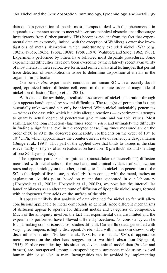data on skin penetration of metals, most attempts to deal with this phenomenon in a quantitative manner seems to meet with serious technical obstacles that discourage investigators from further pursuits. This becomes evident from the fact that experimental data are extremely limited, with the exception of Wahlberg's extensive investigations of metals absorption, which unfortunately excluded nickel (Wahlberg, 1965a, 1965b, 1965c, 1968a, 1968b, 1968c, 1970; Wahlberg and Skog, 1962, 1963). Experiments performed by others have followed most disparate procedures. Some experimental difficulties have now been overcome by the relatively recent availability of most metals in their radioactive form, and refined analytical techniques that permit trace detection of xenobiotics in tissue to determine disposition of metals in the organism in particular.

Our own *in vitro* experiments, conducted on human SC with a recently developed, optimized micro-diffusion cell, confirm the minute order of magnitude of nickel ion diffusion (Tanojo et al., 2001).

With data so far available, a realistic assessment of nickel penetration through skin appears handicapped by several difficulties. The route(s) of permeation is (are) essentially unknown and can only be inferred. While nickel undeniably penetrates — witness the ease with which it elicits allergic reactions — experimental attempts to quantify actual degree of penetration give minute and variable values. Most striking are the long induction (lag) times seen *in vitro*, and ultimately the difficulty in finding a significant level in the receptor phase. Lag times measured are on the order of 50 to 90 h, the observed permeability coefficients on the order of 10<sup>−</sup>6 to 10<sup>−</sup>5 cm/h, which approximates the counter-current rate of corneocyte desquamation (Bunge et al., 1994). Thus part of the applied dose that binds to tissues in the skin is eventually lost by exfoliation (calculation based on 10 µm thickness and shedding of one SC layer per day).

The apparent paradox of insignificant (transcellular or intercellular) diffusion measured with nickel salts on the one hand, and clinical evidence of sensitization rates and epidemiology on the other, pointing to facile nickel ion penetration of the SC to the depth of live tissue, particularly from contact with the metal, invites an explanation. At this point, based on recent data generated in our laboratory (Hostýnek et al., 2001a; Hostýnek et al., 2001b), we postulate the intercellular lamellar bilayers as an alternate route of diffusion of lipophilic nickel soaps, formed with endogenous fatty acids on the surface of the skin.

It appears unlikely that analysis of data obtained for nickel so far will allow conclusions applicable to metal compounds in general, since different mechanisms of diffusion appear to operate for different metals and categories of compounds. Much of the ambiguity involves the fact that experimental data are limited and the experiments performed have followed different procedures. No consistency can be found, making comparisons across studies difficult. Current flux data, generated with varying techniques, is highly discrepant. *In vitro* data with human skin shows barely discernible penetration (Fullerton et al., 1988; Fullerton et al., 1986); disappearance measurements on the other hand suggest up to two thirds absorption (Nørgaard, 1955). Further complicating this situation, diverse animal-model data (*in vivo* and *in vitro*) are interspersed among corresponding measurements made using excised human skin or *in vivo* in man. Incongruities can be avoided by implementing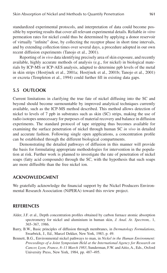standardized experimental protocols, and interpretation of data could become possible by reporting results that cover all relevant experimental details. Reliable *in vitro* permeation rates for nickel could thus be determined by applying a donor reservoir of virtually "infinite" dose, by collecting the receptor phase in short time intervals, and by extending collection times over several days, a procedure adopted in our own recent diffusion experiments (Tanojo et al., 2001).

Reporting of *in vivo* data identifying precisely area of skin exposure, and recently available, highly accurate methods of analysis (e.g., for nickel) in biological materials by ICP-MS or ICP-AES analysis, adapted to determine ppb levels of the metal in skin strips (Hostýnek et al., 2001a; Hostýnek et al., 2001b; Tanojo et al., 2001) or excreta (Templeton et al., 1994) could further fill in existing data gaps.

## **5.5 OUTLOOK**

Current limitations in clarifying the true fate of nickel diffusing into the SC and beyond should become surmountable by improved analytical techniques currently available, such as the ICP-MS method described. This method allows detection of nickel to levels of 7 ppb in substrates such as skin (SC) strips, making the use of radio isotopes unnecessary for purposes of material recovery and balance in diffusion experiments. The standard protocol of tape stripping thus becomes available for examining the surface penetration of nickel through human SC *in vivo* in detailed and accurate fashion. Following single open applications, a concentration profile can be established through the different biological compartments.

Demonstrating the detailed pathways of diffusion in this manner will provide the basis for formulating appropriate methodologies for intervention in the population at risk. Further work is planned to investigate the rate of penetration of nickel soaps (fatty acid compounds) through the SC, with the hypothesis that such soaps are more diffusible than the free nickel ion.

## **ACKNOWLEDGMENT**

We gratefully acknowledge the financial support by the Nickel Producers Environmental Research Association (NiPERA) toward this review project.

## **REFERENCES**

- Alder, J.F. et al., Depth concentration profiles obtained by carbon furnace atomic absorption spectrometry for nickel and aluminium in human skin, *J. Anal. At. Spectrom,*. 1, 365–367, 1986.
- Barry, B.W., Basic principles of diffusion through membranes, in *Dermatology Formulations*, Swarbrick, J., Ed., Marcel Dekker, New York, 1983, p. 49.
- Bennett, B.G., Environmental nickel pathways to man, in *Nickel in the Human Environment: Proceedings of a Joint Symposium Held at the International Agency for Research on Cancer, Lyon, France, 8–11 March 1983*, Sunderman, F.W. and Aitio, A., Eds., Oxford University Press, New York, 1984, pp. 487–495.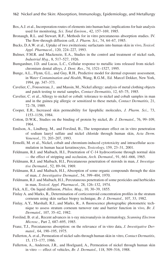- Bos, A.J. et al., Incorporation routes of elements into human hair; implications for hair analysis used for monitoring, *Sci. Total Environ.*, 42, 157–169, 1985.
- Bronaugh, R.L. and Stewart, R.F., Methods for in vitro percutaneous absorption studies. IV. The flow-through diffusion cell, *J. Pharm. Sci.*, 74, 64–67, 1985.
- Bucks, D.A.W. et al., Uptake of two zwitterionic surfactants into human skin in vivo, *Toxicol. Appl. Pharmacol.*, 120, 224–227, 1993.
- Bulmer, F.M.R. and Mackenzie, E.A., Studies in the control and treatment of nickel rash, *Industrial Hyg.*, 8, 517–527, 1926.
- Bumgardner, J.D. and Lucas, L.C., Cellular response to metallic ions released from nickelchromium dental alloys, *J. Dent. Res.*, 74, 1521–1527, 1995.
- Bunge, A.L., Flynn, G.L., and Guy, R.H., Predictive model for dermal exposure assessment, in *Water Contamination and Health*, Wang, R.G.M., Ed. Marcel Dekker, New York, 1994, pp. 347–373.
- Cavelier, C., Foussereau, J., and Massin, M., Nickel allergy: analysis of metal clothing objects and patch testing to metal samples, *Contact Dermatitis*, 12, 65–75, 1985.
- Cavelier, C. et al., Allergy to nickel or cobalt: tolerance to nickel and cobalt samples in man and in the guinea pig allergic or sensitized to these metals, *Contact Dermatitis*, 21, 72–78, 1989.
- Cooper, E.R., Increased skin permeability for lipophilic molecules, *J. Pharm. Sci.*, 73, 1153–1156, 1984.
- Cotton, D.W.K., Studies on the binding of protein by nickel, *Br. J. Dermatol.*, 76, 99–109, 1964.
- Emilson, A., Lindberg, M., and Forslind, B., The temperature effect on in vitro penetration of sodium lauryl sulfate and nickel chloride through human skin, *Acta Derm. Venereol.*, 73, 203–207, 1993.
- Ermolli, M. et al., Nickel, cobalt and chromium-induced cytotoxicity and intracellular accumulation in human hacat keratinocytes, *Toxicology*, 159, 23–31, 2001.
- Feldmann, R.J. and Maibach, H.I., Penetration of C-14 hydrocortisone through normal skin — the effect of stripping and occlusion, *Arch. Dermatol.*, 91, 661–666, 1965.
- Feldmann, R.J. and Maibach, H.I., Percutaneous penetration of steroids in man, *J. Investigative Dermatol.*, 52, 89–94, 1969.
- Feldmann, R.J. and Maibach, H.I., Absorption of some organic compounds through the skin of man, *J. Investigative Dermatol.*, 54, 399–404, 1970.
- Feldmann, R.J. and Maibach, H.I., Percutaneous penetration of some pesticides and herbicides in man, *Toxicol. Appl. Pharmacol.,* 28, 126–132, 1974.
- Fick, A.E., On liquid diffusion, *Philos. Mag.*, 10, 30–39, 1855.
- Finlay A. and Marks, R., Determination of corticosteroid concentration profiles in the stratum corneum using skin surface biopsy technique, *Br. J. Dermatol.*, 107, 33, 1982.
- Finlay, A.Y., Marshall, R.J., and Marks, R., A fluorescence photographic photometric technique to assess stratum corneum turnover rate and barrier function in vivo, *Br. J. Dermatol.*, 107, 35–42, 1982.
- Forslind, B. et al., Recent advances in x-ray microanalysis in dermatology, *Scanning Electron Microsc.*, Part 2, 687–695, 1985.
- Franz, T.J., Percutaneous absorption: on the relevance of in vitro data, *J. Investigative Dermatol.*, 64, 190–195, 1975.
- Fullerton, A. et al., Permeation of nickel salts through human skin in vitro, *Contact Dermatitis*, 15, 173–177, 1986.
- Fullerton, A., Andersen, J.R., and Hoelgaard, A., Permeation of nickel through human skin in vitro — effect of vehicles, *Br. J. Dermatol.*, 118, 509–516, 1988.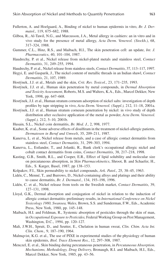- Fullerton, A. and Hoelgaard, A., Binding of nickel to human epidermis in vitro, *Br. J. Dermatol.*, 119, 675–682, 1988.
- Gilboa, R., Al-Tawil, N.G., and Marcusson, J.A., Metal allergy in cashiers: an in vitro and in vivo study for the presence of metal allergy, *Acta Derm. Venereol. (Stockh.)*, 68, 317–324, 1988.
- Gummer, C.L., Hinz, R.S., and Maibach, H.I., The skin penetration cell: an update, *Int. J. Pharmaceutics*, 40, 101–104, 1987.
- Haudrechy, P. et al., Nickel release from nickel-plated metals and stainless steel, *Contact Dermatitis*, 31, 249–255, 1994.
- Haudrechy, P. et al., Nickel release from stainless steels, *Contact Dermatitis*, 37, 113–117, 1997.
- Hegyi, E. and Gasparik, J., The nickel content of metallic threads in an Indian shawl, *Contact Dermatitis*, 21, 107, 1989.
- Hostýnek, J.J. et al., Metals and the skin, *Crit. Rev. Toxicol.*, 23, 171–235, 1993.
- Hostýnek, J.J. et al., Human skin penetration by metal compounds, in *Dermal Absorption and Toxicity Assessment*, Roberts, M.S. and Walters, K.A., Eds., Marcel Dekker, New York, 1998, pp. 647–668.
- Hostýnek, J.J. et al., Human stratum corneum adsorption of nickel salts: investigation of depth profiles by tape stripping in vivo, *Acta Derm. Venereol. (Suppl.),* 212, 11–18, 2001a.
- Hostýnek, J.J. et al., Human stratum corneum penetration by nickel: in vivo study of depth distribution after occlusive application of the metal as powder, *Acta Derm. Venereol. (Suppl.),* 212, 5–10, 2001b.
- Husain, S.L., Nickel coin dermatitis, *Br. Med. J.*, 2, 998, 1977.
- Kaaber, K. et al., Some adverse effects of disulfiram in the treatment of nickel-allergic patients, *Dermatosen in Beruf und Umwelt*, 35, 209–211, 1987.
- Kanerva, L. et al., Nickel release from metals, and a case of allergic contact dermatitis from stainless steel, *Contact Dermatitis*, 31, 299–303, 1994.
- Kanerva, L., Estlander, T., and Jolanki, R., Bank clerk's occupational allergic nickel and cobalt contact dermatitis from coins, *Contact Dermatitis*, 38, 217–218, 1998.
- Kasting, G.B., Smith, R.L., and Cooper, E.R., Effect of lipid solubility and molecular size on percutaneous absorption, in *Skin Pharmacokinetics*, Shroot, B. and Schaefer, H., Eds., S. Karger, Basel, 1987, pp 138–153.
- Kolpakov, F.I., Skin permeability to nickel compounds, *Ark. Patol.*, 25, 38–45, 1963.
- Lidén, C., Menné, T., and Burrows, D., Nickel-containing alloys and platings and their ability to cause dermatitis, *Br. J. Dermatol.*, 134, 193–198, 1996.
- Lidén, C. et al., Nickel release from tools on the Swedish market, *Contact Dermatitis*, 39, 127–131, 1998.
- Lloyd, G.K., Dermal absorption and conjugation of nickel in relation to the induction of allergic contact dermatitis–preliminary results, in *International Conference on Nickel Toxicology 1980, Swansea, Wales,* Brown, S.S. and Sunderman, F.W., Eds., Academic Press, New York, 1980, pp. 145–148.
- Maibach, H.I. and Feldman, R., Systemic absorption of pesticides through the skin of man, in *Occupational Exposure to Pesticides,* Federal Working Group on Pest Management, Washington, D.C., 1994, pp. 120–127.
- Mali, J.W.H., Spruit, D., and Seutter, E., Chelation in human sweat, *Clin. Chim. Acta Int. Clin. Chem.*, 9, 187–190, 1964.
- Malmqvist, K.G. et al., The use of PIXE in experimental studies of the physiology of human skin epidermis, *Biol. Trace Element Res.*, 12, 297–308, 1987.
- Menczel, E. et al., Skin binding during percutaneous penetration, in *Percutaneous Absorption. Mechanisms, Methodology, Drug Delivery*, Bronaugh, R.I. and Maibach, H.I., Eds., Marcel Dekker, New York, 1985, pp. 43–56.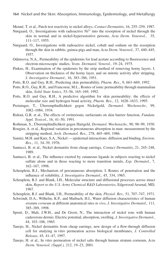Menné, T. et al., Patch test reactivity to nickel alloys, *Contact Dermatitis*, 16, 255–259, 1987.

Nørgaard, O., Investigations with radioactive Ni<sup>57</sup> into the resorption of nickel through the skin in normal and in nickel-hypersensitive persons, *Acta Derm. Venereol.,* 35, 111–117, 1955.

- Nørgaard, O., Investigations with radioactive nickel, cobalt and sodium on the resorption through the skin in rabbits, guinea-pigs and man, *Acta Derm. Venereol.,* 37, 440–445, 1957.
- Odintsova, N.A., Permeability of the epidermis for lead acetate according to fluorescence and electron-microscopic studies, *Vestn. Dermatol. Venerol.,* 19–24, 1975.
- Pinkus, H., Examination of the epidermis by the strip method of removing horny layers. I. Observation on thickness of the horny layer, and on mitotic activity after stripping, *J. Investigative Dermatol.*, 16, 383–386, 1951.
- Potts, R.O. and Guy, R.H., Predicting skin permeability, *Pharm. Res.*, 9, 663–669, 1992.
- Potts, R.O., Guy, R.H., and Francoeur, M.L., Routes of ionic permeability through mammalian skin, *Solid State Ionics*, 53–56, 165–169, 1992.
- Potts, R.O. and Guy, R.H., A predicitve algorithm for skin permeability: the effects of molecular size and hydrogen bond activity, *Pharm. Res.*, 12, 1628–1633, 1995.
- Preininger, T., Überempfindlichkeit gegen Nickelgeld, *Dermatol. Wochenschr.*, 99, 1082–1084, 1934.
- Ridout, G.R. et al., The effects of zwitterionic surfactants on skin barrier function, *Fundam. Appl. Toxicol.*, 16, 41–50, 1991.

Rothman, S., Überempfindlichkeit gegen Hartgeld, *Dermatol. Wochenschr.*, 90, 98–99, 1930.

- Rougier, A. et al., Regional variation in percutaneous absorption in man: measurement by the stripping method, *Arch. Dermatol. Res.*, 278, 465–469, 1986.
- Samitz, M.H. and Katz, S.A., Nickel epidermal interactions: diffusion and binding, *Environ. Res.*, 11, 34–39, 1976.
- Santucci, B. et al., Nickel dermatitis from cheap earrings, *Contact Dermatitis*, 21, 245–248, 1989.
- Santucci, B. et al., The influence exerted by cutaneous ligands in subjects reacting to nickel sulfate alone and in those reacting to more transition metals, *Exp. Dermatol.*, 7, 162–167, 1998.
- Scheuplein, R.J., Mechanism of percutaneous absorption. I. Routes of penetration and the influence of solubility, *J. Investigative Dermatol.*, 45, 334, 1965.
- Scheuplein, R.J. and Blank, I.H., Molecular structure and diffusional processes across intact skin, *Report to the U.S. Army Chemical R&D Laboratories*, Edgewood Arsenal, MD, 1967.
- Scheuplein, R.J. and Blank, I.H., Permeability of the skin, *Physiol. Rev.*, 51, 707–747, 1971.
- Schwindt, D.A., Wilhelm, K.P., and Maibach, H.I., Water diffusion characteristics of human *stratum corneum* at different anatomical sites *in vivo*, *J. Investigative Dermatol.,* 111, 385–389, 1998.
- Spruit, D., Mali, J.W.H., and De Groot, N., The interaction of nickel ions with human cadaverous dermis. Electric potential, absorption, swelling, *J. Investigative Dermatol.*, 44, 103–106, 1965.
- Tanojo, H., Nickel dermatitis from cheap earrings; new design of a flow-through diffusion cell for studying in vitro permeation across biological membranes, *J. Controlled Release*, 45, 41–47, 1997.
- Tanojo, H. et al., In vitro permeation of nickel salts through human stratum corneum, *Acta Derm. Venereol. (Suppl.),* 212, 19–23, 2001.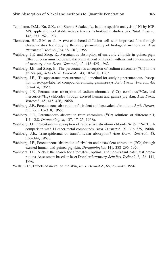- Templeton, D.M., Xu, S.X., and Stuhne-Sekalec, L., Isotope-specific analysis of Ni by ICP-MS: applications of stable isotope tracers to biokinetic studies, *Sci. Total Environ.*, 148, 253–262, 1994.
- Tiemessen, H.L.G.M. et al., A two-chambered diffusion cell with improved flow-through characteristics for studying the drug permeability of biological membranes, *Acta Pharmacol. Technol.,* 34, 99–101, 1988.
- Wahlberg, J.E. and Skog, E., Percutanous absorption of mercuric chloride in guinea-pigs. Effect of potassium iodide and the pretreatment of the skin with irritant concentrations of mercury, *Acta Derm. Venereol.,* 42, 418–425, 1962.
- Wahlberg, J.E. and Skog, E., The percutaneous absorption of sodium chromate  $(^{51}Cr)$  in the guinea pig, *Acta Derm. Venereol.,* 43, 102–108, 1963.
- Wahlberg, J.E., "Disappearance measurements," a method for studying percutaneous absorption of isotope-labelled compounds emitting gamma-rays, *Acta Derm. Venereol.,* 45, 397–414, 1965a.
- Wahlberg, J.E., Percutaneous absorption of sodium chromate,  $(^{51}Cr)$ , cobaltous( $^{58}Co$ ), and mercuric(203Hg) chlorides through excised human and guinea pig skin, *Acta Derm. Venereol.,* 45, 415–426, 1965b.
- Wahlberg, J.E., Percutaneous absorption of trivalent and hexavalent chromium, *Arch. Dermatol.*, 92, 315–318, 1965c.
- Wahlberg, J.E., Percutaneous absorption from chromium (51Cr) solutions of different pH, 1.4–12.8, *Dermatologica*, 137, 17–25, 1968a.
- Wahlberg, J.E., Percutaneous absorption of radioactive strontium chloride Sr 89 (<sup>89</sup>SrCl<sub>2</sub>). A comparison with 11 other metal compounds, *Arch. Dermatol.,* 97, 336–339, 1968b.
- Wahlberg, J.E., Transepidermal or transfollicular absorption? *Acta Derm. Venereol.,* 48, 336–344, 1968c.
- Wahlberg, J.E., Percutaneous absorption of trivalent and hexavalent chromium (51Cr) through excised human and guinea pig skin, *Dermatologica*, 141, 288–296, 1970.
- Wahlberg, J.E., Nickel: the search for alternative, optimal and non-irritant patch test preparations. Assessment based on laser Doppler flowmetry, *Skin Res. Technol.*, 2, 136–141, 1996.
- Wells, G.C., Effects of nickel on the skin, *Br. J. Dermatol.*, 68, 237–242, 1956.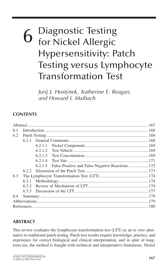# Diagnostic Testing 6 Diagnostic Testing<br>6 for Nickel Allergic Hypersensitivity: Patch Testing versus Lymphocyte Transformation Test

*Jurij J. Hostýnek, Katherine E. Reagan, and Howard I. Maibach*

# **CONTENTS**

| 6.1 |       |         |                                                         |  |
|-----|-------|---------|---------------------------------------------------------|--|
| 6.2 |       |         |                                                         |  |
|     | 621   |         |                                                         |  |
|     |       | 6.2.1.1 |                                                         |  |
|     |       | 6.2.1.2 |                                                         |  |
|     |       | 6.2.1.3 |                                                         |  |
|     |       | 6.2.1.4 |                                                         |  |
|     |       |         | 6.2.1.5 False-Positive and False-Negative Reactions 172 |  |
|     | 6.2.2 |         |                                                         |  |
| 6.3 |       |         |                                                         |  |
|     |       |         |                                                         |  |
|     | 6.3.2 |         |                                                         |  |
|     |       |         |                                                         |  |
| 6.4 |       |         |                                                         |  |
|     |       |         |                                                         |  |
|     |       |         |                                                         |  |

# **ABSTRACT**

This review evaluates the lymphocyte transformation test (LTT) as an *in vitro* alternative to traditional patch testing. Patch-test results require knowledge, practice, and experience for correct biological and clinical interpretation, and in spite of longterm use, the method is fraught with technical and interpretative limitations. Nickel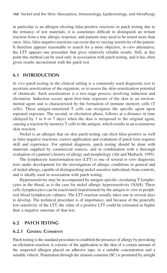in particular is an allergen eliciting false-positive reactions in patch testing due to the irritancy of test materials; it is sometimes difficult to distinguish an irritant reaction from a true allergic response, and patients may need to be tested more than once. Also, false-negative reactions can occur due to varying sensitivity of the patient. It therefore appears reasonable to search for a more objective, *in vitro* alternative; the LTT appears one procedure that gives relatively reliable results. Still, at this point this method can be used only in association with patch testing, and it has often given results inconsistent with the patch test.

# **6.1 INTRODUCTION**

*In vivo* patch testing in the clinical setting is a commonly used diagnostic test to ascertain sensitization of the organism, or to assess the skin-sensitization potential of chemicals. Such sensitization is a two-stage process involving induction and elicitation. Induction occurs upon first-time exposure of the skin to an environmental agent and is characterized by the formation of immune memory cells (T cells). These antigen-sensitized T cells can recognize the specific agent upon repeated exposure. The second, or elicitation phase, follows at a distance in time (delayed by 1 to 6 or 7 days) when the skin is reexposed to the original agent, causing a reaction by memory T cells to the antigen, which results in an eczematous skin reaction.

Nickel is an allergen that on skin patch testing can elicit false-positive as well as false-negative reactions; correct application and evaluation of patch tests requires skill and experience. For optimal diagnosis, patch testing should be done with materials supplied by commercial sources, and in combination with a thorough evaluation of a patient's history of allergy and morphology (Ale and Maibach, 1995).

The lymphocyte transformation test (LTT) is one of several *in vitro* diagnostic tests under development for the investigation of allergic conditions in general and of nickel allergy, capable of distinguishing nickel-sensitive individuals from controls, and is ideally used in association with patch testing.

Hypersensitivity may be accompanied by antigen-specific circulating T-lymphocytes in the blood, as is the case for nickel allergic hypersensitivity (NAH). These cells (lymphocytes) can be reactivated (transformed) by the antigen *in vitro* in peripheral blood lymphocyte cultures. The LTT reaction usually takes one to several days to develop. The technical procedure is of importance, and because of the generally low sensitivity of the LTT, the value of a positive LTT could be estimated as higher than a negative outcome of that test.

# **6.2 PATCH TESTING**

#### **6.2.1 GENERAL COMMENTS**

Patch testing is the standard procedure to establish the presence of allergy by provoking an elicitation reaction; it consists of the application to the skin of a certain amount of the suspected allergen placed on adhesive tape, in a suitable concentration and a suitable vehicle. Penetration through the stratum corneum (SC) is promoted by airtight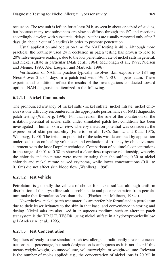occlusion. The test unit is left on for at least 24 h, as seen in about one third of studies, but because many test substances are slow to diffuse through the SC and reactions accordingly develop with substantial delays, patches are usually removed only after 2 days (in about 2 out of 3 studies) in order to promote penetration.

Usual application and occlusion time for NAH testing is 48 h. Although more practical, the routinely used 24 h occlusion in patch testing has proven to lead to 20% false-negative readings, due to the low penetration rate of nickel salts in general, and nickel sulfate in particular (Mali et al., 1964; McDonagh et al., 1992; Nielsen and Menné, 1993; Ale, Laugier, and Maibach, 1996).

Verification of NAH in practice typically involves skin exposure to 184 mg Ni/cm<sup>2</sup> over 2 to 4 days in a patch test with  $5\%$  NiSO<sub>4</sub> in petrolatum. These experimental conditions reflect the results of the investigations conducted toward optimal NAH diagnosis, as itemized in the following.

#### **6.2.1.1 Nickel Compounds**

The pronounced irritancy of nickel salts (nickel sulfate, nickel nitrate, nickel chloride) is one difficulty encountered in the appropriate performance of NAH diagnostic patch testing (Wahlberg, 1996). For that reason, the role of the counterion on the irritation potential of nickel salts under simulated patch test conditions has been investigated in human skin *in vivo*, whereby irritation potential was considered the expression of skin permeability (Fullerton et al., 1986; Samitz and Katz, 1976; Wahlberg, 1990). The irritation potential of the salts was determined by application under occlusion on healthy volunteers and evaluation of irritancy by objective measurement with the laser Doppler technique. Comparison of equimolal concentrations in the range of 0.01 to 0.38 m showed a clear dose-response relationship, whereby the chloride and the nitrate were more irritating than the sulfate; 0.30 m nickel chloride and nickel nitrate caused erythema, while lower concentrations (0.01 to 0.10m) did not affect skin blood flow (Wahlberg, 1996).

#### **6.2.1.2 Test Vehicle**

Petrolatum is generally the vehicle of choice for nickel sulfate, although uniform distribution of the crystalline salt is problematic and poor penetration from petrolatum make that formulation less than ideal (Fischer and Maibach, 1984a).

Nevertheless, nickel patch test materials are preferably formulated in petrolatum due to their lesser irritancy to the skin in that base, and convenience in storing and dosing. Nickel salts are also used in an aqueous medium; such an alternate patch test system is the T.R.U.E. TEST®, using nickel sulfate in a hydoxypropylcellulose gel (Andersen et al., 1993).

#### **6.2.1.3 Test Concentration**

Suppliers of ready-to-use standard patch test allergens traditionally present concentrations as a percentage, but such designation is ambiguous as it is not clear if this means weight/weight, volume/volume, volume/weight, or weight/volume. Relevant is the number of moles applied; e.g., the concentration of nickel ions is 20.9% in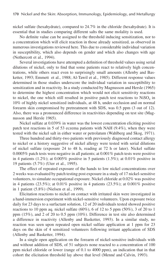nickel sulfate (hexahydrate), compared to 24.7% in the chloride (hexahydrate). It is essential that in studies comparing different salts the same molality is used.

No definite value can be assigned to the threshold inducing sensitization, nor to a concentration which will elicit reaction in those already sensitized, as observed in numerous investigations reviewed here. This due to considerable individual variation in susceptibility, which also depends on gender and which also changes with age (Nethercott et al., 1994).

Several investigations have attempted a definition of threshold values using serial dilutions of nickel, only to find that some patients react to relatively high concentrations, while others react even to surprisingly small amounts (Allenby and Basketter, 1993; Emmett et al., 1988; Al-Tawil et al., 1985). Different response values determined in those studies underscore the individual variation in susceptibility to sensitization and in reactivity. In a study conducted by Magnusson and Hersle (1965) to determine the highest concentration which would not elicit sensitivity reactions to nickel, the one which still resulted in positive patch test reactions to  $Niso<sub>4</sub>$  in 10% of highly nickel sensitized individuals, at 48 h, under occlusion and on normal forearm skin compromised by pretreatment with SDS, was 0.5 ppm (3 out of 12). Also, there was a pronounced difference in reactivities depending on test site (Magnusson and Hersle 1965).

Nickel sulfate at 0.039% in water was the lowest concentration eliciting positive patch test reactions in 5 of 53 eczema patients with NAH (9.4%), when they were tested with the nickel salt in either water or petrolatum (Wahlberg and Skog, 1971).

Three hundred and thirty-two patients with previously diagnosed contact allergy to nickel or a history suggestive of nickel allergy were tested with serial dilutions of nickel sulfate (exposure 24 to 48 h, reading at 72 h or later). Nickel sulfate 0.0005% patch tests were negative in all patients; at 0.001% patch tests were positive in 4 patients (1.2%); at 0.005% positive in 5 patients (1.5%); at 0.01% positive in 19 patients (5.7%) (Uter et al., 1995).

The effect of repeated exposure of the hands to low nickel concentrations over 2 weeks was evaluated by patch testing post exposure in a study of 17 nickel-sensitive volunteers, to simulate occupational exposure. Nickel chloride at 0.02% was positive in 4 patients (23.5%); at  $0.01\%$  positive in 4 patients (23.5%); at  $0.001\%$  positive in 1 patient (5.8%) (Nielsen et al., 1999).

Elicitation reactions to nickel on contact with irritated skin were investigated in a hand-immersion experiment with nickel-sensitive volunteers. Upon exposure twice daily for 23 days to a surfactant solution, 12 of 20 individuals tested showed positive reactions to 10 ppm aq. nickel sulfate  $(60\%)$ , 6 of 12 to 5 ppm  $(50\%)$ , 3 of 20 to 1 ppm (15%), and 2 of 20 to 0.5 ppm (10%). Difference in test site also determined a difference in reactivity (Allenby and Basketter, 1993). In a similar study, no reaction was seen upon repeated open nickel sulfate application at 1 ppm for 23 days on the skin of 4 sensitized volunteers following irritant application of SDS (Allenby and Basketter, 1994).

In a single open application on the forearm of nickel-sensitive individuals with and without addition of SDS, of 51 subjects none reacted to a concentration of 100 ppm nickel chloride or lower (range of 0.1 to 4000 ppm), an indication that in that cohort the elicitation threshold lay above that level (Menné and Calvin, 1993).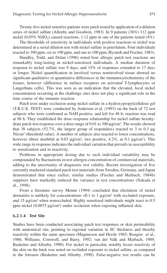Twenty-five nickel-sensitive patients were patch tested by application of a dilution series of nickel sulfate (Allenby and Goodwin, 1983). In 9 patients (36%) 112 ppm nickel (0.05% NiSO<sub>4</sub>) caused reactions, 1.12 ppm in one of the patients tested (4%).

The thresholds of sensitivity in individuals with positive reactions to nickel was determined in a serial dilution test with nickel sulfate in petrolatum. Four individuals reacted to 390 ppm, six to 190 ppm, and one to 100 ppm (Rystedt and Fischer, 1983).

Handley, Todd, and Dolan (1996) noted how allergic patch test reactions are remarkably long-lasting in nickel-sensitized individuals. A median duration of response to nickel sulfate was 9 days, and 15% of responses extended to 17 days or longer. Nickel quantification in involved versus noninvolved tissue showed no significant qualitative or quantitative differences in the immunocytochemistry of the tissues, however (difference in surface receptors on activated T-lymphocytes or Langerhans cells). This was seen as an indication that the elevated, local nickel concentration occurring at the challenge sites does not play a significant role in the time course of the immune reaction.

Patch tests under occlusion using nickel sulfate in a hydroxypropylcellulose gel (T.R.U.E. TEST) were conducted by Andersen et al. (1993) on the back of 72 test subjects who were confirmed as NAH positive, and left for 48 h; reaction was read at 96 h. They established the dose–response relationship for nickel sulfate hexahydrate patch-test response over a dose range of 0.01 to 300 µg/cm2. The results showed that 38 subjects  $(52.7\%$ , the largest group of responders) reacted to 3 to 0.3  $\mu$ g Ni/cm2 (threshold value). A number of subjects also reacted to lower concentrations, however (three doubtful at 0.03  $\mu$ g/cm<sup>2</sup>, two positive, 4.2%, at 0.1  $\mu$ g/cm<sup>2</sup>). This wide range in response indicates the individual variation that prevails in susceptibility to sensitization and in reactivity.

Problems in appropriate dosing due to such individual variability may be compounded by fluctuations in test allergen concentration of commercial materials, adding to the uncertainty of diagnostic test validity. Recent investigation of five currently marketed standard patch test materials from Sweden, Germany, and Japan demonstrated that since earlier, similar studies (Fischer and Maibach, 1984b) suppliers have markedly reduced the variance in test concentrations (Nakada et al., 1998).

From a literature survey Menné (1994) concluded that elicitation of nickel dermatitis is unlikely for concentrations  $< 0.1$  to 1  $\mu$ g/cm<sup>2</sup> with occluded exposure, and 15 µg/cm<sup>2</sup> when nonoccluded. Highly sensitized individuals might react to 0.5 ppm nickel (0.0075 µg/cm2) under occlusion when exposing inflamed skin.

#### **6.2.1.4 Test Site**

Studies have been conducted associating patch test responses or skin permeability with anatomical site, pointing to regional variation in SC thickness and thereby reactivity within the same specimen (Magnusson and Hersle 1965; Rougier et al., 1986; Williams, Cornwell, and Barry, 1992; van der Valk and Maibach, 1989; Basketter and Allenby, 1990). For nickel in particular, notably lesser reactivity of the skin on the back was noted on occluded exposure to nickel sulfate, as compared to the forearm (Basketter and Allenby, 1990). False-negative test results can be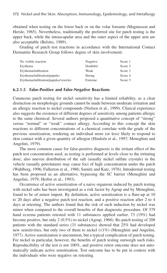obtained when testing on the lower back or on the volar forearm (Magnusson and Hersle, 1965). Nevertheless, traditionally the preferred site for patch testing is the upper back, while the intrascapular area and the outer aspect of the upper arm are also acceptable (Belsito, 1989).

Grading of patch test reactions in accordance with the International Contact Dermatitis Research Group follows degree of skin involvement:

| Negative | Score 1 |
|----------|---------|
| Doubtful | Score 2 |
| Weak     | Score 3 |
| Strong   | Score 4 |
| Extreme  | Score 5 |
|          |         |

#### **6.2.1.5 False-Positive and False-Negative Reactions**

Cutaneous patch testing for nickel sensitivity has a limited reliability, as a clear distinction on morphologic grounds cannot be made between moderate irritation and an allergic reaction to nickel compounds (Nielsen et al., 1999). Clinical experience also suggests the existence of different degrees of sensitivity among patients allergic to the same chemical. Several authors proposed a quantitative concept of "strong" versus "normal" or "weak" contact allergy. According to this concept the skin reactions to different concentrations of a chemical correlate with the grade of the previous sensitization, rendering an individual more (or less) likely to respond to skin contact with a given quantity of allergen (Hindsén et al., 1997; Meneghini and Angelini, 1979).

The most common cause for false-positive diagnosis is the irritant effect of the patch test concentration used, as testing is performed at levels close to the irritating dose; also uneven distribution of the salt (usually nickel sulfate crystals) in the vehicle (usually petrolatum) may cause foci of high concentration under the patch (Wahlberg, 1996; Fullerton et al., 1986; Samitz and Katz, 1976). Intradermal testing has been proposed as an alternative, bypassing the SC barrier (Meneghini and Angelini, 1979; Herbst et al., 1993).

Occurrence of active sensitization of a naive organism induced by patch testing with nickel salts has been investigated as a risk factor by Agrup and by Meneghini, found to be of minor import. By definition, active sensitization is a flare-up at 10 to 20 days after a negative patch test reaction, and a positive reaction after 2 to 4 days at retesting. The authors found that the risk of such induction by nickel was minor when compared to the overall benefits of that diagnostic procedure. Of 379 hand eczema patients retested with 11 substances applied earlier, 73 (19%) had become positive, but only 2 (0.5%) to nickel (Agrup, 1968). Re-patch testing of 208 patients with the standard series (31 substances) showed that 25% had developed new sensitivities, but only two of them to nickel (<1%) (Meneghini and Angelini, 1977). Active sensitization is uncommon, but a typical complication of patch testing. For nickel in particular, however, the benefits of patch testing outweigh such risks. Reproducibility of the test is not 100%, and positive retest outcome does not automatically indicate active sensitization. Test outcome has to be put in context with the individuals who were negative on retesting.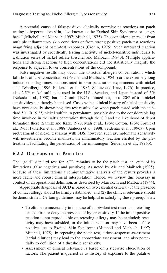A potential cause of false-positive, clinically nonrelevant reactions on patch testing is hyperreactive skin, also known as the Excited Skin Syndrome or "angry back" (Mitchell and Maibach, 1997; Mitchell, 1975). This condition can result from multiple inflammatory skin conditions or from strong positive patch-test reactions magnifying adjacent patch-test responses (Cronin, 1975). Such untoward reaction was investigated by specifically testing reactivity of nickel-sensitive individuals to a dilution series of nickel sulfate (Fischer and Maibach, 1984b). Multiple applications and strong reactions to high concentrations did not statistically magnify the response to adjacent lower concentrations of the compound.

False-negative results may occur due to actual allergen concentrations which fall short of label concentration (Fischer and Maibach, 1984b) or the extremely long induction or lag times, demonstrated in skin penetration experiments with nickel salts (Wahlberg, 1996; Fullerton et al., 1986; Samitz and Katz, 1976). In practice, also 2.5% nickel sulfate is used in the U.S., Sweden, and Japan instead of 5% (Nakada et al., 1998), but, as Cronin (1975) pointed out, up to 20% of true nickel sensitivities can thereby be missed. Cases with a clinical history of nickel sensitivity have occasionally shown negative test results also when patch tested with the standard 5% (0.19 *M*) nickel sulfate in petrolatum, possibly due to the considerable lag time involved in the salt's penetration through the SC and the likelihood of depot formation there (Samitz and Katz, 1976; Mali et al., 1964; Cotton, 1964; Spruit et al., 1965; Fullerton et al., 1988; Santucci et al., 1998; Seidenari et al., 1996a). Upon pretreatment of nickel test areas with SDS, however, such asymptomatic sensitivity will nevertheless become manifest, the inflammatory reaction elicited by the pretreatment facilitating the penetration of the immunogen (Seidenari et al., 1996b).

#### **6.2.2 DISCUSSION OF THE PATCH TEST**

The "gold" standard test for ACD remains to be the patch test, in spite of its limitations (false negatives and positives). As noted by Ale and Maibach (1995), because of these limitations a semiquantitative analysis of the results provides a more facile and robust clinical interpretation. Hence, we review this bioassay in context of an operational definition, as described by Marrakchi and Maibach (1944)**.**

Appropriate diagnosis of ACD is based on two essential criteria: (1) the presence of contact allergy should be firmly established, and (2) the clinical relevance should be demonstrated. Certain guidelines may be helpful in satisfying these prerequisites.

- To eliminate uncertainty in the case of ambivalent test reactions, retesting can confirm or deny the presence of hypersensitivity. If the initial positive reaction is not reproducible on retesting, allergy may be excluded; reactivity may have subsided, or the initial reaction may have been a false positive due to Excited Skin Syndrome (Mitchell and Maibach, 1997; Mitchell, 1975). In repeating the patch test, a dose-response assessment (serial dilution) may lead to the appropriate assessment, and also potentially to definition of a threshold sensitivity.
- Assessment of clinical relevance is based on a stepwise elucidation of factors. The patient is queried as to history of exposure to the putative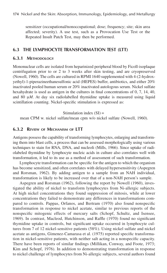sensitizer (occupational/nonoccupational; dose; frequency; site; skin area affected; severity). A use test, such as a Provocation Use Test or the Repeated Insult Patch Test, may then be performed.

# **6.3 THE LYMPHOCYTE TRANSFORMATION TEST (LTT)**

#### **6.3.1 METHODOLOGY**

Mononuclear cells are isolated from heparinized peripheral blood by Ficoll-isoplaque centrifugation prior to or 2 to 3 weeks after skin testing, and are cryopreserved (Nowell, 1960). The cells are cultured in RPMI 1640 supplemented with 4-(2-hydroxyethyl)-1-piperazineethanesulfonic acid (HEPES) buffer, antibiotics, and either 20% inactivated pooled human serum or 20% inactivated autologous serum. Nickel sulfate hexahydrate is used as antigen in the cultures in final concentrations of 0, 7, 14, 40, and 80 µ*M*. At day six radiolabelled thymidine uptake is measured using liquid scintillation counting. Nickel-specific stimulation is expressed as:

Stimulation index  $(SI)$  =

mean CPM w. nickel sulfate/mean cpm w/o nickel sulfate (Nowell, 1960).

#### **6.3.2 REVIEW OF MECHANISM OF LTT**

Antigens possess the capability of transforming lymphocytes, enlarging and transforming them into blast cells, a process that can be assessed morphologically using various techniques to stain for RNA, DNA, and nucleoli (Mills, 1966). Since uptake of radiolabeled thymidine by lymphocyte nucleic acids in culture also correlates well with transformation, it led to its use as a method of assessment of such transformation.

Lymphocyte transformation can be specific for the antigen to which the organism has become sensitized, and often correlates with delayed hypersensitivity (Aspegren and Rorsman, 1962). By adding antigen to a sample from an NAH individual, transformation is likely to be increased over that of a non-NAH person's sample.

Aspegren and Rorsman (1962), following the report by Nowell (1960), investigated the ability of nickel to transform lymphocytes from Ni-allergic subjects. At high nickel concentrations they found suppression of mitosis, while at lower concentrations they failed to demonstrate any differences in transformations compared to controls. Pappas, Orfanos, and Bertram (1970) also found nonspecific transformation in response to nickel acetate, similar to previous reports of the nonspecific mitogenic effects of mercury salts (Schopf, Schultz, and Isensee, 1969). In contrast, Macleod, Hutchinson, and Raffle (1970) found no significant thymidine uptake in controls, but significant uptake occurred in lymphocyte cultures from 7 of 12 nickel-sensitive patients (58%). Using nickel sulfate and nickel acetate as antigens, Gimenez-Camarasa et al. (1975) reported specific transformation in nickel-sensitive patients, with neither salt acting in a nonspecific capacity. There have been reports of similar findings (Millikan, Conway, and Foote, 1973; Kim and Schopf, 1976). In addition to demonstrating transformation in response to nickel challenge of lymphocytes from Ni-allergic subjects, several authors found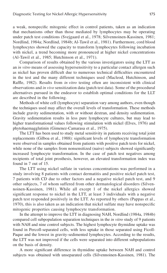a weak, nonspecific mitogenic effect in control patients, taken as an indication that mechanisms other than those mediated by lymphocytes may be operating under patch test conditions (Svejgaard et al., 1978; Silvennoinen-Kassinen, 1981; Nordlind, 1984a; Nordlind, 1984b; Al-Tawil et al., 1981). Furthermore, cord blood lymphocytes showed the capacity to transform lymphocytes following incubation with nickel, a trend becoming more pronounced at higher nickel concentrations (Al-Tawil et al., 1985; Hutchinson et al., 1971).

Comparison of results obtained by the various investigators using the LTT as an *in vitro* means of assessing hypersensitivity to a particular contact allergen such as nickel has proven difficult due to numerous technical difficulties encountered in the test and the many different techniques used (Macleod, Hutchinson, and Raffle, 1982). Results from *in vitro* testing often are inconsistent with clinical observations and *in vivo* sensitization data (patch test data). Some of the procedural alternatives pursued in the endeavor to establish optimal conditions for the LLT are described in the following.

Methods of white cell (lymphocyte) separation vary among authors, even though the techniques used may affect the overall levels of transformation. These methods include gravity sedimentation, with or without dextran, and density sedimentation. Gravity sedimentation results in less pure lymphocyte cultures, but may lead to higher transformational values following stimulation with nickel (Elves, 1976) and phytohaemagglutinin (Gimenez-Camarasa et al., 1975).

The LTT has been used to study metal sensitivity in patients receiving total joint replacements (Gilboa et al., 1988): significant levels of lymphocyte transformation were observed in samples obtained from patients with positive patch tests for nickel, while none of the samples from nonsensitized (naive) subjects showed significantly increased lymphocyte transformation. In the case of patch test negatives among recipients of total joint prosthesis, however, an elevated transformation index was found in 7 out of 15.

The LTT using nickel sulfate in various concentrations was performed in a study involving 8 patients with contact dermatitis and positive nickel patch test, 7 patients with CD due to other factors and a negative nickel patch test, and 9 other subjects, 7 of whom suffered from other dermatological disorders (Silvennoinen-Kassinen, 1981). While all except 1 of the nickel allergics showed significant response to nickel in the LTT, at least 3 individuals with a negative patch test responded positively in the LTT. As reported by others (Pappas et al., 1970), this is also taken as an indication that nickel sulfate may have nonspecific mitogenic properties causing lymphocyte transformation.

In the attempt to improve the LTT in diagnosing NAH, Nordlind (1984a, 1984b) compared cell subpopulation separation techniques in the *in vitro* study of 9 patients with NAH and nine control subjects. The highest lymphocyte thymidine uptake was found in Percoll-separated cells, with less uptake in those separated using Ficoll-Paque and the lowest in gravity-sedimented lymphocytes. According to the results, the LTT was not improved if the cells were separated into different subpopulations on the basis of density.

A more significant difference in thymidine uptake between NAH and control subjects was obtained with unseparated cells (Silvennoinen-Kassinen, 1981). The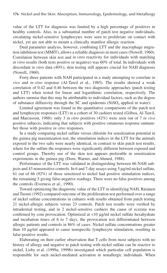value of the LTT for diagnosis was limited by a high percentage of positives in healthy controls. Also, in a substantial number of patch test negative individuals, circulating nickel-sensitive lymphocytes were seen to proliferate on contact with nickel, yet are not able to mount a clinically manifest allergic reaction.

Dual parameter analysis, however, combining LTT and the macrophage migration inhibition test (MMIT), allows a reliable diagnosis in most cases (Nowell, 1960). Correlation between skin test and *in vitro* reactivity for individuals with matching *in vitro* results (both tests positive or negative) was 60% of total. In individuals with discordant *in vitro* data (40%), skin testing still appears crucial for NAH diagnosis (Nowell, 1960).

Forty-three patients with NAH participated in a study attempting to correlate *in vivo* and *in vitro* response (Al-Tawil et al., 1985). The results showed a weak correlation of 0.42 and 0.46 between the two diagnostic approaches (patch testing and LTT) when tested for linear and logarithmic correlation, respectively. The authors surmise that this may be attributable to individual factors, such as the degree of substance diffusivity through the SC and epidermis  $(NiSO<sub>4</sub>$  applied in water).

Limited agreement was found in the quantitative comparisons of the patch test and lymphocyte responses (LTT) in a cohort of 30 cashiers tested (Gilboa, Al-Tawil, and Marcusson, 1988): only 3 *in vitro* positives (42%) were seen out of 7 *in vivo* positive subjects, indicating that subjects with positive cutaneous response outnumber those with positive *in vitro* responses.

In a study comparing nickel sulfate versus chloride for sensitization potential in the guinea pig maximization test, the stimulation indices in the LTT for the animals exposed to the two salts were nearly identical, in contrast to skin patch test results, where for the sulfate the responses were significantly different between exposed and control groups. Thereby use of the skin test appears preferable in sensitization experiments in the guinea pig (Dorn, Warner, and Ahmed, 1988).

Performance of the LTT was validated in distinguishing between 66 NAH subjects and 43 nonsensitive controls. In 6 and 7-day assays using  $5 \mu g/ml$  nickel sulfate, 61 out of 66 (92%) of those sensitized to nickel had positive stimulation indices, the remaining 5 giving false-negative readings. There were no false positives among the controls (Everness et al., 1990).

Toward optimizing the diagnostic value of the LTT in identifying NAH, Räsänen and Tuomi (1992) compared outcome of the proliferation test performed over a range of nickel sulfate concentrations in cultures with results obtained from patch testing 21 nickel-allergic subjects versus 23 controls. Patch test results were verified by intradermal testing, and in 2 nickel-sensitive cashiers the cause of eczema was confirmed by coin provocation. Optimized at <10 µg/ml nickel sulfate hexahydrate and incubation times of 6 to 7 days, the provocation test differentiated between allergic patients and controls in 86% of cases. Nickel sulfate concentrations greater than 10 µg/ml appeared to cause nonspecific lymphocyte stimulation, resulting in false-positive results.

Elaborating on their earlier observation that T cells from most subjects with no history of allergy and negative to patch testing with nickel sulfate can be reactive to nickel, Lisby et al. (1999a; 1999b) investigated which particular cell population is responsible for such nickel-mediated activation in nonallergic individuals. When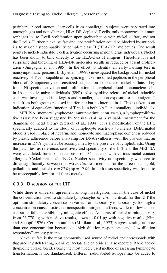peripheral blood mononuclear cells from nonallergic subjects were separated into macrophages and nonadherent, HLA-DR-depleted T cells, only monocytes and macrophages led to T-cell proliferation upon preincubation with nickel sulfate, and not the T cells. Further, nickel sulfate-induced proliferation could be blocked by antibodies to major histocompatibility complex class II (HLA-DR) molecules. The result points to nickel-inducible T cell activation occurring in nonallergic individuals. Nickel has been shown to bind directly to the HLA-class II antigens. Therefore it is not surprising that blocking of HLA-DR molecules results in reduced or absent proliferation (Sinigaglia et al., 1985). In the effort to identify an early-warning test in nonsymptomatic persons, Lisby et al. (1999b) investigated the background for nickel reactivity of T cells capable of recognizing nickel-modified peptides in the peripheral blood of 18 apparently nonsensitized subjects on exposure to nickel sulfate. They found Ni-specific activation and proliferation of peripheral blood mononuclear cells in 16 of the 18 naive individuals (89%). Also cytokine release of nickel-inducible cells was investigated in allergics and nonallergics upon exposure to the antigen. T cells from both groups released interferon-γ but no interleukin-4. This is taken as an indication of equivalent function of T cells in both NAH and nonallergic individuals.

MELISA (memory lymphocyte immuno-stimulation assay), a lymphoproliferative assay, had been suggested by Stejskal et al. as a valuable instrument for the diagnosis of metal allergy (Stejskal et al., 1994). It is a modification of the LTT, specifically adapted to the study of lymphocyte reactivity to metals. Defibrinated blood is used in place of heparin, and monocyte and macrophage content is reduced by plastic adherence before analyzing for DNA synthesis, with the proviso that an increase in DNA synthesis be accompanied by the presence of lymphoblasts. Using the patch test as reference, sensitivity and specificity of the LTT and the MELISA were calculated, based on reactions from 34 patients with various metal contact allergies (Cederbrant et al., 1997). Neither sensitivity nor specificity was seen to differ significantly between the two *in vitro* test methods for the three metals gold, palladium, and nickel (se =  $82\%$ ; sp =  $17\%$ ). In both tests specificity was found to be unacceptably low for all three metals.

#### **6.3.3 DISCUSSION OF THE LTT**

While there is universal agreement among investigators that in the case of nickel the concentration used to stimulate lymphocytes *in vitro* is critical, for the LTT the optimum stimulatory concentration varies from laboratory to laboratory. Too high a concentration causes toxic and nonspecific mitogenic effects, while too low a concentration fails to exhibit any mitogenic effects. Amounts of nickel as mitogen vary from 23,770  $\mu$ g with positive results, down to 0.01  $\mu$ g with negative results (Kim and Schopf, 1976). Certain authors (Millikan et al., 1973) suggest testing at more than one concentration because of "high dilution responders" and "low-dilution responders" among patients.

Nickel sulfate is the most commonly used source of nickel and corresponds with that used in patch testing, but nickel acetate and chloride are also reported. Radiolabeled thymidine uptake, besides being the most widely used method of assessing lymphocyte transformation, is not standardized. Different radiolabeled isotopes may be added to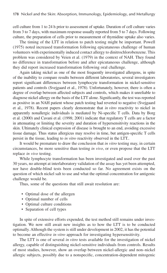cell culture from 1 to 24 h prior to assessment of uptake. Duration of cell culture varies from 3 to 7 days, with maximum response usually reported from 5 to 7 days. Following culture, the preparation of cells prior to measurement of thymidine uptake also varies.

The timing of the LTT in relation to patch testing might be important. Powell (1975) noted increased transformation following epicutaneous challenge of human volunteers with experimentally induced contact allergy to dinitrochlorobenzene. This problem was considered by Veien et al. (1979) in the context of NAH. They found no difference in transformation before and after epicutaneous challenge, although they did report increased transformation following oral challenge.

Again taking nickel as one of the most frequently investigated allergens, in spite of the inability to compare results between different laboratories, several investigators report significant differences between lymphocyte transformation in nickel-sensitive patients and controls (Svejgaard et al., 1978). Unfortunately, however, there is often a degree of overlap between affected subjects and controls, which makes it unreliable to diagnose nickel allergy on the basis of the LTT alone. Significantly, the test was reported as positive in an NAH patient whose patch testing had reverted to negative (Svejgaard et al., 1978). Recent papers clearly demonstrate that *in vitro* reactivity to nickel in apparently nonallergic individuals is mediated by Ni-specific T cells. Data by Borg et al. (2000) and Cavani et al. (1998; 2001) indicate that regulatory T cells are a factor in attenuating or limiting the severity and duration of hypersensitivity reactions in the skin. Ultimately clinical expression of disease is brought to an end, avoiding excessive tissue damage. Thus status allergicus may resolve in time, but antigen-specific T cells persist in the tissue, leading to *in vitro* reactivity observed in the LTT..

It would be premature to draw the conclusion that *in vitro* testing may, in certain circumstances, be more sensitive than testing *in vivo*, or even propose that the LTT replace *in vivo* testing.

While lymphocyte transformation has been investigated and used over the past 30 years, no attempt at interlaboratory validation of the assay has yet been attempted, nor have double-blind tests been conducted so far. No agreement exists on the question of which nickel salt to use and what the optimal concentration for antigenic challenge would be.

Thus, some of the questions that still await resolution are:

- Optimal dose of the allergen
- Optimal number of cells
- Optimal culture conditions
- Separation of cell types

In spite of extensive efforts expended, the test method still remains under investigation. We now still await new insights as to how the LTT is to be conducted optimally. Although the system is still under development in 2002, it has the potential to become an effective *in vitro* approach for investigating hypersensitivity.

The LTT is one of several *in vitro* tests available for the investigation of nickel allergy, capable of distinguishing nickel-sensitive individuals from controls. Results of most studies, however, show an overlap between nickel-allergic and non–nickel allergic subjects, possibly due to a nonspecific, concentration-dependent mitogenic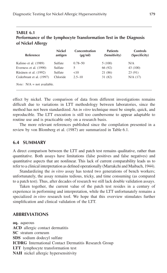# **TABLE 6.1 Performance of the Lymphocyte Transformation Test in the Diagnosis of Nickel Allergy**

| Reference                           | <b>Nickel</b><br>antigen | <b>Concentration</b><br>$(\mu g/ml)$ | <b>Patients</b><br>(Sensitivity) | <b>Controls</b><br>(Specificity) |
|-------------------------------------|--------------------------|--------------------------------------|----------------------------------|----------------------------------|
| Kalimo et al. (1989)                | Sulfate                  | $0.78 - 50$                          | 5(100)                           | N/A                              |
| Everness et al. (1990)              | Sulfate                  | 5                                    | 66 (92)                          | 43 (100)                         |
| Räsänen et al. (1992)               | Sulfate                  | <10                                  | 21 (86)                          | 23(91)                           |
| Cederbrant et al. (1997)            | Chloride                 | $2.5 - 10$                           | 31 (82)                          | $N/A$ $(17)$                     |
| <i>Note:</i> $N/A$ = not available. |                          |                                      |                                  |                                  |

effect by nickel. The comparison of data from different investigations remains difficult due to variations in LTT methodology between laboratories, since the method has not been standardized. An *in vitro* technique must be simple, quick, and reproducible. The LTT execution is still too cumbersome to appear adaptable to routine use and is practicable only on a research basis.

The more relevant references published since the compilation presented in a review by von Blomberg et al. (1987) are summarized in Table 6.1.

#### **6.4 SUMMARY**

A direct comparison between the LTT and patch test remains qualitative, rather than quantitative. Both assays have limitations (false positives and false negatives) and quantitative aspects that are nonlinear. This lack of current comparability leads us to refer to a clinical interpretation as defined operationally (Marrakchi and Maibach, 1944).

Standardizing the *in vitro* assay has tested two generations of bench workers; unfortunately, the assay remains tedious, tricky, and time consuming (as compared to a patch test). Thus, after decades of research we still lack double validation assays.

Taken together, the current value of the patch test resides in a century of experience in performing and interpretation, while the LTT unfortunately remains a specialized *in vitro* research tool. We hope that this overview stimulates further simplification and clinical validation of the LTT.

#### **ABBREVIATIONS**

**aq.** aqueous **ACD** allergic contact dermatitis **SC** stratum corneum **SDS** sodium dodecyl sulfate **ICDRG** International Contact Dermatitis Research Group **LTT** lymphocyte transformation test **NAH** nickel allergic hypersensitivity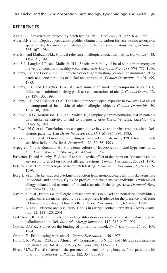**180** Nickel and the Skin: Absorption, Immunology, Epidemiology, and Metallurgy

#### **REFERENCES**

- Agrup, G., Sensitization induced by patch testing, *Br. J. Dermatol.,* 80, 632–634, 1968.
- Alder, J.F. et al., Depth concentration profiles obtained by carbon furnace atomic absorption spectrometry for nickel and aluminium in human skin, *J. Anal. At. Spectrom.*, 1, 365–367, 1986.
- Ale, S.I. and Maibach, H.I., Clinical relevance in allergic contact dermatitis, *Dermatosen*, 43, 119–121, 1995.
- Ale, S.I., Laugier, J.P., and Maibach, H.I., Spacial variability of basal skin chromametry on the ventral forearm of healthy volunteers, *Arch. Dermatol. Res.*, 288, 774–777, 1996.
- Allenby, C.F. and Goodwin, B.F., Influence of detergent washing powders on minimal elicting patch test concentrations of nickel and chromium, *Contact Dermatitis*, 9, 491–499, 1983.
- Allenby, C.F. and Basketter, D.A., An arm immersion model of compromised skin (II). Influence on minimal eliciting patch test concentrations of nickel, *Contact Dermatitis*, 28, 129–133, 1993.
- Allenby, C.F. and Basketter, D.A., The effect of repeated open exposure to low levels of nickel on compromised hand skin of nickel allergic subjects, *Contact Dermatitis*, 30, 135–138, 1994.
- Al-Tawil, N.G., Marcusson, J.A., and Möller, E., Lymphocyte transformation test in patients with nickel sensitivity: an aid to diagnosis, *Acta Derm. Venereol. (Stockh.),* 61, 511–515, 1981.
- Al-Tawil, N.G. et al., Correlation between quantitative in vivo and in vitro responses in nickelallergic patients, *Acta Derm. Venereol. (Stockh.),* 65, 385–389, 1985.
- Andersen, K.E. et al., Dose-response testing with nickel sulphate using TRUE test in nickelsensitive individuals, *Br. J. Dermatol.,* 129, 50–56, 1993.
- Aspegren, N. and Rorsman, H., Short-term culture of leucocytes in nickel hypersensitivity, *Acta Derm. Venereol. (Stockh.),* 42, 412–417, 1962.
- Basketter, D. and Allenby, F., A model to simulate the effect of detergent on skin and evaluate any resulting effect on contact allergic reactions, *Contact Dermatitis*, 23, 291, 1990.
- Belsito, D.V., The immunologic basis of patch testing, *J. Am. Acad. Dermatol.*, 21, 822–829, 1989.
- Borg, L. et al., Nickel-induced cytokine production from mononuclear cells in nickel-sensitive individuals and controls. Cytokine profiles in nickel-sensitive individuals with nickel allergy-related hand eczema before and after nickel challenge, *Arch. Dermatol. Res.*, 292, 285–291, 2000.
- Cavani, A. et al., Patients with allergic contact dermatitis to nickel and nonallergic individuals display different nickel-specific T cell responses. Evidence for the presence of effector CD8+ and regulatory CD4+ T cells, *J. Invest. Dermatol.*, 111, 621–628, 1998.
- Cavani, A. et al., Effector and regulatory T cells in allergic contact dermatitis, *Trends Immunol.*, 22, 118–120, 2001.
- Cederbrant, K. et al., In vitro lymphocyte proliferation as compared to patch test using gold, palladium and nickel, *Int. Arch. Allergy Immunol.*, 112, 212–217, 1997.
- Cotton, D.W.K., Studies on the binding of protein by nickel, *Br. J. Dermatol.,* 76, 99–109, 1964.
- Cronin. E., Patch testing with nickel, *Contact Dermatitis,* 1, 56, 1975.
- Dorn, C.R., Warner, R.D., and Ahmed, W., Comparison fo  $NiSO<sub>4</sub>$  and  $NiCl<sub>2</sub>$  as sensitizers in the guinea pig, *Int. Arch. Allergy Immunol.*, 85, 332–336, 1988.
- Elves, M.W., Transformation in the presence of metals of lymphocytes from patients with total joint prostheses, *J. Pathol.*, 122, 35–41, 1976.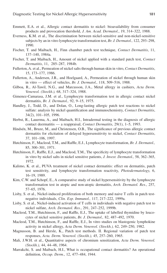- Emmett, E.A. et al., Allergic contact dermatitis to nickel: bioavailability from consumer products and provocation thershold, *J. Am. Acad. Dermatol.*, 19, 314–322, 1988.
- Everness, K.M. et al., The discrimination between nickel-sensitive and non-nickel-sensitive subjects by an in vitro lymphocyte transformation test, *Br. J. Dermatol.,* 122, 293–298, 1990.
- Fischer, T. and Maibach, H., Finn chamber patch test technique, *Contact Dermatitis*, 11, 137–140, 1984a.
- Fischer, T. and Maibach, H., Amount of nickel applied with a standard patch test, *Contact Dermatitis*, 11, 285–287, 1984b.
- Fullerton, A. et al., Permeation of nickel salts through human skin in vitro, *Contact Dermatitis*, 15, 173–177, 1986.
- Fullerton, A., Andersen, J.R., and Hoelgaard, A., Permeation of nickel through human skin in vitro — effect of vehicles, *Br. J. Dermatol.,* 118, 509–516, 1988.
- Gilboa, R., Al-Tawil, N.G., and Marcusson, J.A., Metal allergy in cashiers, *Acta Derm. Venereol. (Stockh.),* 68, 317–324, 1988.
- Gimenez-Camarasa, J.M. et al., Lymphocyte transformation test in allergic contact nickel dermatitis, *Br. J. Dermatol.,* 92, 9–15, 1975.
- Handley, J., Todd, D., and Dolan, O., Long-lasting allergic patch test reactions to nickel sulfate: analysis by nickel quantification and immunochemistry, *Contact Dermatitis*, 34(2), 101–105, 1996.
- Herbst, R., Lauerma, A., and Maibach, H.I., Intradermal testing in the diagnosis of allergic contact deermatitis — a reappraisal, *Contact Dermatitis*, 29(1), 1–5, 1993.
- Hindsén, M., Bruze, M., and Christensen, O.B., The significance of previous allergic contact dermatitis for elicitation of delayed hypersensitivity to nickel, *Contact Dermatitis*, 37, 101–106, 1997.
- Hutchinson, F., Macleod, T.M., and Raffle, E.J., Lymphocyte transformation, *Br. J. Dermatol.,* 85, 300–301, 1971.
- Hutchinson, F., Raffle, E.J., and Macleod, T.M., The specificity of lymphocyte transformation in vitro by nickel salts in nickel sensitive patients, *J. Invest. Dermatol.,* 58, 362–365, 1972.
- Kalimo, K. et al., PUVA treatment of nickel contact dermatitis: effect on dermatitis, patch test sensitivity, and lymphocyte transformation reactivity, *Photodermatology*, 6, 16–19, 1989.
- Kim, C.W. and Schopf, E., A comparative study of nickel hypersensitivity by the lymphocyte transformation test in atopic and non-atopic dermatitis, *Arch. Dermatol. Res.*, 257, 57–65, 1976.
- Lisby, S. et al., Nickel-induced proliferation of both memory and naive T cells in patch testnegative individuals, *Clin. Exp. Immunol.,* 117, 217–222, 1999a.
- Lisby, S. et al., Nickel-induced activation of T cells in individuals with negative patch test to nickel sulfate, *Arch. Dermatol. Res.*, 291, 247–252, 1999b.
- Macleod, T.M., Hutchinson, F., and Raffle, E.J., The uptake of labelled thymidine by leucocytes of nickel sensitive patients, *Br. J. Dermatol.,* 82, 487–492, 1970.
- Macleod, T.M., Hutchinson, F., and Raffle, E.J., In vitro studies on blastogenic lymphokine activity in nickel allergy, *Acta Derm. Venereol. (Stockh.),* 62, 249–250, 1982.
- Magnusson, B. and Hersle, K., Patch test methods. II. Regional variation of patch test responses, *Acta. Derm. Venereol. (Stockh.),* 45, 257–260, 1965.
- Mali, J.W.H. et al., Quantitative aspects of chromium sensitization, *Acta Derm. Venereol. (Stockh.),* 44, 44–48, 1964.
- Marrakchi, S. and Maibach, H.I., What is occupational contact dermatitis? An operational definition, *Occup. Derm.*, 12, 477–484, 1944.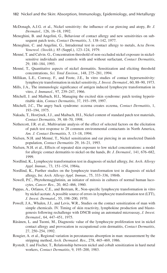- McDonagh, A.J.G. et al., Nickel sensitivity: the influence of ear piercing and atopy, *Br. J. Dermatol.,* 126, 16–18, 1992.
- Meneghini, B. and Angelini, G., Behaviour of contact allergy and new sensitivities on subsequent patch tests, *Contact Dermatitis*, 3, 138–142, 1977.
- Meneghini, C. and Angelini, G., Intradermal test in contact allergy to metals, *Acta Derm. Venereol. (Stockh.),* 85 (Suppl.), 123–124, 1979.
- Menné, T. and Calvin. G., Concentration threshold of non-occluded nickel exposure in nickelsensitive individuals and controls with and without surfactant, *Contact Dermatitis*, 29, 180–184, 1993.
- Menné, T., Quantitative aspects of nickel dermatitis. Sensitization and eliciting threshold concentrations, *Sci. Total Environ.*, 148, 275–281, 1994.
- Millikan, L.E., Conway, F., and Foote, J.E., In vitro studies of contact hypersensitivity: lymphocyte transformation in nickel sensitivity, *J. Invest. Dermatol.*, 60, 88–90, 1973.
- Mills, J.A., The immunologic significance of antigen induced lymphocyte transformation in vitro, *J. Immunol.*, 97, 239–247, 1966.
- Mitchell, J. and Maibach, H.I., Managing the excited skin syndrome: patch testing hyperirritable skin, *Contact Dermatitis*, 37, 193–199, 1997.
- Mitchell, J.C., The angry back syndrome: eczema creates eczema, *Contact Dermatitis*, 1, 193–194, 1975.
- Nakada, T., Hostýnek, J.J., and Maibach, H.I., Nickel content of standard patch test materials, *Contact Dermatitis,* 39, 68–70, 1998.
- Nethercott, J.R. et al., Multivariate analysis of the effect of selected factors on the elicitation of patch test response to 28 common environmental contactants in North America, *Am. J. Contact Dermatitis,* 5, 13–18, 1994.
- Nielsen, N.H. and Menné, T., Nickel sensitization and ear piercing in an unselected Danish population, *Contact Dermatitis* 29, 16–21, 1993.
- Nielsen, N.H. et al., Effects of repeated skin exposure to low nickel concentrations: a model for allergic contact dermatitis to nickel on the hands, *Br. J. Dermatol.,* 141, 676–682, 1999.
- Nordlind, K., Lymphocyte transformation test in diagnosis of nickel allergy, *Int. Arch. Allergy Appl. Immun.*, 73, 151–154, 1984a.
- Nordlind, K., Further studies on the lymphocyte transformation test in diagnosis of nickel allergy, *Int. Arch. Allergy Appl. Immun.*, 75, 333–336, 1984b.
- Nowell, P.C., Phytohemagglutinin, an initiator of mitosis in cultures of normal human lucocytes, *Cancer Res.*, 20, 462–466, 1960.
- Pappas, A., Orfanos, C.E., and Bertram, R., Non-specific lymphocyte transformation in vitro by nickel acetate. A possible source of errors in lymphocyte transformation test (LTT), *J. Invest. Dermatol.*, 55, 198–200, 1970.
- Powell, J.A., Whalen, J.J., and Levis, W.R., Studies on the contact sensitization of man with simple chemicals. IV. Timing of skin reactivity, lymphokine production and blastogenesis following rechallenge with DNCB using an automated microassay, *J. Invest. Dermatol.*, 64, 447–451, 1975.
- Räsänen, L. and Tuomi, M., Diagnostic value of the lymphocyte proliferation test in nickel contact allergy and provocation in occupational coin dermatitis, *Contact Dermatitis*, 27, 250–254, 1992.
- Rougier, A. et al., Regional variation in percutaneous absorption in man: measurement by the stripping method, *Arch. Dermatol. Res.*, 278, 465–469, 1986.
- Rystedt, I. and Fischer, T., Relationship between nickel and cobalt sensitization in hard metal workers, *Contact Dermatitis*, 9, 195–200, 1983.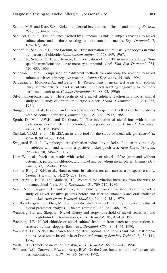- Samitz, M.H. and Katz, S.A., Nickel epidermal interactions: diffusion and binding, *Environ. Res.*, 11, 34–39, 1976.
- Santucci, B. et al., The influence exerted by cutaneous ligands in subjects reacting to nickel sulfate alone and in those reacting to more transition metals, *Exp. Dermatol.*, 7, 162–167, 1998.
- Schopf, E., Schultz, K.H., and Gromm, M., Transformation and mitosis lymphocytes in vitro by mercury II-chloride, *Naturwissenschaften*, 5, 568–569, 1967.
- Schopf, E., Schultz, K.H., and Isensee, I., Investigation of the LTT in mercury allergy. Nonspecific transformation due to mercury compounds, *Arch. Klin. Exp. Dermatol.*, 234, 420–433, 1969.
- Seidenari, S. et al., Comparison of 2 different methods for enhancing the reaction to nickel sulfate patch tests in negative reactors, *Contact Dermatitis*, 35, 308, 1996a.
- Seidenari, S., Motolese, A., and Belletti, B., Pretreatment of nickel test areas with sodium lauryl sulfate detects nickel sensitivity in subjects reacting negatively to routinely performed patch tests, *Contact Dermatitis*, 34, 88–92, 1996b.
- Silvennoinen-Kassinen, S., The specificity of a nickel sulphate reaction in vitro: a familial study and a study of chromium-allergic subjects, *Scand. J. Immunol.*, 13, 231–235, 1981.
- Sinigaglia, F.J. et al., Isolation and characterization of Ni-specific T cell clones from patients with Ni contact dermatitis, *Immunology*, 135, 3929–3932, 1985.
- Spruit, D., Mali, J.W.H., and De Groot, N., The interaction of nickel ions with human cadaverous dermis. Electric potential, absorption, swelling, *J. Invest. Dermatol.*, 44(2), 103–106, 1965.
- Stejskal, V.D.M. et al., MELISA-an in vitro tool for the study of metal allergy, *Toxicol. In Vitro,* 8, 991–1000, 1994.
- Svejgaard, E. et al., Lymphocyte transformation induced by nickel sulfate: an in vitro study of subjects with and without a positive nickel patch test, *Acta Derm. Venereol. (Stockh.)*, 58, 245–250, 1978.
- Uter, W. et al., Patch test results with serial dilution of nickel sulfate (with and without detergent), palladium chloride, and nickel and palladium metal plates, *Contact Dermatitis*, 32, 135–142, 1995.
- van der Burg, C.K.H. et al., Hand eczema in hairdressers and nurses: a prospective study, *Contact Dermatitis*, 14, 275–279, 1986.
- van der Valk, P.G.M. and Maibach, H.I., Potential for irritation increases from the wrist to the antecubital fossa, *Br. J. Dermatol.,* 121, 709–712, 1989.
- Veien, N.K., Svejgaard, E., and Menné, T., In vitro lymphocyte transformation to nickel: a study of nickel-sensitive patients before and after epicutaneous and oral challenge with nickel, *Acta Derm. Venereol. (Stockh.)*, 59, 447–451, 1979.
- von Blomberg-van der Flier, M. et al., In vitro studies in nickel allergy: diagnostic value of a dual parameter analysis, *J. Invest. Dermatol.*, 88, 362–368, 1987.
- Wahlberg, J.E. and Skog, E., Nickel allergy and atopy (threshold of nickel sensitivity and immunoglobulin E determinators), *Br. J. Dermatol.,* 85, 97–104, 1971.
- Wahlberg, J.E., Nickel chloride or nickel sulfate? Irritation from patch-test preparations as assessed by laser doppler flowmetry, *Dermatol. Clin.*, 8, 41–44, 1990.
- Wahlberg, J.E., Nickel: the search for alternative, optimal and non-irritant patch test preparations. Assessment based on laser Doppler flowmetry, *Skin Res. Technol.*, 2, 136–141, 1996.
- Wells, G.C., Effects of nickel on the skin, *Br. J. Dermatol.,* 68, 237–242, 1956.
- Williams, A.C., Cornwell, P.A., and Barry, B.W., On the Gaussian distribution of human skin permeabilities, *Int. J. Pharm.,* 86, 69–77, 1992.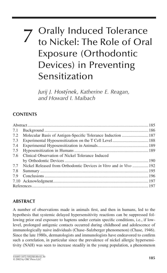# Orally Induced Tolerance to Nickel: The Role of Oral Exposure (Orthodontic Devices) in Preventing Sensitization 7

*Jurij J. , Katherine E. Reagan, Hostyne ´ kand Howard I. Maibach*

# **CONTENTS**

| 7.1 |                                                                    |  |
|-----|--------------------------------------------------------------------|--|
| 7.2 |                                                                    |  |
| 7.3 |                                                                    |  |
| 7.4 |                                                                    |  |
| 7.5 |                                                                    |  |
| 7.6 | Clinical Observation of Nickel Tolerance Induced                   |  |
|     |                                                                    |  |
| 7.7 | Nickel Released from Orthodontic Devices in Vitro and in Vivo  192 |  |
| 7.8 |                                                                    |  |
| 7.9 |                                                                    |  |
|     |                                                                    |  |
|     |                                                                    |  |
|     |                                                                    |  |

# **ABSTRACT**

A number of observations made in animals first, and then in humans, led to the hypothesis that systemic delayed hypersensitivity reactions can be suppressed following prior oral exposure to haptens under certain specific conditions, i.e., if lowlevel, prolonged antigenic contacts occurred during childhood and adolescence of immunologically naive individuals (Chase–Sulzberger phenomenon) (Chase, 1946). Since the late 1980s, dermatologists and immunologists have endeavored to confirm such a correlation, in particular since the prevalence of nickel allergic hypersensitivity (NAH) was seen to increase steadily in the young population, a phenomenon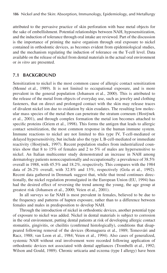attributed to the pervasive practice of skin perforation with base metal objects for the sake of embellishment. Potential relationships between NAH, hyposensitization, and the induction of tolerance through oral intake are reviewed. Part of the discussion is the importance of priming the naive organism through oral exposure to nickel contained in orthodontic devices, as becomes evident from epidemiological studies, and the mechanism regulating the induction of tolerance on the T-cell level. Data available on the release of nickel from dental materials in the actual oral environment or *in vitro* are presented.

# **7.1 BACKGROUND**

Sensitization to nickel is the most common cause of allergic contact sensitization (Menné et al., 1989). It is not limited to occupational exposure, and is more prevalent in the general population (Johansen et al., 2000). This is attributed to the release of the metal from objects of everyday use, such as jewelry and clothing fasteners, that on direct and prolonged contact with the skin may release traces of divalent nickel ion due to oxidation by skin exudates. The resulting low molecular mass species of the metal then can penetrate the stratum corneum (Hostýnek et al., 2001), and through complex formation the metal ion becomes attached to specific proteins (Griem et al., 1998). This forms the antigen that leads to allergic contact sensitization, the most common response in the human immune system. Immune reactions to nickel are not limited to this type IV, T-cell-mediated or delayed hypersensitivity, but include also the type I, B-cell-mediated or immediate reactivity (Hostýnek, 1997). Recent population studies from industrialized countries show that 8 to 15% of females and 2 to 5% of males are hypersensitive to nickel. An Italian multicenter study demonstrated an increase in NAH among dermatology patients nonoccupationally and occupationally: a prevalence of 38.5% overall in 1988, with 45.5% and 18.2%, respectively. This compares with the 1984 data of 26.2% overall, with 32.8% and 13%, respectively (Gola et al., 1992). Recent data gathered in Denmark suggest that, while that trend continues directionally, the nickel regulation promulgated in the European Union (EU, 1994) has had the desired effect of reversing the trend among the young, the age group at greatest risk (Johansen et al., 2000; Veien et al., 2001).

In all surveys so far NAH is most prevalent in females, believed to be due to the frequency and patterns of hapten exposure, rather than to a difference between females and males in predisposition to develop NAH.

Through the introduction of nickel in orthodontic devices, another potential type of exposure to nickel was added. Nickel in dental materials is subject to corrosion in the oral environment, putting dental patients at risk of developing allergic contact stomatitis, gingivitis, or cheilitis (confirmed histologically), conditions that disappeared following removal of the devices (Romaguera et al., 1989; Temesvári and Racz, 1988; van Loon et al., 1984; Veien et al., 1994). Also cases of generalized, systemic NAH without oral involvement were recorded following application of orthodontic devices not associated with dental appliances (Trombelli et al., 1992; Wilson and Gould, 1989). Chronic urticaria and eczema (type I allergy) have been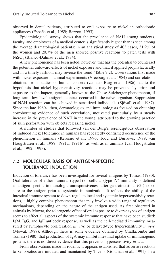observed in dental patients, attributed to oral exposure to nickel in orthodontic appliances (España et al., 1989; Bezzon, 1993).

Epidemiological survey shows that the prevalence of NAH among students, faculty, and employees of a medical center is significantly higher than is seen among the average dermatological patients: in an analytical study of 403 cases, 31.9% of the women and 20.7% of the men showed positive reactions to patch tests with NiSO<sub>4</sub> (Blanco-Dalmau et al., 1984).

A new phenomenon has been noted, however, that has the potential to counteract the potential untoward effects of nickel exposure and that, if applied prophylactically and in a timely fashion, may reverse the trend (Table 7.2). Observations first made with nickel exposure in animal experiments (Vreeburg et al., 1984) and correlations obtained from studies of human cohorts (van der Burg et al., 1986) led to the hypothesis that nickel hypersensitivity reactions may be prevented by prior oral exposure to the hapten, generally known as the Chase-Sulzberger phenomenon, if long-term, low-level antigenic contact occurred in the naive organism. Suppression of NAH reaction can be achieved in sensitized individuals (Sjövall et al., 1987). Since the late 1980s, then, dermatologists and immunologists focused on obtaining corroborating evidence of such correlation, motivated particularly by a steady increase in the prevalence of NAH in the young, attributed to the growing practice of skin perforation with objects releasing nickel.

A number of studies that followed van der Burg's serendipitous observation of induced nickel tolerance in humans has repeatedly confirmed occurrence of the phenomenon in humans (Kerosuo et al., 1996; Todd and Burrows, 1989; van Hoogstraten et al., 1989, 1991a, 1991b), as well as in animals (van Hoogstraten et al., 1992, 1993).

# **7.2 MOLECULAR BASIS OF ANTIGEN-SPECIFIC TOLERANCE INDUCTION**

Induction of tolerance has been investigated for several antigens by Tomasi (1980). Oral tolerance of either humoral (type I) or cellular (type IV) immunity is defined as antigen-specific immunologic unresponsiveness after gastrointestinal (GI) exposure to the antigen prior to systemic immunization. It reflects the ability of the intestinal immune system to down-regulate local and systemic hypersensitivity reactions, a highly complex phenomenon that may involve a wide range of regulatory mechanisms, depending on the nature of the antigen used. As first observed in animals by Mowat, the tolerogenic effect of oral exposure to diverse types of antigen seems to affect all aspects of the systemic immune response that have been studied: IgM, IgG, and IgE antibody response, as well as the cell-mediated immunity, measured by lymphocyte proliferation *in vitro* or delayed-type hypersensitivity *in vivo* (Mowat, 1987). Although there is some evidence obtained by Challacombe and Tomasi (1980) that production of IgA may inhibit intestinal uptake of immunogenic protein, there is no direct evidence that this prevents hypersensitivity *in vivo*.

From observations made in rodents, it appears established that adverse reactions to xenobiotics are initiated and maintained by T cells (Goldman et al., 1991). In a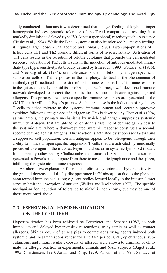study conducted in humans it was determined that antigen feeding of keyhole limpet hemocyanin induces systemic tolerance of the T-cell compartment, resulting in a markedly diminished delayed (type IV) skin test (peripheral) reactivity to this substance (Husby et al., 1994). While the B cell system can also be tolerized by antigen feeding, it requires larger doses (Challacombe and Tomasi, 1980). Two subpopulations of T helper cells Th1 and Th2 promote different forms of hypersensitivity. Activation of Th1 cells results in the secretion of soluble cytokines that promote the cell-mediated response; activation of Th2 cells results in the induction of antibody-mediated, immediate-type hypersensitivity. As broadly defined by Ishii et al. (1993), Polak et al. (1975), and Vreeburg et al. (1984), oral tolerance is the inhibition by antigen-specific T suppressor cells of Th1 responses in the periphery, identical to the phenomenon of antibody (IgG)-mediated suppression of the immune response. Local immune response in the gut-associated lymphoid tissue (GALT) of the GI tract, a well-developed immune network developed to protect the host, is the first line of defense against ingested allergens. The primary areas where specific immune responses are generated in the GALT are the villi and Peyer's patches. Such a response is the induction of regulatory T cells that then migrate to the systemic immune system and secrete suppressive cytokines following antigen-specific triggering. This is described by Chen et al. (1994) as one among the primary mechanisms by which oral antigen suppresses systemic immunity. Antigens that are able to penetrate this first line of defense gain access to the systemic site, where a down-regulated systemic response constitutes a second, specific defense against antigens. This reaction is activated by suppressor factors and a suppressor cell population. Certain antigens appear to be tolerogenic through their ability to induce antigen-specific suppressor T cells that are activated by intestinally processed tolerogen in the mucosa, Peyer's patches, or in systemic lymphoid tissues. It has been hypothesized by Challacombe and Tomasi (1980) that T suppressor cells generated in Peyer's patch migrate from there to mesenteric lymph node and the spleen, inhibiting the systemic immune response.

An alternative explanation for reduced clinical symptoms of hypersensitivity is the gradual decrease and finally disappearance in GI absorption due to the phenomenon termed immune exclusion; e.g., antibodies formed locally in the intestinal tract serve to limit the absorption of antigen (Walker and Isselbacher, 1977). The specific mechanism for induction of tolerance to nickel is not known, but may be one of those mentioned above.

# **7.3 EXPERIMENTAL HYPOSENSITIZATION ON THE T CELL LEVEL**

Hyposensitization has been achieved by Boerrigter and Scheper (1987) to both immediate and delayed hypersensitivity reactions, to systemic as well as contact allergens. Skin exposure of guinea pigs to contact-sensitizing agents induced both systemic and local unresponsiveness for a certain period. Oral, epicutaneous, subcutaneous, and intramuscular exposure of allergen were shown to diminish or eliminate the allergic reaction in experimental animals and NAH subjects (Bagot et al., 1995; Christensen, 1990; Jordan and King, 1979; Panzani et al., 1995; Santucci et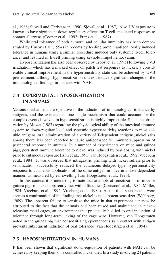al., 1988; Sjövall and Christensen, 1990; Sjövall et al., 1987). Also UV exposure is known to have significant down-regulatory effects on T cell–mediated responses to contact allergens (Cooper et al., 1992; Prens et al., 1987).

While oral tolerance of both humoral and cellular immunity has been demonstrated by Husby et al. (1994) in rodents by feeding protein antigen, orally induced tolerance in humans using a similar procedure induced only systemic T-cell tolerance, and resulted in B-cell priming using keyhole limpet hemocyanin.

Hyposensitization has also been observed by Troost et al. (1995) following UVB irradiation, which has a marked effect on patch test responses to nickel; a considerable clinical improvement in the hypersensitivity state can be achieved by UVB pretreatment, although hyposensitization did not induce significant changes in the immunological findings in patients with NAH.

# **7.4 EXPERIMENTAL HYPOSENSITIZATION IN ANIMALS**

Various mechanisms are operative in the induction of immunological tolerance by antigens, and the existence of one single mechanism that could account for the complex events involved in hyposensitization is highly improbable. Since the observation by Mowat (1987) regarding the physiological ability of the intestinal immune system to down-regulate local and systemic hypersensitivity reactions to most soluble antigens, oral administration of a variety of T-dependent antigens, nickel salts among them, has been reported to cause antigen-specific immune suppression of peripheral response in animals. In a number of experiments on mice and guinea pigs, persistent immune tolerance to nickel was induced by oral dosing with nickel prior to cutaneous exposure (Ishii et al., 1993; van Hoogstraten et al., 1992; Vreeburg et al., 1984). It was observed that intragastric priming with nickel sulfate prior to sensitization successfully reduced the cutaneous delayed-type hypersensitivity response to cutaneous application of the same antigen in mice in a dose-dependent manner, as measured by ear swelling (van Hoogstraten et al., 1993).

In this context it is interesting to note that attempts at sensitization of mice or guinea pigs to nickel apparently met with difficulties (Cornacoff et al., 1984; Möller, 1984; Vreeburg et al., 1992; Vreeburg et al., 1984). At the time such results were seen as a confirmation of the finding that nickel is not a potent sensitizer (Wahlberg, 1989). The apparent failure to sensitize the mice in that experiment can now be attributed to the fact that the animals had been raised and maintained in nickelreleasing metal cages, an environment that practically had led to oral induction of tolerance through long-term licking of the cage wire. However, van Hoogstraten noted in the guinea pig that nonsensitizing epicutaneous skin contact with antigen prevents subsequent induction of oral tolerance (van Hoogstraten et al., 1994).

#### **7.5 HYPOSENSITIZATION IN HUMANS**

It has been shown that significant down-regulation of patients with NAH can be achieved by keeping them on a controlled nickel diet. In a study involving 24 patients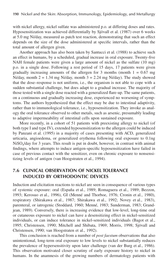with nickel allergy, nickel sulfate was administered p.o. at differing doses and rates. Hyposensitization was achieved differentially by Sjövall et al. (1987) over 6 weeks at 5.0 mg Ni/day, measured as patch test reaction, demonstrating that such an effect depends on the size of the dose administered at specific intervals, rather than the total amount of allergen given.

Another approach has also been taken by Santucci et al. (1988) to achieve such an effect in humans, by a scheduled, gradual increase in oral exposure. Twenty-five NAH female patients were given a large amount of nickel as the sulfate (10 mg) p.o. in a single dose. Following a rest period of 15 days, 17 patients were given gradually increasing amounts of the allergen for 3 months (month  $1 = 0.67$  mg Ni/day, month  $2 = 1.34$  mg Ni/day, month  $3 = 2.24$  mg Ni/day). The study showed that the dose–response is not uniform, i.e., the organism is not able to cope with a sudden substantial challenge, but does adapt to a gradual increase. The majority of those tested with a single dose reacted with a generalized flare-up. The same patients, on a continuous and gradually increasing dose, experienced no worsening of symptoms. The authors hypothesized that the effect may be due to intestinal adaptivity, rather than to immunological tolerance, i.e., hyposensitization. They invoke as analogy the oral tolerance observed to other metals, such as arsenic, presumably leading to adaptive impermeability of intestinal cells upon sustained exposure.

More recently, in a cohort of 51 patients with preexisting allergy to nickel (of both type I and type IV), extended hyposensitization to the allergen could be induced by Panzani et al. (1995) in a majority of cases presenting with ACD, generalized urticaria, angioedema, or generalized erythema following oral exposure to 0.1ng NiSO4/day for 3 years. This result is put in doubt, however, in contrast with animal findings, where attempts to induce antigen-specific hyposensitization have failed in case of previous contact with the sensitizer, even on chronic exposure to nonsensitizing levels of antigen (van Hoogstraten et al., 1994).

# **7.6 CLINICAL OBSERVATION OF NICKEL TOLERANCE INDUCED BY ORTHODONTIC DEVICES**

Induction and elicitation reactions to nickel are seen in consequence of various types of systemic exposure: oral (España et al., 1989; Romaguera et al., 1989; Bezzon, 1993; Kerosuo et al., 1996), GI (Menné and Thorboe, 1976; Cronin et al., 1980), respiratory (Shirakawa et al., 1987; Shirakawa et al., 1992; Novey et al., 1983), parenteral, or iatrogenic (Stoddard, 1960; Menné, 1983; Sunderman, 1983; Grandjean, 1989). Conversely, there is increasing evidence that low-level, long-time oral or cutaneous exposure to nickel can have a desensitizing effect in nickel-sensitized individuals, or can induce tolerance in nickel-sensitized individuals (Bagot et al., 1995; Christensen, 1990; Mitchell and Shibata, 1969; Morris, 1998; Sjövall and Christensen, 1990; van Hoogstraten et al., 1992).

This conclusion is reached from a number of *post faestum* observations that also unintentional, long-term oral exposure to low levels to nickel substantially reduces the prevalence of hypersensitivity upon later challenge (van der Burg et al., 1986). This observation motivated closer scrutiny of early exposure history to nickel in humans. In the anamnesis of the growing numbers of dermatology patients with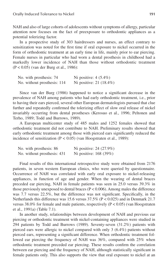NAH and also of large cohorts of adolescents without symptoms of allergy, particular attention now focuses on the fact of preexposure to orthodontic appliances as a potential tolerizing factor.

In a prospective study of 303 hairdressers and nurses, an effect contrary to sensitization was noted for the first time if oral exposure to nickel occurred in the form of orthodontic treatment at an early time in life, mainly prior to ear piercing. Female nurses in particular who had worn a dental prosthesis in childhood had a markedly lower incidence of NAH than those without orthodontic treatment (P < 0.05) (van der Burg et al., 1986):

| No. with prosthesis: 74     | Ni positive: $4(5.4\%)$ |
|-----------------------------|-------------------------|
| No. without prosthesis: 114 | Ni positive: 21 (18.4%) |

Since van der Burg (1986) happened to notice a significant decrease in the prevalence of NAH among patients who had early orthodontic treatment, i.e., prior to having their ears pierced, several other European dermatologists pursued that clue further and repeatedly confirmed the tolerizing effect of slow oral release of nickel invariably occurring from dental prostheses (Kerosuo et al., 1996; Peltonen and Terho, 1989; Todd and Burrows, 1989).

A European multicenter study of 485 males and 1252 females showed that orthodontic treatment did not contribute to NAH. Preliminary results showed that early orthodontic treatment among those with pierced ears significantly reduced the incidence of sensitization ( $P < 0.05$ ) (van Hoogstraten et al., 1989):

| No. with prosthesis: 86     | Ni positive: 24 (27.9%) |
|-----------------------------|-------------------------|
| No. without prosthesis: 431 | Ni positive: 168 (39%)  |

Final results of this international retrospective study were obtained from 2176 patients, in seven western European clinics, who were queried by questionnaire. Occurrence of NAH was correlated with early oral exposure to nickel-releasing appliances, in function of age and gender. When the wearing of dental braces preceded ear piercing, NAH in female patients was seen in 25.0 versus 39.3% in those previously unexposed to dental braces  $(P < 0.006)$ . Among males the difference was 7.7 versus 22.5%, but the difference was not significant. Specifically, in the Netherlands this difference was 15.6 versus 37.5% (P < 0.025) and in Denmark 21.7 versus 38.0% for female and male patients, respectively ( $P < 0.05$ ) (van Hoogstraten et al., 1991a) (Table 7.1).

In another study, relationships between development of NAH and previous ear piercing or orthodontic treatment with nickel-containing appliances were studied in 294 patients by Todd and Burrows (1989). Seventy-seven (31.2%) patients with pierced ears were allergic to nickel compared with only 3 (6.4%) patients without pierced ears, representing a significant difference. When orthodontic treatment followed ear piercing the frequency of NAH was 36%, compared with 25% when orthodontic treatment preceded ear piercing. These results confirm the correlation between ear piercing and the frequency of NAH, although statistically significant in female patients only. This also supports the view that oral exposure to nickel at an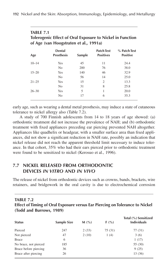| TABLE 7.1                                                 |
|-----------------------------------------------------------|
| Tolerogenic Effect of Oral Exposure to Nickel in Function |
| of Age (van Hoogstraten et al., 1991a)                    |

| Age       | <b>Dental</b><br><b>Prosthesis</b> | <b>Sample</b> | <b>Patch Test</b><br><b>Positives</b> | % Patch Test<br><b>Positive</b> |
|-----------|------------------------------------|---------------|---------------------------------------|---------------------------------|
| $10 - 14$ | Yes                                | 45            | 11                                    | 24.4                            |
|           | N <sub>0</sub>                     | 200           | 76                                    | 38.0                            |
| $15 - 20$ | Yes                                | 140           | 46                                    | 32.9                            |
|           | N <sub>0</sub>                     | 56            | 14                                    | 25.0                            |
| $21 - 25$ | Yes                                | 15            | $\overline{c}$                        | 13.3                            |
|           | N <sub>0</sub>                     | 31            | 8                                     | 25.8                            |
| $26 - 30$ | Yes                                | 5             | 1                                     | 20.0                            |
|           | N <sub>0</sub>                     | 17            | 6                                     | 35.3                            |

early age, such as wearing a dental metal prosthesis, may induce a state of cutaneous tolerance to nickel allergy also (Table 7.2).

A study of 700 Finnish adolescents from 14 to 18 years of age showed: (a) orthodontic treatment did not increase the prevalence of NAH; and (b) orthodontic treatment with fixed appliances preceding ear piercing prevented NAH altogether. Appliances like quadhelix or headgear, with a smaller surface area than fixed appliances, did not show a significant reduction in NAH rate, possibly an indication that nickel release did not reach the apparent threshold limit necessary to induce tolerance. In that cohort, 35% who had their ears pierced prior to orthodontic treatment were found to be sensitized to nickel (Kerosuo et al., 1996).

# **7.7 NICKEL RELEASED FROM ORTHODONTIC DEVICES** *IN VITRO* **AND** *IN VIVO*

The release of nickel from orthodontic devices such as crowns, bands, brackets, wire retainers, and bridgework in the oral cavity is due to electrochemical corrosion

#### **TABLE 7.2 Effect of Timing of Oral Exposure versus Ear Piercing on Tolerance to Nickel (Todd and Burrows, 1989)**

| <b>Status</b>         | <b>Sample Size</b> | M(%)  | F(%)    | Total (%) Sensitized<br><b>Individuals</b> |
|-----------------------|--------------------|-------|---------|--------------------------------------------|
| Pierced               | 247                | 2(33) | 75 (31) | 77 (31)                                    |
| Not pierced           | 47                 | 2(10) | 1(4)    | 3(6)                                       |
| <b>Brace</b>          | 6                  |       |         | 1(17)                                      |
| No brace, not pierced | 185                |       |         | 55 (30)                                    |
| Brace before piercing | 36                 |       |         | 9(25)                                      |
| Brace after piercing  | 26                 |       |         | 13 (36)                                    |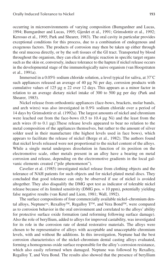occurring in microenvironments of varying composition (Bumgardner and Lucas, 1994; Bumgardner and Lucas, 1995; Gjerdet et al., 1991; Grimsdottir et al., 1992; Kerosuo et al., 1995; Park and Shearer, 1983). The oral cavity in particular provides exceptional conditions for this process, due to a combination of endogenous and exogenous factors. The products of corrosion may then be taken up either through the oral mucosa directly, or by the soft tissues of the GI tract. Transported by blood throughout the organism, they can elicit an allergic reaction in specific target organs such as the skin or, conversely, induce tolerance to the hapten if nickel release occurs in the developmental stage of the immunologically naive organism (van Hoogstraten et al., 1991a).

Immersed in a 0.05% sodium chloride solution, a level typical for saliva, at 37˚C such appliances released an average of 40 µg Ni per day, corrosion products with cumulative values of 125  $\mu$ g  $\pm$  22 over 12 days. This appears as a minor factor in relation to an average dietary nickel intake of 300 to 500 µg per day (Park and Shearer, 1983).

Nickel release from orthodontic appliances (face-bows, brackets, molar bands, and arch wires) was also investigated in 0.9% sodium chloride over a period of 14 days by Grimsdottir et al. (1992a). The largest amounts of nickel and chromium were leached out from the face-bows (0.5 to 10.4 µg Ni) and the least from the arch wires (0 to 0.1 µg).These release levels appeared to bear no relation to the metal composition of the appliances themselves, but rather to the amount of silver solder used in their manufacture (the highest levels used in face bows), which appears to facilitate the release of nickel (Berge et al., 1982). The authors found that nickel levels released were not proportional to the nickel content of the alloys. While a single metal undergoes dissolution in function of its position on the electromotive scale, other metals present in an alloy have a bearing on metal corrosion and release, depending on the electromotive gradients in the local galvanic elements created ("pile phenomenon").

Cavelier et al. (1985) investigated nickel release from clothing objects and the tolerance of NAH patients for such objects and for nickel-plated metal discs. They concluded that good tolerance can only be observed if use of nickel is avoided altogether. They also disqualify the DMG spot test as indicator of tolerable nickel release because of its limited sensitivity (DMG pos. = 10 ppm), potentially yielding false negative results (van Ketel and Liem, 1981; Wall, 1992).

The surface compositions of four commercially available nickel–chromium dental alloys, Neptune™, Rexalloy™, Regalloy T™, and Vera Bond™, were compared as to corrosion behavior in the oral environment and correlated to the alloys' ability for protective surface oxide formation (and reforming following surface damage). Also the role of beryllium, added to alloys for improved castability, was investigated for its role in the corrosion rate of dental restorative materials. The alloys were chosen to be representative of alloys with acceptable and unacceptable chromium levels, with and without Be additions. In this investigation, Neptune had the best corrosion characteristics of the nickel–chromium dental casting alloys evaluated, forming a homogenous oxide surface responsible for the alloy's corrosion resistance, which also easily reformed when damaged. Neptune was followed by Rexalloy, Regalloy T, and Vera Bond. The results also showed that the presence of beryllium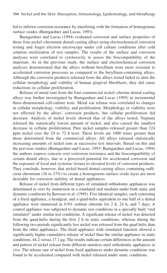led to inferior corrosion resistance by interfering with the formation of homogenous surface oxides (Bumgardner and Lucas, 1993).

Bumgardner and Lucas (1994) evaluated corrosion and surface properties of those four nickel–chromium dental-casting alloys using electrochemical corrosion testing and Auger electron microscopy under cell culture conditions after cold solution sterilization of test samples. The results of the surface and corrosion analyses were correlated to cytotoxicity to assess the biocompatibility of the materials. As in the previous study, the surface and electrochemical corrosion analyses demonstrated that the alloys without beryllium were more resistant to accelerated corrosion processes as compared to the beryllium-containing alloys. Although the corrosion products released from the alloys tested failed to alter the cellular morphology and viability of human gingival fibroblasts, they did cause reductions in cellular proliferation.

Release of metal ions from the four commercial nickel–chrome dental-casting alloys was further investigated by Bumgardner and Lucas (1995) in incremental three-dimensional cell-culture tests. Metal ion release was correlated to changes in cellular morphology, viability, and proliferation. Morphology or viability were not affected by the alloys' corrosion products, but cellular proliferation did decrease. Analysis of nickel levels showed that of the alloys tested, Neptune released the statistically lowest amount of nickel, and also caused the smallest decrease in cellular proliferation. Pure nickel samples released greater than 324 ppm nickel over the 24 to 72 h tests. These levels are 1000 times greater than those determined from the commercial alloys. All alloys released statistically increasing amounts of nickel ions at successive test intervals. Based on this and the previous studies (Bumgardner and Lucas, 1993; Bumgardner and Lucas, 1994) the authors express concern over corrosion resistance and the biocompatibility of certain dental alloys, due to a perceived potential for accelerated corrosion and the exposure of local and systemic tissues to elevated levels of corrosion products. They conclude, however, that nickel-based dental-casting alloys containing sufficient chromium (16 to 27%) to create a homogenous surface oxide layer are most desirable for corrosion stability of dental appliances.

Release of nickel from different types of simulated orthodontic appliances was determined *in vitro* by immersion in a simulated oral medium under both static and dynamic conditions by Kerosuo et al. (1995). Five identical samples, each consisting of a fixed appliance, a headgear, and a quad-helix equivalent to one half of a dental appliance were immersed in 0.9% sodium chloride for 2 h, 24 h, and 7 days. A control appliance was subjected to dynamic test conditions in a specially built "oral simulator" under similar test conditions. A significant release of nickel was detected from the quad-helix during the first 2 h in static conditions, whereas during the following two periods significantly less nickel was released from the quad helix than from the other appliances. The fixed appliance with simulated function showed a significantly higher cumulative release of nickel than the similar appliance in static conditions, 44.2 versus 17.1 µg. The results indicate certain differences in the amount and pattern of nickel release from different stainless-steel orthodontic appliances *in vivo*. The release rate of nickel from fixed appliances under dynamic conditions was found to be accelerated compared with nickel released under static conditions.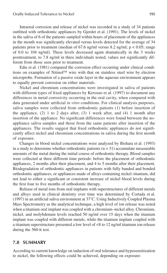Intraoral corrosion and release of nickel was recorded in a study of 34 patients outfitted with orthodontic appliances by Gjerdet et al. (1991). The levels of nickel in the saliva of 6 of the patients sampled within hours of placement of the appliances in the mouth was significantly elevated versus levels detected for the average of 34 patients prior to treatment (median of  $67.6$  ng/ml versus 8.2 ng/ml;  $p < 0.05$ ; range of 0.0 to 104 ng/ml). These levels decreased again dramatically in the 3 weeks posttreatment, to 7.8 ng/ml in three individuals tested, values not significantly different from those seen prior to treatment.

Edie et al. (1981) compared the corrosion effect occurring under clinical conditions on examples of Nitinol™ wire with that on stainless steel wire by electron microprobe. Formation of a passive oxide layer in the aqueous environment appears to equally prevent corrosion on either materials.

Nickel and chromium concentrations were investigated in saliva of patients with different types of fixed appliances by Kerosuo et al. (1997) to document any differences in metal corrosivity occurring in the oral cavity, when compared with data generated under artificial *in vitro* conditions. For clinical analysis purposes, saliva samples were collected from orthodontic patients (1) before insertion of the appliance,  $(2)$  1 to 2 days after,  $(3)$  1 week after, and  $(4)$  1 month after insertion of the appliance. No significant differences were found between the noappliance saliva samples and those from the same patients after insertion of the appliances. The results suggest that fixed orthodontic appliances do not significantly affect nickel and chromium concentrations in saliva during the first month of exposure.

Changes in blood nickel concentrations were analyzed by Bishara et al. (1993) in a study to determine whether orthodontic patients  $(n = 31)$  accumulate measurable amounts of the metal during the initial course of orthodontic therapy. Blood samples were collected at three different time periods: before the placement of orthodontic appliances, 2 months after their placement, and 4 to 5 months after their placement. Biodegradation of orthodontic appliances in patients with fully banded and bonded orthodontic appliances, or appliances made of alloys containing nickel–titanium, did not lead to either a significant or consistent increase of nickel blood levels during the first four to five months of orthodontic therapy.

Release of metal ions from oral implants with superstructures of different metals and alloys used in clinical dentistry over time was determined by Cortada et al. (1997) in an artificial saliva environment at 37˚C. Using Inductively Coupled Plasma Mass Spectrometry as the analytical technique, a high level of ion release was noted when a titanium oral implant was coupled with a chromium–nickel alloy. Chromium, nickel, and molybdenum levels reached 50 ng/ml over 15 days when the titanium implant was coupled with different metals, while the titanium implant coupled with a titanium superstructure presented a low level of <8 to 12 ng/ml titanium ion release during the 560-h test.

#### **7.8 SUMMARY**

According to current knowledge on induction of oral tolerance and hyposensitization to nickel, the following effects could be achieved, depending on exposure: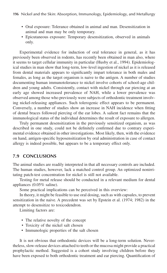- Oral exposure: Tolerance obtained in animal and man. Desensitization in animal and man may be only temporary.
- Epicutaneous exposure: Temporary desensitization, observed in animals only.

Experimental evidence for induction of oral tolerance in general, as it has previously been observed in rodents, has recently been obtained in man also, where it seems to target cellular immunity in particular (Husby et al., 1994). Epidemiological studies in man show that long-term, low-level ingestion of nickel as it is released from dental materials appears to significantly impart tolerance in both males and females, as long as the target organism is naive to the antigen. A number of studies documenting human immunotolerance to nickel involve cohorts of school-age children and young adults. Consistently, contact with nickel through ear piercing at an early age showed increased prevalence of NAH, while a lower prevalence was observed among those who previously were subjects of orthodontic treatment involving nickel-releasing appliances. Such tolerogenic effect appears to be permanent. Conversely, a number of studies show an increase in NAH incidence when fitting of dental braces followed piercing of the ear lobes. A salient fact remains that the immunological status of the individual determines the result of exposure to allergen.

Truly permanent desensitization in the previously sensitized organism, as was described in one study, could not be definitely confirmed due to contrary experimental evidence obtained in other investigations. Most likely, then, with the evidence on hand, antigen-specific hyposensitization by oral administration in case of contact allergy is indeed possible, but appears to be a temporary effect only.

#### **7.9 CONCLUSIONS**

The animal studies are readily interpreted in that all necessary controls are included. The human studies, however, lack a matched control group. An optimized nonirritating patch-test concentration for nickel is still not available.

Testing for metal release should be conducted in a relevant medium for dental appliances (0.05% saline).

Some practical implications can be perceived in this overview:

In theory, it might be feasible to use oral dosing, such as with capsules, to prevent sensitization in the naive. A precedent was set by Epstein et al. (1974; 1982) in the attempt to desensitize to toxicodendron.

Limiting factors are:

- The relative novelty of the concept
- Toxicity of the nickel salt chosen
- Immunologic properties of the salt chosen

It is not obvious that orthodontic devices will be a long-term solution. Nevertheless, slow-release devices attached to teeth or the mucosa might provide a practical prophylactic method. Suggested is a cohort study involving children before they have been exposed to both orthodontic treatment and ear piercing. Quantification of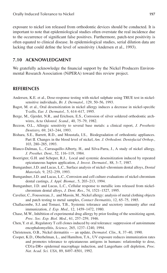exposure to nickel ion released from orthodontic devices should be conducted. It is important to note that epidemiological studies often overstate the real incidence due to the occurrence of significant false positives. Furthermore, patch-test positivity is often equated to clinical disease. In epidemiological studies, serial dilution data are lacking that could define the level of sensitivity (Andersen et al., 1993).

#### **7.10 ACKNOWLEDGMENT**

We gratefully acknowledge the financial support by the Nickel Producers Environmental Research Association (NiPERA) toward this review project.

#### **REFERENCES**

- Andersen, K.E. et al., Dose-response testing with nickel sulphate using TRUE test in nickelsensitive individuals, *Br. J. Dermatol.,* 129, 50–56, 1993.
- Bagot, M. et al., Oral desensitization in nickel allergy induces a decrease in nickel-specific T-cells, *Eur. J. Dermatol.,* 5, 614–617, 1995.
- Berge, M., Gjerdet, N.R., and Erichsen, E.S., Corrosion of silver soldered orthodontic archwires, *Acta Odontol. Scand.*, 40, 75–79, 1982.
- Bezzon, O.L., Allergic sensitivity to several base metals: a clinical report, *J. Prosthetic Dentistry,* 69, 243–244, 1993.
- Bishara, S.E., Barrett, R.D., and Moustafa, I.S., Biodegradation of orthodontic appliances. Part II. Changes in the blood level of nickel, *Am. J. Orthodont. Dentofacial Orthop.*, 103, 280–285, 1993.
- Blanco-Dalmau, L., Carrasquillo-Alberty, H., and Silva-Parra, J., A study of nickel allergy, *J. Prosthet. Dent.*, 52, 116–119, 1984.
- Boerrigter, G.H. and Scheper, R.J., Local and systemic desensitization induced by repeated epicutaneous hapten application, *J. Invest. Dermatol.*, 88, 3–7, 1987.
- Bumgardner, J.D. and Lucas, L.C., Surface analysis of nickel–chromium dental alloys, *Dental Materials,* 9, 252–259, 1993.
- Bumgardner, J.D. and Lucas, L.C., Corrosion and cell culture evaluations of nickel-chromium dental castings, *J. Appl. Biomat.*, 5, 203–213, 1994.
- Bumgardner, J.D. and Lucas, L.C., Cellular response to metallic ions released from nickelchromium dental alloys, *J. Dent. Res.*, 74, 1521–1527, 1995.
- Cavelier, C., Foussereau, J., and Massin, M., Nickel allergy: analysis of metal clothing objects and patch testing to metal samples, *Contact Dermatitis*, 12, 65–75, 1985.
- Challacombe, S.J. and Tomasi, T.B., Systemic tolerance and secretory immunity after oral immunization, *J. Exp. Med.*, 12, 1459–1472, 1980.
- Chase, M.W., Inhibition of experimental drug allergy by prior feeding of the sensitizing agent, *Proc. Soc. Exp. Biol. Med.*, 61, 257–259, 1946.
- Chen, Y. et al., Regulatory T cell clones induced by oral tolerance: suppression of autoimmune encephalomyelitis, *Science,* 265, 1237–1240, 1994.
- Christensen, O.B., Nickel dermatitis an update, *Dermatol. Clin.*, 8, 37–40, 1990.
- Cooper, K.D., Oberhelman, L., and Hamilton, T.A., UV exposure reduces immunization rates and promotes tolerance to epicutaneous antigens in humans: relationship to dose, CD1a-DR+ epidermal macrophage induction, and Langerhans cell depletion, *Proc. Nat. Acad. Sci. USA*, 89, 8497–8501, 1992.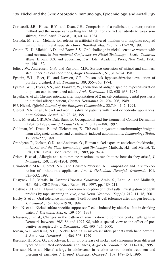- Cornacoff, J.B., House, R.V., and Dean, J.H., Comparison of a radioisotopic incorporation method and the mouse ear swelling test MEST for contact sensitivity to weak sensitizers, *Fund. Appl. Toxicol.*, 10, 40–44, 1984.
- Cortada, M. et al., Metallic ion release in artificial saliva of titanium oral implants coupled with different metal superstructures, *Bio-Med. Mat. Eng.*, 7, 213–220, 1997.
- Cronin, E., Di Michiel, A.D., and Brow, S.S., Oral challenge in nickel-sensitive women with hand eczema, in *International Conference on Nickel Toxicology, 1980, Swansea, Wales*, Brown, S.S. and Suderman, F.W., Eds., Academic Press, New York, 1980, pp. 150–152.
- Edie, J.W., Andreasen, G.F., and Zaytoun, M.P., Surface corrosion of nitinol and stainless steel under clinical conditions, *Angle Orthodontry*, 51, 319–324, 1981.
- Epstein, W.L., Baer, H., and Dawson, C.R., Poison oak hyposensitization: evaluation of purified urushiol, *Arch. Dermatol.*, 109, 356–360, 1974.
- Epstein, W.L., Byers, V.S., and Frankart, W., Induction of antigen specific hyposensitization to poison oak in sensitized adults, *Arch. Dermatol.*, 118, 630–633, 1982.
- España, A. et al., Chronic urticaria after implantation of 2 nickel-containing dental prosthesis in a nickel-allergic patient, *Contact Dermatitis*, 21, 204–206, 1989.
- EU, Nickel, *Official Journal of the European Communities*, 22.7.94, 1–2, 1994.
- Gjerdet, N.R. et al., Nickel and iron in saliva of patients with fixed orthodontic appliances, *Acta Odontol. Scand.*, 49, 73–78, 1991.
- Gola, M. et al., GIRDCA Data Bank for Occupational and Environmental Contact Dermatitis (1984 to 1988), *Am. J. Contact Dermat.*, 3, 179–188, 1992.
- Goldman, M., Druet, P., and Gleichmann, E., Th2 cells in systemic autoimmunity: insights from allogeneic diseases and chemically-induced autoimmunity, *Immunology Today*, 12, 223–227, 1991.
- Grandjean, P., Nielsen, G.D., and Andersen, O., Human nickel exposure and chemobiokinetics, in *Nickel and the Skin: Immunology and Toxicology*, Maibach, H.I. and Menné, T., Eds., CRC Press, Boca Raton, FL, 1989, pp. 9–34.
- Griem, P. et al., Allergic and autoimmune reactions to xenobiotics: how do they arise?, *J. Immunol.*, 150, 1191–1204, 1998.
- Grimsdottir, M.R., Gjerdet, N.R., and Hensten-Pettersen, A., Composition and in vitro corrosion of orthodontic appliances, *Am. J. Orthodont. Dentofal. Orthoped.*, 101, 525–532, 1992.
- Hostýnek, J.J., Metals, in *Contact Urticaria Syndrome*, Amin, S., Lahti, A., and Maibach, H.I., Eds., CRC Press, Boca Raton, FL, 1997, pp. 189–211.
- Hostýnek, J.J. et al., Human stratum corneum adsorption of nickel salts: investigation of depth profiles by tape stripping in vivo, *Acta Derm. Venereol. (Suppl.)*, 212, 11–18, 2001.
- Husby, S. et al., Oral tolerance in humans. T-cell but not B-cell tolerance after antigen feeding, *J. Immunol.*, 152, 4663–1970, 1994.
- Ishii, N. et al., Nickel sulfate-specific suppressor T cells induced by nickel sulfate in drinking water, *J. Dermatol. Sci.*, 6, 159–164, 1993.
- Johansen, J. et al., Changes in the pattern of sensitization to common contact allergens in Denmark between 1985–86 and 1997–98, with a special view to the effect of preventive strategies, *Br. J. Dermatol.*, 142, 490–495, 2000.
- Jordan, W.P. and King, S.E., Nickel feeding in nickel-sensitive patients with hand eczema, *J. Am. Acad. Dermatol.*, 1, 506–508, 1979.
- Kerosuo, H., Moe, G., and Kleven, E., In vitro release of nickel and chromium from different types of simulated orthodontic appliances, *Angle Orthodontist*, 65, 111–116, 1995.
- Kerosuo, H. et al., Nickel allergy in adolescents in relation to orthodontic treatment and piercing of ears, *Am. J. Orthod. Dentofac. Orthoped.*, 109, 148–154, 1996.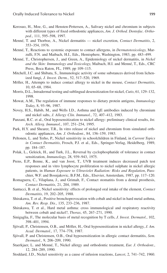- Kerosuo, H., Moe, G., and Hensten-Pettersen, A., Salivary nickel and chromium in subjects with different types of fixed orthodontic appliances, *Am. J. Orthod. Dentofac. Orthoped.*, 111, 595–598, 1997.
- Menné, T. and Thorboe, A., Nickel dermatitis nickel excretion, *Contact Dermatitis*, 2, 353–354, 1976.
- Menné, T., Reactions to systemic exposure to contact allergens, in *Dermatotoxicology*, Marzulli, F.N. and Maibach, H.I., Eds., Hemisphere, Washington, 1983, pp. 483–499.
- Menné, T., Christophersen, J., and Green, A., Epidemiology of nickel dermatitis, in *Nickel and the Skin: Immunology and Toxicology*, Maibach, H.I. and Menné, T., Eds., CRC Press, Boca Raton, FL, 1989, pp 109–115.
- Mitchell, J.C. and Shibata, S., Immunologic activity of some substances derived from lichenized fungi, *J. Invest. Derm.*, 52, 517–520, 1969.
- Möller, H., Attempts to induce contact allergy to nickel in the mouse, *Contact Dermatitis*, 10, 65–68, 1984.
- Morris, D.L., Intradermal testing and sublingual desensitization for nickel, *Cutis*, 61, 129–132, 1998.
- Mowat, A.M., The regulation of immune responses to dietary protein antigens, *Immunology Today*, 8, 93–96, 1987.
- Novey, H.S., Habib, M., and Wells I.D., Asthma and IgE antibodies induced by chromium and nickel salts, *J. Allergy Clin. Immunol.*, 72, 407–412, 1983.
- Panzani, R.C. et al., Oral hyposensitization to nickel allergy: preliminary clinical results, *Int. Arch. Allerg. Immunol.*, 107, 251–254, 1995.
- Park, H.Y. and Shearer, T.R., In vitro release of nickel and chromium from simulated orthodontic appliances, *Am. J. Orthodont.*, 84, 156–159, 1983.
- Peltonen, L. and Terho, P., Nickel sensitivity in schoolchildren in Finland, in *Current Topics in Contact Dermatitis*, Frosch, P.J. et al., Eds., Springer-Verlag, Heidelberg, 1989, pp. 184–187.
- Polak, L., Geleick, H., and Turk, J.L., Reversal by cyclophosphatide of tolerance in contact sensitization, *Immunology*, 28, 939–943, 1975.
- Prens, E.P., Benne, K., and van Joost, T., UVB treatment induces decreased patch test responses and in vitro lymphocyte proliferation to nickel sulphate in nickel allergic patients, in *Human Exposure to Ultraviolet Radiation: Risks and Regulation*, Passchier, W.F. and Bosnjakovic, B.F.M., Eds., Elsevier, Amsterdam, 1987, pp. 117–120.
- Romaguera, C., Vilaplana, J., and Grimalt, F., Contact stomatitis from a dental prosthesis, *Contact Dermatitis*, 21, 204, 1989.
- Santucci, B. et al., Nickel sensitivity: effects of prolonged oral intake of the element, *Contact Dermatitis*, 19, 202–205, 1988.
- Shirakawa, T. et al., Positive bronchoprovocation with cobalt and nickel in hard metal asthma, *Am. Rev. Resp. Dis.*, 135, 233–236, 1987.
- Shirakawa, T. et al., Hard metal asthma: cross immunological and respiratory reactivity between cobalt and nickel?, *Thorax*, 45, 267–271, 1990.
- Sinigaglia, F., The molecular basis of metal recognition by T cells, *J. Invest. Dermatol.*, 102, 398–401, 1994.
- Sjövall, P., Christensen, O.B., and Möller, H., Oral hyposensitization in nickel allergy, *J. Am. Acad. Dermatol.*, 17, 774–778, 1987.
- Sjövall, P. and Christensen, O.B., Oral hyposensitization in allergic contact dermatitis, *Sem. Dermatol.*, 9, 206–209, 1990.
- Staerkjaer, L. and Menné, T., Nickel allergy and orthodontic treatment, *Eur. J. Orthodont.*, 12, 284–289, 1990.
- Stoddard, J.D., Nickel sensitivity as a cause of infusion reactions, *Lancet*, 2, 741–742, 1960.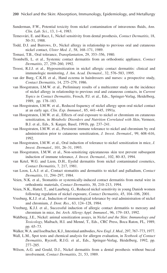- Sunderman, F.W., Potential toxicity from nickel contamination of intravenous fluids, *Ann. Clin. Lab. Sci.*, 13, 1–4, 1983.
- Temesvári, E. and Racz, I., Nickel sensitivity from dental prosthesis, *Contact Dermatitis*, 18, 50–51, 1988.
- Todd, D.J. and Burrows, D., Nickel allergy in relationship to previous oral and cutaneous nickel contact, *Ulster Med. J.*, 58, 168–171, 1989.
- Tomasi, T.B., Oral tolerance, *Transplantation*, 29, 353–356, 1980.
- Trombelli, L. et al., Systemic contact dermatitis from an orthodontic appliance, *Contact Dermatitis*, 27, 259–260, 1992.
- Troost, R.J.J. et al., Hyposensitization in nickel allergic contact dermatitis: clinical and immunologic monitoring, *J. Am. Acad. Dermatol.*, 32, 576–583, 1995.
- van der Burg, C.K.H. et al., Hand eczema in hairdressers and nurses: a prospective study, *Contact Dermatitis*, 14, 275–279, 1986.
- van Hoogstraten, I.M.W. et al., Preliminary results of a multicenter study on the incidence of nickel allergy in relationship to previous oral and cutaneous contacts, in *Current Topics in Contact Dermatitis*, Frosch, P.J. et al., Eds., Springer-Verlag, Heidelberg, 1989, pp. 178–183.
- van Hoogstraten, I.M.W. et al., Reduced fequency of nickel allergy upon oral nickel contact at an early age, *Clin. Exp. Immunol.*, 85, 441–445, 1991a.
- van Hoogstraten, I.M.W. et al., Effects of oral exposure to nickel or chromium on cutaneous sensitization, in *Metabolic Disorders and Nutrition Correlated with Skin*, Vermeer, B.J. et al., Eds., S. Karger, Basel, 1991b, pp. 237–241.
- van Hoogstraten, I.M.W. et al., Persistent immune tolerance to nickel and chromium by oral administration prior to cutaneous sensitization, *J. Invest. Dermatol.*, 99, 608–616, 1992.
- van Hoogstraten, I.M.W. et al., Oral induction of tolerance to nickel sensitization in mice, *J. Invest. Dermatol.*, 101, 26–31, 1993.
- van Hoogstraten, I.M.W. et al., Non-sensitizing epicutaneous skin test prevent subsequent induction of immune tolerance, *J. Invest. Dermatol.*, 102, 80–83, 1994.
- van Ketel, W.G. and Liem, D.H., Eyelid dermatitis from nickel contaminated cosmetics, *Contact Dermatitis*, 7, 217, 1981.
- van Loon, L.A.J. et al., Contact stomatitis and dermatitis to nickel and palladium, *Contact Dermatitis*, 11, 294–297, 1984.
- Veien, N.K. et al., Stomatitis or systemically-induced contact dermatitis from metal wire in orthodontic materials, *Contact Dermatitis*, 30, 210–213, 1994.
- Veien, N.K., Hattel, T., and Laurberg, G., Reduced nickel sensitivity in young Danish women following regulation of nickel exposure, *Contact Dermatitis*, 45, 104–106, 2001.
- Vreeburg, K.J.J. et al., Induction of immunological tolerance by oral administration of nickel and chromium, *J. Dent. Res.*, 63, 124–128, 1984.
- Vreeburg, K.J.J. et al., Successful induction of allergic contact dermatitis to mercury and chromium in mice, *Int. Arch. Allergy Appl. Immunol.*, 96, 179–183, 1992.
- Wahlberg, J.E., Nickel: animal sensitization assays, in *Nickel and the Skin: Immunology and Toxicology*, Maibach, H.I. and Menné, T., Eds., CRC Press, Boca Raton, FL, 1989, pp. 65–73.
- Walker, W.A. and Isselbacher, K.J., Intestinal antibodies, *New Engl. J. Med.*, 297, 767–773, 1977.
- Wall, L.M., Spot tests and chemical analysis for allergen evaluation, in *Textbook of Contact Dermatitis*, Rycroft, R.J.G. et al., Eds., Springer-Verlag, Heidelberg, 1992, pp. 277–285.
- Wilson, A.G. and Gould, D.J., Nickel dermatitis from a dental prosthesis without buccal involvement, *Contact Dermatitis*, 21, 53, 1989.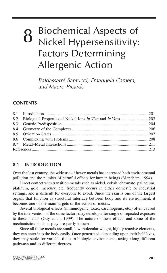# Biochemical Aspects of Nickel Hypersensitivity: Factors Determining Allergenic Action 8

*Baldassarré Santucci, Emanuela Camera, and Mauro Picardo*

#### **CONTENTS**

### **8.1 INTRODUCTION**

Over the last century, the wide use of heavy metals has increased both environmental pollution and the number of harmful effects for human beings (Manaham, 1994).

Direct contact with transition metals such as nickel, cobalt, chromate, palladium, platinum, gold, mercury, etc. frequently occurs in either domestic or industrial settings, and is difficult for everyone to avoid. Since the skin is one of the largest organs that function as structural interface between body and its environment, it becomes one of the main targets of the action of metals.

Several biological effects (immunogenic, toxic, carcinogenic, etc.) often caused by the intervention of the same factors may develop after single or repeated exposure to these metals (Guy et al., 1999). The nature of these effects and some of the mechanistic details at play are partly known.

Since all these metals are small, low molecular weight, highly reactive elements, they can enter into the body easily. Once penetrated, depending upon their half-lives, they may settle for variable times in biologic environments, acting along different pathways and to different degrees.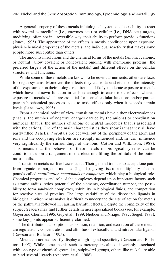A general property of these metals in biological systems is their ability to react with several extracellular (i.e., enzymes etc.) or cellular (i.e., DNA etc.) targets, modifying, often not in a reversible way, their ability to perform previous functions (Jones, 1995). The appearance of the effects is mostly conditioned upon exposure, physicochemical properties of the metals, and individual reactivity that makes some people more susceptible than others.

The amounts in solutions and the chemical forms of the metals (anionic, cationic, or neutral) allow covalent or noncovalent binding with membrane proteins (the preferred targets of the action of the metals) and different effects on the cellular structures and functions.

While some of these metals are known to be essential nutrients, others are toxic for organ systems. Moreover, the effects they cause depend either on the intensity of the exposure or on their biologic requirement. Likely, moderate exposure to metals which have unknown function in cells is enough to cause toxic effects, whereas exposure to metals which are essential for normal cellular functions and/or participate in biochemical processes leads to toxic effects only when it exceeds certain levels (Lansdown, 1995).

From a chemical point of view, transition metals have either electrovalences (that is, the number of negative charges carried by the anions) or coordination numbers (that is, the number of anions or neutral molecules that is associated with the cation). One of the main characteristics they show is that they all have partly filled *d* shells. *d* orbitals project well out of the periphery of the atom and ions and the occupying electrons are strongly influenced and, in turn, influence very significantly the surroundings of the ions (Cotton and Wilkinson, 1988). This means that the behavior of these metals in biological systems can be conditioned upon arrangement of the electrons filling the orbitals of the outermost shells.

Transition metals act like Lewis acids. Their general trend is to accept lone pairs from organic or inorganic moieties (ligands), giving rise to a multiplicity of compounds called *coordination compounds* or *complexes*, which play a biological role. Chemical properties and role of the complexes depend upon important factors such as atomic radius, redox potential of the elements, coordination number, the possibility to form sandwich complexes, solubility in biological fluids, and competition for reactive sites of proteins. The large variability of the disposable ligands in biological environments makes it difficult to understand the site of action for metals or the pathways followed in causing harmful effects. Despite the complexity of the subject (readers may find further details in more specialized books (see, for example, Goyer and Cherian, 1995; Guy et al., 1999; Nieboer and Nriagu, 1992; Siegel, 1988), some key points appear sufficiently clarified.

The distribution, absorption, disposition, retention, and excretion of these metals are regulated by concentrations and affinities of extracellular and intracellular ligands (Dawson and Ballatori, 1995).

Metals do not necessarily display a high ligand specificity (Dawson and Ballatori, 1995). While some metals such as mercury are almost invariably associated with one type of chemical group, i.e., sulphydryl groups, others like nickel are able to bind several ligands (Andrews et al., 1988).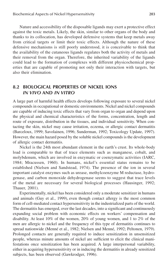Nature and accessibility of the disposable ligands may exert a protective effect against the toxic metals. Likely, the skin, similar to other organs of the body and thanks to its collocation, has developed defensive systems that keep metals away from critical targets or limit their toxic effects. Although the nature of these defensive mechanisms is still poorly understood, it is conceivable to think that the availability of the cutaneous ligands regulates both the activity of metals and their removal from the organ. Therefore, the inherited variability of the ligands could lead to the formation of complexes with different physicochemical properties that are capable of promoting not only their interaction with targets, but also their elimination.

### **8.2 BIOLOGICAL PROPERTIES OF NICKEL IONS**  *IN VIVO* **AND** *IN VITRO*

A large part of harmful health effects develops following exposure to several nickel compounds in occupational or domestic environments. Nickel and nickel compounds are capable of inducing toxic effects that vary from organ to organ and depend upon the physical and chemical characteristics of the forms, concentration, length and route of exposure, distribution in the tissues, and individual sensitivity. When contacting the skin, nickel may cause irritation, eczema, or allergic contact dermatitis (Barceloux, 1999; Savolainen, 1996; Sunderman, 1992; Toxicology Update, 1997). However, the main hazard posed by the soluble nickel compounds is the development of allergic contact dermatitis.

Nickel is the 24th most abundant element in the earth's crust. Its whole-body load is comparable to that of trace elements such as manganese, cobalt, and molybdenum, which are involved in enzymatic or coenzymatic activities (IARC, 1984; Mracussen, 1960). In humans, nickel's essential status remains to be established (Nielsen and Sandstead, 1974). The presence of the ion in several important catalyst enzymes such as urease, methylcoenzyme M reductase, hydrogenase, and carbon monoxide dehydrogenase seems to suggest that trace levels of the metal are necessary for several biological processes (Hausinger, 1992; Thauer, 2001).

Experimentally, nickel has been considered only a moderate sensitizer in humans and animals (Guy et al., 1999), even though contact allergy is the most common form of cell-mediated contact hypersensitivity in the industrialized parts of the world. The dermatitis has emerged, over the last decades, into a significant and continuously expanding social problem with economic effects on workers' compensation and disability. At least 10% of the women, 20% of young women, and 1 to 2% of the men are allergic to nickel and the frequency of this type of dermatitis continues to spread nationwide (Menné et al., 1982; Nielsen and Menné, 1992; Peltonen, 1979). Prolonged contacts are generally required to induce sensitization in unsensitized people, whereas minute amounts of nickel are sufficient to elicit the clinical manifestations once sensitization has been acquired. A large interpersonal variability, either in acquiring hypersensitivity or in inducing the dermatitis in already sensitized subjects, has been observed (Gawkrodger, 1996).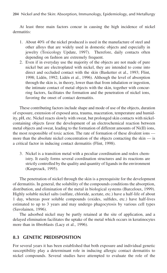At least three main factors concur in causing the high incidence of nickel dermatitis:

- 1. About 40% of the nickel produced is used in the manufacture of steel and other alloys that are widely used in domestic objects and especially in jewelry (Toxicology Update, 1997). Therefore, daily contacts often depending on fashion are extremely frequent.
- 2. Even if in everyday use the majority of the objects are not made of pure nickel but are electroplated with nickel, they are intended to come into direct and occluded contact with the skin (Basketter et al., 1993; Flint, 1998; Lidén, 1992; Lidén et al., 1996). Although the level of absorption through the skin is, in theory, lower than that from inhalation or ingestion, the intimate contact of metal objects with the skin, together with concurring factors, facilitates the formation and the penetration of nickel ions, favoring the onset of contact dermatitis.

These contributing factors include shape and mode of use of the objects, duration of exposure, extension of exposed area, trauma, maceration, temperature and humidity, pH, etc. Nickel reacts slowly with sweat, but prolonged skin contacts with nickelcontaining objects favor the development of an electrochemical reaction between metal objects and sweat, leading to the formation of different amounts of Ni(II) ions, the most responsible of toxic action. The rate of formation of these divalent ions more than the absolute nickel concentration of the objects contacting the skin — is a critical factor in inducing contact dermatitis (Flint, 1998).

3. Nickel is a transition metal with a peculiar coordination and redox chemistry. It easily forms several coordination structures and its reactions are strictly controlled by the quality and quantity of ligands in the environment (Kasprzack, 1995).

The penetration of nickel through the skin is a prerequisite for the development of dermatitis. In general, the solubility of the compounds conditions the absorption, distribution, and elimination of the metal in biological systems (Barceloux, 1999). Highly soluble nickel salts (sulfate, chloride, acetate, etc.) have a half-life of about 1 day, whereas poor soluble compounds (oxides, sulfides, etc.) have half-lives estimated to up to 3 years and may undergo phagocytosis by various cell types (Savolainen, 1996).

The adsorbed nickel may be partly retained at the site of application, and a delayed elimination facilitates the uptake of the metal which occurs in keratinocytes more than in fibroblasts (Lacy et al., 1996).

#### **8.3 GENETIC PREDISPOSITION**

For several years it has been established that both exposure and individual genetic susceptibility play a determinant role in inducing allergic contact dermatitis to nickel compounds. Several studies have attempted to evaluate the role of the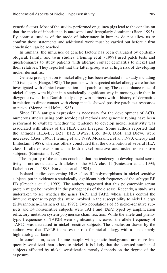genetic factors. Most of the studies performed on guinea pigs lead to the conclusion that the mode of inheritance is autosomal and irregularly dominant (Baer, 1995). By contrast, studies of the mode of inheritance in humans do not allow us to confirm these statements and additional work must be carried out before a firm conclusion can be reached.

In humans, the influence of genetic factors has been evaluated by epidemiological, family, and twin studies. Fleming et al. (1999) used patch tests and questionnaires to study patients with allergic contact dermatitis to nickel and their relatives. They reported that the latter group was at high risk of developing nickel dermatitis.

Genetic predisposition to nickel allergy has been evaluated in a study including 115 twin pairs (Hange, 1981). The partners with suspected nickel allergy were further investigated with clinical examination and patch testing. The concordance rates of nickel allergy were higher in a statistically significant way in monozygotic than in dizygotic twins. In a Danish study only twin partners with a history of dermatitis in relation to direct contact with cheap metals showed positive patch test responses to nickel (Menné and Holm, 1983).

Since HLA antigen expression is necessary for the development of ACD, numerous studies using both serological methods and genomic typing have been performed to evaluate whether the tendency to develop nickel sensitivity was associated with alleles of the HLA class II region. Some authors reported that the antigens HLA-B7, B21, B12, BW22, B35, B40, DR4, and DRw6 were increased (Baer, 1995; Fleming et al., 1999; Mozzanica et al., 1990; Olerup and Emtestam, 1988), whereas others concluded that the distribution of several HLA class II alleles was similar in both nickel-sensitive and nickel-nonsensitive subjects (Emtestam, 1992).

The majority of the authors conclude that the tendency to develop metal sensitivity is not associated with alleles of the HLA class II (Emtestam et al., 1993; Ikaheimo et al., 1993; Karvonen et al., 1984).

Isolated studies concerning HLA class III polymorphisms in nickel-sensitive subjects put in evidence a statistically significant high frequency of the subtype BF FB (Orecchia et al., 1992). The authors suggested that this polymorphic serum protein might be involved in the pathogenesis of the disease. Recently, a study was undertaken to see whether the genes TAP1 and TAP2, whose alleles control the immune response to peptides, were involved in the susceptibility to nickel allergy (Silvernnoinen-Kassinen et al., 1997). Two populations of 55 nickel-sensitive subjects and 54 nonsensitive subjects were TAP1 and TAP2 typed by amplification refractory mutation system-polymerase chain reaction. While the allele and phenotypic frequencies of TAP2B were significantly increased, the allele frequency of TAP2C was decreased in nickel-sensitive subjects. The conclusion drawn by the authors was that TAP2B increases the risk for nickel allergy with a considerably high etiological factor.

In conclusion, even if some people with genetic background are more frequently sensitized than others to nickel, it is likely that the elevated number of subjects affected by nickel sensitization mostly depends on the degree of the exposure.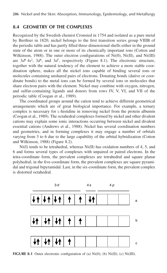### **8.4 GEOMETRY OF THE COMPLEXES**

Recognized by the Swedish chemist Cronsted in 1754 and isolated as a pure metal by Berthier in 1820, nickel belongs to the first transition series group VIIIB of the periodic table and has partly filled three-dimensional shells either in the ground state of the atom or in one or more of its chemically important ions (Cotton and Wilkinson, 1988). The outer electron configurations of  $Ni(0)$ ,  $Ni(II)$ , and  $Ni(III)$ are  $3d^8$  4*s*<sup>2</sup>,  $3d^8$ , and  $3d^7$ , respectively (Figure 8.1). The electronic structure, together with the natural tendency of the element to achieve a more stable coordination sphere, makes all the nickel ions capable of binding several ions or molecules containing unshared pairs of electrons. Donating bonds (dative or coordinate bonds) to the metal ions can be formed by several ions or molecules that share electron pairs with the element. Nickel may combine with oxygen, nitrogen, and sulfur-containing ligands and donors from rows IV, V, VI, and VII of the periodic table (Coogan et al., 1989).

The coordinated groups around the cation tend to achieve different geometrical arrangements which are of great biological importance. For example, a ternary complex is necessary for L-histidine in removing nickel from the protein albumin (Coogan et al., 1989). The octahedral complexes formed by nickel and other divalent cations may explain some ionic interactions occurring between nickel and divalent essential cations (Andrews et al., 1988). Nickel has several coordination numbers and geometries, and in forming complexes it may engage a number of orbitals varying from 3 to 6 due to the large capability of the orbital hybridization (Cotton and Wilkinson, 1988) (Figure 8.2).

 $Ni(I)$  tends to be tetrahedral, whereas  $Ni(II)$  has oxidation numbers of 4, 5, and 6 and forms several types of complexes with unpaired or paired electrons. In the tetra-coordinate form, the prevalent complexes are tetrahedral and square planar polyhedral; in the five-coordinate form, the prevalent complexes are square pyramidal and trigonal bipyramidal. Last, in the six-coordinate form, the prevalent complex is distorted octahedral.



**FIGURE 8.1** Outer electronic configuration of (a)  $Ni(0)$ ; (b)  $Ni(II)$ ; (c)  $Ni(III)$ .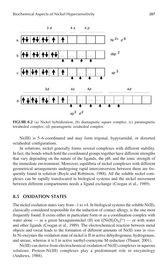

**FIGURE 8.2** (a) Nickel hybridization; (b) diamagnetic square complex; (c) paramagnetic tetrahedral complex; (d) paramagnetic octahedral complex.

Ni(III) is 5–6-coordinated and may form trigonal, bypyramidal, or distorted octahedral configurations.

In solutions, nickel generally forms several complexes with different stability. In fact, the bonds which hold the coordinated groups together have different strengths that vary depending on the nature of the ligands, the pH, and the ionic strength of the immediate environment. Moreover, equilibria of nickel complexes with different geometrical arrangements undergoing rapid interconversion between them are frequently found in solution (Boyle and Robinson, 1988). All the soluble nickel complexes can be rapidly translocated in biological systems and the nickel movement between different compartments needs a ligand exchange (Coogan et al., 1989).

#### **8.5 OXIDATION STATES**

The nickel oxidation states vary from  $-1$  to  $+4$ . In biological systems the soluble Ni(II), classically considered responsible for the induction of contact allergy, is the one most frequently found. It exists either in particulate form or as a coordination complex with water alone — as a green hexaquinonickel (II) ion  $([Ni(H, O)<sub>6</sub>]<sup>2+</sup>)$  — or with water and other ligands (Coogan et al., 1989). The electrochemical reaction between metal objects and sweat leads to the formation of different amounts of Ni(II) ions *in vivo.* In Ni-enzymes the oxidation state of nickel is II in active dehydrogenase, hydrogenase, and urease, whereas it is I in active methyl-coenzyme M reductase (Thauer, 2001).

Ni(III) can derive from electrochemical oxidation of Ni(II) complexes in aqueous solutions. Protein-Ni(III) complexes play a predominant role in enzymology (Andrews, 1988).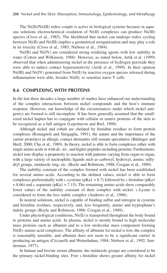The Ni(II)/Ni(III) redox couple is active in biological systems because in aqueous solutions electrochemical oxidation of Ni(II) complexes can produce Ni(III) species (Cross et al., 1985). The likelihood that nickel can undergo redox cycling between  $Ni(II)$  and  $Ni(III)$  implies a geometrical reorganization and may play a role in its toxicity (Cross et al., 1985; Nieboer et al., 1984).

Ni(III) and Ni(IV) are considered strong oxidizing agents with low stability in water (Cotton and Wilkinson, 1988). However, as stated below, Artik et al. (1999) observed that when administering nickel in the presence of hydrogen peroxide they were able to induce contact hypersensitivity (Artik et al., 1999). In their opinion Ni(III) and Ni(IV) generated from Ni(II) by reactive oxygen species released during inflammation were able, besides Ni(II), to sensitize naive T cells.

#### **8.6 COMPLEXING WITH PROTEINS**

In the last three decades a large number of studies have enhanced our understanding of the complex interactions between nickel compounds and the host's immune response. However, our knowledge of the circumstances under which nickel antigen(s) are formed is still incomplete. It has been generally assumed that the smallsized nickel hapten has to conjugate with cellular or matrix proteins of the skin to be recognized as a full antigen (Lepoittevin and Berl, 1998).

Although nickel and cobalt are chelated by histidine residues to form protein complexes (Romagnoli and Sinigaglia, 1991), the nature and the importance of the carrier protein(s) in allergic contact dermatitis still remain speculative (Büdinger and Hertl, 2000; Chu et al., 1989). In theory, nickel is able to form complexes either with single amino acids or with di-, tri-, and higher peptides including proteins. Furthermore, nickel ions display a propensity to reaction with patterns varying from organ to organ, with a large variety of nucleophilic ligands such as carboxyl, hydroxyl, amino, sulfydryl groups, imidazole ring, etc. (Boyle and Robinson, 1988; Coogan et al., 1989).

The stability constant of the complex formed with nickel has been established for several amino acids. According to the defined values, nickel is able to form complexes preferentially with L-cysteine (pKa1 = 8.7) followed by L-histidine (pKa1  $= 8.66$ ) and L-aspartate (pKa1 = 7.15). The remaining amino acids show comparably lower values of the stability constant of their complex with nickel. L-Lysine is considered to form the less stable complex (Andrews et al., 1988).

In neutral solutions, nickel is capable of binding sulfur and nitrogen in cysteine and histidine residues, respectively, and, less frequently, amino and tryptophane's indole groups (Boyle and Robinson, 1988; Coogan et al., 1989).

Under physiological conditions, Ni(II) is transported throughout the body bound to proteins and amino acids. In plasma, nickel is mostly bound to high molecular mass proteins such as albumin and to a low molecular mass component forming Ni(II)–amino-acid complexes. The affinity of albumin for nickel is low, the complex is reasonably unstable, and albumin does not seem to be a significant carrier in producing an antigen (Ciccarelli and Wetterhahan, 1984; Nieboer et al., 1992; Sunderman, 1977).

In human and bovine serum albumin, the imidazole groups are considered to be the primary nickel-binding sites. Free L-histidine shows greater affinity for nickel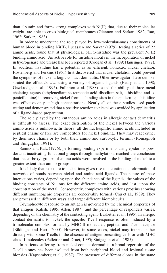than albumin and forms strong complexes with  $Ni(II)$  that, due to their molecular weight, are able to cross biological membranes (Glennon and Sarkar, 1982; Rao, 1962; Sarkar, 1983).

In order to understand the role played by low-molecular-mass constituents of human blood in binding Ni(II), Lucassen and Sarkar (1979), testing a series of 22 amino acids, found that at physiological pH, L-histidine was the prevalent Ni(II) binding amino acid. An active role for histidine motifs in the incorporation of nickel in hydrogenase and urease has been reported (Coogan et al., 1989; Hausinger, 1992). In addition, hystidine has a potential as an efficient, nontoxic, nickel chelator. Rostenberg and Perkins (1951) first discovered that nickel chelation could prevent the symptoms of nickel allergic contact dermatitis. Other investigators have demonstrated the effect *in vivo* using a variety of organic ligands (Healy et al., 1998; Gawkrodger et al., 1995). Fullerton et al. (1988) tested the ability of three metal chelating agents (ethylenediamine tetracetic acid disodium salt, L-histidine and Dpenicillamine) in removing nickel from its binding sites in the epidermis; L-histidine was effective only at high concentrations. Nearly all of these studies used patch testing and demonstrated that a positive reaction to nickel was avoided by application of a ligand-based preparation.

The role played by the cutaneous amino acids in allergic contact dermatitis is difficult to assess. The exact distribution of the nickel between the various amino acids is unknown. In theory, all the nucleophilic amino acids included in peptidil chains or free are competitors for nickel binding. They may react either by their side chains or by both their amino and carboxylic termini (Romagnoli and Sinigaglia, 1991).

Samitz and Katz (1976), performing binding experiments using epidermis powder and inactivating functional groups through methylation, reached the conclusion that the carboxyl groups of amino acids were involved in the binding of nickel to a greater extent than amino groups.

It is likely that exposure to nickel ions gives rise to a continuous reformation of networks of bonds between nickel and amino-acid ligands. The nature of these interactions varies, depending upon the abundance of the ligands, the values of the binding constants of Ni ions for the different amino acids, and last, upon the concentration of the metal. Consequently, complexes with various proteins showing different immunogenic properties are conceivably formed (Chu et al., 1989). They are processed in different ways and target different biomolecules.

T-lymphocyte response to an antigen is governed by the chemical properties of that antigen (Kalish, 1995; Allen, 1987), and the percentage of responders varies, depending on the chemistry of the contacting agent (Basketter et al., 1995). In allergic contact dermatitis to nickel, the specific T-cell response is often induced by a trimolecular complex formed by MHC II molecules, peptide, and T-cell receptor (Büdinger and Hertl, 2000). However, in some cases, nickel may interact either directly with some T cells in the absence of antigen-presenting cells or with MHC class II molecules (Pellettier and Druet, 1995; Sinigaglia et al., 1985).

In patients suffering from nickel contact dermatitis, a broad repertoire of the T-cell clones has been isolated from both peripheral blood and lesional tissue biopsies (Kapsemberg et al., 1987). The presence of different clones in the same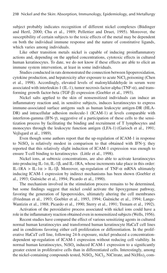subject probably indicates recognition of different nickel complexes (Büdinger and Hertl, 2000; Chu et al., 1989; Pellettier and Druet, 1995). Moreover, the susceptibility of certain subjects to the toxic effects of the metal may be dependent on both the individual immune response and the nature of constitutive ligands, which varies among individuals.

Like other transition metals nickel is capable of inducing proinflammatory actions and, depending on the applied concentrations, cytotoxic effects in cultured human keratinocytes. To date, we do not know if these effects are able to elicit an immune system intervention, at least in some individuals.

Studies conducted in rats demonstrated the connection between lipoperoxidation, cytokine production, and hepatoxicity after exposure to acute NiCl<sub>2</sub> poisoning (Chen et al., 1998). Accordingly, elevated levels of malonyldialdehyde in serum were associated with interleukin-1 (IL-1), tumor necrosis factor-alpha (TNF-α), and transforming growth factor-beta (TGF-β) expression (Goebler et al., 1993).

Nickel salts applied to the skin of nonsensitized individuals can induce an inflammatory reaction and, in sensitive subjects, induces keratinocytes to express immune-associated surface antigens such as human leukocyte antigen-DR (HLA-DR) and intracellular adhesion molecule-1 (ICAM-1) at levels comparable with interferon-gamma (IFN-γ), suggestive of a participation of these cells to the sensitization process by facilitating the binding and recruitment of T lymphocytes and monocytes through the leukocyte function antigen (LFA-1) (Garioch et al., 1991; Vejlsgard et al., 1989).

Even though some authors report that the up-regulation of ICAM-1 in response to NiSO<sub>4</sub> is relatively modest in comparison to that obtained with IFN-γ, they reported that this relatively slight induction of ICAM-1 expression was enough to ensure T-cell binding to keratinocytes (Little et al., 1998).

Nickel ions, at subtoxic concentrations, are also able to activate keratinocytes into producing IL-1 $\alpha$ , IL-1 $\beta$ , and IL-1RA, whose increments take place in this order: IL-1RA > IL-1α > IL-1β. Moreover, up-regulation of TNF-α mRNA ultimately inducing ICAM-1 expression by indirect mechanisms has been shown (Goebler et al., 1993; Guèniche et al., 1994; Picardo et al., 1990).

The mechanism involved in the stimulation process remains to be determined, but some findings suggest that nickel could activate the lipoxygenase pathway, favoring the generation of lipoperoxides, ultimately altering the cell membranes (Friedman et al., 1993; Goebler et al., 1993, 1994; Guèniche et al., 1994; Lange-Wantizin et al., 1988; Picardo et al., 1990; Sterry et al., 1991; Trenam et al., 1992).

Activation of the peroxidative process associated with nickel ions could have a role in the inflammatory reaction obtained even in nonsensitized subjects (Wells, 1956).

Recent studies have compared the effect of various sensitizing agents in cultured normal human keratinocytes and transformed human keratinocyte HaCaT cell lines and in conditions favoring either cell proliferation or differentiation. In the proliferative HaCaT cell line, following 24-h exposure, nickel produced a concentrationdependent up-regulation of ICAM-1 expression without reducing cell viability. In normal human keratinocytes,  $Niso_4$  induced ICAM-1 expression to a significantly greater extent in proliferative cells than in differentiated cells. Interestingly, among the nickel-containing compounds tested,  $Niso<sub>4</sub>$ ,  $NiCl<sub>2</sub>$ ,  $NiCitrate$ , and  $Ni(His)<sub>2</sub>$  com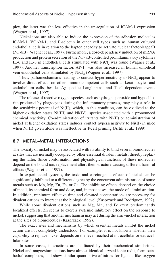plex, the latter was the less effective in the up-regulation of ICAM-1 expression (Wagner et al., 1997).

Nickel ions are also able to induce the expression of the adhesion molecules ICAM-1, VCAM-1, and E-selectin in other cell types such as human cultured endothelial cells in relation to the hapten capacity to activate nuclear factor-kappaB (NF-κB) (Wagner et al., 1997). Furthermore, a dose-dependency induction of mRNA production and protein secretion of the NF-κB-controlled proinflammatory cytokines IL-6 and IL-8 in endothelial cells stimulated with NiCl<sub>2</sub> was found (Wagner et al., 1997). Another transcription factor, AP-1, was also increased in human umbilical vein endothelial cells stimulated by NiCl<sub>2</sub> (Wagner et al., 1997).

Thus, pathomechanisms leading to contact hypersensitivity to NiCl, appear to involve direct effects on other immunocompetent cells such as keratinocytes and endothelium cells, besides Ag-specific Langherans- and T-cell-dependent events (Wagner et al., 1997).

The release of reactive oxygen species, such as hydrogen peroxide and hypochlorite produced by phagocytes during the inflammatory process, may play a role in the sensitizing potential of Ni(II), which, in this condition, can be oxidized to the higher oxidation states  $Ni(III)$  and  $Ni(IV)$ , species associated with a pronounced chemical reactivity. Co-administration of irritants with Ni(II) or administration of nickel at higher oxidation states induces contact hypersensitivity to Ni(II) in mice when Ni(II) given alone was ineffective in T-cell priming (Artik et al., 1999).

#### **8.7 METAL–METAL INTERACTIONS**

The toxicity of nickel may be associated with its ability to bind several biomolecules at sites that are normally occupied by other essential divalent metals, thereby replacing the latter. Since conformation and physiological functions of these molecules depend on the bound ion, replacement alters their structure causing different harmful effects (Wagner et al., 1997).

In experimental systems, the toxic and carcinogenic effects of nickel can be significantly inhibited to a different degree by the concurrent administration of some metals such as Mn, Mg, Zn, Fe, or Ca. The inhibiting effects depend on the choice of metal, its chemical form and dose, and, in most cases, the mode of administration. In addition, minimum effective time and elevated concentrations are necessary for divalent cations to interact at the biological level (Kasprzack and Rodriguez, 1992).

While some divalent cations such as Mg, Mn, and Fe exert predominantly localized effects, Zn seems to exert a systemic inhibitory effect on the response to nickel, suggesting that another mechanism may act during the zinc–nickel interaction at the sites of biomolecules (Kasprzack, 1992).

The exact sites and mechanisms by which essential metals inhibit the nickel action are not completely understood. For example, it is not known whether their capability to replace nickel depends on the level reached at intracellular or extracellular sites.

In some cases, interactions are facilitated by their biochemical similarities. Nickel and magnesium cations have almost identical crystal ionic radii, form octahedral complexes, and show similar quantitative affinities for ligands like oxygen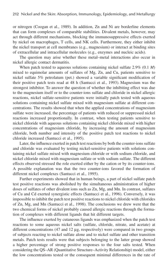or nitrogen (Coogan et al., 1989). In addition, Zn and Ni are borderline elements that can form complexes of comparable stabilities. Divalent metals, however, may act through different mechanisms, blocking the immunosuppressive effects exerted by nickel on macrophages, T cells, and NK cells. Furthermore, they either inhibit the nickel transport at cell membranes (e.g., magnesium) or interact at binding sites of extracellular and intracellular molecules (e.g., enzymes and nucleic acids).

The question may arise whether these metal–metal interactions also occur in nickel allergic contact dermatitis.

When patch tested to aqueous solutions containing nickel sulfate 2.9% (0.1 *M*) mixed to equimolar amounts of sulfates of Mg, Zn, and Cu, patients sensitive to nickel sulfate 5% petrolatum (pet.) showed a variable significant modification of their positive patch tests read at 48 h (Santucci et al., 1993). Magnesium was the strongest inhibitor. To answer the question of whether the inhibiting effect was due to the magnesium itself or to the counter-ions sulfate and chloride in nickel allergic reactions, nickel sulfate-sensitive patients were initially patch tested with aqueous solutions containing nickel sulfate mixed with magnesium sulfate at different concentrations. The results showed that when the applied concentrations of magnesium sulfate were increased, the percentage of patients with reduced or suppressed nickel reactions increased proportionally. In contrast, when testing patients sensitive to nickel chloride with aqueous solutions containing nickel chloride mixed with higher concentrations of magnesium chloride, by increasing the amount of magnesium chloride, both number and intensity of the positive patch test reactions to nickel chloride increased (Santucci et al., 1995).

Later, the influence exerted in patch test reactions by both the counter-ions sulfate and chloride was evaluated by testing nickel-sensitive patients with solutions containing nickel sulfate mixed with magnesium chloride or with sodium chloride, and nickel chloride mixed with magnesium sulfate or with sodium sulfate. The different effects observed stressed the role exerted either by the cation or by its counter-ions. A possible explanation was that the two counter-ions favored the formation of different nickel complexes (Santucci et al., 1995).

Further experiments showed that in human beings, a part of nickel sulfate patch test positive reactions was abolished by the simultaneous administration of higher doses of sulfates of other divalent ions such as Zn, Mg, and Mn. In contrast, sulfates of Cu and Cd exerted synergistic effects (Santucci et al., 1996). Conversely, it was impossible to inhibit the patch test positive reactions to nickel chloride with chlorides of Zn, Mg, and Mn (Santucci et al., 1998). The conclusions we drew were that the two chemical forms of nickel probably caused allergic reactions through the formation of complexes with different ligands that hit different targets.

The influence exerted by cutaneous ligands was emphasized when the patch test reactions to some aqueous nickel salts (sulfate, chloride, nitrate, and acetate) at different concentrations (47 and 12 µg, respectively) were compared in two groups of subjects reacting to nickel sulfate alone and to nickel sulfate and other transition metals. Patch tests results were that subjects belonging to the latter group showed a higher percentage of strong positive responses to the four salts tested. When considering the QS–AR (Quantitative Structure–Activity Relationship) model, either the low concentrations tested or the consequent minimal differences in the rate of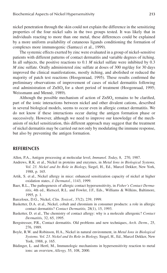nickel penetration through the skin could not explain the difference in the sensitizing properties of the four nickel salts in the two groups tested. It was likely that in individuals reacting to more than one metal, these differences could be explained by a more uniform availability of cutaneous ligands conditioning the formation of complexes more immunogenic (Santucci et al., 1999).

The systemic effects exerted by zinc were evaluated in a group of nickel-sensitive patients with different patterns of contact dermatitis and variable degrees of itching. In all subjects, the positive reactions to 0.1 *M* nickel sulfate were inhibited by 0.3 *M* zinc sulfate. Orally administered zinc sulfate at doses of 300 mg/day for 30 days improved the clinical manifestations, mostly itching, and abolished or reduced the majority of patch test reactions (Hoogenraad, 1995). These results confirmed the preliminary observations of improvement of cases of nickel dermatitis following oral administration of  $ZnSO<sub>4</sub>$  for a short period of treatment (Hoogenraad, 1995; Weissmann and Mennè, 1989).

Although the possible mechanism of action of  $ZnSO<sub>4</sub>$  remains to be clarified, part of the ionic interactions between nickel and other divalent cations, described in several biological models, seems to occur even in allergic contact dermatitis. We do not know if these interactions occur during the antigen formation phase or successively. However, although we need to improve our knowledge of the mechanism of nickel sensitization, this different approach may suggest that the treatment of nickel dermatitis may be carried out not only by modulating the immune response, but also by preventing the antigen formation.

#### **REFERENCES**

Allen, P.A., Antigen processing at molecular level, *Immunol. Today*, 8, 270, 1987.

- Andrews, R.K. et al., Nickel in proteins and enzymes, in *Metal Ions in Biological Systems, Vol. 23. Nickel and Its Role in Biology*, Siegel, H., Ed., Marcel Dekker, New York, 1988, p. 165.
- Artik, S. et al., Nickel allergy in mice: enhanced sensitization capacity of nickel at higher oxidation states, *J. Dermatol*., 1143, 1999.
- Baer, R.L., The pathogenesis of allergic contact hypersensitivity, in *Fisher's Contact Dermatitis*, 4th ed., Rietscel, R.L. and Fowler, J.F., Eds., Williams & Wilkins, Baltimore, 1995, p. 1.

Barceloux, D.G., Nickel, *Clin. Toxicol.*, 37(2), 239, 1999.

- Basketter, D.A. et al., Nickel, cobalt and chromium in consumer products: a role in allergic contact dermatitis? *Contact Dermatitis,* 28(1), 15, 1993.
- Basketter, D. et al., The chemistry of contact allergy: why is a molecule allergenic? *Contact Dermatiti*s, 32, 65, 1995.
- Bergstresser, P.R., Contact dermatitis. Old problems and new techniques, *Arch. Derm*., 25, 276, 1989.
- Boyle, R.W. and Robinson, H.A., Nickel in natural environment, in *Metal Ions in Biological Systems. Vol. 23. Nickel and Its Role in Biology,* Siegel, H., Ed., Marcel Dekker, New York, 1988, p. 165.
- Büdinger, L. and Hertl, M., Immunologic mechanisms in hypersensitivity reaction to metal ions: an overview, *Allergy,* 55, 108, 2000.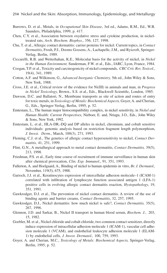- Burrows, D. et al., Metals, in *Occupational Skin Disease*, 3rd ed., Adams, R.M., Ed., W.B. Saunders, Philadelphia, 1999, p. 417.
- Chen, C.Y. et al., Association between oxydative stress and cytokine production, in nickeltreated rats, *Arch. Biochem. Biophys*., 356, 127, 1998.
- Chu, T. et al., Allergic contact dermatitis: carrier proteins for nickel. Current topics, in *Contact Dermatitis*, Frosh, P.J., Dooms Gossens, A., Lachapelle, J.M., and Ryicroft, Springer-Verlag, Berlin, 1989.
- Ciccarelli, R.B. and Wetterhahan, K.E., Molecular basis for the activity of nickel, in *Nickel in the Human Environment,* Sunderman, F.W. et al., Eds., IARC, Lyon, France, 1984.
- Coogan, T.P. et al., Toxicity and carcinogenicity of nickel compounds, *CRC Crit. Rev. Toxicol.*, 19(4), 341, 1989.
- Cotton, A.F. and Wilkinson, G., *Advanced Inorganic Chemistry,* 5th ed., John Wiley & Sons, New York, 1988.
- Cross, J.E. et al., Critical review of the evidence for Ni(III) in animals and man, in *Progress in Nickel Toxicology*, Brown., S.S. et al., Eds., Blackwell Scientific, London, 1985.
- Dawson, D.C. and Ballatori, N., Membrane transports as site of action and routes of entry for toxic metals, in *Toxicology of Metals: Biochemical Aspects,* Goyer, A. and Cherian, G., Eds., Springer-Verlag, Berlin, 1995, p. 52.
- Emtestam, L., The human major histocompatibility complex, in nickel sensitivity, in *Nickel and Human Health: Current Perspectives*, Nieboer, E. and, Nriagu, J.O., Eds., John Wiley & Sons, New York, 1992.
- Emtestam, L. et al., HLA-DR,-DQ and DP alleles in nickel, chromium, and cobalt sensitive individuals: genomic analysis based on restriction fragment length polymorphism, *J. Invest. Derm*., March, 100(3), 271, 1993.
- Fleming, C.J. et al., The genetics of allergic contact hypersensitivity to nickel, *Contact Dermatitis,* 41, 251, 1999.
- Flint, G.N., A metallurgical approach to metal contact dermatitis, *Contact Dermatitis,* 39(5), 213, 1998.
- Friedman, P.S. et al., Early time course of recruitment of immune surveillance in human skin after chemical provocation, *Clin. Exp. Immunol*., 91, 351, 1993.
- Fullerton, A. and Hoelgaard, A., Binding of nickel to human epidermis in vitro, *Br. J. Dermatol.,* November, 119(5), 675, 1988.
- Garioch, J.J. et al., Keratinocytes expression of intercellular adhesion molecule–1 (ICAM-1) correlated with infiltration of lymphocyte function associated antigen 1 (LFA-1) positive cells in evolving allergic contact dermatitis reaction, *Hystopathology*, 19, 351, 1991.
- Gawkrodger, D.J. et al., The prevention of nickel contact dermatitis. A review of the use of binding agents and barrier creams, *Contact Dermatitis*, 32, 257, 1995.
- Gawkrodger, D.J., Nickel dermatitis: how much nickel is safe?, *Contact Dermatitis,* 35(5), 267, 1996.
- Glennon, J.D. and Sarkar, B., Nickel II transport in human blood serum, *Biochem. J.*, 203, 15, 1982.
- Goebler, M. et al., Nickel chloride and cobalt chloride, two common contact sensitizer, directly induce expression of intracellular adhesion molecule 1 (ICAM-1), vascular cell adhesion molecule 1 (VCAM), and endothelial leukocyte adhesion molecule 1 (ELAM-1) by endothelial cells, *J. Invest. Dermatol.,* 100, 759, 1993.
- Goyer, A. and Cherian, M.C., *Toxicology of Metals: Biochemical Aspects,* Springer-Verlag, Berlin, 1995, p. 52.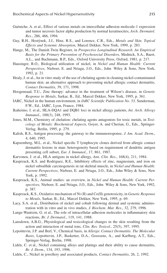- Guèniche, A. et al., Effect of various metals on intercellular adhesion molecule-1 expression and tumor necrosis factor alpha production by normal keratinocites, *Arch. Dermatol. Res*., 286, 466, 1994.
- Guy, R.H., Hostýnek, J.J., Hinz, R.S., and Lorence, C.R., Eds., *Metals and Skin. Topical Effects and Systemic Absorption,* Marcel Dekker, New York, 1999, p. 283.
- Hange, M., The Danish Twin Register, in *Prospective Longitudinal Research. An Empirical Basis for the Primary Prevention of Psychosocial Disorders*, Mednick, S.A., Baert, A.L., and Bachmann, B.P., Eds., Oxford University Press, Oxford, 1981, p. 217.
- Hausinger, R.O., Biological utilization of nickel, in *Nickel and Human Health: Current Perspectives,* Nieboer, E. and Nriagu, J.O., Eds., John Wiley & Sons, New York, 1992, p. 21.
- Healy, J. et al., An in vitro study of the use of chelating agents in cleaning nickel-contaminated human skin: an alternative approach to preventing nickel allergic contact dermatitis, *Contact Dermatitis*, 39, 171, 1998.
- Hoogenraad, T.U., Zinc therapy: advance in the treatment of Wilson's disease, in *Genetic Response to Metals*, Sarkar, B., Ed., Marcel Dekker, New York, 1995, p. 361.
- IARC, Nickel in the human environment, in *IARC Scientific Publication No. 53,* Sunderman, F.W., Ed., IARC, Lyon, France, 1984.
- Ikaheimo, I. et al., HLA-DQA1 and DQB1 loci in nickel allergy patients, *Int. Arch. Allergy Immunol*., 100(3), 248, 1993.
- Jones, M.M., Chemistry of chelation: chelating agents antagonists for toxic metals, in *Toxicology of Metals: Biochemical Aspects,* Goyer, A. and Cherian, G., Eds., Springer-Verlag, Berlin, 1995, p. 279.
- Kalish, R.S., Antigen processing: the gateway to the immunoresponse, *J. Am. Acad. Derm*., 4, 640, 1995.
- Kapsemberg, M.L. et al., Nickel specific T lymphocyte clones derived from allergic contact dermatitis lesions in man: heterogeneity based on requirement of dendritic antigen presenting cell subset, *Eur. J. Immunol.*, 17, 861, 1987.
- Karvonen, J. et al., HLA antigens in nickel allergy, *Ann. Clin. Res*., 168(4), 211, 1984.
- Kasprzack, K.S. and Rodriguez, R.E., Inhibitory effects of zinc, magnesium, and iron on nickel subsulfide carcinogenesis in rat skeletal muscle, in *Nickel and Human Health: Current Perspectives*, Nieboer, E. and Nriagu, J.O., Eds., John Wiley & Sons, New York, p. 1992.
- Kasprzack, K.S., Animal studies: an overview, in *Nickel and Human Health: Current Perspectives,* Nieboer, E. and Nriagu, J.O., Eds., John Wiley & Sons, New York, 1992, p. 387.
- Kasprzack, K.S., Oxidative mechanism of Ni (II) and Co(II) genotoxicity, in *Genetic Response to Metals*, Sarkar, B., Ed., Marcel Dekker, New York, 1995, p. 69.
- Lacy, S.A. et al., Distribution of nickel and cobalt following dermal and systemic administration with in vitro and in vivo studies, *J. Biochem. Mat. Res*., 32, 279, 1996.
- Lange-Wantizin, G. et al., The role of intracellular adhesion molecules in inflammatory skin reactions, *Br. J. Dermatol.*, 119, 141, 1988.
- Lansdown, A.B.G., Physiological and toxicological changes in the skin resulting from the action and interaction of metal ions, *Clin. Rev. Toxicol.,* 25(5), 397, 1995.
- Lepoittevin, J.P. and Berl, V., Chemical basis, in *Allergic Contact Dermatitis. The Molecular Basis*, Lepoittevin, J.P., Basketter, D.A., Goossens, A., and Karlberg, A.T., Eds., Springer-Verlag, Berlin, 1998.
- Lidén, C. et al., Nickel containing alloys and platings and their ability to cause dermatitis, *Br. J. Derm*., 134, 193, 1996.
- Lidén, C., Nickel in jewellery and associated products, *Contact Dermatitis*, 26, 2, 1992.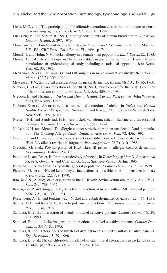- Little, M.C. et al., The participation of proliferative keratinocytes in the preimmune response to sensitizing agents, *Br. J. Dermatol*., 138, 45, 1998.
- Lucassen, M. and Sarkar, B., Ni(II)-binding constituents of human blood serum, *J. Toxicol. Environ. Health*, 5, 897, 1979.
- Manaham, S.E., Fundamentals of chemistry, in *Environmental Chemistry*, 6th ed., Manhan, S.E., Ed., CRC Press, Boca Raton, FL, 1994, p. 741.
- Mennè, T. and Holm, N.V., Nickel allergy in a female twin population, *Int. J. Derm.*, 22, 1983.
- Menné, T. et al., Nickel allergy and hand dermatitis, in a stratified sample of Danish female population: an epidemiological study including a statistical appendix, *Acta Derm. Ven.,* 62, 35, 1982.
- Mozzanica, N. et al., HLA-A,B,C and DR antigens in nickel contact sensitivity, *Br. J. Derm*., March, 122(3), 309, 1990.
- Mracussen, P.V., Ecological considerations on nickel dermatitis*, Br. Ind. Med. J.*, 17, 65, 1960.
- Nieboer, E. et al., Characterization of the Ni(III)/Ni(II) redox couple for the NiI(II) complex of human serum albumin, *Ann. Clin. Lab. Sci*., 409, 14, 1984.
- Nieboer, E. and Nriagu, J., *Nickel and Human Health: Current Perspectives,* John Wiley & Sons, New York, 1992.
- Nieboer, E. et al., Absorption, distribution, and excretion of nickel, in *Nickel and Human Health. Current Perspectives*, Nieboer, E. and Nriagu, J.O., Eds., John Wiley & Sons, New York, 1992, p. 49.
- Nielsen, F.H. and Sandstead, H.H., Are nickel, vanadium, silicon, fluorine and tin essential for man? A review, *Am. J. Clin. Nutr*., 27, 515, 1974.
- Nielsen, N.H. and Mennè, T., Allergic contact sensitization in an unselected Danish population. The Glostrup Allergy Study, Denmark, *Acta Derm. Ven.*, 72, 456, 1992.
- Olerup, O. and Emtestam, L., Allergic contact dermatitis to nickel is associated with a Taq1 HLA-DA alleles restriction fragment, *Immunogenetics*, 28(5), 310, 1988.
- Orecchia, G. et al., Polymorphism of HLA class III genes in allergic contact dermatitis, *Dermatology*, 184(4), 254, 1992.
- Pellettier, L. and Druet, P., Immunotoxicology of metals, in *Toxicology of Metals: Biochemical Aspects,* Goyer, A. and Cherian, G., Eds., Springer-Verlag, Berlin, 1995.
- Peltonen, L., Nickel sensitivity in the general population, *Contact Dermatitis*, 5, 27, 1979.
- Picardo, M. et al., Nickel-keratinocyte interaction: a possible role in sensitization, *Br. J. Dermatol.,* 122, 729, 1990.
- Rao, M.S.N., A study of intersections of the Ni II with bovine serum albumin, *J. Am. Chem. Soc.*, 84, 1788, 1962.
- Romagnoli, P. and Sinigaglia, F., Selective interaction of nickel with an MHC-bound peptide, *EMBO J*., 10, 1303, 1991.
- Rostenberg, A., Jr. and Perkins, A.J., Nickel and cobalt dermatitis, *J. Allergy*, 22, 466, 1951.
- Samitz, M.H. and Katz, S.A., Nickel-epidermal interactions. Diffusion and binding, *Environ. Res*., 11, 34, 1976.
- Santucci, B. et al., Interaction of metals in nickel-sensitive patients, *Contact Dermatitis*, 29, 251, 1993.
- Santucci, B. et al., Nickel/magnesium interactions in nickel-sensitive patients, *Contact Dermatitis*, 33(1), 20, 1995.
- Santucci, B. et al., Interactions of sulfates of divalent metals in nickel sulfate sensitive patients, *Exp. Dermatol.*, 5, 79, 1996.
- Santucci, B. et al., Nickel chloride/chlorides of divalent metal interactions in nickel chloride sensitive patients, *Exp. Dermatol.*, 5, 254, 1996.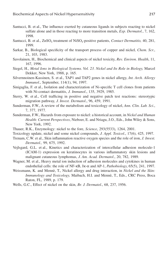- Santucci, B. et al., The influence exerted by cutaneous ligands in subjects reacting to nickel sulfate alone and in those reacting to more transition metals, *Exp. Dermatol.*, 7, 162, 1998.
- Santucci, B. et al., ZnSO<sub>4</sub> treatment of NiSO<sub>4</sub>-positive patients, *Contact Dermatitis*, 40, 281, 1999.
- Sarkar, B., Biological specificity of the transport process of copper and nickel*, Chem. Scr*., 21, 103, 1983.
- Savolainen, H., Biochemical and clinical aspects of nickel toxicity, *Rev. Environ. Health*, 11, 167, 1996.
- Siegel, H., *Metal Ions in Biological Systems. Vol. 23. Nickel and Its Role in Biology,* Marcel Dekker, New York, 1988, p. 165.
- Silvernnoinen-Kassinen, S. et al., TAP1 and TAP2 genes in nickel allergy, *Int. Arch. Allergy Immunol*., September, 114(1), 94, 1997.
- Sinigaglia, F. et al., Isolation and characterization of Ni-specific T cell clones from patients with Ni-contact dermatitis, *J. Immunol*., 135, 3929, 1985.
- Sterry, W. et al., Cell trafficing in positive and negative patch test reactions: stereotypic migration pathway, *J. Invest. Dermatol*., 96, 459, 1991.
- Sunderman, F.W., A review of the metabolism and toxicology of nickel, *Ann. Clin. Lab. Sci*., 7, 377, 1977.
- Sunderman, F.W., Hazards from exposure to nickel: a historical account, in *Nickel and Human Health: Current Perspectives*, Nieboer, E. and Nriagu, J.O., Eds., John Wiley & Sons, New York, 1992.
- Thauer, R.K., Enzymology: nickel to the fore, *Science*, 293(5533), 1264, 2001.
- Toxicology update, nickel and some nickel compounds, *J. Appl. Toxicol*., 17(6), 425, 1997.
- Trenam, C.W. et al., Skin inflammation reactive oxygen species and the role of iron, *J. Invest. Dermatol.,* 99, 675, 1992.
- Vejlsgard, G.L. et al., Kinetics and characterization of intercellular adhesion molecule-1 (ICAM-1) expression on keratinocytes in various inflammatory skin lesions and malignant cutaneous lymphomas, *J. Am. Acad. Dermatol*., 20, 782, 1989.
- Wagner, M. et al., Heavy metal ion induction of adhesion molecules and cytokines in human endothelial cells: the role of NF-κB, Iκ-α and AP-1, *Pathobiology*, 65(5), 241, 1997.
- Weissmann, K. and Mennè, T., Nickel allergy and drug interaction, in *Nickel and the Skin: Immunology and Toxicology,* Maibach, H.I. and Mennè, T., Eds., CRC Press, Boca Raton, FL, 1989, p. 179.
- Wells, G.C., Effect of nickel on the skin, *Br. J. Dermatol*., 68, 237, 1956.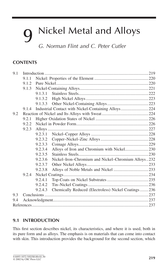# Nickel Metal and Alloys *G. Norman Flint and C. Peter Cutler*  $\mathbf C$

# **CONTENTS**

| 9.1 |       |         |                                                     |  |  |  |  |
|-----|-------|---------|-----------------------------------------------------|--|--|--|--|
|     | 9.1.1 |         |                                                     |  |  |  |  |
|     | 9.1.2 |         |                                                     |  |  |  |  |
|     | 9.1.3 |         |                                                     |  |  |  |  |
|     |       | 9.1.3.1 |                                                     |  |  |  |  |
|     |       | 9.1.3.2 |                                                     |  |  |  |  |
|     |       | 9.1.3.3 |                                                     |  |  |  |  |
|     | 9.1.4 |         | Industrial Contact with Nickel-Containing Alloys224 |  |  |  |  |
| 9.2 |       |         |                                                     |  |  |  |  |
|     | 9.2.1 |         |                                                     |  |  |  |  |
|     | 9.2.2 |         |                                                     |  |  |  |  |
|     | 9.2.3 |         |                                                     |  |  |  |  |
|     |       | 9.2.3.1 |                                                     |  |  |  |  |
|     |       | 9.2.3.2 |                                                     |  |  |  |  |
|     |       | 9.2.3.3 |                                                     |  |  |  |  |
|     |       | 9.2.3.4 | Alloys of Iron and Chromium with Nickel230          |  |  |  |  |
|     |       | 9.2.3.5 |                                                     |  |  |  |  |
|     |       | 9.2.3.6 | Nickel-Iron-Chromium and Nickel-Chromium Alloys232  |  |  |  |  |
|     |       | 9.2.3.7 |                                                     |  |  |  |  |
|     |       | 9.2.3.8 |                                                     |  |  |  |  |
|     | 9.2.4 |         |                                                     |  |  |  |  |
|     |       | 9.2.4.1 |                                                     |  |  |  |  |
|     |       | 9.2.4.2 |                                                     |  |  |  |  |
|     |       | 9.2.4.3 | Chemically Reduced (Electroless) Nickel Coatings236 |  |  |  |  |
| 9.3 |       |         |                                                     |  |  |  |  |
| 9.4 |       |         |                                                     |  |  |  |  |
|     |       |         |                                                     |  |  |  |  |

# **9.1 INTRODUCTION**

This first section describes nickel, its characteristics, and where it is used, both in its pure form and as alloys. The emphasis is on materials that can come into contact with skin. This introduction provides the background for the second section, which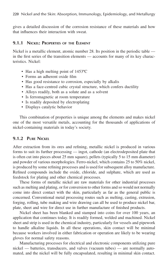gives a detailed discussion of the corrosion resistance of these materials and how that influences their interaction with sweat.

#### **9.1.1 NICKEL: PROPERTIES OF THE ELEMENT**

Nickel is a metallic element, atomic number 28. Its position in the periodic table in the first series of the transition elements — accounts for many of its key characteristics. Nickel:

- Has a high melting point of 1453ºC
- Forms an adherent oxide film
- Has good resistance to corrosion, especially by alkalis
- Has a face-centred cubic crystal structure, which confers ductility
- Alloys readily, both as a solute and as a solvent
- Is ferromagnetic at room temperature
- Is readily deposited by electroplating
- Displays catalytic behavior

This combination of properties is unique among the elements and makes nickel one of the most versatile metals, accounting for the thousands of applications of nickel-containing materials in today's society.

#### **9.1.2 PURE NICKEL**

After extraction from its ores and refining, metallic nickel is produced in various forms to suit its further processing — ingot, cathode (an electrodeposited plate that is often cut into pieces about 25 mm square), pellets (typically 5 to 15 mm diameter) and powder of various morphologies. Ferro-nickel, which contains 25 to 50% nickel, is produced by some refining processes and is used for subsequent alloy manufacture. Refined compounds include the oxide, chloride, and sulphate, which are used as feedstock for plating and other chemical processes.

These forms of metallic nickel are raw materials for other industrial processes such as melting and plating, or for conversion to other forms and so would not normally come into direct contact with the skin, particularly as far as the general public is concerned. Conventional metal processing routes such as melting, casting, extrusion, forging, rolling, tube making and wire drawing can all be used to produce nickel bar, plate, sheet and wire for direct use in further manufacture of finished products.

Nickel sheet has been blanked and stamped into coins for over 100 years, an application that continues today. It is readily formed, welded and machined. Nickel sheet and strip is used in the chemical industry, particularly for vessels and pipework to handle alkaline liquids. In all these operations, skin contact will be minimal because workers involved in either fabrication or operation are likely to be wearing gloves for normal safety reasons.

Manufacturing processes for electrical and electronic components utilizing pure nickel — batteries, transducers, and valves (vacuum tubes) — are normally automated, and the nickel will be fully encapsulated, resulting in minimal skin contact.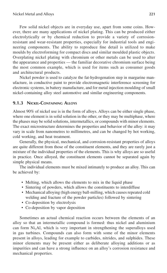Few solid nickel objects are in everyday use, apart from some coins. However, there are many applications of nickel plating. This can be produced either electrolytically or by chemical reduction to provide a variety of corrosionresistant and wear-resistant properties, especially for industrial tools and engineering components. The ability to reproduce fine detail is utilized to make moulds by electroforming for compact discs and similar moulded plastic objects. Overplating nickel plating with chromium or other metals can be used to alter the appearance and properties — the familiar decorative chromium surface being the most common example, which is used for items such as consumer goods and architectural products.

Nickel powder is used to catalyze the fat-hydrogenation step in margarine manufacture, in conductive paint to provide electromagnetic interference screening for electronic systems, in battery manufacture, and for metal injection moulding of small nickel-containing alloy steel automotive and similar engineering components.

#### **9.1.3 NICKEL-CONTAINING ALLOYS**

Almost 90% of nickel use is in the form of alloys. Alloys can be either single phase, where one element is in solid solution in the other, or they may be multiphase, where the phases may be solid solutions, intermetallics, or compounds with minor elements. The exact microstructure determines the properties and behavior of the alloy: it may vary in scale from nanometres to millimetres, and can be changed by hot working, cold working, and heat treatment.

Generally, the physical, mechanical, and corrosion-resistant properties of alloys are quite different from those of the constituent elements, and they are rarely just a mixture of the individual properties of the elements. This is why alloys are so useful in practice. Once alloyed, the constituent elements cannot be separated again by simple physical means.

The individual elements must be mixed intimately to produce an alloy. This can be achieved by:

- Melting, which allows the elements to mix in the liquid phase
- Sintering of powders, which allows the constituents to interdiffuse
- Mechanical alloying (high energy ball-milling, which causes repeated cold welding and fracture of the powder particles) followed by sintering
- Co-deposition by electrolysis
- Co-deposition by vapor deposition

Sometimes an actual chemical reaction occurs between the elements of an alloy so that an intermetallic compound is formed: thus nickel and aluminium can form  $Ni<sub>3</sub>Al$ , which is very important in strengthening the superalloys used in gas turbines. Compounds can also form with some of the minor elements present in alloys, leading for example to carbides, nitrides, and sulphides. These minor elements may be present either as deliberate alloying additions or as impurities and can have a strong influence on an alloy's corrosion resistance and mechanical properties.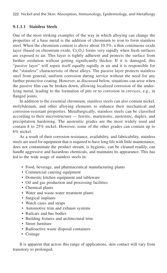#### **9.1.3.1 Stainless Steels**

One of the most striking examples of the way in which alloying can change the properties of a base metal is the addition of chromium to iron to form stainless steel. When the chromium content is above about 10.5%, a thin continuous oxide layer (based on chromium oxide,  $Cr_2O_3$ ) forms very rapidly when fresh surfaces are exposed to air. This layer is tightly adherent and protects the surface from further oxidation without getting significantly thicker. If it is damaged, this "passive layer" will repair itself equally rapidly in air and it is responsible for the "stainless" characteristic of these alloys. The passive layer protects stainless steel from general, uniform corrosion during service without the need for any further protective coating. However, as discussed below, situations can arise when the passive film can be broken down, allowing localized corrosion of the underlying metal, leading to the formation of pits or to corrosion in crevices, e.g., in flanged joints.

In addition to the essential chromium, stainless steels can also contain nickel, molybdenum, and other alloying elements to enhance their mechanical and corrosion-resistant properties. Metallurgically, stainless steels can be classified according to their microstructure — ferritic, martensitic, austenitic, duplex, and precipitation hardening. The austenitic grades are the most widely used and contain 8 to 25% nickel. However, some of the other grades can contain up to 6% nickel.

As a result of their corrosion resistance, availability, and fabricability, stainless steels are used for equipment that is required to have long life with little maintenance, does not contaminate the product stream, is hygienic, can be cleaned readily, can handle aggressive and hazardous chemicals, and maintains its appearance. This has led to the wide usage of stainless steels in:

- Food, beverage, and pharmaceutical manufacturing plants
- Commercial catering equipment
- Domestic kitchen equipment and tableware
- Oil and gas production and processing facilities
- Chemical plants
- Water and waste-water treatment plants
- Surgical implants
- Watch cases and straps
- Automotive trim and exhaust systems
- Railcars and bus bodies
- Building fixtures and architectural trim
- Street furniture
- Radioactive waste disposal containers
- Coinage

It is apparent that across this range of applications, skin contact will vary from transitory to prolonged.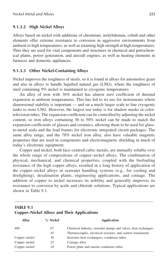#### **9.1.3.2 High Nickel Alloys**

Alloys based on nickel with additions of chromium, molybdenum, cobalt and other elements offer extreme resistance to corrosion in aggressive environments from ambient to high temperatures, as well as retaining high strength at high temperatures. Thus they are used for vital components and structures in chemical and petrochemical plants, power generation, and aircraft engines, as well as heating elements in furnaces and domestic appliances.

#### **9.1.3.3 Other Nickel-Containing Alloys**

Nickel improves the toughness of steels, so it is found in alloys for automotive gears and also in alloys to handle liquified natural gas (LNG), where the toughness of steel containing 9% nickel is maintained to cryogenic temperatures.

An alloy of iron with 36% nickel has almost zero coefficient of thermal expansion at ambient temperatures. This has led to its use for instruments where dimensional stability is important — and on a much larger scale to line cryogenic tanks to store LNG. However, the largest use today is for shadow masks in colortelevision tubes. The expansion coefficient can be controlled by adjusting the nickel content, so iron alloys containing 36 to 50% nickel can be made to match the expansion coefficients of glasses and ceramics, allowing them to be used for glassto-metal seals and the lead frames for electronic integrated circuit packages. The same alloy range, and the 78% nickel iron alloy, also have valuable magnetic properties that are used in components and electromagnetic shielding in much of today's electronic equipment.

Copper and nickel, both face-centred cubic metals, are mutually soluble over the whole range of compositions of copper–nickel alloys. The combination of physical, mechanical, and chemical properties, coupled with the biofouling resistance of the high copper alloys, resulted in a long history of application of the copper–nickel alloys in seawater handling systems (e.g., for cooling and firefighting), desalination plants, engineering applications, and coinage. The addition of copper to nickel increases its nobility and generally improves its resistance to corrosion by acids and chloride solutions. Typical applications are shown in Table 9.1.

| <b>Alloy</b>  | % Nickel | Application                                                   |  |  |  |  |
|---------------|----------|---------------------------------------------------------------|--|--|--|--|
| 400           | 67       | Chemical industry; seawater pumps and valves, heat exchangers |  |  |  |  |
|               | 45       | Thermocouples, electrical resistors, and control instruments  |  |  |  |  |
| Copper-nickel | 30       | Seawater heat exchangers, condenser tubes                     |  |  |  |  |
| Copper-nickel | 25       | Coinage alloy                                                 |  |  |  |  |
| Copper-nickel | 10       | Power plant and marine condenser tubes                        |  |  |  |  |

#### **TABLE 9.1 Copper–Nickel Alloys and Their Applications**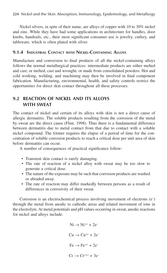Nickel silvers, in spite of their name, are alloys of copper with 10 to 30% nickel and zinc. While they have had some applications in architecture for handles, door knobs, handrails, etc., their most significant consumer use is jewelry, cutlery, and tableware, which is often plated with silver.

#### **9.1.4 INDUSTRIAL CONTACT WITH NICKEL-CONTAINING ALLOYS**

Manufacture and conversion to final products of all the nickel-containing alloys follows the normal metallurgical practices: intermediate products are either melted and cast; or melted, cast and wrought; or made from consolidated powders. Hot and cold working, welding, and machining may then be involved in final component fabrication. Manufacturing, environmental, health, and safety controls restrict the opportunities for direct skin contact throughout all these processes.

## **9.2 REACTION OF NICKEL AND ITS ALLOYS WITH SWEAT**

The contact of nickel and certain of its alloys with skin is not a direct cause of allergic dermatitis. The soluble products resulting from the corrosion of the metal by sweat are the direct cause (Flint, 1998). Thus there is a fundamental difference between dermatitis due to metal contact from that due to contact with a soluble nickel compound. The former requires the elapse of a period of time for the concentration of soluble corrosion products to reach a critical dose per unit area of skin before dermatitis can occur.

A number of consequences of practical significance follow:

- Transient skin contact is rarely damaging.
- The rate of reaction of a nickel alloy with sweat may be too slow to generate a critical dose.
- The nature of the exposure may be such that corrosion products are washed or abraded away.
- The rate of reaction may differ markedly between persons as a result of differences in corrosivity of their sweat.

Corrosion is an electrochemical process involving movement of electrons (e<sup>−</sup>) through the metal from anodic to cathodic areas and related movement of ions in the electrolyte. At metal potentials and pH values occurring in sweat, anodic reactions for nickel and alloys include:

```
Ni \rightarrow Ni^{++} + 2e^-Cu \rightarrow Cu^{++} + 2e^-Fe \rightarrow Fe^{++} + 2e^-Cr \to Cr^{+++} + 3e^-
```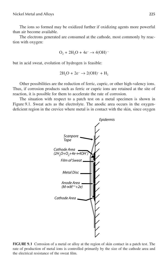The ions so formed may be oxidized further if oxidizing agents more powerful than air become available.

The electrons generated are consumed at the cathode, most commonly by reaction with oxygen:

$$
O_2 + 2H_2O + 4e^- \rightarrow 4(OH)^-
$$

but in acid sweat, evolution of hydrogen is feasible:

$$
2H_2O + 2e^- \to 2(OH)^- + H_2
$$

Other possibilities are the reduction of ferric, cupric, or other high-valency ions. Thus, if corrosion products such as ferric or cupric ions are retained at the site of reaction, it is possible for them to accelerate the rate of corrosion.

The situation with respect to a patch test on a metal specimen is shown in Figure 9.1. Sweat acts as the electrolyte. The anodic area occurs in the oxygendeficient region in the crevice where metal is in contact with the skin, since oxygen



**FIGURE 9.1** Corrosion of a metal or alloy at the region of skin contact in a patch test. The rate of production of metal ions is controlled primarily by the size of the cathode area and the electrical resistance of the sweat film.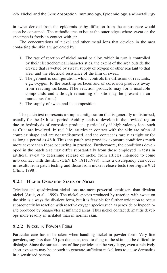in sweat derived from the epidermis or by diffusion from the atmosphere would soon be consumed. The cathodic area exists at the outer edges where sweat on the specimen is freely in contact with air.

The concentrations of nickel and other metal ions that develop in the area contacting the skin are governed by:

- 1. The rate of reaction of nickel metal or alloy, which in turn is controlled by their electrochemical characteristics, the extent of the area outside the crevice that is wetted by sweat, supply of oxygen or other reactant to that area, and the electrical resistance of the film of sweat.
- 2. The geometric configuration, which controls the diffusion of reactants, e.g., oxygen, to the reacting surfaces and of corrosion products away from reacting surfaces. (The reaction products may form insoluble compounds and although remaining on site may be present in an innocuous form.)
- 3. The supply of sweat and its composition.

The patch test represents a simple configuration that is generally undisturbed, usually for the 48 h test period. Acidity tends to develop in the creviced region due to hydrolysis of corrosion products, particularly if high valency ions such as Cr+++ are involved. In real life, articles in contact with the skin are often of complex shape and are not undisturbed, and the contact is rarely as tight or for as long a period as 48 h. Thus the patch test provides exposure conditions much more severe than those occurring in practice. Furthermore, the conditions developed in the patch test may differ substantially from those employed in tests in artificial sweat to determine release of nickel from articles intended to come into contact with the skin (CEN EN 1811:1998). Thus a discrepancy can occur in results from patch testing and those from nickel-release tests (see Figure 9.2) (Flint, 1998).

#### **9.2.1 HIGHER OXIDATION STATES OF NICKEL**

Trivalent and quadrivalent nickel ions are more powerful sensitizers than divalent nickel (Artik, et al., 1999). The nickel species produced by reaction with sweat on the skin is always the divalent form, but it is feasible for further oxidation to occur subsequently by reaction with reactive oxygen species such as peroxide or hypochlorite produced by phagocytes at inflamed areas. Thus nickel contact dermatitis develops more readily in irritated than in normal skin.

### **9.2.2 NICKEL IN POWDER FORM**

Particular care has to be taken when handling nickel in powder form. Very fine powders, say less than 50 µm diameter, tend to cling to the skin and be difficult to dislodge. Since the surface area of fine particles can be very large, even a relatively short exposure may be enough to generate sufficient nickel ions to cause dermatitis in a sensitized person.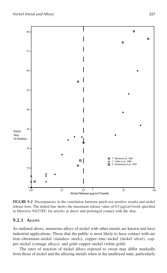

**FIGURE 9.2** Discrepancies in the correlation between patch test positive results and nickel release tests. The dotted line shows the maximum release value of  $0.5 \mu g/cm^2$ /week specified in Directive 94/27/EC for articles in direct and prolonged contact with the skin.

#### **9.2.3 ALLOYS**

As outlined above, numerous alloys of nickel with other metals are known and have industrial applications. Those that the public is most likely to have contact with are iron–chromium–nickel (stainless steels), copper–zinc–nickel (nickel silver), copper–nickel (coinage alloys), and gold–copper–nickel (white gold).

The rates of reaction of nickel alloys exposed to sweat may differ markedly from those of nickel and the alloying metals when in the unalloyed state, particularly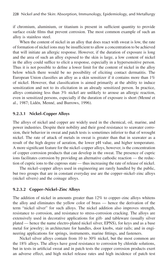if chromium, aluminium, or titanium is present in sufficient quantity to provide surface oxide films that prevent corrosion. The most common example of such an alloy is stainless steel.

When the content of nickel in an alloy that does react with sweat is low, the rate of formation of nickel ions may be insufficient to allow a concentration to be achieved that will initiate an allergic response. However, if the duration of exposure is long and the area of such an alloy exposed to the skin is large, a low content of nickel in the alloy could suffice to elicit a response, especially in a hypersensitive person. Thus it is not possible to define a lower limit for the content of nickel in the alloy below which there would be no possibility of eliciting contact dermatitis. The European Union classifies an alloy as a skin sensitizer if it contains more than 1% of nickel. However, that classification is aimed primarily at the ability to induce sensitization and not to its elicitation in an already sensitized person. In practice, alloys containing less than 3% nickel are unlikely to arouse an allergic reaction, even in sensitized persons, especially if the duration of exposure is short (Menné et al., 1987; Lidén, Menné, and Burrows, 1996).

#### **9.2.3.1 Nickel–Copper Alloys**

The alloys of nickel and copper are widely used in the chemical, oil, marine, and power industries. Despite their nobility and their good resistance to seawater corrosion, their behavior in sweat and patch tests is sometimes inferior to that of wrought nickel. The rate of attack of metals in sweat is greater than that in seawater as a result of the high degree of aeration, the lower pH value, and higher temperature. A more significant feature for the nickel–copper alloys, however, is the concentration of copper corrosion products that can develop in the sweat. The presence of cupric ions facilitates corrosion by providing an alternative cathodic reaction — the reduction of cupric ions to the cuprous state — thus increasing the rate of release of nickel.

The nickel–copper alloys used in engineering are rarely handled by the public, but two groups that are in constant everyday use are the copper–nickel–zinc alloys (nickel silvers) and the coinage alloys.

#### **9.2.3.2 Copper–Nickel–Zinc Alloys**

The addition of nickel in amounts greater than 12% to copper–zinc alloys whitens the alloy and eliminates the yellow color of brass — hence the derivation of the term "nickel silver" for such alloys. The nickel addition also improves strength, resistance to corrosion, and resistance to stress-corrosion cracking. The alloys are extensively used in decorative applications for gift- and tableware (usually silver plated — hence the name electro-plated nickel silver, EPNS), for keys and as a base metal for jewelry; in architecture for handles, door knobs, stair rails; and in engineering applications for springs, instruments, marine fittings, and fasteners.

Nickel silver alloys contain from 10 to 30% nickel, but the most common are the 18% alloys. The alloys have good resistance to corrosion by chloride solutions, but in tests in artificial sweat and in patch tests the copper corrosion products exert an adverse effect, and high nickel release rates and high incidence of patch test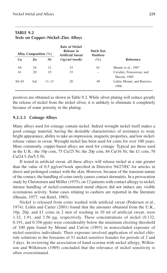| Alloy Composition (%) |     |           | Rate of Nickel<br>Release in<br><b>Artificial Sweat</b> | <b>Patch Test</b><br><b>Positives</b> |                                           |  |
|-----------------------|-----|-----------|---------------------------------------------------------|---------------------------------------|-------------------------------------------|--|
| <b>Cu</b>             | Zn  | Ni        | $(vg/cm^2/week)$                                        | (%)                                   | <b>Reference</b>                          |  |
| 64                    | 24  | 12        | 33                                                      | 81                                    | Menné et al., 1987                        |  |
| 61                    | 20  | 19        | 33                                                      |                                       | Cavalier, Foussereau, and<br>Massin, 1985 |  |
| $60 - 65$             | bal | $11 - 13$ | 20                                                      | 49                                    | Lidén, Menné, and Burrows,<br>1996        |  |

#### **TABLE 9.2 Tests on Copper–Nickel–Zinc Alloys**

positives are obtained as shown in Table 9.2. While silver plating will reduce greatly the release of nickel from the nickel silver, it is unlikely to eliminate it completely because of some porosity in the plating.

#### **9.2.3.3 Coinage Alloys**

Many alloys used for coinage contain nickel. Indeed wrought nickel itself makes a good coinage material, having the desirable characteristics of resistance to wear, bright appearance, ability to take an impression, magnetic properties, and low nickelrelease values in sweat. Wrought nickel has been used for coins for over 100 years. More commonly, copper-based alloys are used for coinage. Typical are those used in the U.K.: the 10p coin, 75 Cu/25 Ni; the 20p coin, 84 Cu/16 Ni; the £1 coin, 70 Cu/24.5 Zn/5.5 Ni.

If tested in artificial sweat, all these alloys will release nickel at a rate greater than the value of 0.5 µg/cm2/week specified in Directive 94/27/EC for articles in direct and prolonged contact with the skin. However, because of the transient nature of the contact, the handling of coins rarely causes contact dermatitis. In a provocation study by Christensen and Möller (1975), on 12 patients with contact allergy to nickel, intense handling of nickel-contaminated metal objects did not induce any visible eczematous activity. Some cases relating to cashiers are reported in the literature (Husain, 1977; van Ketel, 1985).

Nickel is released from coins washed with artificial sweat (Pedersen et al., 1974). Lidén and Carter (2001) found that the amounts obtained from the U.K., 10p, 20p, and  $\pounds$ 1 coins in 2 min of washing in 10 ml of artificial sweat, were 1.32, 1.91, and 3.56 µg, respectively. These concentrations of nickel (0.132, 0.191, and 0.356 ppm) were considerably below the minimum eliciting threshold of 100 ppm found by Menné and Calvin (1993) in nonoccluded exposure of nickel-sensitive individuals. Their exposure involved application of nickel chloride solutions to the forearms of 51 nickel-sensitive females for periods of 2 and 3 days. In reviewing the association of hand eczema with nickel allergy, Wilkinson and Wilkinson (1989) concluded that the relevance of nickel sensitivity is often overestimated.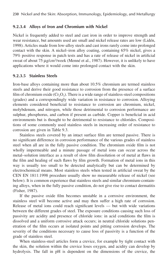#### **9.2.3.4 Alloys of Iron and Chromium with Nickel**

Nickel is frequently added to steel and cast iron in order to improve strength and wear resistance, but amounts used are small and nickel release rates are low (Lidén, 1998). Articles made from low-alloy steels and cast irons rarely come into prolonged contact with the skin. A nickel–iron alloy coating, containing 65% nickel, gives a 79% positive response in patch tests and has a rate of release of nickel in artificial sweat of about 75  $\mu$ g/cm<sup>2</sup>/week (Menné et al., 1987). However, it is unlikely to have applications where it would come into prolonged contact with the skin.

#### **9.2.3.5 Stainless Steels**

Iron-base alloys containing more than about 10.5% chromium are termed stainless steels and derive their good resistance to corrosion from the presence of a surface film of chromium oxide  $(Cr_1O_3)$ . There is a wide range of stainless-steel compositions (grades) and a correspondingly wide variation in resistance to corrosion. Alloying elements considered beneficial to resistance to corrosion are chromium, nickel, molybdenum, and nitrogen, while those detrimental to corrosion performance are sulphur, phosphorus, and carbon if present as carbide. Copper is beneficial in acid environments but is thought to be detrimental to resistance to chlorides. Compositions of some commonly used stainless steels in increasing order of resistance to corrosion are given in Table 9.3.

Stainless steels covered by an intact surface film are termed passive. There is no significant difference in corrosion performance of the various grades of stainless steel when all are in the fully passive condition. The chromium oxide film is not wholly impermeable and a minute passage of metal ions can occur across the metal–solution interface as a result of slow film dissolution or of metal at flaws in the film and healing of such flaws by film growth. Formation of metal ions in this way is usually too small to be detected analytically but can be determined by electrochemical means. Most stainless steels when tested in artificial sweat by the CEN EN 1811:1998 procedure usually show no measurable release of nickel (see below). It is common experience that stainless steels and similar chromium-containing alloys, when in the fully passive condition, do not give rise to contact dermatitis (Fisher, 1987).

If the passive oxide film becomes unstable in a corrosive environment, the stainless steel will become active and may then suffer a high rate of corrosion. Release of metal ions could reach significant levels — but with wide variations between the different grades of steel. The exposure conditions causing such loss of passivity are acidity and presence of chloride ions: in acid conditions the film is dissolved and a uniform corrosive attack occurs; in neutral chloride solutions penetration of the film occurs at isolated points and pitting corrosion develops. The severity of the conditions necessary to cause loss of passivity is a function of the grade of stainless steel.

When stainless-steel articles form a crevice, for example by tight contact with the skin, the solution within the crevice loses oxygen, and acidity can develop by hydrolysis. The fall in pH is dependent on the dimensions of the crevice, the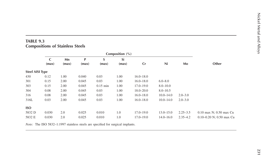|                        |                       |             |            |                                                                                        | Composition (%) |               |               |              |                          |
|------------------------|-----------------------|-------------|------------|----------------------------------------------------------------------------------------|-----------------|---------------|---------------|--------------|--------------------------|
|                        | $\mathsf{C}$<br>(max) | Mn<br>(max) | P<br>(max) | $\mathsf{s}$<br>(max)                                                                  | Si<br>(max)     | Cr            | Ni            | Mo           | Other                    |
| <b>Steel AISI Type</b> |                       |             |            |                                                                                        |                 |               |               |              |                          |
| 430                    | 0.12                  | 1.00        | 0.040      | 0.03                                                                                   | 1.00            | $16.0 - 18.0$ |               |              |                          |
| 301                    | 0.15                  | 2.00        | 0.045      | 0.03                                                                                   | 1.00            | $16.0 - 18.0$ | $6.0 - 8.0$   |              |                          |
| 303                    | 0.15                  | 2.00        | 0.045      | $0.15$ min                                                                             | 1.00            | $17.0 - 19.0$ | $8.0 - 10.0$  |              |                          |
| 304                    | 0.08                  | 2.00        | 0.045      | 0.03                                                                                   | 1.00            | $18.0 - 20.0$ | $8.0 - 10.5$  |              |                          |
| 316                    | 0.08                  | 2.00        | 0.045      | 0.03                                                                                   | 1.00            | $16.0 - 18.0$ | $10.0 - 14.0$ | $2.0 - 3.0$  |                          |
| 316L                   | 0.03                  | 2.00        | 0.045      | 0.03                                                                                   | 1.00            | $16.0 - 18.0$ | $10.0 - 14.0$ | $2.0 - 3.0$  |                          |
| <b>ISO</b>             |                       |             |            |                                                                                        |                 |               |               |              |                          |
| 5832 D                 | 0.030                 | 2.0         | 0.025      | 0.010                                                                                  | 1.0             | $17.0 - 19.0$ | $13.0 - 15.0$ | $2.25 - 3.5$ | 0.10 max N; 0.50 max Cu  |
| 5832 E                 | 0.030                 | 2.0         | 0.025      | 0.010                                                                                  | 1.0             | $17.0 - 19.0$ | $14.0 - 16.0$ | $2.35 - 4.2$ | 0.10-0.20 N; 0.50 max Cu |
|                        |                       |             |            | <i>Note:</i> The ISO 5832-1:1997 stainless steels are specified for surgical implants. |                 |               |               |              |                          |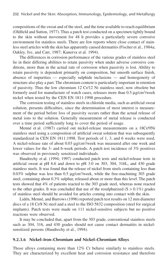compositions of the sweat and of the steel, and the time available to reach equilibrium (Oldfield and Sutton, 1977). Thus a patch test conducted on a specimen tightly bound to the skin without movement for 48 h provides a particularly severe corrosive environment for stainless steels. There are few reports where close contact of stainless steel articles with the skin has apparently caused dermatitis (Fischer et al., 1984a; Oakley, Ive, and Carr, 1987; Kanerva et al. 1994).

The differences in corrosion performance of the various grades of stainless steel lie in their differing abilities to retain passivity when under adverse corrosive conditions, more than in the actual rate of corrosion when passivity is lost. Ability to retain passivity is dependent primarily on composition, but smooth surface finish, absence of impurities — especially sulphide inclusions — and homogeneity of structure also play a part. The chromium content is particularly important in retention of passivity. Thus the low chromium 12 Cr/12 Ni stainless steel, now obsolete but formerly used for manufacture of watch cases, releases more than 0.5 µg/cm2/week nickel when tested by the CEN EN 1811:1998 procedure.

The corrosion testing of stainless steels in chloride media, such as artificial sweat solution, presents difficulties, since the determination of most interest is measurement of the period before loss of passivity occurs rather than the actual release of metal ions to the solution. Generally measurement of metal release is conducted over a time period sufficiently long to cover the period of usage.

Menné et al. (1987) carried out nickel-release measurements on a 18Cr/9Ni stainless steel using a composition of artificial sweat solution that was subsequently standardized in CEN EN 1811:1998. Test periods of 1, 3, and 6 weeks were used. A nickel-release rate of about 0.03 µg/cm2/week was measured after one week and lower values for the 3- and 6-week periods. A patch test incidence of 3% positives was observed in previously sensitized individuals.

Haudrechy et al. (1994; 1997) conducted patch tests and nickel-release tests in artificial sweat at pH 6.6 and down to pH 3.0 on 303, 304, 316L, and 430 grade stainless steels. It was found that the release of nickel from steels containing less than 0.03% sulphur was less than 0.5 µg/cm2/week, while the free-machining 303 grade steel, containing about 0.3% sulphur, released about or more than this level. The patch tests showed that 4% of patients reacted to the 303 grade steel, whereas none reacted to the other grades. It was concluded that use of the resulphurized  $(S > 0.1\%)$  grades of stainless steel should be avoided for articles coming into contact with the skin.

Lidén, Menné, and Burrows (1996) reported patch test results on 12 mm diameter discs of a 18 Cr/8 Ni steel and a steel to the ISO 5832 composition (steel for surgical implants). Patch tests were made on 111 nickel-sensitive subjects but no positive reactions were observed.

It may be concluded that, apart from the 303 grade, conventional stainless steels such as 304, 316, and 430 grades should not cause contact dermatitis in nickelsensitized persons (Haudrechy et al., 1994).

#### **9.2.3.6 Nickel–Iron–Chromium and Nickel–Chromium Alloys**

Those alloys containing more than 12% Cr behave similarly to stainless steels. They are characterized by excellent heat and corrosion resistance and therefore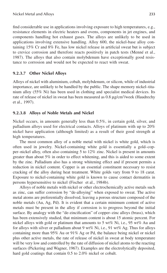find considerable use in applications involving exposure to high temperatures, e.g., resistance elements in electric heaters and ovens, components in jet engines, and components handling hot exhaust gases. The alloys are unlikely to be used in applications involving extensive handling. Alloy 600, the nickel-base alloy containing 15% Cr and 8% Fe, has low nickel release in artificial sweat but is subject to crevice corrosion and therefore reacts positively in patch tests (Menné et al., 1987). The alloys that also contain molybdenum have exceptionally good resistance to corrosion and would not be expected to react with sweat.

#### **9.2.3.7 Other Nickel Alloys**

Alloys of nickel with aluminium, cobalt, molybdenum, or silicon, while of industrial importance, are unlikely to be handled by the public. The shape memory nickel–titanium alloy (55% Ni) has been used in clothing and specialist medical devices. Its rate of release of nickel in sweat has been measured as  $0.8 \mu$ g/cm<sup>2</sup>/week (Haudrechy et al., 1997).

#### **9.2.3.8 Alloys of Noble Metals and Nickel**

Nickel occurs, in amounts generally less than 0.5%, in certain gold, silver, and palladium alloys used for electrical contacts. Alloys of platinum with up to 20% nickel have application (although limited) as a result of their good strength at high temperatures.

The most common alloy of a noble metal with nickel is white gold, which is often used in jewelry. Nickel-containing white gold is essentially a gold–copper–nickel alloy, often also containing 5 to 12% zinc. Nickel is present in amounts greater than about 5% in order to effect whitening, and this is aided to some extent by the zinc. Palladium also has a strong whitening effect and if present permits a reduction in nickel content. Copper is an essential constituent necessary to resist cracking of the alloy during heat treatment. White golds vary from 9 to 18 carat. Exposure to nickel-containing white gold is known to cause contact dermatitis in persons hypersensitive to nickel (Fischer et al., 1984b).

Alloys of noble metals with nickel or other electrochemically active metals such as zinc, can suffer corrosion by "de-alloying" when exposed to sweat. The active metal atoms are preferentially dissolved, leaving a porous structure composed of the noble metals (Au, Ag, Pd). It is evident that a certain minimum content of active metals must be present in the alloy if corrosion is to progress beyond the initial surface. By analogy with the "de-zincification" of copper–zinc alloys (brass), which has been extensively studied, that minimum content is about 15 atomic percent. For nickel alloys with gold or platinum that amounts to 5 wt% Ni, i.e., 95 wt% Au and for alloys with silver or palladium about 9 wt% Ni, i.e., 91 wt% Ag. Thus for alloys containing more than 95% Au or 91% Ag or Pd, the balance being nickel or nickel plus other active metals, the rate of release of nickel in sweat at body temperature will be very low and controlled by the rate of diffusion of nickel atoms to the reacting surfaces (Pickering and Wagner, 1967). Examples are the electrolytically deposited, hard gold coatings that contain 0.5 to 2.0% nickel or cobalt.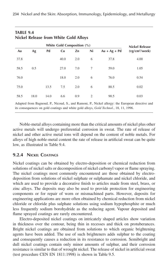|      | <b>Nickel Release</b> |      |                                  |     |    |                |                            |
|------|-----------------------|------|----------------------------------|-----|----|----------------|----------------------------|
| Au   | Ag                    | Pd   | White Gold Composition (%)<br>Cu | Zn  | Ni | $Au + Ag + Pd$ | (vg/cm <sup>2</sup> /week) |
| 37.8 |                       |      | 40.0                             | 2.0 | 6  | 37.8           | 4.00                       |
| 58.5 | 0.5                   |      | 27.0                             | 7.0 | 7  | 59.0           | 1.05                       |
| 76.0 |                       |      | 18.0                             | 2.0 | 6  | 76.0           | 0.54                       |
| 75.0 |                       | 13.5 | 7.5                              | 2.0 | 6  | 88.5           | 0.02                       |
| 58.5 | 18.0                  | 14.0 | 6.6                              | 0.9 | 2  | 90.5           | 0.03                       |
|      |                       |      |                                  |     |    |                |                            |

# **TABLE 9.4 Nickel Release from White Gold Alloys**

Adapted from Bagnoud, P., Nicoud, S., and Ramoni, P., Nickel allergy: the European directive and its consequences on gold coatings and white gold alloys, *Gold Technol.*, 18, 11, 1996.

Noble-metal alloys containing more than the critical amounts of nickel plus other active metals will undergo preferential corrosion in sweat. The rate of release of nickel and other active metal ions will depend on the content of noble metals. For alloys of high noble-metal content the rate of release in artificial sweat can be quite low, as illustrated in Table 9.4.

#### **9.2.4 NICKEL COATINGS**

Nickel coatings can be obtained by electro-deposition or chemical reduction from solutions of nickel salts or decomposition of nickel carbonyl vapor or flame spraying. The nickel coatings most commonly encountered are those obtained by electrodeposition from solutions of nickel sulphate or sulphamate and nickel chloride, and which are used to provide a decorative finish to articles made from steel, brass, or zinc alloys. The deposits may also be used to provide protection for engineering components or for repair of worn or mismachined parts. However, deposits for engineering applications are more often obtained by chemical reduction from nickel chloride or chloride plus sulphate solutions using sodium hypophosphite or much less frequently sodium borohydride as the reducing agent. Vapour deposited and flame sprayed coatings are rarely encountered.

Electro-deposited nickel coatings on intricately shaped articles show variation in thickness over the contour, being thin in recesses and thick on protuberances. Bright nickel coatings are obtained from solutions to which organic brightening agents have been added. The use of such brighteners adds sulphur to the coating and consequently causes a reduction in its resistance to corrosion. Semibright and dull nickel coatings contain only minor amounts of sulphur, and their corrosion resistance is similar to that of wrought nickel. The release of nickel in artificial sweat (test procedure CEN EN 1811:1998) is shown in Table 9.5.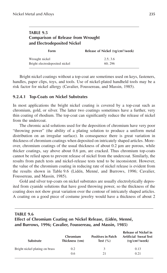| TABLE 9.5                                 |
|-------------------------------------------|
| <b>Comparison of Release from Wrought</b> |
| and Electrodeposited Nickel               |

| Form                           | Release of Nickel (vg/cm <sup>2</sup> /week) |
|--------------------------------|----------------------------------------------|
| Wrought nickel                 | 2.5:3.6                                      |
| Bright electrodeposited nickel | 60:296                                       |

Bright nickel coatings without a top-coat are sometimes used on keys, fasteners, handles, paper clips, toys, and tools. Use of nickel-plated handheld tools may be a risk factor for nickel allergy (Cavalier, Foussereau, and Massin, 1985).

#### **9.2.4.1 Top-Coats on Nickel Substrates**

In most applications the bright nickel coating is covered by a top-coat such as chromium, gold, or silver. The latter two coatings sometimes have a further, very thin coating of rhodium. The top-coat can significantly reduce the release of nickel from the undercoat.

The chromic acid solutions used for the deposition of chromium have very poor "throwing power" (the ability of a plating solution to produce a uniform metal distribution on an irregular surface). In consequence there is great variation in thickness of chromium coatings when deposited on intricately shaped articles. Moreover, chromium coatings of the usual thickness of about  $0.2 \mu$ m are porous, while thicker coatings, say above about  $0.6 \mu m$ , are cracked. Thus chromium top-coats cannot be relied upon to prevent release of nickel from the undercoat. Similarly, the results from patch tests and nickel-release tests tend to be inconsistent. However, the value of the chromium coating in reducing rate of nickel release is evident from the results shown in Table 9.6 (Lidén, Menné, and Burrows, 1996; Cavalier, Foussereau, and Massin, 1985).

Gold and silver top-coats on nickel substrates are usually electrolytically deposited from cyanide solutions that have good throwing power, so the thickness of the coating does not show great variation over the contour of intricately shaped articles. A coating on a good piece of costume jewelry would have a thickness of about 2

#### **TABLE 9.6**

**Effect of Chromium Coating on Nickel Release, (Lidén, Menné, and Burrows, 1996; Cavalier, Foussereau, and Massin, 1985)**

| <b>Substrate</b>               | Chromium<br>Thickness (ym) | <b>Positives in Patch</b><br>Test $(\% )$ | <b>Release of Nickel in</b><br><b>Artificial Sweat Test</b><br>$(vg/cm^2/week)$ |
|--------------------------------|----------------------------|-------------------------------------------|---------------------------------------------------------------------------------|
| Bright nickel plating on brass | 0.2                        | 3                                         | 0.13                                                                            |
|                                | 0.6                        | 21                                        | 0.21                                                                            |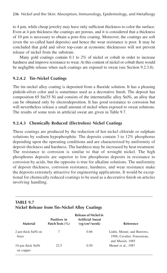to 4 µm, while cheap jewelry may have only sufficient thickness to color the surface. Even at 4 µm thickness the coatings are porous, and it is considered that a thickness of 10 µm is necessary to obtain a pore-free coating. Moreover, the coatings are soft (even the so-called hard deposits) and hence the wear resistance is poor. It may be concluded that gold and silver top-coats at economic thicknesses will not prevent release of nickel from the substrate.

Many gold coatings contain 0.1 to 2% of nickel or cobalt in order to increase hardness and improve resistance to wear. At this content of nickel or cobalt there would be negligible release when such coatings are exposed to sweat (see Section 9.2.3.8).

#### **9.2.4.2 Tin–Nickel Coatings**

The tin–nickel alloy coating is deposited from a fluoride solution. It has a pleasing pinkish-silver color and is sometimes used as a decorative finish. The deposit has composition 65 Sn/35 Ni and consists of the intermetallic alloy SnNi, an alloy that can be obtained only by electrodeposition. It has good resistance to corrosion but will nevertheless release a small amount of nickel when exposed to sweat solutions. The results of some tests in artificial sweat are given in Table 9.7.

## **9.2.4.3 Chemically Reduced (Electroless) Nickel Coatings**

These coatings are produced by the reduction of hot nickel chloride or sulphate solutions by sodium hypophosphite. The deposits contain 3 to 12% phosphorus depending upon the operating conditions and are characterized by uniformity of deposit thickness and hardness. The hardness may be increased by heat treatment. The resistance to corrosion is similar to that of wrought nickel. The high phosphorus deposits are superior to low phosphorus deposits in resistance to corrosion by acids, but the opposite is true for alkaline solutions. The uniformity of deposit thickness, corrosion resistance, hardness, and wear resistance make the deposits extremely attractive for engineering applications. It would be exceptional for chemically reduced coatings to be used as a decorative finish on articles involving handling.

## **TABLE 9.7 Nickel Release from Tin–Nickel Alloy Coatings**

| <b>Material</b>                    | Positives in<br>Patch Tests $(\% )$ | <b>Release of Nickel in</b><br><b>Artificial Sweat</b><br>(vg/cm <sup>2</sup> /week) | <b>Reference</b>                                                              |
|------------------------------------|-------------------------------------|--------------------------------------------------------------------------------------|-------------------------------------------------------------------------------|
| 2 um thick SnNi on<br><b>brass</b> | 7                                   | 0.06                                                                                 | Lidén, Menné, and Burrows,<br>1996; Cavalier, Foussereau,<br>and Massin, 1985 |
| 10 µm thick SnNi<br>on copper      | 22.5                                | 0.50                                                                                 | Menné et al., 1987                                                            |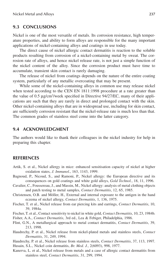#### **9.3 CONCLUSIONS**

Nickel is one of the most versatile of metals. Its corrosion resistance, high temperature properties, and ability to form alloys are responsible for the many important applications of nickel-containing alloys and coatings in use today.

The direct cause of nickel allergic contact dermatitis is reaction to the soluble products resulting from corrosion of a nickel-containing metal by sweat. The corrosion rate of alloys, and hence nickel release rate, is not just a simple function of the nickel content of the alloy. Since the corrosion product must have time to accumulate, transient skin contact is rarely damaging.

The release of nickel from coatings depends on the nature of the entire coating system, particularly of any metallic overcoating that may be present.

While some of the nickel-containing alloys in common use may release nickel when tested according to the CEN EN 1811:1998 procedure at a rate greater than the value of 0.5  $\mu$ g/cm<sup>2</sup>/week specified in Directive 94/27/EC, many of their applications are such that they are rarely in direct and prolonged contact with the skin. Other nickel-containing alloys that are in widespread use, including for skin contact, are sufficiently corrosion resistant that the nickel-release rate is much less than that. The common grades of stainless steel come into the latter category.

#### **9.4 ACKNOWLEDGMENT**

The authors would like to thank their colleagues in the nickel industry for help in preparing this chapter.

#### **REFERENCES**

- Artik, S. et al., Nickel allergy in mice: enhanced sensitisation capacity of nickel at higher oxidation states, *J. Immunol.*, 163, 1143, 1999.
- Bagnoud, P., Nicoud, S., and Ramoni, P., Nickel allergy: the European directive and its consequences on gold coatings and white gold alloys, *Gold Technol.*, 18, 11, 1996.
- Cavalier, C., Foussereau, J., and Massin, M., Nickel allergy: analysis of metal clothing objects and patch testing to metal samples, *Contact Dermatitis*, 12, 65, 1985.
- Christensen, O.B. and Möller, H., External and internal exposure to the antigen in the hand eczema of nickel allergy, *Contact Dermatitis*, 1, 136, 1975.
- Fischer, T. et al., Nickel release from ear piercing kits and earrings, *Contact Dermatitis*, 10, 39, 1984a.
- Fischer, T. et al., Contact sensitivity to nickel in white gold, *Contact Dermatitis*, 10, 23, 1984b. Fisher, A.A., *Contact Dermatitis*, 3rd ed., Lea & Febiger, Philadelphia, 1986.
- Flint, G.N., A metallurgical approach to metal contact dermatitis, *Contact Dermatitis*, 39, 213, 1998.
- Haudrechy, P. et al., Nickel release from nickel-plated metals and stainless steels, *Contact Dermatitis*, 31, 249, 1994.
- Haudrechy, P. et al., Nickel release from stainless steels, *Contact Dermatitis*, 37, 113, 1997. Husain, S.L., Nickel coin dermatitis, *Br. Med. J.*, 2(6093), 998, 1977.
- Kanerva, L. et al., Nickel release from metals and a case of allergic contact dermatitis from stainless steel, *Contact Dermatitis*, 31, 299, 1994.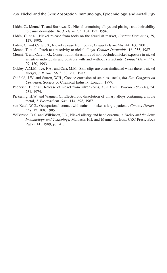- Lidén, C., Menné, T., and Burrows, D., Nickel-containing alloys and platings and their ability to cause dermatitis, *Br. J. Dermatol*., 134, 193, 1996.
- Lidén, C. et al., Nickel release from tools on the Swedish market, *Contact Dermatitis*, 39, 127, 1998.
- Lidén, C. and Carter, S., Nickel release from coins, *Contact Dermatiti*s, 44, 160, 2001.
- Menné, T. et al., Patch test reactivity to nickel alloys, *Contact Dermatitis*, 16, 255, 1987.
- Menné, T. and Calvin, G., Concentration thresholds of non-occluded nickel exposure in nickel sensitive individuals and controls with and without surfactants, *Contact Dermatitis*, 29, 180, 1993.
- Oakley, A.M.M., Ive, F.A., and Carr, M.M., Skin clips are contraindicated when there is nickel allergy, *J. R. Soc. Med.*, 80, 290, 1987.
- Oldfield, J.W. and Sutton, W.H., Crevice corrosion of stainless steels, *6th Eur. Congress on Corrosion,* Society of Chemical Industry, London, 1977.
- Pedersen, B. et al., Release of nickel from silver coins, *Acta Derm. Venerol. (Stockh.)*, 54, 231, 1974.
- Pickering, H.W. and Wagner, C., Electrolytic dissolution of binary alloys containing a noble metal, *J. Electrochem. Soc.*, 114, 698, 1967.
- van Ketel, W.G., Occupational contact with coins in nickel-allergic patients, *Contact Dermatitis*, 12, 108, 1985.
- Wilkinson, D.S. and Wilkinson, J.D., Nickel allergy and hand eczema, in *Nickel and the Skin: Immunology and Toxicology*, Maibach, H.I. and Menné, T., Eds., CRC Press, Boca Raton, FL, 1989, p. 141.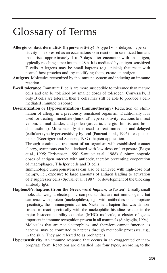# Glossary of Terms

- **Allergic contact dermatitis (hypersensitivity)** A type IV or delayed hypersensitivity — expressed as an eczematous skin reaction in sensitized humans that arises approximately 1 to 7 days after encounter with an antigen, typically reaching a maximum at 48 h. It is mediated by antigen-sensitized T cells. Allergens may be small haptens (e.g., nickel) that react with normal host proteins and, by modifying them, create an antigen.
- **Antigens** Molecules recognized by the immune system and inducing an immune reaction.
- **B-cell tolerance** Immature B cells are more susceptible to tolerance than mature cells and can be tolerized by smaller doses of tolerogen. Conversely, if only B cells are tolerant, then T cells may still be able to produce a cellmediated immune response.
- **Desensitization or Hyposensitization (Immunotherapy)** Reduction or elimination of allergy in a previously sensitized organism. Traditionally it is used for treating immediate (humoral) hypersensitivity reactions to insect venom, animal dander, and pollen (urticaria, allergic rhinitis, and bronchial asthma). More recently it is used to treat immediate and delayed (cellular) type hypersensitivity by oral (Panzani et al., 1995) or epicutaneous (Boerrigter and Scheper, 1987) hapten application.

Through continuous treatment of an organism with established contact allergy, symptoms can be alleviated with low-dose oral exposure (Bagot et al., 1995; Christensen, 1990; Santucci et al., 1988). Subimmunogenic doses of antigen interact with antibody, thereby preventing cooperation of macrophages, T helper cells and B cells.

Immunologic unresponsiveness can also be achieved with high-dose oral therapy, i.e., exposure to large amounts of antigen leading to activation of T suppressor cells (Sjövall et al., 1987), or development of the blocking antibody IgG.

- **Haptens/Prohaptens (from the Greek word** *haptein***, to fasten)** Usually small molecular weight, electrophilic compounds that are not immunogenic but can react with protein (nucleophiles), e.g., with antibodies of appropriate specificity, the immunogenic carrier. Nickel is a hapten that was demonstrated to react specifically with the nucleophilic histidine residue in the major histocompatibility complex (MHC) molecule, a cluster of genes important in immune recognition present in all mammals (Sinigaglia, 1994). Molecules that are not electrophiles, and therefore cannot function as haptens, may be converted to haptens through metabolic processes, e.g., in the skin. They are referred to as prohaptens.
- **Hypersensitivity** An immune response that occurs in an exaggerated or inappropriate form. Reactions are classified into four types, according to the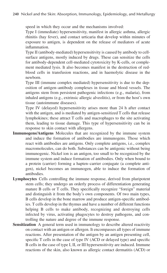speed in which they occur and the mechanisms involved:

Type I (immediate) hypersensitivity, manifest in allergic asthma, allergic rhinitis (hay fever), and contact urticaria that develop within minutes of exposure to antigen, is dependent on the release of mediators of acute inflammation.

Type II (antibody-mediated) hypersensitivity is caused by antibody to cellsurface antigens, mostly induced by drugs. These can sensitize the cells for antibody-dependent cell-mediated cytotoxicity by K-cells, or complement mediated lysis. It also becomes manifest in the destruction of redblood cells in transfusion reactions, and in haemolytic disease in the newborn.

Type III (immune complex mediated) hypersensitivity is due to the deposition of antigen–antibody complexes in tissue and blood vessels. The antigens stem from persistent pathogenic infections (e.g., malaria), from inhaled antigens (e.g., extrinsic allergic alveolitis), or from the host's own tissue (autoimmune diseases).

Type IV (delayed) hypersensitivity arises more than 24 h after contact with the antigen, and is mediated by antigen-sensitized T cells that release lymphokines; these attract T cells and macrophages to the site activating them, leading to tissue damage. This type of hypersensitivity can be in response to skin contact with allergens.

- **Immunogens/Antigens** Molecules that are recognized by the immune system and induce the formation of antibodies are immunogens. Those which react with antibodies are antigens. Only complete antigens, i.e., complex macromolecules, can do both. Substances can be antigenic without being immunogenic. Nickel ion is an antigen, too small to be recognized by the immune system and induce formation of antibodies. Only when bound to a protein (carrier) forming a hapten–carrier conjugate (a complete antigen), nickel becomes an immunogen, able to induce the formation of antibodies.
- **Lymphocytes** Cells controlling the immune response, derived from pluripotent stem cells; they undergo an orderly process of differentiation generating mature B cells or T cells. They specifically recognize "foreign" material and distinguish it from the body's own components. Of two main types, B cells develop in the bone marrow and produce antigen-specific antibodies. T cells develop in the thymus and have a number of different functions helping B cells to make antibody, recognizing and destroying cells infected by virus, activating phagocytes to destroy pathogens, and controlling the nature and degree of the immune response.
- **Sensitization** A general term used in immunology to describe altered reactivity on contact with an antigen or allergen. It encompasses all types of immune reactions. After presentation of the antigen by an antigen presenting cell, specific T cells in the case of type IV (ACD or delayed type) and specific B cells in the case of type I, II, or III hypersensitivity are induced. Immune reactions of the skin, also known as allergic contact dermatitis (ACD) or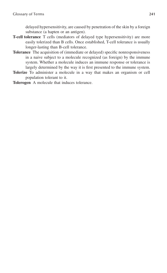delayed hypersensitivity, are caused by penetration of the skin by a foreign substance (a hapten or an antigen).

- **T-cell tolerance** T cells (mediators of delayed type hypersensitivity) are more easily tolerized than B cells. Once established, T-cell tolerance is usually longer-lasting than B-cell tolerance.
- **Tolerance** The acquisition of (immediate or delayed) specific nonresponsiveness in a naive subject to a molecule recognized (as foreign) by the immune system. Whether a molecule induces an immune response or tolerance is largely determined by the way it is first presented to the immune system.
- **Tolerize** To administer a molecule in a way that makes an organism or cell population tolerant to it.
- **Tolerogen** A molecule that induces tolerance.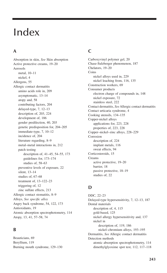# Index

## **A**

Absorption in skin, *See* Skin absorption Active protective creams, 19–20 Aerosols metal, 10–11 nickel, 4 Allergens, 55 Allergic contact dermatitis amino acids role in, 209 asymptomatic, 13–14 atopy and, 58 contributing factors, 204 delayed-type, 7, 12–13 description of, 203, 224 development of, 186 gender predilection, 40, 203 genetic predisposition for, 204–205 immediate-type, 7, 10–12 incidence of, 204 literature regarding, 8–9 metal–metal interactions in, 212 patch testing description of, 41–45, 54–55, 173 guidelines for, 173–174 studies of, 58–63 preventive levels of exposure, 22 silent, 13–14 studies of, 67–68 treatment of, 13–122–23 triggering of, 12 zinc sulfate effects, 213 Allergic contact stomatitis, 8–9 Alloys, *See specific alloy* Angry back syndrome, 54, 122, 173 Antioxidants, 19 Atomic absorption spectrophotometry, 114 Atopy, 13, 41, 57–58, 74

#### **B**

Beauticians, 69 Beryllium, 119 Burning mouth syndrome, 129–130

#### **C**

Carboxyvinyl polymer gel, 20 Chase-Sulzberger phenomenon, 187 Chelators, 19–20 Coins nickel alloys used in, 229 nickel leaching from, 116, 135 Construction workers, 69 Consumer products electron charge of compounds in, 148 nickel exposure, 72 stainless steel, 222 Contact dermatitis, *See* Allergic contact dermatitis Contact urticaria syndrome, 4 Cooking utensils, 134–135 Copper-nickel alloys applications for, 223, 228 properties of, 223, 228 Copper–nickel–zinc alloys, 228–229 Corrosion description of, 224 implant metals, 116 sweat effects, 94 Corticosteroids, 15 Creams active protective, 19–20 barrier, 18 passive protective, 18–19 studies of, 22

## **D**

DDC, 22–23 Delayed-type hypersensitivity, 7, 12–13, 187 Dental materials description of, 4, 115 gold-based, 125 nickel allergy hypersensitivity and, 137 nickel in description of, 119, 186 nickel–chromium alloys, 193–195 Dermatitis, *See* Allergic contact dermatitis Detection methods atomic absorption spectrophotometry, 114 dimethylglyoxime spot test, 112, 117–118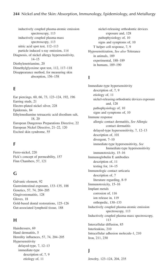inductively coupled plasma-atomic emission spectroscopy, 113 inductively coupled plasma-mass spectroscopy, 113 nitric acid spot test, 112–113 particle induced x-ray emission, 114 Diagnosis, of nickel allergy hypersensitivity, 14–15 Diethylenetriamine, 20 Dimethylglyoxime spot test, 112, 117–118 Disappearance method, for measuring skin absorption, 156–158

#### **E**

Ear piercings, 60, 66, 73, 123–124, 192, 196 Earring studs, 21 Electro-plated nickel silver, 228 Epidermis, 84 Ethylenediamine tetraacetic acid disodium salt, 18, 20 European Dangerous Preparations Directive, 22 European Nickel Directive, 21–22, 120 Excited skin syndrome, 55

#### **F**

Ferro-nickel, 220 Fick's concept of permeability, 157 Finn Chambers, 57, 121

## **G**

Galvanic element, 92 Gastrointestinal exposure, 133–135, 188 Genetics, 57, 74, 204–205 Gingivostomatitis, 128 Gloves, 18 Gold-based dental restorations, 125–126 Gut-associated lymphoid tissue, 188

## **H**

Hairdressers, 69 Hand dermatitis, 5 Heredity influences, 57, 74, 204–205 Hypersensitivity delayed-type, 7, 12–13 immediate-type description of, 7, 9 etiology of, 11

nickel-releasing orthodontic devices exposure and, 128 pathophysiology of, 10 signs and symptoms of, 10 T helper cell response, 7, 9 Hyposensitization, *See also* Tolerance in animals, 189 experimental, 188–189 in humans, 189–190

## **I**

Immediate-type hypersensitivity description of, 7, 9 etiology of, 11 nickel-releasing orthodontic devices exposure and, 128 pathophysiology of, 10 signs and symptoms of, 10 Immune response allergic contact dermatitis, *See* Allergic contact dermatitis delayed-type hypersensitivity, 7, 12–13 description of, 101 divergent, 7–10 immediate-type hypersensitivity, *See* Immediate-type hypersensitivity immunotoxicity, 15–16 Immunoglobulin E antibodies description of, 11 testing for, 14–15 Immunologic contact urticaria description of, 7 literature regarding, 8–9 Immunotoxicity, 15–16 Implant metals corrosion of, 116 ion release in, 119 orthopedic, 130–133 Inductively coupled plasma-atomic emission spectroscopy, 113 Inductively coupled plasma-mass spectroscopy, 113 Intercellular diffusion, 85 Interleukins, 210 Intracellular adhesion molecule-1, 210 Iron, 211, 230

# **J**

Jewelry, 123–124, 204, 235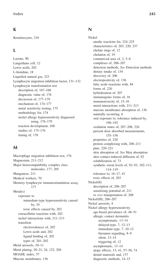## **K**

Keratinocytes, 210

## **L**

Lactate, 90 Langerhans cell, 12 Lewis acids, 202 L-histidine, 18 Liquefied natural gas, 223 Lymphocyte migration inhibition factor, 131–132 Lymphocyte transformation test description of, 167–168 diagnostic value of, 176 discussion of, 177–179 mechanism of, 174–177 metal sensitivity testing, 175 methodology for, 174 nickel allergy hypersensitivity diagnosed using, 176–179 reaction development, 168 studies of, 175–176 timing of, 178

## **M**

Macrophage migration inhibition test, 176 Magnesium, 211–212 Major histocompatibility complex class molecules, 177, 205 Manganese, 211 Medical workers, 70 Memory lymphocyte immunostimulation assay, 177 Metal(s) exposure to immediate-type hypersensitivity caused by, 10 toxic effects caused by, 202 extracellular reactions with, 202 nickel interactions with, 211–213 transition electrovalences of, 202 Lewis acids and, 202 ligand binding of, 202 types of, 201–202 Metal aerosols, 10–11 Metal plating, 20–21, 24, 122, 204 MOAHL index, 57 Mucous membranes, 136

#### **N**

Nickel anodic reactions for, 224–225 characteristics of, 203, 220, 237 chelate rings of, 12 chelation of, 19 commercial uses of, 2, 5–6 complexes of, 206–207 detection methods, *See* Detection methods dietary intake of, 134 discovery of, 206 electropositivity of, 136 fatty acids reactions with, 84 forms of, 220 hybridization of, 207 immunogenic forms of, 16 immunotoxicity of, 15–16 metal interactions with, 211–213 mucous membranes absorption of, 136 naturally occurring, 6 oral exposure to, tolerance induced by, 190–192 oxidation states of, 207–208, 226 percent dose absorbed measurements, 155–156 properties of, 220 protein complexing with, 208–211 pure, 220–221 skin absorption of, *See* Skin absorption skin contact-induced diffusion of, 92 solubilization of, 73 synthetic sweat levels of, 92–93, 102–111, 114–119 tolerance to, 16–17, 41 toxic effects of, 203 Nickel(II) description of, 206–207 sensitizing potential of, 211 *in vivo* transportation of, 208 Nickel(III), 206–207 Nickel aerosols, 4 Nickel allergy hypersensitivity age-based prevalence of, 48–51 allergic contact dermatitis asymptomatic, 13–14 delayed-type, 7, 12–13 immediate-type, 7, 10–12 literature regarding, 8–9 silent, 13–14 triggering of, 12 asymptomatic, 13–14 atopy effects, 13, 41, 57–58, 74 dental materials and, 137 diagnostic methods, 14–15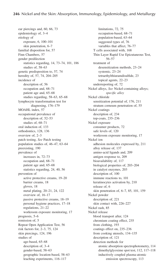ear piercings and, 60, 66, 73 epidemiology of, 3–4 etiology of exposure, 6, 100–101 skin penetration, 6–7 familial disposition for, 57 Finn Chambers, 57 gender predilection statistics regarding, 14, 73–74, 101, 186 studies of, 58–63 genetic predisposition to, 57, 74 heredity of, 57, 74, 204–205 incidence of description of, 56 occupation and, 68–71 patient age and, 65–68 studies regarding, 58–63, 65–68 lymphocyte transformation test for diagnosing, 176–179 MOAHL index, 57 occupational prevalence of description of, 52–53 studies of, 68–71 oral induction of, 133 orthodontics, 128, 136 overview of, 2–3 patch testing, *See* Patch testing population studies of, 46–47, 63–64 preexisting, 190 prevalence of increases in, 72–73 occupation and, 68–71 patient age and, 65–68 statistics regarding, 24, 40, 56 prevention of active protective creams, 19–20 barrier creams, 18 gloves, 18 metal plating, 20–21, 24, 122 overview of, 16–17 passive protective creams, 18–19 personal hygiene practices, 17–18 regulations, 21–22 workroom exposure monitoring, 17 prognosis, 5–6 remission of, 5 Repeat Open Application Test, 56 risk factors for, 2–3, 75, 124 skin piercings, 124, 196 studies of age-based, 65–68 description of, 3–4 gender-based, 58–63 geographic location-based, 58–63 leaching experiments, 116–117

limitations, 72, 75 occupation-based, 68–71 population-based, 63–64 suggested types of, 76 variables that affect, 76–77 T cells associated with, 168 Thin Layer Rapid Use Epicutaneous Test, 56–57 treatment of desensitization methods, 23–24 systemic, 23–24 tetraethylthiuramdisulfide, 23 topical agents, 22–23 underreporting of, 72 Nickel alloys, *See* Nickel-containing alloys; *specific alloy* Nickel chloride sensitization potential of, 176, 211 stratum corneum penetration of, 55 Nickel coatings description of, 234 top-coats, 235–236 Nickel exposure consumer products, 72 safe levels of, 120 workroom exposure monitoring, 17 Nickel ion adhesion molecules expressed by, 211 alloy release of, 137 amino-acid ligands and, 209 antigen response to, 209 bioavailability of, 117 biological properties of, 203–204 in catalyst enzymes, 203 description of, 100 immune reactions to, 101 keratinocytes activation by, 210 release of, 6 skin penetration of, 6–7, 85, 101, 159 Nickel powder description of, 221 skin contact with, 226–227 Nickel rash, 85 Nickel release blood transport after, 124 chromium coating effect, 235 from clothing, 193 coatings effect on, 235–236 from cooking utensils, 134–135 description of, 121 detection methods for atomic absorption spectrophotometry, 114 dimethylglyoxime spot test, 112, 117–118 inductively coupled plasma-atomic emission spectroscopy, 113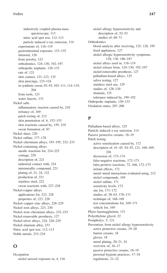#### Index **247**

inductively coupled plasma-mass spectroscopy, 113 nitric acid spot test, 112–113 particle induced x-ray emission, 114 experiments of, 116–119 gastrointestinal exposure, 133–135 intraoral, 126 from jewelry, 123 orthodontics, 124–130, 192–197 orthopedic implants, 130–133 rate of, 121 skin contact, 121–123, 135 skin piercings, 123–124 in synthetic sweat, 92–93, 102–111, 114–119, 204 from tools, 123 water faucets, 133 Nickel salts inflammatory reaction caused by, 210 irritancy of, 169 patch testing of, 212 skin penetration of, 6, 152–153 skin reactions caused by, 159, 210 sweat formation of, 83 Nickel sheet, 220 Nickel sulfate, 177–178 Nickel–chromium alloys, 193–195, 232–233 Nickel-containing alloys anodic reactions for, 224–225 coinage, 229 description of, 221 industrial contact with, 224 intermetallic compound, 221 plating of, 21, 24, 122 production of, 221 stainless steel, 222 sweat reactions with, 227–228 Nickel-copper alloys applications for, 223, 228 properties of, 223, 228 Nickel–copper–zinc alloys, 228–229 Nickel–iron alloys, 223, 230 Nickel–iron–chromium alloys, 232–233 Nickel-removable prosthesis, 127 Nickel-silver alloys, 224, 228–229 Nickel–titanium alloy, 233 Nitric acid spot test, 112–113 Noble metals, 233–234

## **O**

**Occupation** nickel aerosol exposure in, 4, 116

nickel allergy hypersensitivity and description of, 52–53 studies of, 68–71 **Orthodontics** blood analysis after receiving, 125, 128, 195 fixed appliances, 127 nickel allergic hypersensitivity symptoms, 128, 136, 186–187 nickel alloys used in, 118–119 nickel release from, 124–130, 192–197 nickel-removable prosthesis, 127 palladium-based alloys, 125 saliva testing, 127 stainless steel use, 129 studies of, 128–130 titanium, 125 tolerance induced by, 190–192 Orthopedic implants, 130–133 Oxidation states, 207–208

#### **P**

Palladium-based alloys, 125 Particle induced x-ray emission, 114 Passive protective creams, 18–19 Patch testing active sensitization caused by, 172 description of, 41–45, 54–55, 121, 168–169, 226 discussion of, 173–174 false-negative reactions, 172–173 false-positive reactions, 72, 168, 172–173 irritant effects, 172 metal–metal interactions evaluated using, 212 nickel compounds, 169 nickel sulfate, 171 sensitivity levels, 172 site for, 171–172 studies of, 58–63, 170–171 technique of, 168–169 test concentrations for, 169–171 vehicle for, 169 Phyto haemagglutinin, 131 Polyethylene glycol, 22 Pompholyx, 5, 121 Prevention, from nickel allergy hypersensitivity active protective creams, 19–20 barrier creams, 18 gloves, 18 metal plating, 20–21, 24 overview of, 16–17 passive protective creams, 18–19 personal hygiene practices, 17–18 regulations, 21–22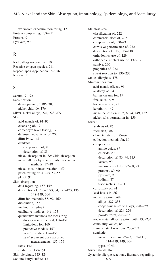#### **248** Nickel and the Skin: Absorption, Immunology, Epidemiology, and Metallurgy

workroom exposure monitoring, 17 Protein complexing, 208–211 Protons, 91 Pyruvate, 90

#### **R**

Radioallergosorbent test, 10 Reactive oxygen species, 211 Repeat Open Application Test, 56 Rusters, 115

#### **S**

Sebum, 91–92 Sensitization development of, 186, 203 nickel chloride, 176 Silver–nickel alloys, 224, 228–229 Skin acid mantle of, 91–92 cleansing of, 17 corneocyte layer testing, 17 defense mechanisms of, 203 diffusivity, 148 exudates composition of, 85 description of, 83 nickel absorption in, *See* Skin absorption nickel allergy hypersensitivity prevention methods, 17–18 nickel salts-induced reaction, 159 patch testing of, 41–45, 54–55 pH of, 91 Skin absorption data regarding, 157–159 description of, 2, 6–7, 73, 84, 121–123, 135, 148–149, 204 diffusion methods, 85, 92, 160 dissolution, 153 methods of, 84–85 qualitative findings, 149–153 quantitative methods for measuring disappearance method, 156–158 limitations for, 160 predictive models, 157 *in vitro* studies, 154–155 *in vivo* percent dose absorbed measurements, 155–156 rates, 152 studies of, 150–151 Skin piercings, 123–124 Sodium lauryl sulfate, 13

Stainless steel classification of, 222 commercial uses of, 222 composition of, 230–231 corrosive performance of, 232 description of, 112, 117–118 orthodontics use of, 129 orthopedic implant use of, 132–133 passive, 230 properties of, 222 sweat reaction to, 230–232 Status allergicus, 178 Stratum corneum acid mantle effects, 91 anatomy of, 84 barrier creams for, 19 free acids in, 91 homeostasis of, 91 keratin in, 149 nickel deposition in, 2, 6, 94, 149, 152 nickel salts permeation in, 159 Sweat analysis of, 86 "cell-rich," 86 characteristics of, 85–86 collection methods for, 86 components of amino acids, 89 chloride, 87 description of, 86, 94, 115 lactate, 90 macro-electrolytes, 87–88, 94 proteins, 89–90 pyruvate, 90 sodium, 87 trace metals, 90–91 corrosivity of, 94 lead levels in, 86 nickel reaction with alloys, 227–233 copper–nickel–zinc alloys, 228–229 description of, 224–226 powder form, 226–227 noble metal alloys reaction with, 233–234 osmolality values, 88 stainless steel reactions, 230–232 synthetic nickel release in, 92–93, 102–111, 114–119, 149, 204 types of, 93 Sweat glands, 84 Systemic allergic reactions, literature regarding, 8–9